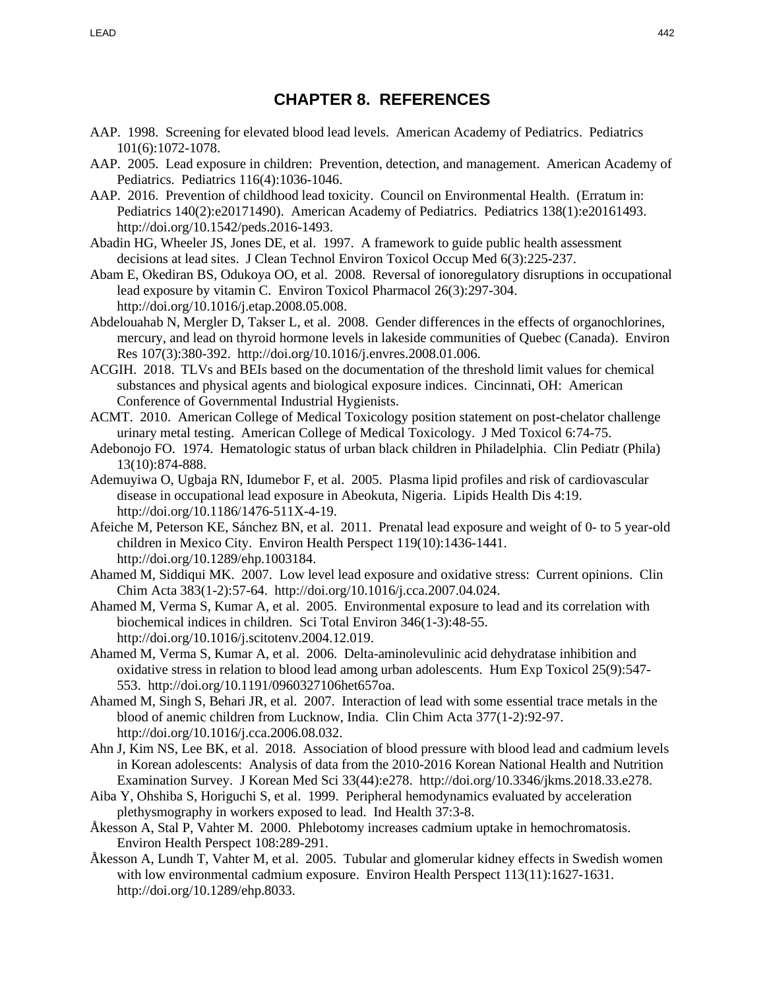## **CHAPTER 8. REFERENCES**

- AAP. 1998. Screening for elevated blood lead levels. American Academy of Pediatrics. Pediatrics 101(6):1072-1078.
- AAP. 2005. Lead exposure in children: Prevention, detection, and management. American Academy of Pediatrics. Pediatrics 116(4):1036-1046.
- AAP. 2016. Prevention of childhood lead toxicity. Council on Environmental Health. (Erratum in: Pediatrics 140(2):e20171490). American Academy of Pediatrics. Pediatrics 138(1):e20161493. http://doi.org/10.1542/peds.2016-1493.
- Abadin HG, Wheeler JS, Jones DE, et al. 1997. A framework to guide public health assessment decisions at lead sites. J Clean Technol Environ Toxicol Occup Med 6(3):225-237.
- Abam E, Okediran BS, Odukoya OO, et al. 2008. Reversal of ionoregulatory disruptions in occupational lead exposure by vitamin C. Environ Toxicol Pharmacol 26(3):297-304. http://doi.org/10.1016/j.etap.2008.05.008.
- Abdelouahab N, Mergler D, Takser L, et al. 2008. Gender differences in the effects of organochlorines, mercury, and lead on thyroid hormone levels in lakeside communities of Quebec (Canada). Environ Res 107(3):380-392. http://doi.org/10.1016/j.envres.2008.01.006.
- ACGIH. 2018. TLVs and BEIs based on the documentation of the threshold limit values for chemical substances and physical agents and biological exposure indices. Cincinnati, OH: American Conference of Governmental Industrial Hygienists.
- ACMT. 2010. American College of Medical Toxicology position statement on post-chelator challenge urinary metal testing. American College of Medical Toxicology. J Med Toxicol 6:74-75.
- Adebonojo FO. 1974. Hematologic status of urban black children in Philadelphia. Clin Pediatr (Phila) 13(10):874-888.
- Ademuyiwa O, Ugbaja RN, Idumebor F, et al. 2005. Plasma lipid profiles and risk of cardiovascular disease in occupational lead exposure in Abeokuta, Nigeria. Lipids Health Dis 4:19. http://doi.org/10.1186/1476-511X-4-19.
- Afeiche M, Peterson KE, Sánchez BN, et al. 2011. Prenatal lead exposure and weight of 0- to 5 year-old children in Mexico City. Environ Health Perspect 119(10):1436-1441. http://doi.org/10.1289/ehp.1003184.
- Ahamed M, Siddiqui MK. 2007. Low level lead exposure and oxidative stress: Current opinions. Clin Chim Acta 383(1-2):57-64. http://doi.org/10.1016/j.cca.2007.04.024.
- Ahamed M, Verma S, Kumar A, et al. 2005. Environmental exposure to lead and its correlation with biochemical indices in children. Sci Total Environ 346(1-3):48-55. http://doi.org/10.1016/j.scitotenv.2004.12.019.
- Ahamed M, Verma S, Kumar A, et al. 2006. Delta-aminolevulinic acid dehydratase inhibition and oxidative stress in relation to blood lead among urban adolescents. Hum Exp Toxicol 25(9):547- 553. http://doi.org/10.1191/0960327106het657oa.
- Ahamed M, Singh S, Behari JR, et al. 2007. Interaction of lead with some essential trace metals in the blood of anemic children from Lucknow, India. Clin Chim Acta 377(1-2):92-97. http://doi.org/10.1016/j.cca.2006.08.032.
- Ahn J, Kim NS, Lee BK, et al. 2018. Association of blood pressure with blood lead and cadmium levels in Korean adolescents: Analysis of data from the 2010-2016 Korean National Health and Nutrition Examination Survey. J Korean Med Sci 33(44):e278. http://doi.org/10.3346/jkms.2018.33.e278.
- Aiba Y, Ohshiba S, Horiguchi S, et al. 1999. Peripheral hemodynamics evaluated by acceleration plethysmography in workers exposed to lead. Ind Health 37:3-8.
- Åkesson A, Stal P, Vahter M. 2000. Phlebotomy increases cadmium uptake in hemochromatosis. Environ Health Perspect 108:289-291.
- Åkesson A, Lundh T, Vahter M, et al. 2005. Tubular and glomerular kidney effects in Swedish women with low environmental cadmium exposure. Environ Health Perspect 113(11):1627-1631. http://doi.org/10.1289/ehp.8033.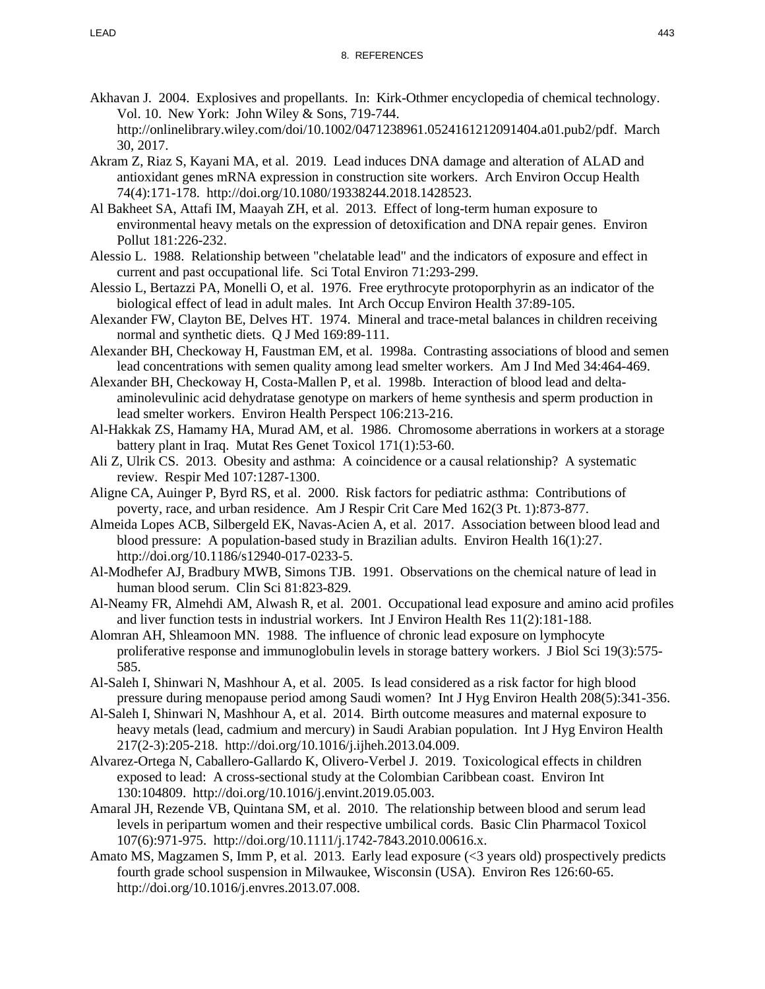- Akhavan J. 2004. Explosives and propellants. In: Kirk-Othmer encyclopedia of chemical technology. Vol. 10. New York: John Wiley & Sons, 719-744. http://onlinelibrary.wiley.com/doi/10.1002/0471238961.0524161212091404.a01.pub2/pdf. March 30, 2017.
- Akram Z, Riaz S, Kayani MA, et al. 2019. Lead induces DNA damage and alteration of ALAD and antioxidant genes mRNA expression in construction site workers. Arch Environ Occup Health 74(4):171-178. http://doi.org/10.1080/19338244.2018.1428523.
- Al Bakheet SA, Attafi IM, Maayah ZH, et al. 2013. Effect of long-term human exposure to environmental heavy metals on the expression of detoxification and DNA repair genes. Environ Pollut 181:226-232.
- Alessio L. 1988. Relationship between "chelatable lead" and the indicators of exposure and effect in current and past occupational life. Sci Total Environ 71:293-299.
- Alessio L, Bertazzi PA, Monelli O, et al. 1976. Free erythrocyte protoporphyrin as an indicator of the biological effect of lead in adult males. Int Arch Occup Environ Health 37:89-105.
- Alexander FW, Clayton BE, Delves HT. 1974. Mineral and trace-metal balances in children receiving normal and synthetic diets. Q J Med 169:89-111.
- Alexander BH, Checkoway H, Faustman EM, et al. 1998a. Contrasting associations of blood and semen lead concentrations with semen quality among lead smelter workers. Am J Ind Med 34:464-469.
- Alexander BH, Checkoway H, Costa-Mallen P, et al. 1998b. Interaction of blood lead and deltaaminolevulinic acid dehydratase genotype on markers of heme synthesis and sperm production in lead smelter workers. Environ Health Perspect 106:213-216.
- Al-Hakkak ZS, Hamamy HA, Murad AM, et al. 1986. Chromosome aberrations in workers at a storage battery plant in Iraq. Mutat Res Genet Toxicol 171(1):53-60.
- Ali Z, Ulrik CS. 2013. Obesity and asthma: A coincidence or a causal relationship? A systematic review. Respir Med 107:1287-1300.
- Aligne CA, Auinger P, Byrd RS, et al. 2000. Risk factors for pediatric asthma: Contributions of poverty, race, and urban residence. Am J Respir Crit Care Med 162(3 Pt. 1):873-877.
- Almeida Lopes ACB, Silbergeld EK, Navas-Acien A, et al. 2017. Association between blood lead and blood pressure: A population-based study in Brazilian adults. Environ Health 16(1):27. http://doi.org/10.1186/s12940-017-0233-5.
- Al-Modhefer AJ, Bradbury MWB, Simons TJB. 1991. Observations on the chemical nature of lead in human blood serum. Clin Sci 81:823-829.
- Al-Neamy FR, Almehdi AM, Alwash R, et al. 2001. Occupational lead exposure and amino acid profiles and liver function tests in industrial workers. Int J Environ Health Res 11(2):181-188.
- Alomran AH, Shleamoon MN. 1988. The influence of chronic lead exposure on lymphocyte proliferative response and immunoglobulin levels in storage battery workers. J Biol Sci 19(3):575- 585.
- Al-Saleh I, Shinwari N, Mashhour A, et al. 2005. Is lead considered as a risk factor for high blood pressure during menopause period among Saudi women? Int J Hyg Environ Health 208(5):341-356.
- Al-Saleh I, Shinwari N, Mashhour A, et al. 2014. Birth outcome measures and maternal exposure to heavy metals (lead, cadmium and mercury) in Saudi Arabian population. Int J Hyg Environ Health 217(2-3):205-218. http://doi.org/10.1016/j.ijheh.2013.04.009.
- Alvarez-Ortega N, Caballero-Gallardo K, Olivero-Verbel J. 2019. Toxicological effects in children exposed to lead: A cross-sectional study at the Colombian Caribbean coast. Environ Int 130:104809. http://doi.org/10.1016/j.envint.2019.05.003.
- Amaral JH, Rezende VB, Quintana SM, et al. 2010. The relationship between blood and serum lead levels in peripartum women and their respective umbilical cords. Basic Clin Pharmacol Toxicol 107(6):971-975. http://doi.org/10.1111/j.1742-7843.2010.00616.x.
- Amato MS, Magzamen S, Imm P, et al. 2013. Early lead exposure (<3 years old) prospectively predicts fourth grade school suspension in Milwaukee, Wisconsin (USA). Environ Res 126:60-65. http://doi.org/10.1016/j.envres.2013.07.008.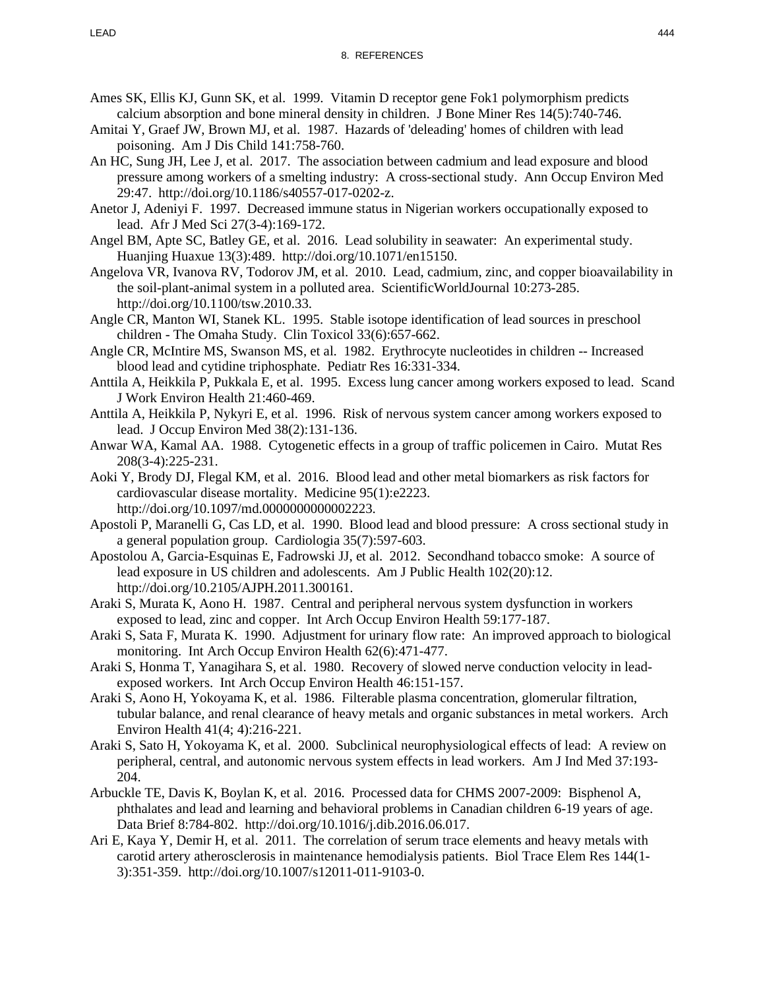- Ames SK, Ellis KJ, Gunn SK, et al. 1999. Vitamin D receptor gene Fok1 polymorphism predicts calcium absorption and bone mineral density in children. J Bone Miner Res 14(5):740-746.
- Amitai Y, Graef JW, Brown MJ, et al. 1987. Hazards of 'deleading' homes of children with lead poisoning. Am J Dis Child 141:758-760.
- An HC, Sung JH, Lee J, et al. 2017. The association between cadmium and lead exposure and blood pressure among workers of a smelting industry: A cross-sectional study. Ann Occup Environ Med 29:47. http://doi.org/10.1186/s40557-017-0202-z.
- Anetor J, Adeniyi F. 1997. Decreased immune status in Nigerian workers occupationally exposed to lead. Afr J Med Sci 27(3-4):169-172.
- Angel BM, Apte SC, Batley GE, et al. 2016. Lead solubility in seawater: An experimental study. Huanjing Huaxue 13(3):489. http://doi.org/10.1071/en15150.
- Angelova VR, Ivanova RV, Todorov JM, et al. 2010. Lead, cadmium, zinc, and copper bioavailability in the soil-plant-animal system in a polluted area. ScientificWorldJournal 10:273-285. http://doi.org/10.1100/tsw.2010.33.
- Angle CR, Manton WI, Stanek KL. 1995. Stable isotope identification of lead sources in preschool children - The Omaha Study. Clin Toxicol 33(6):657-662.
- Angle CR, McIntire MS, Swanson MS, et al. 1982. Erythrocyte nucleotides in children -- Increased blood lead and cytidine triphosphate. Pediatr Res 16:331-334.
- Anttila A, Heikkila P, Pukkala E, et al. 1995. Excess lung cancer among workers exposed to lead. Scand J Work Environ Health 21:460-469.
- Anttila A, Heikkila P, Nykyri E, et al. 1996. Risk of nervous system cancer among workers exposed to lead. J Occup Environ Med 38(2):131-136.
- Anwar WA, Kamal AA. 1988. Cytogenetic effects in a group of traffic policemen in Cairo. Mutat Res 208(3-4):225-231.
- Aoki Y, Brody DJ, Flegal KM, et al. 2016. Blood lead and other metal biomarkers as risk factors for cardiovascular disease mortality. Medicine 95(1):e2223. http://doi.org/10.1097/md.0000000000002223.
- Apostoli P, Maranelli G, Cas LD, et al. 1990. Blood lead and blood pressure: A cross sectional study in a general population group. Cardiologia 35(7):597-603.
- Apostolou A, Garcia-Esquinas E, Fadrowski JJ, et al. 2012. Secondhand tobacco smoke: A source of lead exposure in US children and adolescents. Am J Public Health 102(20):12. http://doi.org/10.2105/AJPH.2011.300161.
- Araki S, Murata K, Aono H. 1987. Central and peripheral nervous system dysfunction in workers exposed to lead, zinc and copper. Int Arch Occup Environ Health 59:177-187.
- Araki S, Sata F, Murata K. 1990. Adjustment for urinary flow rate: An improved approach to biological monitoring. Int Arch Occup Environ Health 62(6):471-477.
- Araki S, Honma T, Yanagihara S, et al. 1980. Recovery of slowed nerve conduction velocity in leadexposed workers. Int Arch Occup Environ Health 46:151-157.
- Araki S, Aono H, Yokoyama K, et al. 1986. Filterable plasma concentration, glomerular filtration, tubular balance, and renal clearance of heavy metals and organic substances in metal workers. Arch Environ Health 41(4; 4):216-221.
- Araki S, Sato H, Yokoyama K, et al. 2000. Subclinical neurophysiological effects of lead: A review on peripheral, central, and autonomic nervous system effects in lead workers. Am J Ind Med 37:193- 204.
- Arbuckle TE, Davis K, Boylan K, et al. 2016. Processed data for CHMS 2007-2009: Bisphenol A, phthalates and lead and learning and behavioral problems in Canadian children 6-19 years of age. Data Brief 8:784-802. http://doi.org/10.1016/j.dib.2016.06.017.
- Ari E, Kaya Y, Demir H, et al. 2011. The correlation of serum trace elements and heavy metals with carotid artery atherosclerosis in maintenance hemodialysis patients. Biol Trace Elem Res 144(1- 3):351-359. http://doi.org/10.1007/s12011-011-9103-0.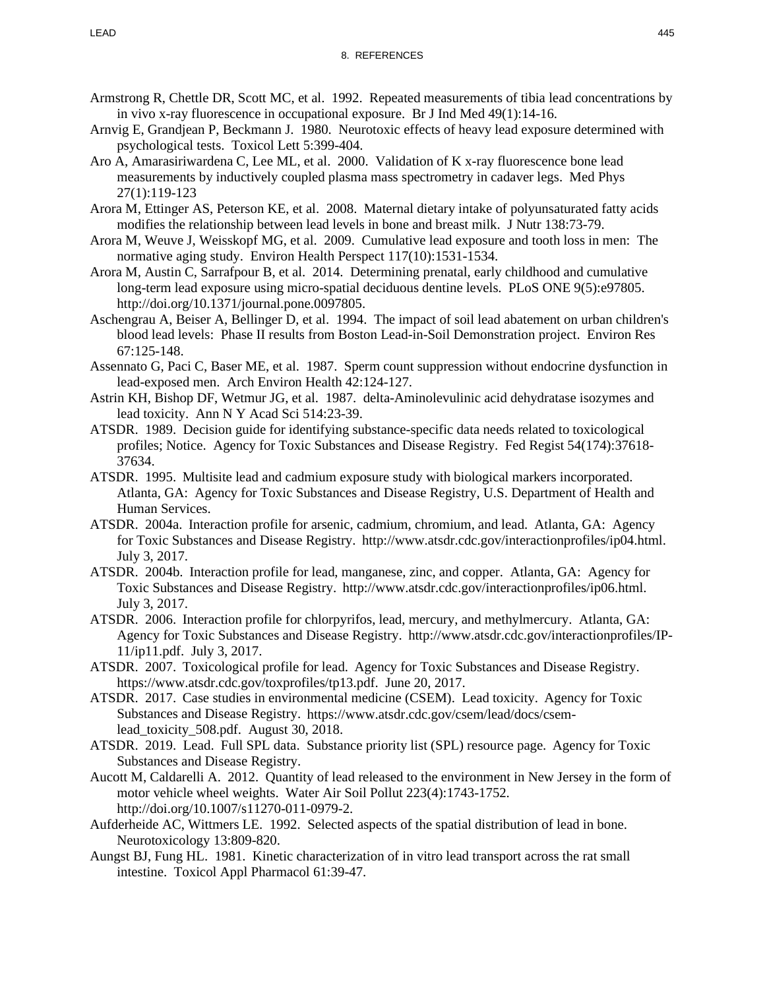- Armstrong R, Chettle DR, Scott MC, et al. 1992. Repeated measurements of tibia lead concentrations by in vivo x-ray fluorescence in occupational exposure. Br J Ind Med 49(1):14-16.
- Arnvig E, Grandjean P, Beckmann J. 1980. Neurotoxic effects of heavy lead exposure determined with psychological tests. Toxicol Lett 5:399-404.
- Aro A, Amarasiriwardena C, Lee ML, et al. 2000. Validation of K x-ray fluorescence bone lead measurements by inductively coupled plasma mass spectrometry in cadaver legs. Med Phys 27(1):119-123
- Arora M, Ettinger AS, Peterson KE, et al. 2008. Maternal dietary intake of polyunsaturated fatty acids modifies the relationship between lead levels in bone and breast milk. J Nutr 138:73-79.
- Arora M, Weuve J, Weisskopf MG, et al. 2009. Cumulative lead exposure and tooth loss in men: The normative aging study. Environ Health Perspect 117(10):1531-1534.
- Arora M, Austin C, Sarrafpour B, et al. 2014. Determining prenatal, early childhood and cumulative long-term lead exposure using micro-spatial deciduous dentine levels. PLoS ONE 9(5):e97805. http://doi.org/10.1371/journal.pone.0097805.
- Aschengrau A, Beiser A, Bellinger D, et al. 1994. The impact of soil lead abatement on urban children's blood lead levels: Phase II results from Boston Lead-in-Soil Demonstration project. Environ Res 67:125-148.
- Assennato G, Paci C, Baser ME, et al. 1987. Sperm count suppression without endocrine dysfunction in lead-exposed men. Arch Environ Health 42:124-127.
- Astrin KH, Bishop DF, Wetmur JG, et al. 1987. delta-Aminolevulinic acid dehydratase isozymes and lead toxicity. Ann N Y Acad Sci 514:23-39.
- ATSDR. 1989. Decision guide for identifying substance-specific data needs related to toxicological profiles; Notice. Agency for Toxic Substances and Disease Registry. Fed Regist 54(174):37618- 37634.
- ATSDR. 1995. Multisite lead and cadmium exposure study with biological markers incorporated. Atlanta, GA: Agency for Toxic Substances and Disease Registry, U.S. Department of Health and Human Services.
- ATSDR. 2004a. Interaction profile for arsenic, cadmium, chromium, and lead. Atlanta, GA: Agency for Toxic Substances and Disease Registry. http://www.atsdr.cdc.gov/interactionprofiles/ip04.html. July 3, 2017.
- ATSDR. 2004b. Interaction profile for lead, manganese, zinc, and copper. Atlanta, GA: Agency for Toxic Substances and Disease Registry. http://www.atsdr.cdc.gov/interactionprofiles/ip06.html. July 3, 2017.
- ATSDR. 2006. Interaction profile for chlorpyrifos, lead, mercury, and methylmercury. Atlanta, GA: Agency for Toxic Substances and Disease Registry. http://www.atsdr.cdc.gov/interactionprofiles/IP-11/ip11.pdf. July 3, 2017.
- ATSDR. 2007. Toxicological profile for lead. Agency for Toxic Substances and Disease Registry. https://www.atsdr.cdc.gov/toxprofiles/tp13.pdf. June 20, 2017.
- ATSDR. 2017. Case studies in environmental medicine (CSEM). Lead toxicity. Agency for Toxic Substances and Disease Registry. https://www.atsdr.cdc.gov/csem/lead/docs/csemlead toxicity 508.pdf. August 30, 2018.
- ATSDR. 2019. Lead. Full SPL data. Substance priority list (SPL) resource page. Agency for Toxic Substances and Disease Registry.
- Aucott M, Caldarelli A. 2012. Quantity of lead released to the environment in New Jersey in the form of motor vehicle wheel weights. Water Air Soil Pollut 223(4):1743-1752. http://doi.org/10.1007/s11270-011-0979-2.
- Aufderheide AC, Wittmers LE. 1992. Selected aspects of the spatial distribution of lead in bone. Neurotoxicology 13:809-820.
- Aungst BJ, Fung HL. 1981. Kinetic characterization of in vitro lead transport across the rat small intestine. Toxicol Appl Pharmacol 61:39-47.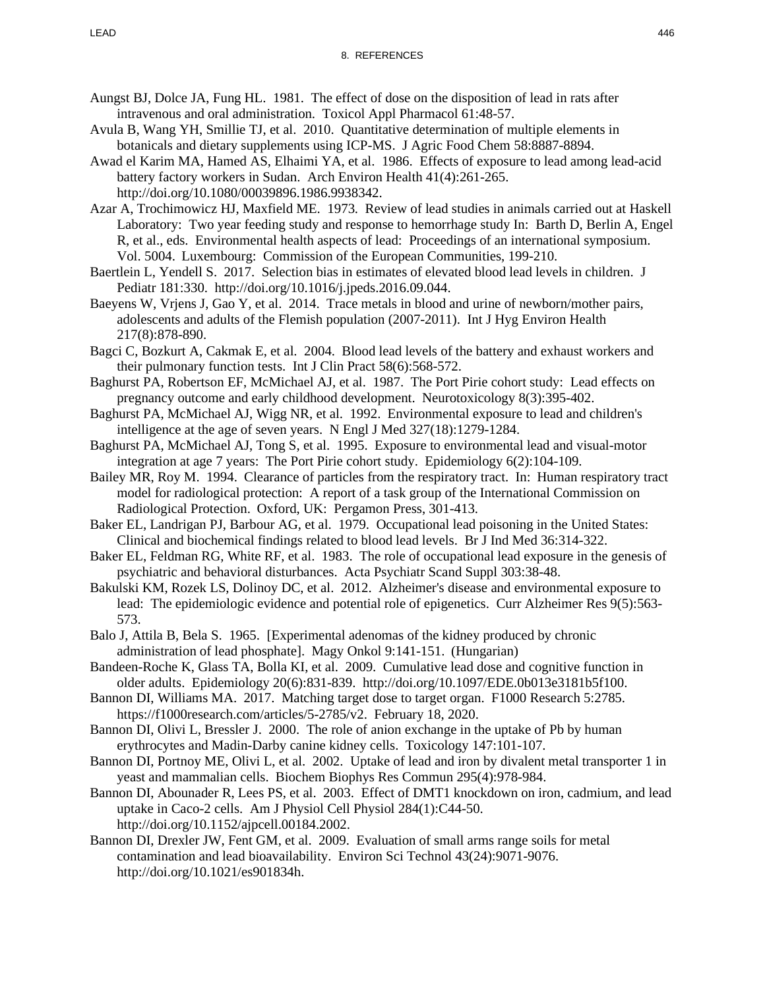- Aungst BJ, Dolce JA, Fung HL. 1981. The effect of dose on the disposition of lead in rats after intravenous and oral administration. Toxicol Appl Pharmacol 61:48-57.
- Avula B, Wang YH, Smillie TJ, et al. 2010. Quantitative determination of multiple elements in botanicals and dietary supplements using ICP-MS. J Agric Food Chem 58:8887-8894.
- Awad el Karim MA, Hamed AS, Elhaimi YA, et al. 1986. Effects of exposure to lead among lead-acid battery factory workers in Sudan. Arch Environ Health 41(4):261-265. http://doi.org/10.1080/00039896.1986.9938342.
- Azar A, Trochimowicz HJ, Maxfield ME. 1973. Review of lead studies in animals carried out at Haskell Laboratory: Two year feeding study and response to hemorrhage study In: Barth D, Berlin A, Engel R, et al., eds. Environmental health aspects of lead: Proceedings of an international symposium. Vol. 5004. Luxembourg: Commission of the European Communities, 199-210.
- Baertlein L, Yendell S. 2017. Selection bias in estimates of elevated blood lead levels in children. J Pediatr 181:330. http://doi.org/10.1016/j.jpeds.2016.09.044.
- Baeyens W, Vrjens J, Gao Y, et al. 2014. Trace metals in blood and urine of newborn/mother pairs, adolescents and adults of the Flemish population (2007-2011). Int J Hyg Environ Health 217(8):878-890.
- Bagci C, Bozkurt A, Cakmak E, et al. 2004. Blood lead levels of the battery and exhaust workers and their pulmonary function tests. Int J Clin Pract 58(6):568-572.
- Baghurst PA, Robertson EF, McMichael AJ, et al. 1987. The Port Pirie cohort study: Lead effects on pregnancy outcome and early childhood development. Neurotoxicology 8(3):395-402.
- Baghurst PA, McMichael AJ, Wigg NR, et al. 1992. Environmental exposure to lead and children's intelligence at the age of seven years. N Engl J Med 327(18):1279-1284.
- Baghurst PA, McMichael AJ, Tong S, et al. 1995. Exposure to environmental lead and visual-motor integration at age 7 years: The Port Pirie cohort study. Epidemiology 6(2):104-109.
- Bailey MR, Roy M. 1994. Clearance of particles from the respiratory tract. In: Human respiratory tract model for radiological protection: A report of a task group of the International Commission on Radiological Protection. Oxford, UK: Pergamon Press, 301-413.
- Baker EL, Landrigan PJ, Barbour AG, et al. 1979. Occupational lead poisoning in the United States: Clinical and biochemical findings related to blood lead levels. Br J Ind Med 36:314-322.
- Baker EL, Feldman RG, White RF, et al. 1983. The role of occupational lead exposure in the genesis of psychiatric and behavioral disturbances. Acta Psychiatr Scand Suppl 303:38-48.
- Bakulski KM, Rozek LS, Dolinoy DC, et al. 2012. Alzheimer's disease and environmental exposure to lead: The epidemiologic evidence and potential role of epigenetics. Curr Alzheimer Res 9(5):563- 573.
- Balo J, Attila B, Bela S. 1965. [Experimental adenomas of the kidney produced by chronic administration of lead phosphate]. Magy Onkol 9:141-151. (Hungarian)
- Bandeen-Roche K, Glass TA, Bolla KI, et al. 2009. Cumulative lead dose and cognitive function in older adults. Epidemiology 20(6):831-839. http://doi.org/10.1097/EDE.0b013e3181b5f100.
- Bannon DI, Williams MA. 2017. Matching target dose to target organ. F1000 Research 5:2785. https://f1000research.com/articles/5-2785/v2. February 18, 2020.
- Bannon DI, Olivi L, Bressler J. 2000. The role of anion exchange in the uptake of Pb by human erythrocytes and Madin-Darby canine kidney cells. Toxicology 147:101-107.
- Bannon DI, Portnoy ME, Olivi L, et al. 2002. Uptake of lead and iron by divalent metal transporter 1 in yeast and mammalian cells. Biochem Biophys Res Commun 295(4):978-984.
- Bannon DI, Abounader R, Lees PS, et al. 2003. Effect of DMT1 knockdown on iron, cadmium, and lead uptake in Caco-2 cells. Am J Physiol Cell Physiol 284(1):C44-50. http://doi.org/10.1152/ajpcell.00184.2002.
- Bannon DI, Drexler JW, Fent GM, et al. 2009. Evaluation of small arms range soils for metal contamination and lead bioavailability. Environ Sci Technol 43(24):9071-9076. http://doi.org/10.1021/es901834h.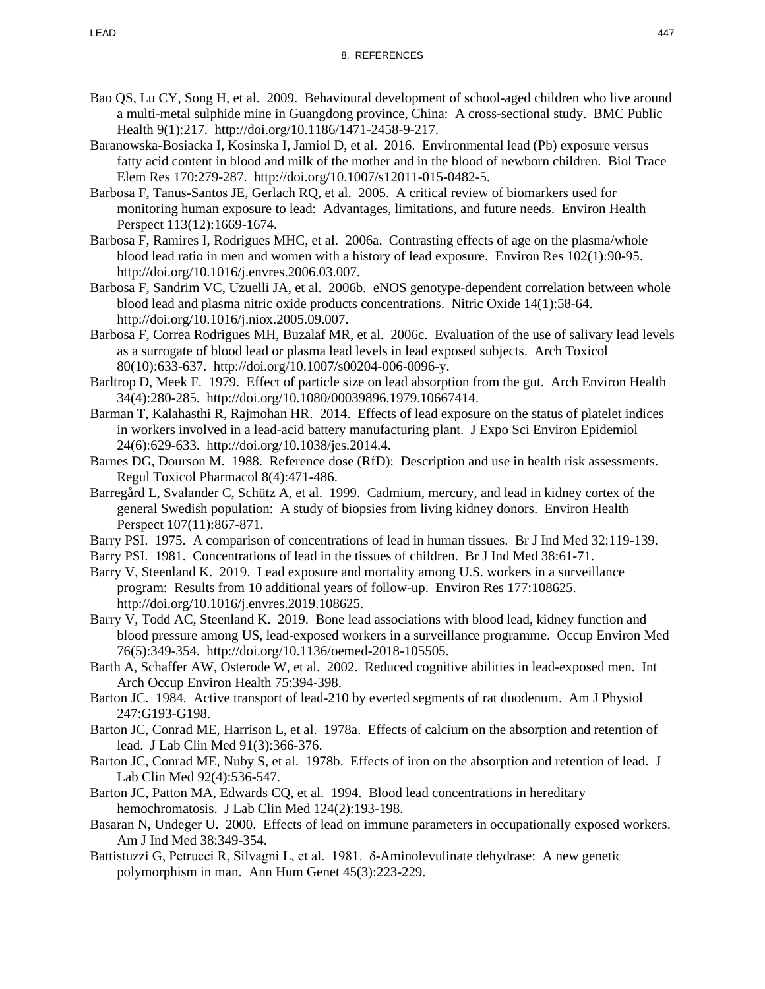- Bao QS, Lu CY, Song H, et al. 2009. Behavioural development of school-aged children who live around a multi-metal sulphide mine in Guangdong province, China: A cross-sectional study. BMC Public Health 9(1):217. http://doi.org/10.1186/1471-2458-9-217.
- Baranowska-Bosiacka I, Kosinska I, Jamiol D, et al. 2016. Environmental lead (Pb) exposure versus fatty acid content in blood and milk of the mother and in the blood of newborn children. Biol Trace Elem Res 170:279-287. http://doi.org/10.1007/s12011-015-0482-5.
- Barbosa F, Tanus-Santos JE, Gerlach RQ, et al. 2005. A critical review of biomarkers used for monitoring human exposure to lead: Advantages, limitations, and future needs. Environ Health Perspect 113(12):1669-1674.
- Barbosa F, Ramires I, Rodrigues MHC, et al. 2006a. Contrasting effects of age on the plasma/whole blood lead ratio in men and women with a history of lead exposure. Environ Res 102(1):90-95. http://doi.org/10.1016/j.envres.2006.03.007.
- Barbosa F, Sandrim VC, Uzuelli JA, et al. 2006b. eNOS genotype-dependent correlation between whole blood lead and plasma nitric oxide products concentrations. Nitric Oxide 14(1):58-64. http://doi.org/10.1016/j.niox.2005.09.007.
- Barbosa F, Correa Rodrigues MH, Buzalaf MR, et al. 2006c. Evaluation of the use of salivary lead levels as a surrogate of blood lead or plasma lead levels in lead exposed subjects. Arch Toxicol 80(10):633-637. http://doi.org/10.1007/s00204-006-0096-y.
- Barltrop D, Meek F. 1979. Effect of particle size on lead absorption from the gut. Arch Environ Health 34(4):280-285. http://doi.org/10.1080/00039896.1979.10667414.
- Barman T, Kalahasthi R, Rajmohan HR. 2014. Effects of lead exposure on the status of platelet indices in workers involved in a lead-acid battery manufacturing plant. J Expo Sci Environ Epidemiol 24(6):629-633. http://doi.org/10.1038/jes.2014.4.
- Barnes DG, Dourson M. 1988. Reference dose (RfD): Description and use in health risk assessments. Regul Toxicol Pharmacol 8(4):471-486.
- Barregård L, Svalander C, Schütz A, et al. 1999. Cadmium, mercury, and lead in kidney cortex of the general Swedish population: A study of biopsies from living kidney donors. Environ Health Perspect 107(11):867-871.
- Barry PSI. 1975. A comparison of concentrations of lead in human tissues. Br J Ind Med 32:119-139.
- Barry PSI. 1981. Concentrations of lead in the tissues of children. Br J Ind Med 38:61-71.
- Barry V, Steenland K. 2019. Lead exposure and mortality among U.S. workers in a surveillance program: Results from 10 additional years of follow-up. Environ Res 177:108625. http://doi.org/10.1016/j.envres.2019.108625.
- Barry V, Todd AC, Steenland K. 2019. Bone lead associations with blood lead, kidney function and blood pressure among US, lead-exposed workers in a surveillance programme. Occup Environ Med 76(5):349-354. http://doi.org/10.1136/oemed-2018-105505.
- Barth A, Schaffer AW, Osterode W, et al. 2002. Reduced cognitive abilities in lead-exposed men. Int Arch Occup Environ Health 75:394-398.
- Barton JC. 1984. Active transport of lead-210 by everted segments of rat duodenum. Am J Physiol 247:G193-G198.
- Barton JC, Conrad ME, Harrison L, et al. 1978a. Effects of calcium on the absorption and retention of lead. J Lab Clin Med 91(3):366-376.
- Barton JC, Conrad ME, Nuby S, et al. 1978b. Effects of iron on the absorption and retention of lead. J Lab Clin Med 92(4):536-547.
- Barton JC, Patton MA, Edwards CQ, et al. 1994. Blood lead concentrations in hereditary hemochromatosis. J Lab Clin Med 124(2):193-198.
- Basaran N, Undeger U. 2000. Effects of lead on immune parameters in occupationally exposed workers. Am J Ind Med 38:349-354.
- Battistuzzi G, Petrucci R, Silvagni L, et al. 1981. δ-Aminolevulinate dehydrase: A new genetic polymorphism in man. Ann Hum Genet 45(3):223-229.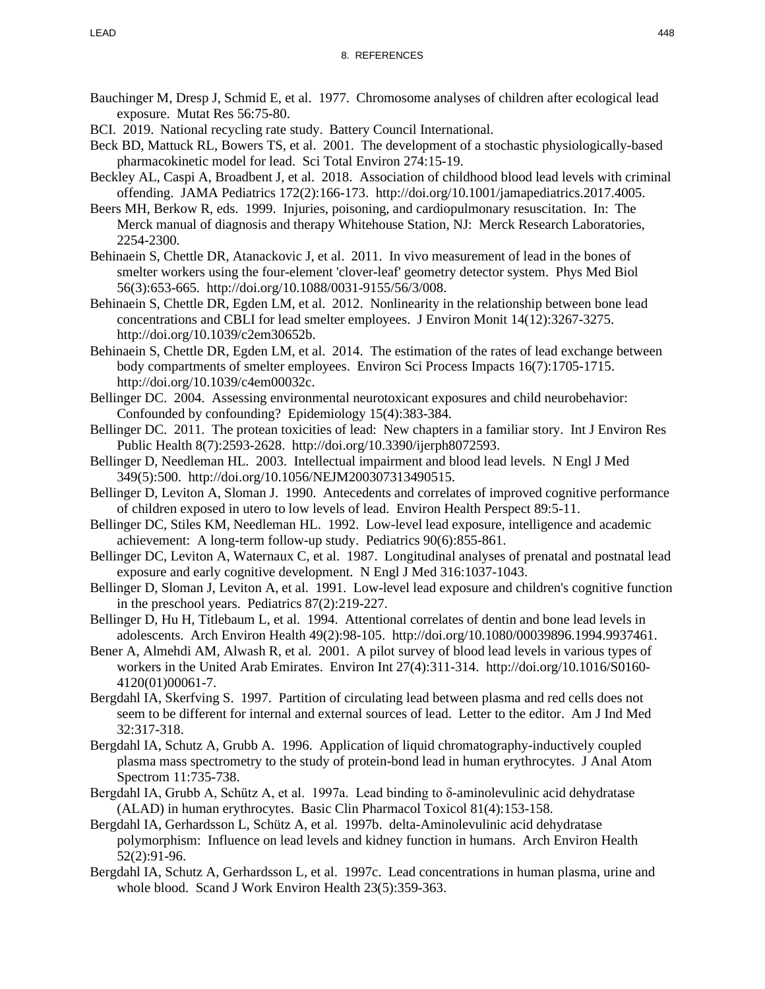- Bauchinger M, Dresp J, Schmid E, et al. 1977. Chromosome analyses of children after ecological lead exposure. Mutat Res 56:75-80.
- BCI. 2019. National recycling rate study. Battery Council International.
- Beck BD, Mattuck RL, Bowers TS, et al. 2001. The development of a stochastic physiologically-based pharmacokinetic model for lead. Sci Total Environ 274:15-19.
- Beckley AL, Caspi A, Broadbent J, et al. 2018. Association of childhood blood lead levels with criminal offending. JAMA Pediatrics 172(2):166-173. http://doi.org/10.1001/jamapediatrics.2017.4005.
- Beers MH, Berkow R, eds. 1999. Injuries, poisoning, and cardiopulmonary resuscitation. In: The Merck manual of diagnosis and therapy Whitehouse Station, NJ: Merck Research Laboratories, 2254-2300.
- Behinaein S, Chettle DR, Atanackovic J, et al. 2011. In vivo measurement of lead in the bones of smelter workers using the four-element 'clover-leaf' geometry detector system. Phys Med Biol 56(3):653-665. http://doi.org/10.1088/0031-9155/56/3/008.
- Behinaein S, Chettle DR, Egden LM, et al. 2012. Nonlinearity in the relationship between bone lead concentrations and CBLI for lead smelter employees. J Environ Monit 14(12):3267-3275. http://doi.org/10.1039/c2em30652b.
- Behinaein S, Chettle DR, Egden LM, et al. 2014. The estimation of the rates of lead exchange between body compartments of smelter employees. Environ Sci Process Impacts 16(7):1705-1715. http://doi.org/10.1039/c4em00032c.
- Bellinger DC. 2004. Assessing environmental neurotoxicant exposures and child neurobehavior: Confounded by confounding? Epidemiology 15(4):383-384.
- Bellinger DC. 2011. The protean toxicities of lead: New chapters in a familiar story. Int J Environ Res Public Health 8(7):2593-2628. http://doi.org/10.3390/ijerph8072593.
- Bellinger D, Needleman HL. 2003. Intellectual impairment and blood lead levels. N Engl J Med 349(5):500. http://doi.org/10.1056/NEJM200307313490515.
- Bellinger D, Leviton A, Sloman J. 1990. Antecedents and correlates of improved cognitive performance of children exposed in utero to low levels of lead. Environ Health Perspect 89:5-11.
- Bellinger DC, Stiles KM, Needleman HL. 1992. Low-level lead exposure, intelligence and academic achievement: A long-term follow-up study. Pediatrics 90(6):855-861.
- Bellinger DC, Leviton A, Waternaux C, et al. 1987. Longitudinal analyses of prenatal and postnatal lead exposure and early cognitive development. N Engl J Med 316:1037-1043.
- Bellinger D, Sloman J, Leviton A, et al. 1991. Low-level lead exposure and children's cognitive function in the preschool years. Pediatrics 87(2):219-227.
- Bellinger D, Hu H, Titlebaum L, et al. 1994. Attentional correlates of dentin and bone lead levels in adolescents. Arch Environ Health 49(2):98-105. http://doi.org/10.1080/00039896.1994.9937461.
- Bener A, Almehdi AM, Alwash R, et al. 2001. A pilot survey of blood lead levels in various types of workers in the United Arab Emirates. Environ Int 27(4):311-314. http://doi.org/10.1016/S0160- 4120(01)00061-7.
- Bergdahl IA, Skerfving S. 1997. Partition of circulating lead between plasma and red cells does not seem to be different for internal and external sources of lead. Letter to the editor. Am J Ind Med 32:317-318.
- Bergdahl IA, Schutz A, Grubb A. 1996. Application of liquid chromatography-inductively coupled plasma mass spectrometry to the study of protein-bond lead in human erythrocytes. J Anal Atom Spectrom 11:735-738.
- Bergdahl IA, Grubb A, Schütz A, et al. 1997a. Lead binding to δ-aminolevulinic acid dehydratase (ALAD) in human erythrocytes. Basic Clin Pharmacol Toxicol 81(4):153-158.
- Bergdahl IA, Gerhardsson L, Schütz A, et al. 1997b. delta-Aminolevulinic acid dehydratase polymorphism: Influence on lead levels and kidney function in humans. Arch Environ Health 52(2):91-96.
- Bergdahl IA, Schutz A, Gerhardsson L, et al. 1997c. Lead concentrations in human plasma, urine and whole blood. Scand J Work Environ Health 23(5):359-363.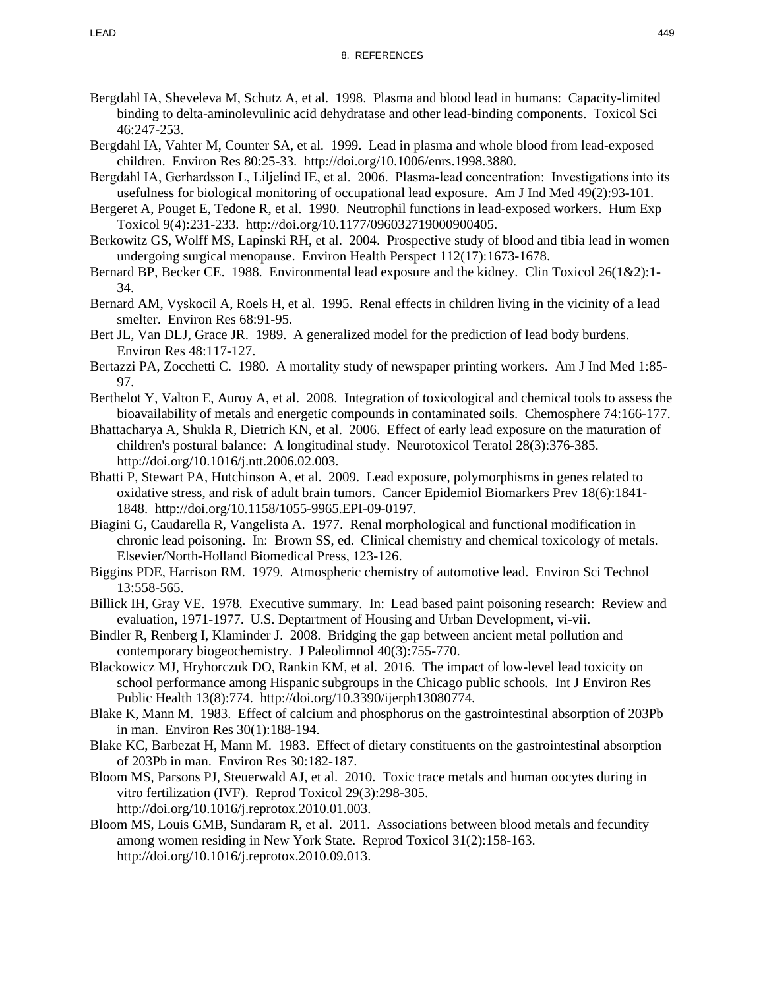- Bergdahl IA, Sheveleva M, Schutz A, et al. 1998. Plasma and blood lead in humans: Capacity-limited binding to delta-aminolevulinic acid dehydratase and other lead-binding components. Toxicol Sci 46:247-253.
- Bergdahl IA, Vahter M, Counter SA, et al. 1999. Lead in plasma and whole blood from lead-exposed children. Environ Res 80:25-33. http://doi.org/10.1006/enrs.1998.3880.
- Bergdahl IA, Gerhardsson L, Liljelind IE, et al. 2006. Plasma-lead concentration: Investigations into its usefulness for biological monitoring of occupational lead exposure. Am J Ind Med 49(2):93-101.
- Bergeret A, Pouget E, Tedone R, et al. 1990. Neutrophil functions in lead-exposed workers. Hum Exp Toxicol 9(4):231-233. http://doi.org/10.1177/096032719000900405.
- Berkowitz GS, Wolff MS, Lapinski RH, et al. 2004. Prospective study of blood and tibia lead in women undergoing surgical menopause. Environ Health Perspect 112(17):1673-1678.
- Bernard BP, Becker CE. 1988. Environmental lead exposure and the kidney. Clin Toxicol 26(1&2):1- 34.
- Bernard AM, Vyskocil A, Roels H, et al. 1995. Renal effects in children living in the vicinity of a lead smelter. Environ Res 68:91-95.
- Bert JL, Van DLJ, Grace JR. 1989. A generalized model for the prediction of lead body burdens. Environ Res 48:117-127.
- Bertazzi PA, Zocchetti C. 1980. A mortality study of newspaper printing workers. Am J Ind Med 1:85-97.
- Berthelot Y, Valton E, Auroy A, et al. 2008. Integration of toxicological and chemical tools to assess the bioavailability of metals and energetic compounds in contaminated soils. Chemosphere 74:166-177.
- Bhattacharya A, Shukla R, Dietrich KN, et al. 2006. Effect of early lead exposure on the maturation of children's postural balance: A longitudinal study. Neurotoxicol Teratol 28(3):376-385. http://doi.org/10.1016/j.ntt.2006.02.003.
- Bhatti P, Stewart PA, Hutchinson A, et al. 2009. Lead exposure, polymorphisms in genes related to oxidative stress, and risk of adult brain tumors. Cancer Epidemiol Biomarkers Prev 18(6):1841- 1848. http://doi.org/10.1158/1055-9965.EPI-09-0197.
- Biagini G, Caudarella R, Vangelista A. 1977. Renal morphological and functional modification in chronic lead poisoning. In: Brown SS, ed. Clinical chemistry and chemical toxicology of metals. Elsevier/North-Holland Biomedical Press, 123-126.
- Biggins PDE, Harrison RM. 1979. Atmospheric chemistry of automotive lead. Environ Sci Technol 13:558-565.
- Billick IH, Gray VE. 1978. Executive summary. In: Lead based paint poisoning research: Review and evaluation, 1971-1977. U.S. Deptartment of Housing and Urban Development, vi-vii.
- Bindler R, Renberg I, Klaminder J. 2008. Bridging the gap between ancient metal pollution and contemporary biogeochemistry. J Paleolimnol 40(3):755-770.
- Blackowicz MJ, Hryhorczuk DO, Rankin KM, et al. 2016. The impact of low-level lead toxicity on school performance among Hispanic subgroups in the Chicago public schools. Int J Environ Res Public Health 13(8):774. http://doi.org/10.3390/ijerph13080774.
- Blake K, Mann M. 1983. Effect of calcium and phosphorus on the gastrointestinal absorption of 203Pb in man. Environ Res 30(1):188-194.
- Blake KC, Barbezat H, Mann M. 1983. Effect of dietary constituents on the gastrointestinal absorption of 203Pb in man. Environ Res 30:182-187.
- Bloom MS, Parsons PJ, Steuerwald AJ, et al. 2010. Toxic trace metals and human oocytes during in vitro fertilization (IVF). Reprod Toxicol 29(3):298-305. http://doi.org/10.1016/j.reprotox.2010.01.003.
- Bloom MS, Louis GMB, Sundaram R, et al. 2011. Associations between blood metals and fecundity among women residing in New York State. Reprod Toxicol 31(2):158-163. http://doi.org/10.1016/j.reprotox.2010.09.013.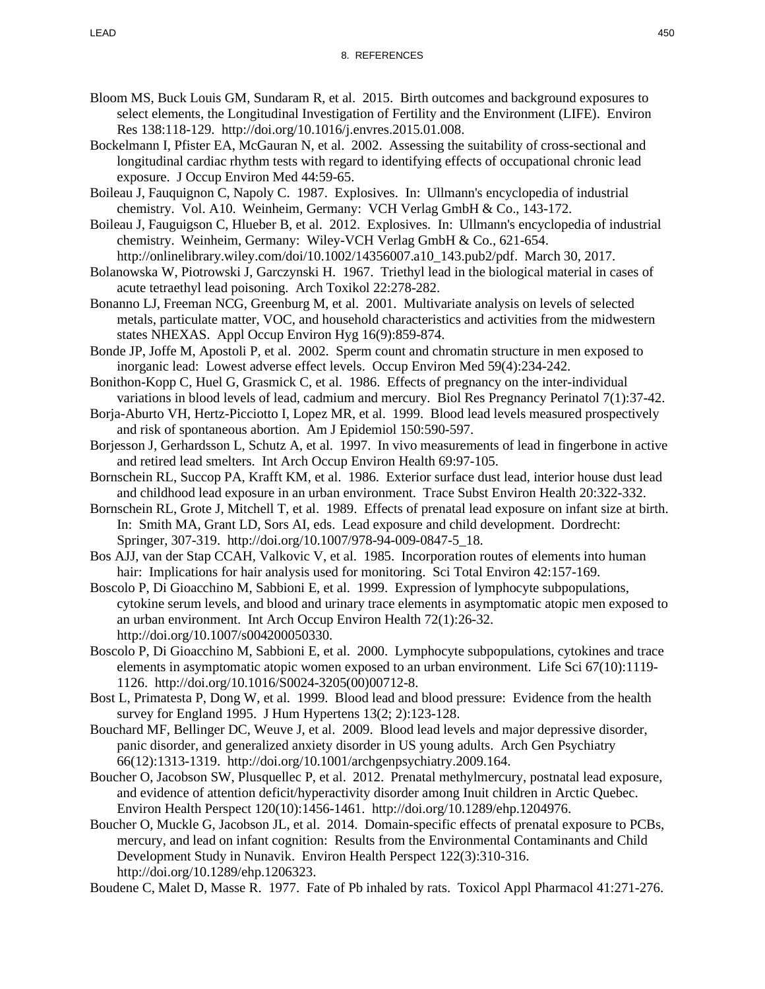- Bloom MS, Buck Louis GM, Sundaram R, et al. 2015. Birth outcomes and background exposures to select elements, the Longitudinal Investigation of Fertility and the Environment (LIFE). Environ Res 138:118-129. http://doi.org/10.1016/j.envres.2015.01.008.
- Bockelmann I, Pfister EA, McGauran N, et al. 2002. Assessing the suitability of cross-sectional and longitudinal cardiac rhythm tests with regard to identifying effects of occupational chronic lead exposure. J Occup Environ Med 44:59-65.
- Boileau J, Fauquignon C, Napoly C. 1987. Explosives. In: Ullmann's encyclopedia of industrial chemistry. Vol. A10. Weinheim, Germany: VCH Verlag GmbH & Co., 143-172.
- Boileau J, Fauguigson C, Hlueber B, et al. 2012. Explosives. In: Ullmann's encyclopedia of industrial chemistry. Weinheim, Germany: Wiley-VCH Verlag GmbH & Co., 621-654.
- http://onlinelibrary.wiley.com/doi/10.1002/14356007.a10\_143.pub2/pdf. March 30, 2017. Bolanowska W, Piotrowski J, Garczynski H. 1967. Triethyl lead in the biological material in cases of acute tetraethyl lead poisoning. Arch Toxikol 22:278-282.
- Bonanno LJ, Freeman NCG, Greenburg M, et al. 2001. Multivariate analysis on levels of selected metals, particulate matter, VOC, and household characteristics and activities from the midwestern states NHEXAS. Appl Occup Environ Hyg 16(9):859-874.
- Bonde JP, Joffe M, Apostoli P, et al. 2002. Sperm count and chromatin structure in men exposed to inorganic lead: Lowest adverse effect levels. Occup Environ Med 59(4):234-242.
- Bonithon-Kopp C, Huel G, Grasmick C, et al. 1986. Effects of pregnancy on the inter-individual variations in blood levels of lead, cadmium and mercury. Biol Res Pregnancy Perinatol 7(1):37-42.
- Borja-Aburto VH, Hertz-Picciotto I, Lopez MR, et al. 1999. Blood lead levels measured prospectively and risk of spontaneous abortion. Am J Epidemiol 150:590-597.
- Borjesson J, Gerhardsson L, Schutz A, et al. 1997. In vivo measurements of lead in fingerbone in active and retired lead smelters. Int Arch Occup Environ Health 69:97-105.
- Bornschein RL, Succop PA, Krafft KM, et al. 1986. Exterior surface dust lead, interior house dust lead and childhood lead exposure in an urban environment. Trace Subst Environ Health 20:322-332.
- Bornschein RL, Grote J, Mitchell T, et al. 1989. Effects of prenatal lead exposure on infant size at birth. In: Smith MA, Grant LD, Sors AI, eds. Lead exposure and child development. Dordrecht: Springer, 307-319. http://doi.org/10.1007/978-94-009-0847-5\_18.
- Bos AJJ, van der Stap CCAH, Valkovic V, et al. 1985. Incorporation routes of elements into human hair: Implications for hair analysis used for monitoring. Sci Total Environ 42:157-169.
- Boscolo P, Di Gioacchino M, Sabbioni E, et al. 1999. Expression of lymphocyte subpopulations, cytokine serum levels, and blood and urinary trace elements in asymptomatic atopic men exposed to an urban environment. Int Arch Occup Environ Health 72(1):26-32. http://doi.org/10.1007/s004200050330.
- Boscolo P, Di Gioacchino M, Sabbioni E, et al. 2000. Lymphocyte subpopulations, cytokines and trace elements in asymptomatic atopic women exposed to an urban environment. Life Sci 67(10):1119- 1126. http://doi.org/10.1016/S0024-3205(00)00712-8.
- Bost L, Primatesta P, Dong W, et al. 1999. Blood lead and blood pressure: Evidence from the health survey for England 1995. J Hum Hypertens 13(2; 2):123-128.
- Bouchard MF, Bellinger DC, Weuve J, et al. 2009. Blood lead levels and major depressive disorder, panic disorder, and generalized anxiety disorder in US young adults. Arch Gen Psychiatry 66(12):1313-1319. http://doi.org/10.1001/archgenpsychiatry.2009.164.
- Boucher O, Jacobson SW, Plusquellec P, et al. 2012. Prenatal methylmercury, postnatal lead exposure, and evidence of attention deficit/hyperactivity disorder among Inuit children in Arctic Quebec. Environ Health Perspect 120(10):1456-1461. http://doi.org/10.1289/ehp.1204976.
- Boucher O, Muckle G, Jacobson JL, et al. 2014. Domain-specific effects of prenatal exposure to PCBs, mercury, and lead on infant cognition: Results from the Environmental Contaminants and Child Development Study in Nunavik. Environ Health Perspect 122(3):310-316. http://doi.org/10.1289/ehp.1206323.

Boudene C, Malet D, Masse R. 1977. Fate of Pb inhaled by rats. Toxicol Appl Pharmacol 41:271-276.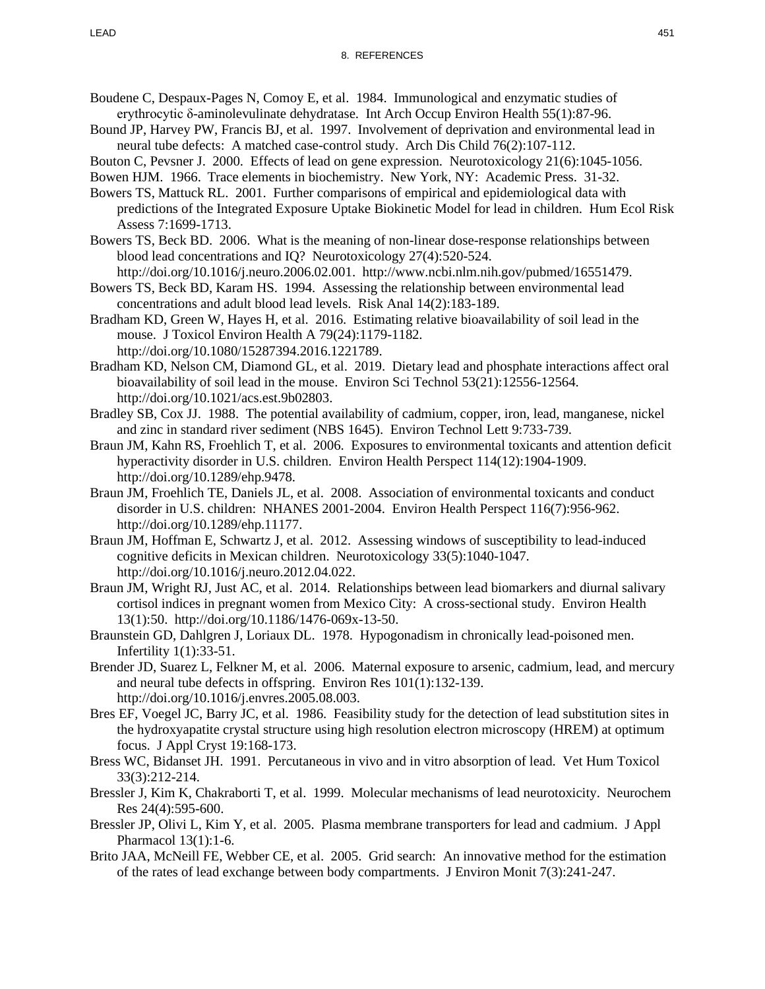- Boudene C, Despaux-Pages N, Comoy E, et al. 1984. Immunological and enzymatic studies of erythrocytic δ-aminolevulinate dehydratase. Int Arch Occup Environ Health 55(1):87-96.
- Bound JP, Harvey PW, Francis BJ, et al. 1997. Involvement of deprivation and environmental lead in neural tube defects: A matched case-control study. Arch Dis Child 76(2):107-112.

Bouton C, Pevsner J. 2000. Effects of lead on gene expression. Neurotoxicology 21(6):1045-1056.

- Bowen HJM. 1966. Trace elements in biochemistry. New York, NY: Academic Press. 31-32.
- Bowers TS, Mattuck RL. 2001. Further comparisons of empirical and epidemiological data with predictions of the Integrated Exposure Uptake Biokinetic Model for lead in children. Hum Ecol Risk Assess 7:1699-1713.
- Bowers TS, Beck BD. 2006. What is the meaning of non-linear dose-response relationships between blood lead concentrations and IQ? Neurotoxicology 27(4):520-524. http://doi.org/10.1016/j.neuro.2006.02.001. http://www.ncbi.nlm.nih.gov/pubmed/16551479.
- Bowers TS, Beck BD, Karam HS. 1994. Assessing the relationship between environmental lead concentrations and adult blood lead levels. Risk Anal 14(2):183-189.
- Bradham KD, Green W, Hayes H, et al. 2016. Estimating relative bioavailability of soil lead in the mouse. J Toxicol Environ Health A 79(24):1179-1182. http://doi.org/10.1080/15287394.2016.1221789.
- Bradham KD, Nelson CM, Diamond GL, et al. 2019. Dietary lead and phosphate interactions affect oral bioavailability of soil lead in the mouse. Environ Sci Technol 53(21):12556-12564. http://doi.org/10.1021/acs.est.9b02803.
- Bradley SB, Cox JJ. 1988. The potential availability of cadmium, copper, iron, lead, manganese, nickel and zinc in standard river sediment (NBS 1645). Environ Technol Lett 9:733-739.
- Braun JM, Kahn RS, Froehlich T, et al. 2006. Exposures to environmental toxicants and attention deficit hyperactivity disorder in U.S. children. Environ Health Perspect 114(12):1904-1909. http://doi.org/10.1289/ehp.9478.
- Braun JM, Froehlich TE, Daniels JL, et al. 2008. Association of environmental toxicants and conduct disorder in U.S. children: NHANES 2001-2004. Environ Health Perspect 116(7):956-962. http://doi.org/10.1289/ehp.11177.
- Braun JM, Hoffman E, Schwartz J, et al. 2012. Assessing windows of susceptibility to lead-induced cognitive deficits in Mexican children. Neurotoxicology 33(5):1040-1047. http://doi.org/10.1016/j.neuro.2012.04.022.
- Braun JM, Wright RJ, Just AC, et al. 2014. Relationships between lead biomarkers and diurnal salivary cortisol indices in pregnant women from Mexico City: A cross-sectional study. Environ Health 13(1):50. http://doi.org/10.1186/1476-069x-13-50.
- Braunstein GD, Dahlgren J, Loriaux DL. 1978. Hypogonadism in chronically lead-poisoned men. Infertility 1(1):33-51.
- Brender JD, Suarez L, Felkner M, et al. 2006. Maternal exposure to arsenic, cadmium, lead, and mercury and neural tube defects in offspring. Environ Res 101(1):132-139. http://doi.org/10.1016/j.envres.2005.08.003.
- Bres EF, Voegel JC, Barry JC, et al. 1986. Feasibility study for the detection of lead substitution sites in the hydroxyapatite crystal structure using high resolution electron microscopy (HREM) at optimum focus. J Appl Cryst 19:168-173.
- Bress WC, Bidanset JH. 1991. Percutaneous in vivo and in vitro absorption of lead. Vet Hum Toxicol 33(3):212-214.
- Bressler J, Kim K, Chakraborti T, et al. 1999. Molecular mechanisms of lead neurotoxicity. Neurochem Res 24(4):595-600.
- Bressler JP, Olivi L, Kim Y, et al. 2005. Plasma membrane transporters for lead and cadmium. J Appl Pharmacol 13(1):1-6.
- Brito JAA, McNeill FE, Webber CE, et al. 2005. Grid search: An innovative method for the estimation of the rates of lead exchange between body compartments. J Environ Monit 7(3):241-247.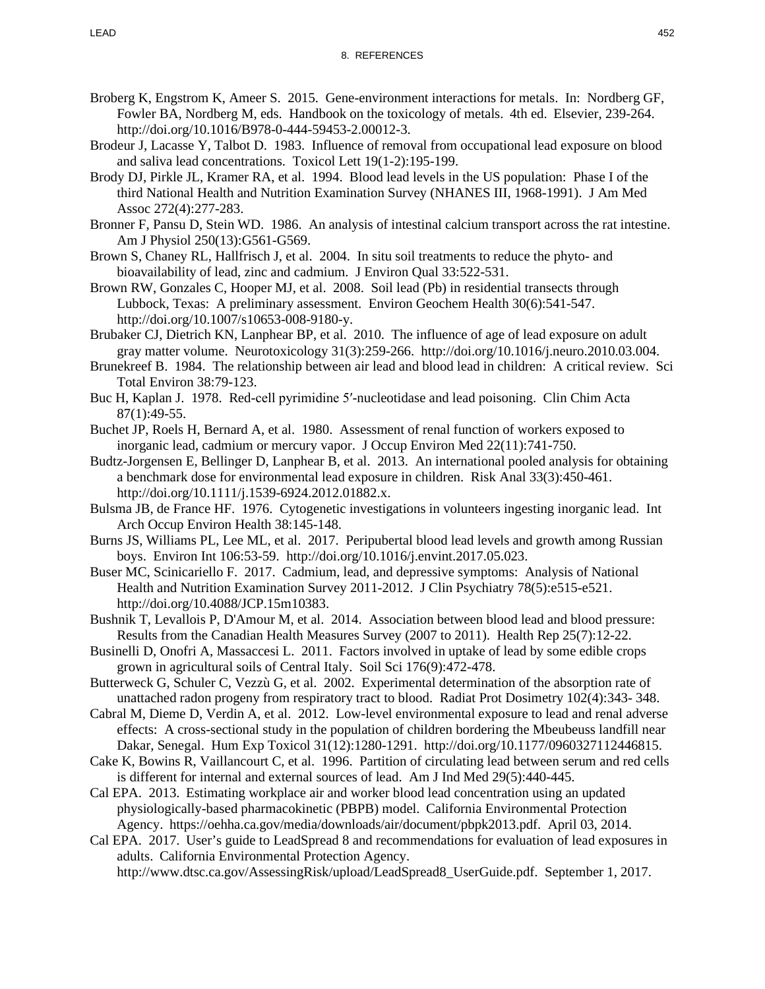- Broberg K, Engstrom K, Ameer S. 2015. Gene-environment interactions for metals. In: Nordberg GF, Fowler BA, Nordberg M, eds. Handbook on the toxicology of metals. 4th ed. Elsevier, 239-264. http://doi.org/10.1016/B978-0-444-59453-2.00012-3.
- Brodeur J, Lacasse Y, Talbot D. 1983. Influence of removal from occupational lead exposure on blood and saliva lead concentrations. Toxicol Lett 19(1-2):195-199.
- Brody DJ, Pirkle JL, Kramer RA, et al. 1994. Blood lead levels in the US population: Phase I of the third National Health and Nutrition Examination Survey (NHANES III, 1968-1991). J Am Med Assoc 272(4):277-283.
- Bronner F, Pansu D, Stein WD. 1986. An analysis of intestinal calcium transport across the rat intestine. Am J Physiol 250(13):G561-G569.
- Brown S, Chaney RL, Hallfrisch J, et al. 2004. In situ soil treatments to reduce the phyto- and bioavailability of lead, zinc and cadmium. J Environ Qual 33:522-531.
- Brown RW, Gonzales C, Hooper MJ, et al. 2008. Soil lead (Pb) in residential transects through Lubbock, Texas: A preliminary assessment. Environ Geochem Health 30(6):541-547. http://doi.org/10.1007/s10653-008-9180-y.
- Brubaker CJ, Dietrich KN, Lanphear BP, et al. 2010. The influence of age of lead exposure on adult gray matter volume. Neurotoxicology 31(3):259-266. http://doi.org/10.1016/j.neuro.2010.03.004.
- Brunekreef B. 1984. The relationship between air lead and blood lead in children: A critical review. Sci Total Environ 38:79-123.
- Buc H, Kaplan J. 1978. Red-cell pyrimidine 5′-nucleotidase and lead poisoning. Clin Chim Acta 87(1):49-55.
- Buchet JP, Roels H, Bernard A, et al. 1980. Assessment of renal function of workers exposed to inorganic lead, cadmium or mercury vapor. J Occup Environ Med 22(11):741-750.
- Budtz-Jorgensen E, Bellinger D, Lanphear B, et al. 2013. An international pooled analysis for obtaining a benchmark dose for environmental lead exposure in children. Risk Anal 33(3):450-461. http://doi.org/10.1111/j.1539-6924.2012.01882.x.
- Bulsma JB, de France HF. 1976. Cytogenetic investigations in volunteers ingesting inorganic lead. Int Arch Occup Environ Health 38:145-148.
- Burns JS, Williams PL, Lee ML, et al. 2017. Peripubertal blood lead levels and growth among Russian boys. Environ Int 106:53-59. http://doi.org/10.1016/j.envint.2017.05.023.
- Buser MC, Scinicariello F. 2017. Cadmium, lead, and depressive symptoms: Analysis of National Health and Nutrition Examination Survey 2011-2012. J Clin Psychiatry 78(5):e515-e521. http://doi.org/10.4088/JCP.15m10383.
- Bushnik T, Levallois P, D'Amour M, et al. 2014. Association between blood lead and blood pressure: Results from the Canadian Health Measures Survey (2007 to 2011). Health Rep 25(7):12-22.
- Businelli D, Onofri A, Massaccesi L. 2011. Factors involved in uptake of lead by some edible crops grown in agricultural soils of Central Italy. Soil Sci 176(9):472-478.
- Butterweck G, Schuler C, Vezzù G, et al. 2002. Experimental determination of the absorption rate of unattached radon progeny from respiratory tract to blood. Radiat Prot Dosimetry 102(4):343- 348.
- Cabral M, Dieme D, Verdin A, et al. 2012. Low-level environmental exposure to lead and renal adverse effects: A cross-sectional study in the population of children bordering the Mbeubeuss landfill near Dakar, Senegal. Hum Exp Toxicol 31(12):1280-1291. http://doi.org/10.1177/0960327112446815.
- Cake K, Bowins R, Vaillancourt C, et al. 1996. Partition of circulating lead between serum and red cells is different for internal and external sources of lead. Am J Ind Med 29(5):440-445.
- Cal EPA. 2013. Estimating workplace air and worker blood lead concentration using an updated physiologically-based pharmacokinetic (PBPB) model. California Environmental Protection Agency. https://oehha.ca.gov/media/downloads/air/document/pbpk2013.pdf. April 03, 2014.
- Cal EPA. 2017. User's guide to LeadSpread 8 and recommendations for evaluation of lead exposures in adults. California Environmental Protection Agency. http://www.dtsc.ca.gov/AssessingRisk/upload/LeadSpread8\_UserGuide.pdf. September 1, 2017.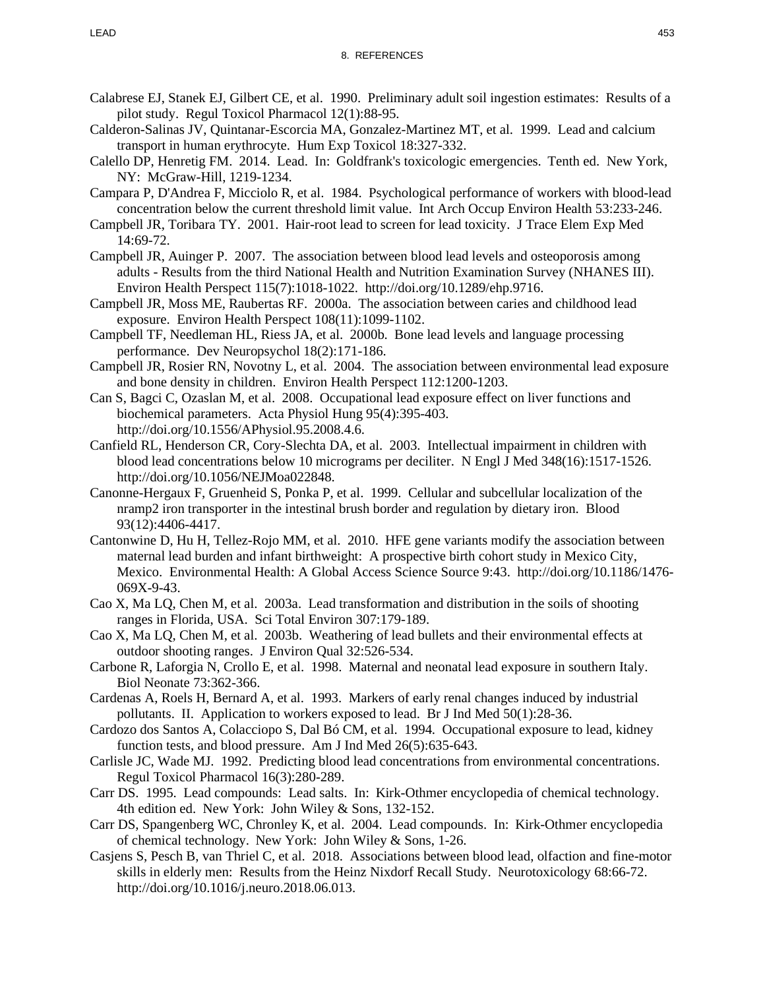- Calabrese EJ, Stanek EJ, Gilbert CE, et al. 1990. Preliminary adult soil ingestion estimates: Results of a pilot study. Regul Toxicol Pharmacol 12(1):88-95.
- Calderon-Salinas JV, Quintanar-Escorcia MA, Gonzalez-Martinez MT, et al. 1999. Lead and calcium transport in human erythrocyte. Hum Exp Toxicol 18:327-332.
- Calello DP, Henretig FM. 2014. Lead. In: Goldfrank's toxicologic emergencies. Tenth ed. New York, NY: McGraw-Hill, 1219-1234.
- Campara P, D'Andrea F, Micciolo R, et al. 1984. Psychological performance of workers with blood-lead concentration below the current threshold limit value. Int Arch Occup Environ Health 53:233-246.
- Campbell JR, Toribara TY. 2001. Hair-root lead to screen for lead toxicity. J Trace Elem Exp Med 14:69-72.
- Campbell JR, Auinger P. 2007. The association between blood lead levels and osteoporosis among adults - Results from the third National Health and Nutrition Examination Survey (NHANES III). Environ Health Perspect 115(7):1018-1022. http://doi.org/10.1289/ehp.9716.
- Campbell JR, Moss ME, Raubertas RF. 2000a. The association between caries and childhood lead exposure. Environ Health Perspect 108(11):1099-1102.
- Campbell TF, Needleman HL, Riess JA, et al. 2000b. Bone lead levels and language processing performance. Dev Neuropsychol 18(2):171-186.
- Campbell JR, Rosier RN, Novotny L, et al. 2004. The association between environmental lead exposure and bone density in children. Environ Health Perspect 112:1200-1203.
- Can S, Bagci C, Ozaslan M, et al. 2008. Occupational lead exposure effect on liver functions and biochemical parameters. Acta Physiol Hung 95(4):395-403. http://doi.org/10.1556/APhysiol.95.2008.4.6.
- Canfield RL, Henderson CR, Cory-Slechta DA, et al. 2003. Intellectual impairment in children with blood lead concentrations below 10 micrograms per deciliter. N Engl J Med 348(16):1517-1526. http://doi.org/10.1056/NEJMoa022848.
- Canonne-Hergaux F, Gruenheid S, Ponka P, et al. 1999. Cellular and subcellular localization of the nramp2 iron transporter in the intestinal brush border and regulation by dietary iron. Blood 93(12):4406-4417.
- Cantonwine D, Hu H, Tellez-Rojo MM, et al. 2010. HFE gene variants modify the association between maternal lead burden and infant birthweight: A prospective birth cohort study in Mexico City, Mexico. Environmental Health: A Global Access Science Source 9:43. http://doi.org/10.1186/1476- 069X-9-43.
- Cao X, Ma LQ, Chen M, et al. 2003a. Lead transformation and distribution in the soils of shooting ranges in Florida, USA. Sci Total Environ 307:179-189.
- Cao X, Ma LQ, Chen M, et al. 2003b. Weathering of lead bullets and their environmental effects at outdoor shooting ranges. J Environ Qual 32:526-534.
- Carbone R, Laforgia N, Crollo E, et al. 1998. Maternal and neonatal lead exposure in southern Italy. Biol Neonate 73:362-366.
- Cardenas A, Roels H, Bernard A, et al. 1993. Markers of early renal changes induced by industrial pollutants. II. Application to workers exposed to lead. Br J Ind Med 50(1):28-36.
- Cardozo dos Santos A, Colacciopo S, Dal Bó CM, et al. 1994. Occupational exposure to lead, kidney function tests, and blood pressure. Am J Ind Med 26(5):635-643.
- Carlisle JC, Wade MJ. 1992. Predicting blood lead concentrations from environmental concentrations. Regul Toxicol Pharmacol 16(3):280-289.
- Carr DS. 1995. Lead compounds: Lead salts. In: Kirk-Othmer encyclopedia of chemical technology. 4th edition ed. New York: John Wiley & Sons, 132-152.
- Carr DS, Spangenberg WC, Chronley K, et al. 2004. Lead compounds. In: Kirk-Othmer encyclopedia of chemical technology. New York: John Wiley & Sons, 1-26.
- Casjens S, Pesch B, van Thriel C, et al. 2018. Associations between blood lead, olfaction and fine-motor skills in elderly men: Results from the Heinz Nixdorf Recall Study. Neurotoxicology 68:66-72. http://doi.org/10.1016/j.neuro.2018.06.013.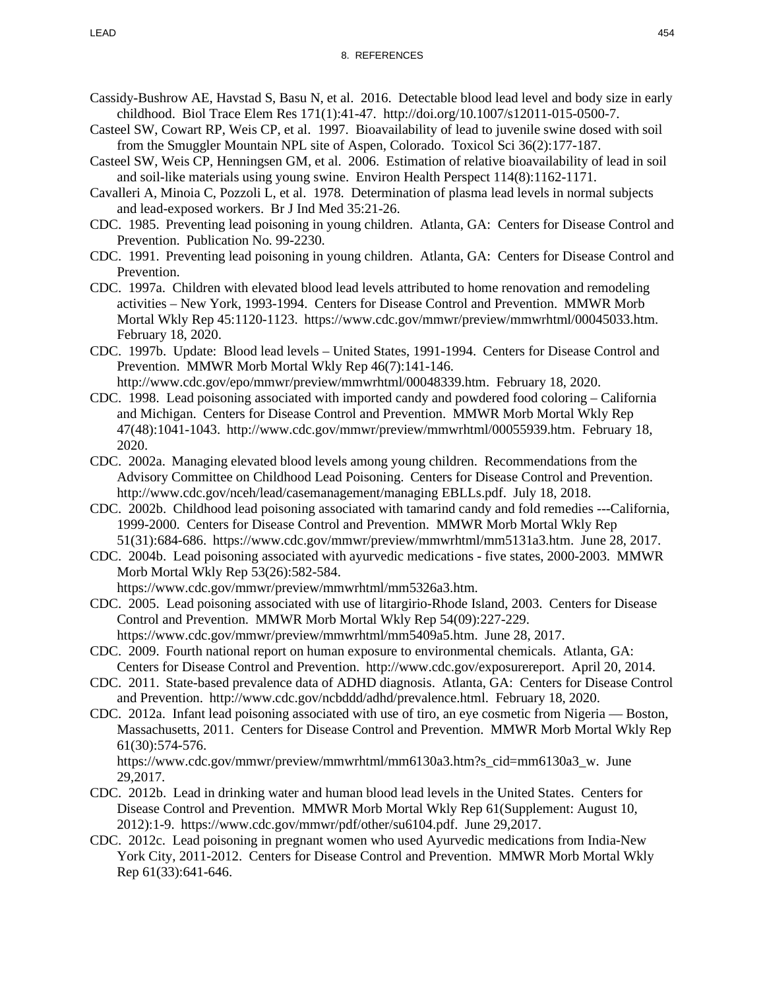- Cassidy-Bushrow AE, Havstad S, Basu N, et al. 2016. Detectable blood lead level and body size in early childhood. Biol Trace Elem Res 171(1):41-47. http://doi.org/10.1007/s12011-015-0500-7.
- Casteel SW, Cowart RP, Weis CP, et al. 1997. Bioavailability of lead to juvenile swine dosed with soil from the Smuggler Mountain NPL site of Aspen, Colorado. Toxicol Sci 36(2):177-187.
- Casteel SW, Weis CP, Henningsen GM, et al. 2006. Estimation of relative bioavailability of lead in soil and soil-like materials using young swine. Environ Health Perspect 114(8):1162-1171.
- Cavalleri A, Minoia C, Pozzoli L, et al. 1978. Determination of plasma lead levels in normal subjects and lead-exposed workers. Br J Ind Med 35:21-26.
- CDC. 1985. Preventing lead poisoning in young children. Atlanta, GA: Centers for Disease Control and Prevention. Publication No. 99-2230.
- CDC. 1991. Preventing lead poisoning in young children. Atlanta, GA: Centers for Disease Control and Prevention.
- CDC. 1997a. Children with elevated blood lead levels attributed to home renovation and remodeling activities – New York, 1993-1994. Centers for Disease Control and Prevention. MMWR Morb Mortal Wkly Rep 45:1120-1123. https://www.cdc.gov/mmwr/preview/mmwrhtml/00045033.htm. February 18, 2020.
- CDC. 1997b. Update: Blood lead levels United States, 1991-1994. Centers for Disease Control and Prevention. MMWR Morb Mortal Wkly Rep 46(7):141-146. http://www.cdc.gov/epo/mmwr/preview/mmwrhtml/00048339.htm. February 18, 2020.
- CDC. 1998. Lead poisoning associated with imported candy and powdered food coloring California and Michigan. Centers for Disease Control and Prevention. MMWR Morb Mortal Wkly Rep 47(48):1041-1043. http://www.cdc.gov/mmwr/preview/mmwrhtml/00055939.htm. February 18, 2020.
- CDC. 2002a. Managing elevated blood levels among young children. Recommendations from the Advisory Committee on Childhood Lead Poisoning. Centers for Disease Control and Prevention. http://www.cdc.gov/nceh/lead/casemanagement/managing EBLLs.pdf. July 18, 2018.
- CDC. 2002b. Childhood lead poisoning associated with tamarind candy and fold remedies ---California, 1999-2000. Centers for Disease Control and Prevention. MMWR Morb Mortal Wkly Rep 51(31):684-686. https://www.cdc.gov/mmwr/preview/mmwrhtml/mm5131a3.htm. June 28, 2017.
- CDC. 2004b. Lead poisoning associated with ayurvedic medications five states, 2000-2003. MMWR Morb Mortal Wkly Rep 53(26):582-584.
	- https://www.cdc.gov/mmwr/preview/mmwrhtml/mm5326a3.htm.
- CDC. 2005. Lead poisoning associated with use of litargirio-Rhode Island, 2003. Centers for Disease Control and Prevention. MMWR Morb Mortal Wkly Rep 54(09):227-229.

https://www.cdc.gov/mmwr/preview/mmwrhtml/mm5409a5.htm. June 28, 2017.

- CDC. 2009. Fourth national report on human exposure to environmental chemicals. Atlanta, GA: Centers for Disease Control and Prevention. http://www.cdc.gov/exposurereport. April 20, 2014.
- CDC. 2011. State-based prevalence data of ADHD diagnosis. Atlanta, GA: Centers for Disease Control and Prevention. http://www.cdc.gov/ncbddd/adhd/prevalence.html. February 18, 2020.
- CDC. 2012a. Infant lead poisoning associated with use of tiro, an eye cosmetic from Nigeria Boston, Massachusetts, 2011. Centers for Disease Control and Prevention. MMWR Morb Mortal Wkly Rep 61(30):574-576.
	- https://www.cdc.gov/mmwr/preview/mmwrhtml/mm6130a3.htm?s\_cid=mm6130a3\_w. June 29,2017.
- CDC. 2012b. Lead in drinking water and human blood lead levels in the United States. Centers for Disease Control and Prevention. MMWR Morb Mortal Wkly Rep 61(Supplement: August 10, 2012):1-9. https://www.cdc.gov/mmwr/pdf/other/su6104.pdf. June 29,2017.
- CDC. 2012c. Lead poisoning in pregnant women who used Ayurvedic medications from India-New York City, 2011-2012. Centers for Disease Control and Prevention. MMWR Morb Mortal Wkly Rep 61(33):641-646.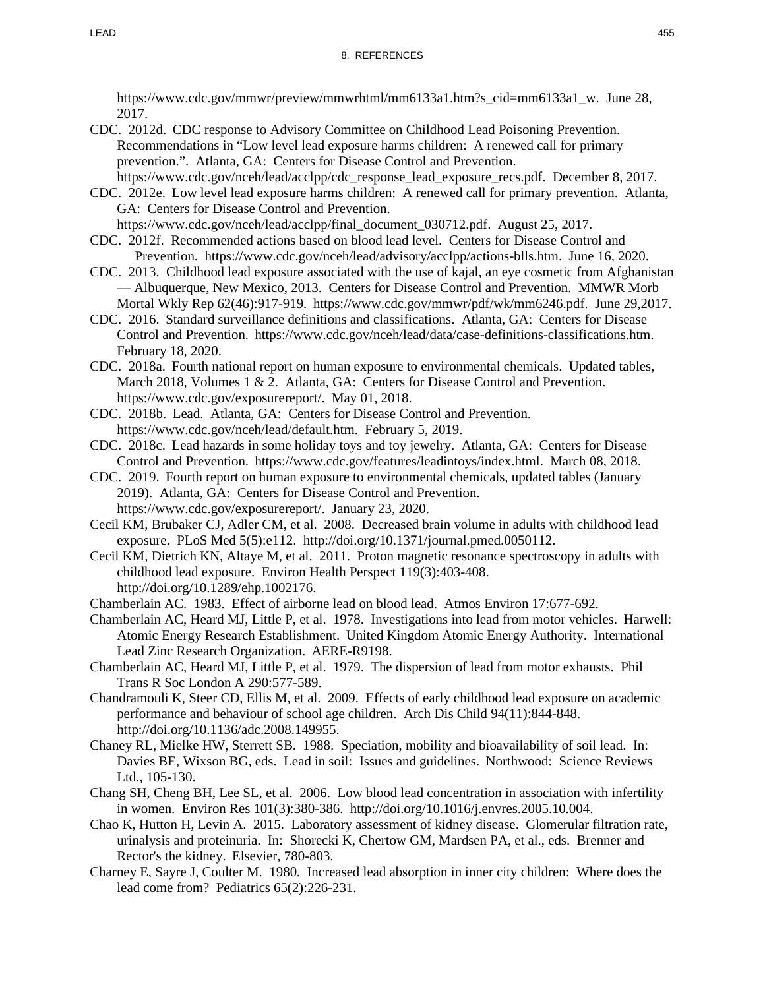https://www.cdc.gov/mmwr/preview/mmwrhtml/mm6133a1.htm?s\_cid=mm6133a1\_w. June 28, 2017.

- CDC. 2012d. CDC response to Advisory Committee on Childhood Lead Poisoning Prevention. Recommendations in "Low level lead exposure harms children: A renewed call for primary prevention.". Atlanta, GA: Centers for Disease Control and Prevention. https://www.cdc.gov/nceh/lead/acclpp/cdc\_response\_lead\_exposure\_recs.pdf. December 8, 2017.
- CDC. 2012e. Low level lead exposure harms children: A renewed call for primary prevention. Atlanta, GA: Centers for Disease Control and Prevention. https://www.cdc.gov/nceh/lead/acclpp/final\_document\_030712.pdf. August 25, 2017.
- CDC. 2012f. Recommended actions based on blood lead level. Centers for Disease Control and Prevention. https://www.cdc.gov/nceh/lead/advisory/acclpp/actions-blls.htm. June 16, 2020.
- CDC. 2013. Childhood lead exposure associated with the use of kajal, an eye cosmetic from Afghanistan — Albuquerque, New Mexico, 2013. Centers for Disease Control and Prevention. MMWR Morb Mortal Wkly Rep 62(46):917-919. https://www.cdc.gov/mmwr/pdf/wk/mm6246.pdf. June 29,2017.
- CDC. 2016. Standard surveillance definitions and classifications. Atlanta, GA: Centers for Disease Control and Prevention. https://www.cdc.gov/nceh/lead/data/case-definitions-classifications.htm. February 18, 2020.
- CDC. 2018a. Fourth national report on human exposure to environmental chemicals. Updated tables, March 2018, Volumes 1 & 2. Atlanta, GA: Centers for Disease Control and Prevention. https://www.cdc.gov/exposurereport/. May 01, 2018.
- CDC. 2018b. Lead. Atlanta, GA: Centers for Disease Control and Prevention. https://www.cdc.gov/nceh/lead/default.htm. February 5, 2019.
- CDC. 2018c. Lead hazards in some holiday toys and toy jewelry. Atlanta, GA: Centers for Disease Control and Prevention. https://www.cdc.gov/features/leadintoys/index.html. March 08, 2018.
- CDC. 2019. Fourth report on human exposure to environmental chemicals, updated tables (January 2019). Atlanta, GA: Centers for Disease Control and Prevention. https://www.cdc.gov/exposurereport/. January 23, 2020.
- Cecil KM, Brubaker CJ, Adler CM, et al. 2008. Decreased brain volume in adults with childhood lead exposure. PLoS Med 5(5):e112. http://doi.org/10.1371/journal.pmed.0050112.
- Cecil KM, Dietrich KN, Altaye M, et al. 2011. Proton magnetic resonance spectroscopy in adults with childhood lead exposure. Environ Health Perspect 119(3):403-408. http://doi.org/10.1289/ehp.1002176.
- Chamberlain AC. 1983. Effect of airborne lead on blood lead. Atmos Environ 17:677-692.
- Chamberlain AC, Heard MJ, Little P, et al. 1978. Investigations into lead from motor vehicles. Harwell: Atomic Energy Research Establishment. United Kingdom Atomic Energy Authority. International Lead Zinc Research Organization. AERE-R9198.
- Chamberlain AC, Heard MJ, Little P, et al. 1979. The dispersion of lead from motor exhausts. Phil Trans R Soc London A 290:577-589.
- Chandramouli K, Steer CD, Ellis M, et al. 2009. Effects of early childhood lead exposure on academic performance and behaviour of school age children. Arch Dis Child 94(11):844-848. http://doi.org/10.1136/adc.2008.149955.
- Chaney RL, Mielke HW, Sterrett SB. 1988. Speciation, mobility and bioavailability of soil lead. In: Davies BE, Wixson BG, eds. Lead in soil: Issues and guidelines. Northwood: Science Reviews Ltd., 105-130.
- Chang SH, Cheng BH, Lee SL, et al. 2006. Low blood lead concentration in association with infertility in women. Environ Res 101(3):380-386. http://doi.org/10.1016/j.envres.2005.10.004.
- Chao K, Hutton H, Levin A. 2015. Laboratory assessment of kidney disease. Glomerular filtration rate, urinalysis and proteinuria. In: Shorecki K, Chertow GM, Mardsen PA, et al., eds. Brenner and Rector's the kidney. Elsevier, 780-803.
- Charney E, Sayre J, Coulter M. 1980. Increased lead absorption in inner city children: Where does the lead come from? Pediatrics 65(2):226-231.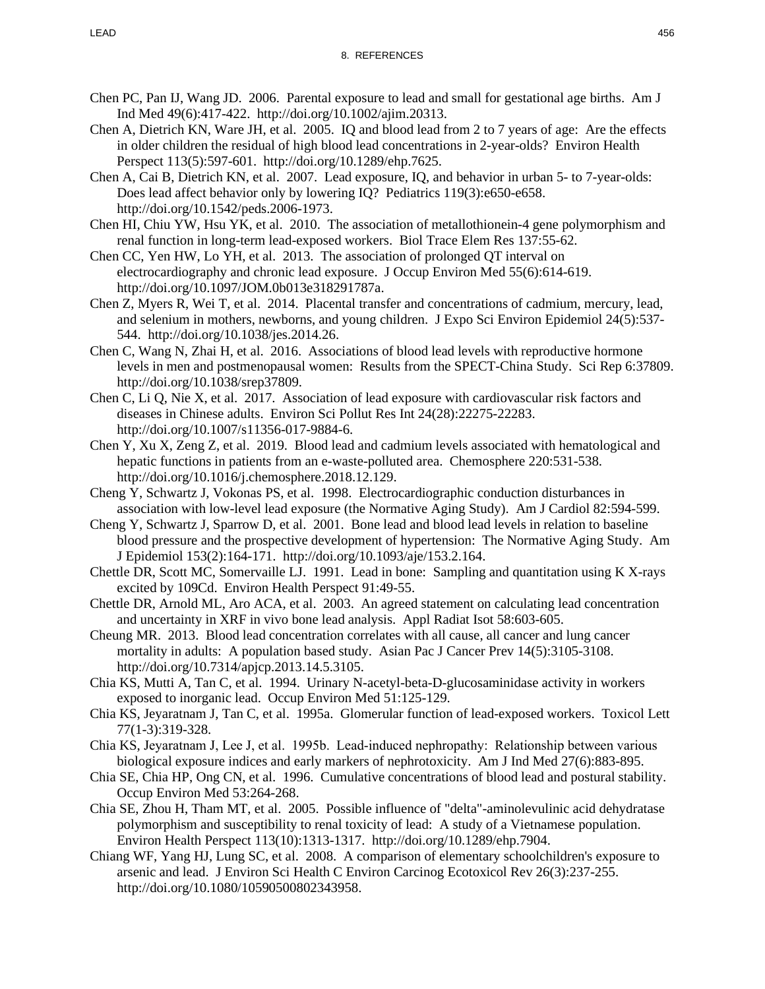- Chen PC, Pan IJ, Wang JD. 2006. Parental exposure to lead and small for gestational age births. Am J Ind Med 49(6):417-422. http://doi.org/10.1002/ajim.20313.
- Chen A, Dietrich KN, Ware JH, et al. 2005. IQ and blood lead from 2 to 7 years of age: Are the effects in older children the residual of high blood lead concentrations in 2-year-olds? Environ Health Perspect 113(5):597-601. http://doi.org/10.1289/ehp.7625.
- Chen A, Cai B, Dietrich KN, et al. 2007. Lead exposure, IQ, and behavior in urban 5- to 7-year-olds: Does lead affect behavior only by lowering IQ? Pediatrics 119(3):e650-e658. http://doi.org/10.1542/peds.2006-1973.
- Chen HI, Chiu YW, Hsu YK, et al. 2010. The association of metallothionein-4 gene polymorphism and renal function in long-term lead-exposed workers. Biol Trace Elem Res 137:55-62.
- Chen CC, Yen HW, Lo YH, et al. 2013. The association of prolonged QT interval on electrocardiography and chronic lead exposure. J Occup Environ Med 55(6):614-619. http://doi.org/10.1097/JOM.0b013e318291787a.
- Chen Z, Myers R, Wei T, et al. 2014. Placental transfer and concentrations of cadmium, mercury, lead, and selenium in mothers, newborns, and young children. J Expo Sci Environ Epidemiol 24(5):537- 544. http://doi.org/10.1038/jes.2014.26.
- Chen C, Wang N, Zhai H, et al. 2016. Associations of blood lead levels with reproductive hormone levels in men and postmenopausal women: Results from the SPECT-China Study. Sci Rep 6:37809. http://doi.org/10.1038/srep37809.
- Chen C, Li Q, Nie X, et al. 2017. Association of lead exposure with cardiovascular risk factors and diseases in Chinese adults. Environ Sci Pollut Res Int 24(28):22275-22283. http://doi.org/10.1007/s11356-017-9884-6.
- Chen Y, Xu X, Zeng Z, et al. 2019. Blood lead and cadmium levels associated with hematological and hepatic functions in patients from an e-waste-polluted area. Chemosphere 220:531-538. http://doi.org/10.1016/j.chemosphere.2018.12.129.
- Cheng Y, Schwartz J, Vokonas PS, et al. 1998. Electrocardiographic conduction disturbances in association with low-level lead exposure (the Normative Aging Study). Am J Cardiol 82:594-599.
- Cheng Y, Schwartz J, Sparrow D, et al. 2001. Bone lead and blood lead levels in relation to baseline blood pressure and the prospective development of hypertension: The Normative Aging Study. Am J Epidemiol 153(2):164-171. http://doi.org/10.1093/aje/153.2.164.
- Chettle DR, Scott MC, Somervaille LJ. 1991. Lead in bone: Sampling and quantitation using K X-rays excited by 109Cd. Environ Health Perspect 91:49-55.
- Chettle DR, Arnold ML, Aro ACA, et al. 2003. An agreed statement on calculating lead concentration and uncertainty in XRF in vivo bone lead analysis. Appl Radiat Isot 58:603-605.
- Cheung MR. 2013. Blood lead concentration correlates with all cause, all cancer and lung cancer mortality in adults: A population based study. Asian Pac J Cancer Prev 14(5):3105-3108. http://doi.org/10.7314/apjcp.2013.14.5.3105.
- Chia KS, Mutti A, Tan C, et al. 1994. Urinary N-acetyl-beta-D-glucosaminidase activity in workers exposed to inorganic lead. Occup Environ Med 51:125-129.
- Chia KS, Jeyaratnam J, Tan C, et al. 1995a. Glomerular function of lead-exposed workers. Toxicol Lett 77(1-3):319-328.
- Chia KS, Jeyaratnam J, Lee J, et al. 1995b. Lead‐induced nephropathy: Relationship between various biological exposure indices and early markers of nephrotoxicity. Am J Ind Med 27(6):883-895.
- Chia SE, Chia HP, Ong CN, et al. 1996. Cumulative concentrations of blood lead and postural stability. Occup Environ Med 53:264-268.
- Chia SE, Zhou H, Tham MT, et al. 2005. Possible influence of "delta"-aminolevulinic acid dehydratase polymorphism and susceptibility to renal toxicity of lead: A study of a Vietnamese population. Environ Health Perspect 113(10):1313-1317. http://doi.org/10.1289/ehp.7904.
- Chiang WF, Yang HJ, Lung SC, et al. 2008. A comparison of elementary schoolchildren's exposure to arsenic and lead. J Environ Sci Health C Environ Carcinog Ecotoxicol Rev 26(3):237-255. http://doi.org/10.1080/10590500802343958.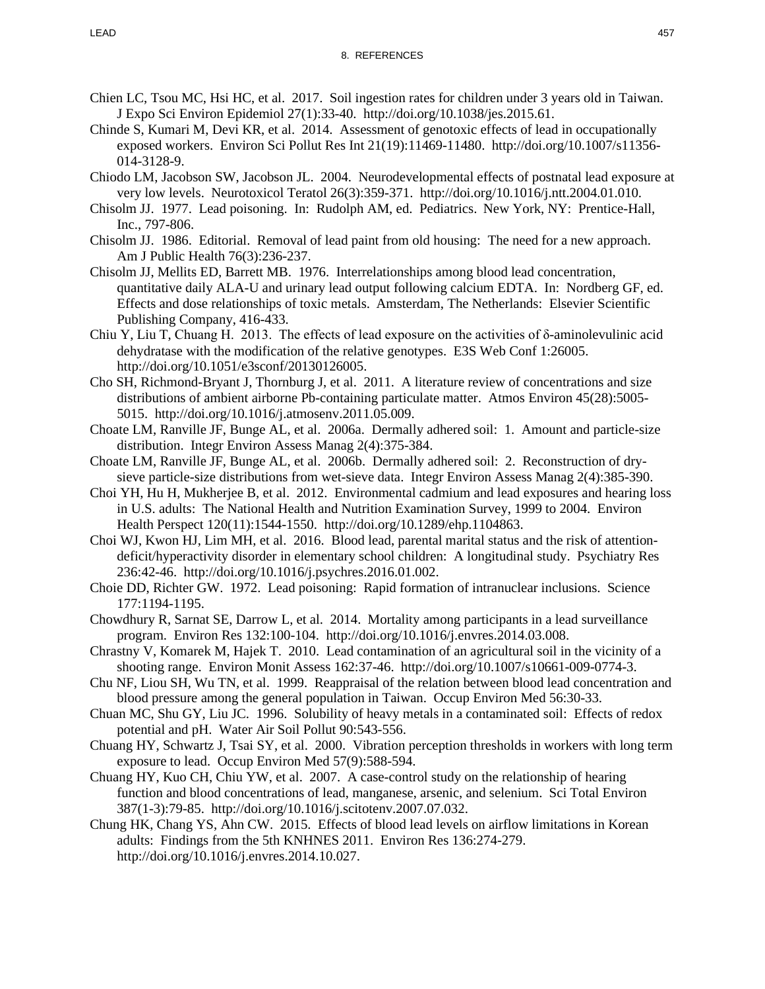- Chien LC, Tsou MC, Hsi HC, et al. 2017. Soil ingestion rates for children under 3 years old in Taiwan. J Expo Sci Environ Epidemiol 27(1):33-40. http://doi.org/10.1038/jes.2015.61.
- Chinde S, Kumari M, Devi KR, et al. 2014. Assessment of genotoxic effects of lead in occupationally exposed workers. Environ Sci Pollut Res Int 21(19):11469-11480. http://doi.org/10.1007/s11356- 014-3128-9.
- Chiodo LM, Jacobson SW, Jacobson JL. 2004. Neurodevelopmental effects of postnatal lead exposure at very low levels. Neurotoxicol Teratol 26(3):359-371. http://doi.org/10.1016/j.ntt.2004.01.010.
- Chisolm JJ. 1977. Lead poisoning. In: Rudolph AM, ed. Pediatrics. New York, NY: Prentice-Hall, Inc., 797-806.
- Chisolm JJ. 1986. Editorial. Removal of lead paint from old housing: The need for a new approach. Am J Public Health 76(3):236-237.
- Chisolm JJ, Mellits ED, Barrett MB. 1976. Interrelationships among blood lead concentration, quantitative daily ALA-U and urinary lead output following calcium EDTA. In: Nordberg GF, ed. Effects and dose relationships of toxic metals. Amsterdam, The Netherlands: Elsevier Scientific Publishing Company, 416-433.
- Chiu Y, Liu T, Chuang H. 2013. The effects of lead exposure on the activities of  $\delta$ -aminolevulinic acid dehydratase with the modification of the relative genotypes. E3S Web Conf 1:26005. http://doi.org/10.1051/e3sconf/20130126005.
- Cho SH, Richmond-Bryant J, Thornburg J, et al. 2011. A literature review of concentrations and size distributions of ambient airborne Pb-containing particulate matter. Atmos Environ 45(28):5005- 5015. http://doi.org/10.1016/j.atmosenv.2011.05.009.
- Choate LM, Ranville JF, Bunge AL, et al. 2006a. Dermally adhered soil: 1. Amount and particle-size distribution. Integr Environ Assess Manag 2(4):375-384.
- Choate LM, Ranville JF, Bunge AL, et al. 2006b. Dermally adhered soil: 2. Reconstruction of drysieve particle-size distributions from wet-sieve data. Integr Environ Assess Manag 2(4):385-390.
- Choi YH, Hu H, Mukherjee B, et al. 2012. Environmental cadmium and lead exposures and hearing loss in U.S. adults: The National Health and Nutrition Examination Survey, 1999 to 2004. Environ Health Perspect 120(11):1544-1550. http://doi.org/10.1289/ehp.1104863.
- Choi WJ, Kwon HJ, Lim MH, et al. 2016. Blood lead, parental marital status and the risk of attentiondeficit/hyperactivity disorder in elementary school children: A longitudinal study. Psychiatry Res 236:42-46. http://doi.org/10.1016/j.psychres.2016.01.002.
- Choie DD, Richter GW. 1972. Lead poisoning: Rapid formation of intranuclear inclusions. Science 177:1194-1195.
- Chowdhury R, Sarnat SE, Darrow L, et al. 2014. Mortality among participants in a lead surveillance program. Environ Res 132:100-104. http://doi.org/10.1016/j.envres.2014.03.008.
- Chrastny V, Komarek M, Hajek T. 2010. Lead contamination of an agricultural soil in the vicinity of a shooting range. Environ Monit Assess 162:37-46. http://doi.org/10.1007/s10661-009-0774-3.
- Chu NF, Liou SH, Wu TN, et al. 1999. Reappraisal of the relation between blood lead concentration and blood pressure among the general population in Taiwan. Occup Environ Med 56:30-33.
- Chuan MC, Shu GY, Liu JC. 1996. Solubility of heavy metals in a contaminated soil: Effects of redox potential and pH. Water Air Soil Pollut 90:543-556.
- Chuang HY, Schwartz J, Tsai SY, et al. 2000. Vibration perception thresholds in workers with long term exposure to lead. Occup Environ Med 57(9):588-594.
- Chuang HY, Kuo CH, Chiu YW, et al. 2007. A case-control study on the relationship of hearing function and blood concentrations of lead, manganese, arsenic, and selenium. Sci Total Environ 387(1-3):79-85. http://doi.org/10.1016/j.scitotenv.2007.07.032.
- Chung HK, Chang YS, Ahn CW. 2015. Effects of blood lead levels on airflow limitations in Korean adults: Findings from the 5th KNHNES 2011. Environ Res 136:274-279. http://doi.org/10.1016/j.envres.2014.10.027.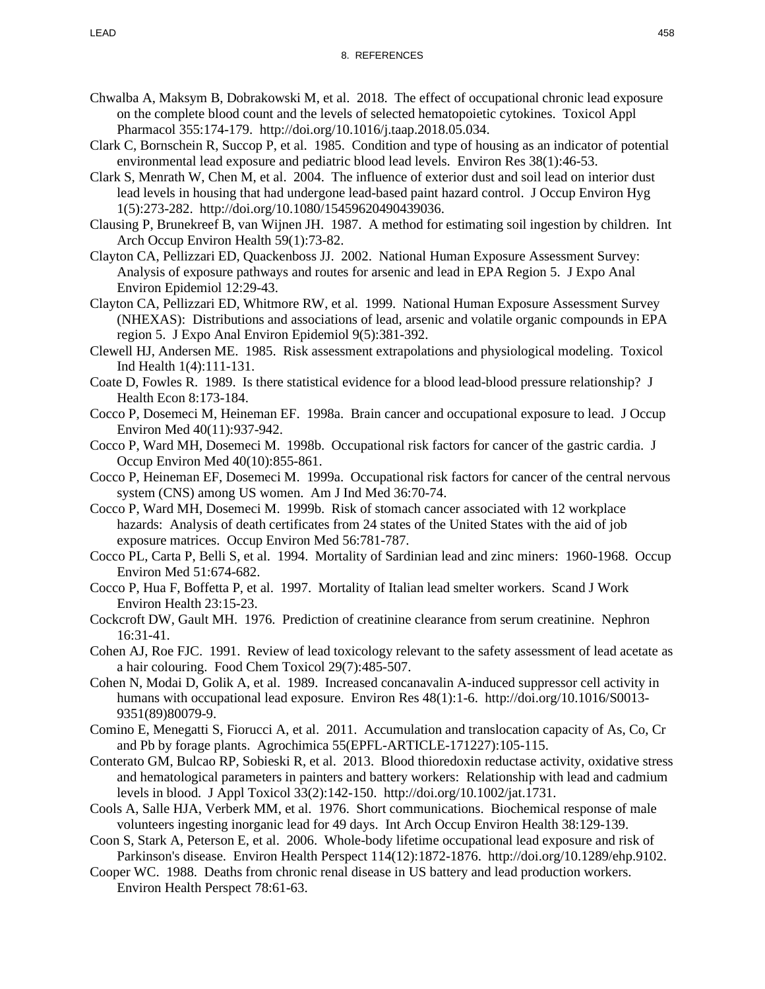- Chwalba A, Maksym B, Dobrakowski M, et al. 2018. The effect of occupational chronic lead exposure on the complete blood count and the levels of selected hematopoietic cytokines. Toxicol Appl Pharmacol 355:174-179. http://doi.org/10.1016/j.taap.2018.05.034.
- Clark C, Bornschein R, Succop P, et al. 1985. Condition and type of housing as an indicator of potential environmental lead exposure and pediatric blood lead levels. Environ Res 38(1):46-53.
- Clark S, Menrath W, Chen M, et al. 2004. The influence of exterior dust and soil lead on interior dust lead levels in housing that had undergone lead-based paint hazard control. J Occup Environ Hyg 1(5):273-282. http://doi.org/10.1080/15459620490439036.
- Clausing P, Brunekreef B, van Wijnen JH. 1987. A method for estimating soil ingestion by children. Int Arch Occup Environ Health 59(1):73-82.
- Clayton CA, Pellizzari ED, Quackenboss JJ. 2002. National Human Exposure Assessment Survey: Analysis of exposure pathways and routes for arsenic and lead in EPA Region 5. J Expo Anal Environ Epidemiol 12:29-43.
- Clayton CA, Pellizzari ED, Whitmore RW, et al. 1999. National Human Exposure Assessment Survey (NHEXAS): Distributions and associations of lead, arsenic and volatile organic compounds in EPA region 5. J Expo Anal Environ Epidemiol 9(5):381-392.
- Clewell HJ, Andersen ME. 1985. Risk assessment extrapolations and physiological modeling. Toxicol Ind Health 1(4):111-131.
- Coate D, Fowles R. 1989. Is there statistical evidence for a blood lead-blood pressure relationship? J Health Econ 8:173-184.
- Cocco P, Dosemeci M, Heineman EF. 1998a. Brain cancer and occupational exposure to lead. J Occup Environ Med 40(11):937-942.
- Cocco P, Ward MH, Dosemeci M. 1998b. Occupational risk factors for cancer of the gastric cardia. J Occup Environ Med 40(10):855-861.
- Cocco P, Heineman EF, Dosemeci M. 1999a. Occupational risk factors for cancer of the central nervous system (CNS) among US women. Am J Ind Med 36:70-74.
- Cocco P, Ward MH, Dosemeci M. 1999b. Risk of stomach cancer associated with 12 workplace hazards: Analysis of death certificates from 24 states of the United States with the aid of job exposure matrices. Occup Environ Med 56:781-787.
- Cocco PL, Carta P, Belli S, et al. 1994. Mortality of Sardinian lead and zinc miners: 1960-1968. Occup Environ Med 51:674-682.
- Cocco P, Hua F, Boffetta P, et al. 1997. Mortality of Italian lead smelter workers. Scand J Work Environ Health 23:15-23.
- Cockcroft DW, Gault MH. 1976. Prediction of creatinine clearance from serum creatinine. Nephron 16:31-41.
- Cohen AJ, Roe FJC. 1991. Review of lead toxicology relevant to the safety assessment of lead acetate as a hair colouring. Food Chem Toxicol 29(7):485-507.
- Cohen N, Modai D, Golik A, et al. 1989. Increased concanavalin A-induced suppressor cell activity in humans with occupational lead exposure. Environ Res 48(1):1-6. http://doi.org/10.1016/S0013-9351(89)80079-9.
- Comino E, Menegatti S, Fiorucci A, et al. 2011. Accumulation and translocation capacity of As, Co, Cr and Pb by forage plants. Agrochimica 55(EPFL-ARTICLE-171227):105-115.
- Conterato GM, Bulcao RP, Sobieski R, et al. 2013. Blood thioredoxin reductase activity, oxidative stress and hematological parameters in painters and battery workers: Relationship with lead and cadmium levels in blood. J Appl Toxicol 33(2):142-150. http://doi.org/10.1002/jat.1731.
- Cools A, Salle HJA, Verberk MM, et al. 1976. Short communications. Biochemical response of male volunteers ingesting inorganic lead for 49 days. Int Arch Occup Environ Health 38:129-139.
- Coon S, Stark A, Peterson E, et al. 2006. Whole-body lifetime occupational lead exposure and risk of Parkinson's disease. Environ Health Perspect 114(12):1872-1876. http://doi.org/10.1289/ehp.9102.
- Cooper WC. 1988. Deaths from chronic renal disease in US battery and lead production workers. Environ Health Perspect 78:61-63.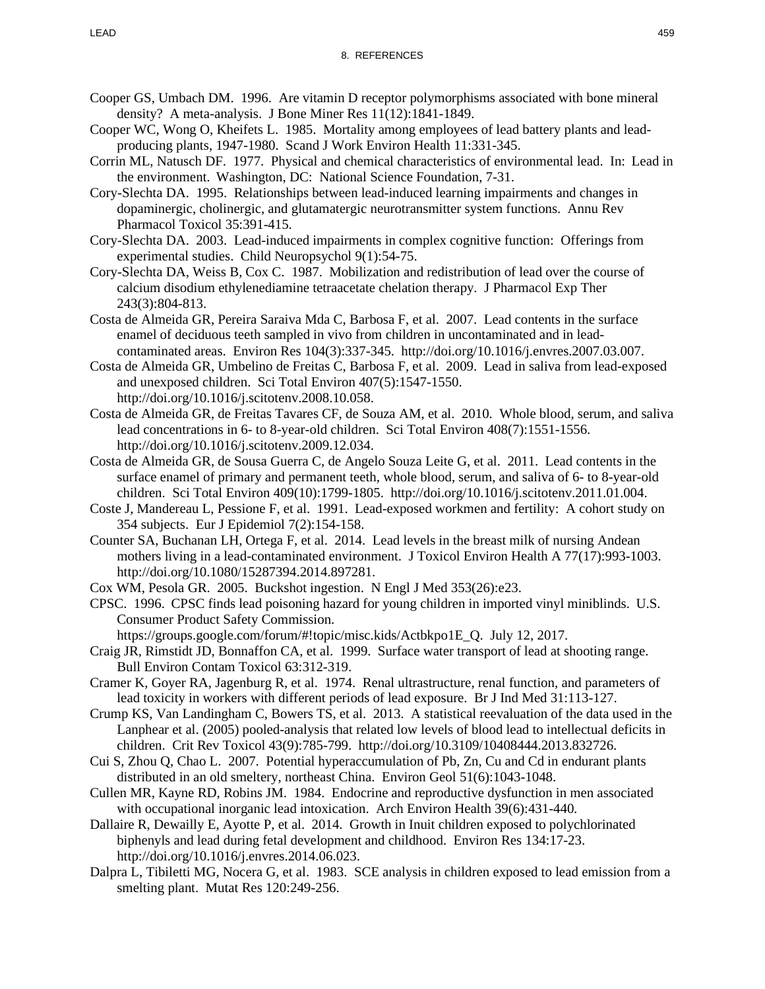- Cooper GS, Umbach DM. 1996. Are vitamin D receptor polymorphisms associated with bone mineral density? A meta-analysis. J Bone Miner Res 11(12):1841-1849.
- Cooper WC, Wong O, Kheifets L. 1985. Mortality among employees of lead battery plants and leadproducing plants, 1947-1980. Scand J Work Environ Health 11:331-345.
- Corrin ML, Natusch DF. 1977. Physical and chemical characteristics of environmental lead. In: Lead in the environment. Washington, DC: National Science Foundation, 7-31.
- Cory-Slechta DA. 1995. Relationships between lead-induced learning impairments and changes in dopaminergic, cholinergic, and glutamatergic neurotransmitter system functions. Annu Rev Pharmacol Toxicol 35:391-415.
- Cory-Slechta DA. 2003. Lead-induced impairments in complex cognitive function: Offerings from experimental studies. Child Neuropsychol 9(1):54-75.
- Cory-Slechta DA, Weiss B, Cox C. 1987. Mobilization and redistribution of lead over the course of calcium disodium ethylenediamine tetraacetate chelation therapy. J Pharmacol Exp Ther 243(3):804-813.
- Costa de Almeida GR, Pereira Saraiva Mda C, Barbosa F, et al. 2007. Lead contents in the surface enamel of deciduous teeth sampled in vivo from children in uncontaminated and in leadcontaminated areas. Environ Res 104(3):337-345. http://doi.org/10.1016/j.envres.2007.03.007.
- Costa de Almeida GR, Umbelino de Freitas C, Barbosa F, et al. 2009. Lead in saliva from lead-exposed and unexposed children. Sci Total Environ 407(5):1547-1550. http://doi.org/10.1016/j.scitotenv.2008.10.058.
- Costa de Almeida GR, de Freitas Tavares CF, de Souza AM, et al. 2010. Whole blood, serum, and saliva lead concentrations in 6- to 8-year-old children. Sci Total Environ 408(7):1551-1556. http://doi.org/10.1016/j.scitotenv.2009.12.034.
- Costa de Almeida GR, de Sousa Guerra C, de Angelo Souza Leite G, et al. 2011. Lead contents in the surface enamel of primary and permanent teeth, whole blood, serum, and saliva of 6- to 8-year-old children. Sci Total Environ 409(10):1799-1805. http://doi.org/10.1016/j.scitotenv.2011.01.004.
- Coste J, Mandereau L, Pessione F, et al. 1991. Lead-exposed workmen and fertility: A cohort study on 354 subjects. Eur J Epidemiol 7(2):154-158.
- Counter SA, Buchanan LH, Ortega F, et al. 2014. Lead levels in the breast milk of nursing Andean mothers living in a lead-contaminated environment. J Toxicol Environ Health A 77(17):993-1003. http://doi.org/10.1080/15287394.2014.897281.
- Cox WM, Pesola GR. 2005. Buckshot ingestion. N Engl J Med 353(26):e23.
- CPSC. 1996. CPSC finds lead poisoning hazard for young children in imported vinyl miniblinds. U.S. Consumer Product Safety Commission.
	- https://groups.google.com/forum/#!topic/misc.kids/Actbkpo1E\_Q. July 12, 2017.
- Craig JR, Rimstidt JD, Bonnaffon CA, et al. 1999. Surface water transport of lead at shooting range. Bull Environ Contam Toxicol 63:312-319.
- Cramer K, Goyer RA, Jagenburg R, et al. 1974. Renal ultrastructure, renal function, and parameters of lead toxicity in workers with different periods of lead exposure. Br J Ind Med 31:113-127.
- Crump KS, Van Landingham C, Bowers TS, et al. 2013. A statistical reevaluation of the data used in the Lanphear et al. (2005) pooled-analysis that related low levels of blood lead to intellectual deficits in children. Crit Rev Toxicol 43(9):785-799. http://doi.org/10.3109/10408444.2013.832726.
- Cui S, Zhou Q, Chao L. 2007. Potential hyperaccumulation of Pb, Zn, Cu and Cd in endurant plants distributed in an old smeltery, northeast China. Environ Geol 51(6):1043-1048.
- Cullen MR, Kayne RD, Robins JM. 1984. Endocrine and reproductive dysfunction in men associated with occupational inorganic lead intoxication. Arch Environ Health 39(6):431-440.
- Dallaire R, Dewailly E, Ayotte P, et al. 2014. Growth in Inuit children exposed to polychlorinated biphenyls and lead during fetal development and childhood. Environ Res 134:17-23. http://doi.org/10.1016/j.envres.2014.06.023.
- Dalpra L, Tibiletti MG, Nocera G, et al. 1983. SCE analysis in children exposed to lead emission from a smelting plant. Mutat Res 120:249-256.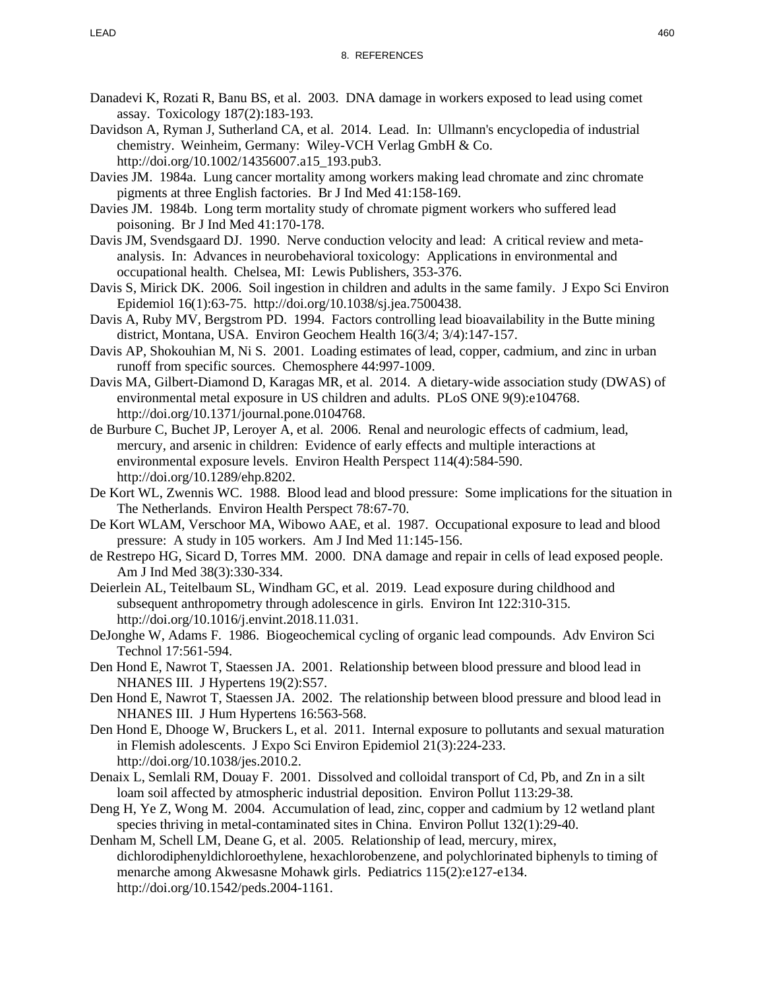- Danadevi K, Rozati R, Banu BS, et al. 2003. DNA damage in workers exposed to lead using comet assay. Toxicology 187(2):183-193.
- Davidson A, Ryman J, Sutherland CA, et al. 2014. Lead. In: Ullmann's encyclopedia of industrial chemistry. Weinheim, Germany: Wiley-VCH Verlag GmbH & Co. http://doi.org/10.1002/14356007.a15\_193.pub3.
- Davies JM. 1984a. Lung cancer mortality among workers making lead chromate and zinc chromate pigments at three English factories. Br J Ind Med 41:158-169.
- Davies JM. 1984b. Long term mortality study of chromate pigment workers who suffered lead poisoning. Br J Ind Med 41:170-178.
- Davis JM, Svendsgaard DJ. 1990. Nerve conduction velocity and lead: A critical review and metaanalysis. In: Advances in neurobehavioral toxicology: Applications in environmental and occupational health. Chelsea, MI: Lewis Publishers, 353-376.
- Davis S, Mirick DK. 2006. Soil ingestion in children and adults in the same family. J Expo Sci Environ Epidemiol 16(1):63-75. http://doi.org/10.1038/sj.jea.7500438.
- Davis A, Ruby MV, Bergstrom PD. 1994. Factors controlling lead bioavailability in the Butte mining district, Montana, USA. Environ Geochem Health 16(3/4; 3/4):147-157.
- Davis AP, Shokouhian M, Ni S. 2001. Loading estimates of lead, copper, cadmium, and zinc in urban runoff from specific sources. Chemosphere 44:997-1009.
- Davis MA, Gilbert-Diamond D, Karagas MR, et al. 2014. A dietary-wide association study (DWAS) of environmental metal exposure in US children and adults. PLoS ONE 9(9):e104768. http://doi.org/10.1371/journal.pone.0104768.
- de Burbure C, Buchet JP, Leroyer A, et al. 2006. Renal and neurologic effects of cadmium, lead, mercury, and arsenic in children: Evidence of early effects and multiple interactions at environmental exposure levels. Environ Health Perspect 114(4):584-590. http://doi.org/10.1289/ehp.8202.
- De Kort WL, Zwennis WC. 1988. Blood lead and blood pressure: Some implications for the situation in The Netherlands. Environ Health Perspect 78:67-70.
- De Kort WLAM, Verschoor MA, Wibowo AAE, et al. 1987. Occupational exposure to lead and blood pressure: A study in 105 workers. Am J Ind Med 11:145-156.
- de Restrepo HG, Sicard D, Torres MM. 2000. DNA damage and repair in cells of lead exposed people. Am J Ind Med 38(3):330-334.
- Deierlein AL, Teitelbaum SL, Windham GC, et al. 2019. Lead exposure during childhood and subsequent anthropometry through adolescence in girls. Environ Int 122:310-315. http://doi.org/10.1016/j.envint.2018.11.031.
- DeJonghe W, Adams F. 1986. Biogeochemical cycling of organic lead compounds. Adv Environ Sci Technol 17:561-594.
- Den Hond E, Nawrot T, Staessen JA. 2001. Relationship between blood pressure and blood lead in NHANES III. J Hypertens 19(2):S57.
- Den Hond E, Nawrot T, Staessen JA. 2002. The relationship between blood pressure and blood lead in NHANES III. J Hum Hypertens 16:563-568.
- Den Hond E, Dhooge W, Bruckers L, et al. 2011. Internal exposure to pollutants and sexual maturation in Flemish adolescents. J Expo Sci Environ Epidemiol 21(3):224-233. http://doi.org/10.1038/jes.2010.2.
- Denaix L, Semlali RM, Douay F. 2001. Dissolved and colloidal transport of Cd, Pb, and Zn in a silt loam soil affected by atmospheric industrial deposition. Environ Pollut 113:29-38.
- Deng H, Ye Z, Wong M. 2004. Accumulation of lead, zinc, copper and cadmium by 12 wetland plant species thriving in metal-contaminated sites in China. Environ Pollut 132(1):29-40.
- Denham M, Schell LM, Deane G, et al. 2005. Relationship of lead, mercury, mirex, dichlorodiphenyldichloroethylene, hexachlorobenzene, and polychlorinated biphenyls to timing of menarche among Akwesasne Mohawk girls. Pediatrics 115(2):e127-e134. http://doi.org/10.1542/peds.2004-1161.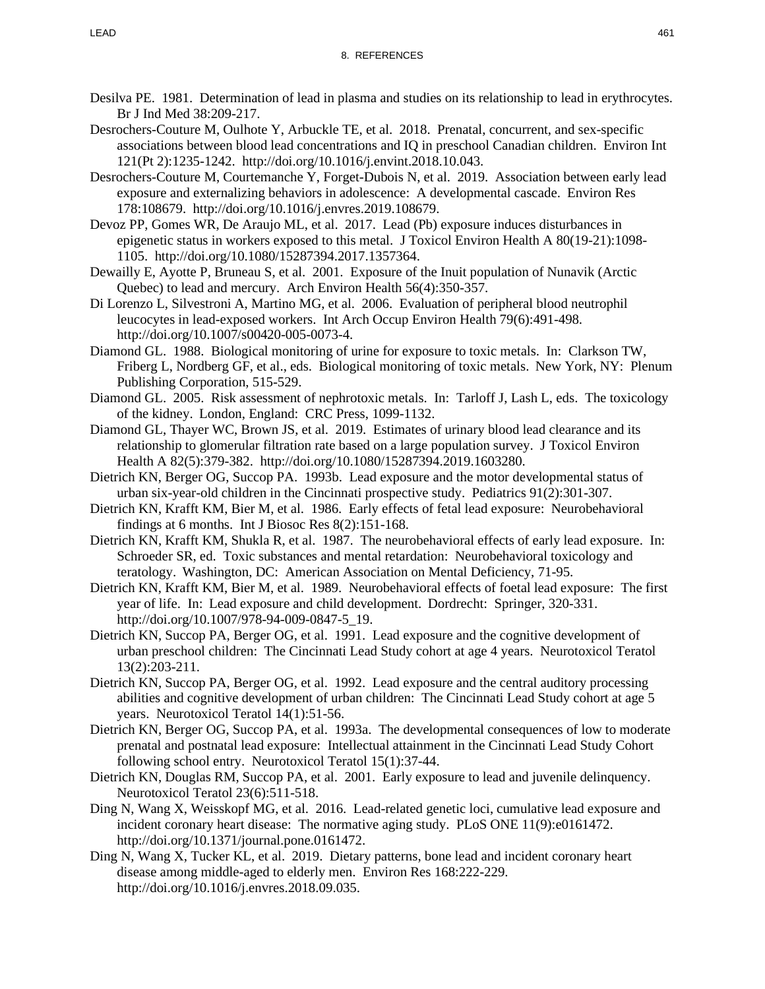- Desilva PE. 1981. Determination of lead in plasma and studies on its relationship to lead in erythrocytes. Br J Ind Med 38:209-217.
- Desrochers-Couture M, Oulhote Y, Arbuckle TE, et al. 2018. Prenatal, concurrent, and sex-specific associations between blood lead concentrations and IQ in preschool Canadian children. Environ Int 121(Pt 2):1235-1242. http://doi.org/10.1016/j.envint.2018.10.043.
- Desrochers-Couture M, Courtemanche Y, Forget-Dubois N, et al. 2019. Association between early lead exposure and externalizing behaviors in adolescence: A developmental cascade. Environ Res 178:108679. http://doi.org/10.1016/j.envres.2019.108679.
- Devoz PP, Gomes WR, De Araujo ML, et al. 2017. Lead (Pb) exposure induces disturbances in epigenetic status in workers exposed to this metal. J Toxicol Environ Health A 80(19-21):1098- 1105. http://doi.org/10.1080/15287394.2017.1357364.
- Dewailly E, Ayotte P, Bruneau S, et al. 2001. Exposure of the Inuit population of Nunavik (Arctic Quebec) to lead and mercury. Arch Environ Health 56(4):350-357.
- Di Lorenzo L, Silvestroni A, Martino MG, et al. 2006. Evaluation of peripheral blood neutrophil leucocytes in lead-exposed workers. Int Arch Occup Environ Health 79(6):491-498. http://doi.org/10.1007/s00420-005-0073-4.
- Diamond GL. 1988. Biological monitoring of urine for exposure to toxic metals. In: Clarkson TW, Friberg L, Nordberg GF, et al., eds. Biological monitoring of toxic metals. New York, NY: Plenum Publishing Corporation, 515-529.
- Diamond GL. 2005. Risk assessment of nephrotoxic metals. In: Tarloff J, Lash L, eds. The toxicology of the kidney. London, England: CRC Press, 1099-1132.
- Diamond GL, Thayer WC, Brown JS, et al. 2019. Estimates of urinary blood lead clearance and its relationship to glomerular filtration rate based on a large population survey. J Toxicol Environ Health A 82(5):379-382. http://doi.org/10.1080/15287394.2019.1603280.
- Dietrich KN, Berger OG, Succop PA. 1993b. Lead exposure and the motor developmental status of urban six-year-old children in the Cincinnati prospective study. Pediatrics 91(2):301-307.
- Dietrich KN, Krafft KM, Bier M, et al. 1986. Early effects of fetal lead exposure: Neurobehavioral findings at 6 months. Int J Biosoc Res 8(2):151-168.
- Dietrich KN, Krafft KM, Shukla R, et al. 1987. The neurobehavioral effects of early lead exposure. In: Schroeder SR, ed. Toxic substances and mental retardation: Neurobehavioral toxicology and teratology. Washington, DC: American Association on Mental Deficiency, 71-95.
- Dietrich KN, Krafft KM, Bier M, et al. 1989. Neurobehavioral effects of foetal lead exposure: The first year of life. In: Lead exposure and child development. Dordrecht: Springer, 320-331. http://doi.org/10.1007/978-94-009-0847-5\_19.
- Dietrich KN, Succop PA, Berger OG, et al. 1991. Lead exposure and the cognitive development of urban preschool children: The Cincinnati Lead Study cohort at age 4 years. Neurotoxicol Teratol 13(2):203-211.
- Dietrich KN, Succop PA, Berger OG, et al. 1992. Lead exposure and the central auditory processing abilities and cognitive development of urban children: The Cincinnati Lead Study cohort at age 5 years. Neurotoxicol Teratol 14(1):51-56.
- Dietrich KN, Berger OG, Succop PA, et al. 1993a. The developmental consequences of low to moderate prenatal and postnatal lead exposure: Intellectual attainment in the Cincinnati Lead Study Cohort following school entry. Neurotoxicol Teratol 15(1):37-44.
- Dietrich KN, Douglas RM, Succop PA, et al. 2001. Early exposure to lead and juvenile delinquency. Neurotoxicol Teratol 23(6):511-518.
- Ding N, Wang X, Weisskopf MG, et al. 2016. Lead-related genetic loci, cumulative lead exposure and incident coronary heart disease: The normative aging study. PLoS ONE 11(9):e0161472. http://doi.org/10.1371/journal.pone.0161472.
- Ding N, Wang X, Tucker KL, et al. 2019. Dietary patterns, bone lead and incident coronary heart disease among middle-aged to elderly men. Environ Res 168:222-229. http://doi.org/10.1016/j.envres.2018.09.035.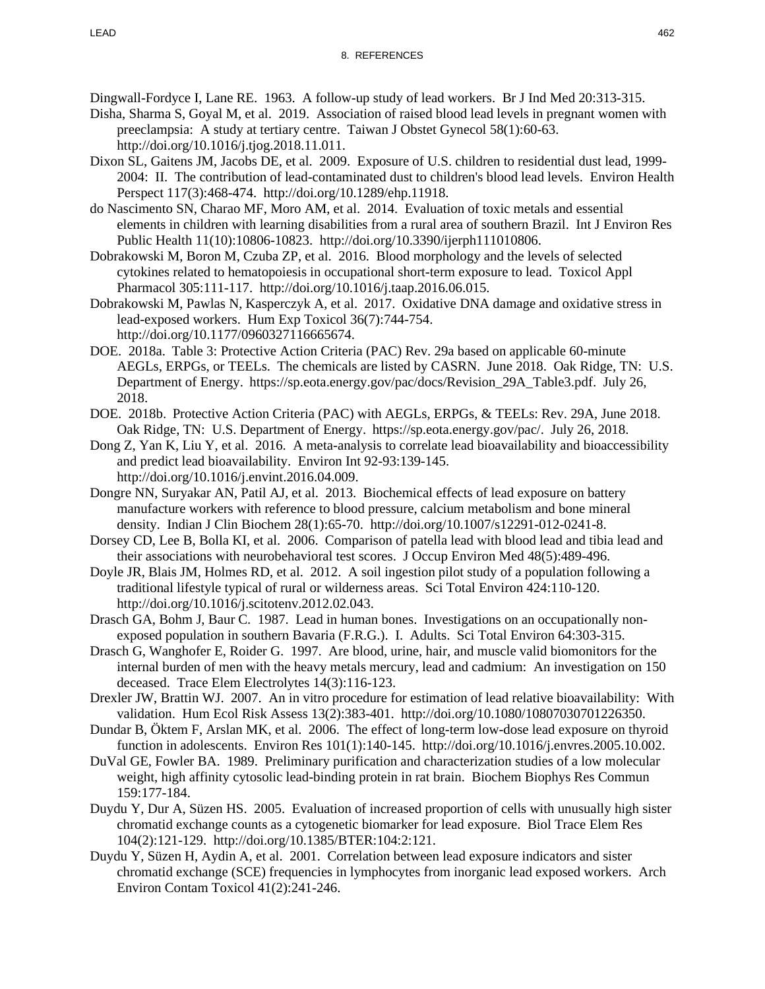Dingwall-Fordyce I, Lane RE. 1963. A follow-up study of lead workers. Br J Ind Med 20:313-315.

- Disha, Sharma S, Goyal M, et al. 2019. Association of raised blood lead levels in pregnant women with preeclampsia: A study at tertiary centre. Taiwan J Obstet Gynecol 58(1):60-63. http://doi.org/10.1016/j.tjog.2018.11.011.
- Dixon SL, Gaitens JM, Jacobs DE, et al. 2009. Exposure of U.S. children to residential dust lead, 1999- 2004: II. The contribution of lead-contaminated dust to children's blood lead levels. Environ Health Perspect 117(3):468-474. http://doi.org/10.1289/ehp.11918.
- do Nascimento SN, Charao MF, Moro AM, et al. 2014. Evaluation of toxic metals and essential elements in children with learning disabilities from a rural area of southern Brazil. Int J Environ Res Public Health 11(10):10806-10823. http://doi.org/10.3390/ijerph111010806.
- Dobrakowski M, Boron M, Czuba ZP, et al. 2016. Blood morphology and the levels of selected cytokines related to hematopoiesis in occupational short-term exposure to lead. Toxicol Appl Pharmacol 305:111-117. http://doi.org/10.1016/j.taap.2016.06.015.
- Dobrakowski M, Pawlas N, Kasperczyk A, et al. 2017. Oxidative DNA damage and oxidative stress in lead-exposed workers. Hum Exp Toxicol 36(7):744-754. http://doi.org/10.1177/0960327116665674.
- DOE. 2018a. Table 3: Protective Action Criteria (PAC) Rev. 29a based on applicable 60-minute AEGLs, ERPGs, or TEELs. The chemicals are listed by CASRN. June 2018. Oak Ridge, TN: U.S. Department of Energy. https://sp.eota.energy.gov/pac/docs/Revision\_29A\_Table3.pdf. July 26, 2018.
- DOE. 2018b. Protective Action Criteria (PAC) with AEGLs, ERPGs, & TEELs: Rev. 29A, June 2018. Oak Ridge, TN: U.S. Department of Energy. https://sp.eota.energy.gov/pac/. July 26, 2018.
- Dong Z, Yan K, Liu Y, et al. 2016. A meta-analysis to correlate lead bioavailability and bioaccessibility and predict lead bioavailability. Environ Int 92-93:139-145. http://doi.org/10.1016/j.envint.2016.04.009.
- Dongre NN, Suryakar AN, Patil AJ, et al. 2013. Biochemical effects of lead exposure on battery manufacture workers with reference to blood pressure, calcium metabolism and bone mineral density. Indian J Clin Biochem 28(1):65-70. http://doi.org/10.1007/s12291-012-0241-8.
- Dorsey CD, Lee B, Bolla KI, et al. 2006. Comparison of patella lead with blood lead and tibia lead and their associations with neurobehavioral test scores. J Occup Environ Med 48(5):489-496.
- Doyle JR, Blais JM, Holmes RD, et al. 2012. A soil ingestion pilot study of a population following a traditional lifestyle typical of rural or wilderness areas. Sci Total Environ 424:110-120. http://doi.org/10.1016/j.scitotenv.2012.02.043.
- Drasch GA, Bohm J, Baur C. 1987. Lead in human bones. Investigations on an occupationally nonexposed population in southern Bavaria (F.R.G.). I. Adults. Sci Total Environ 64:303-315.
- Drasch G, Wanghofer E, Roider G. 1997. Are blood, urine, hair, and muscle valid biomonitors for the internal burden of men with the heavy metals mercury, lead and cadmium: An investigation on 150 deceased. Trace Elem Electrolytes 14(3):116-123.
- Drexler JW, Brattin WJ. 2007. An in vitro procedure for estimation of lead relative bioavailability: With validation. Hum Ecol Risk Assess 13(2):383-401. http://doi.org/10.1080/10807030701226350.
- Dundar B, Öktem F, Arslan MK, et al. 2006. The effect of long-term low-dose lead exposure on thyroid function in adolescents. Environ Res 101(1):140-145. http://doi.org/10.1016/j.envres.2005.10.002.
- DuVal GE, Fowler BA. 1989. Preliminary purification and characterization studies of a low molecular weight, high affinity cytosolic lead-binding protein in rat brain. Biochem Biophys Res Commun 159:177-184.
- Duydu Y, Dur A, Süzen HS. 2005. Evaluation of increased proportion of cells with unusually high sister chromatid exchange counts as a cytogenetic biomarker for lead exposure. Biol Trace Elem Res 104(2):121-129. http://doi.org/10.1385/BTER:104:2:121.
- Duydu Y, Süzen H, Aydin A, et al. 2001. Correlation between lead exposure indicators and sister chromatid exchange (SCE) frequencies in lymphocytes from inorganic lead exposed workers. Arch Environ Contam Toxicol 41(2):241-246.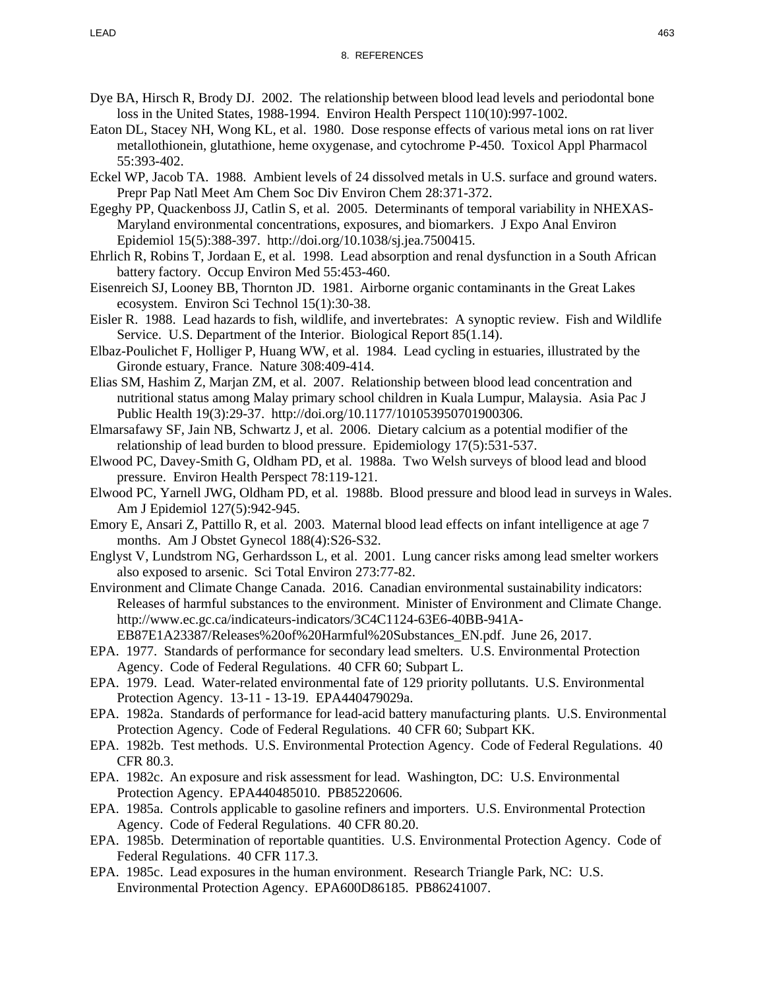- Dye BA, Hirsch R, Brody DJ. 2002. The relationship between blood lead levels and periodontal bone loss in the United States, 1988-1994. Environ Health Perspect 110(10):997-1002.
- Eaton DL, Stacey NH, Wong KL, et al. 1980. Dose response effects of various metal ions on rat liver metallothionein, glutathione, heme oxygenase, and cytochrome P-450. Toxicol Appl Pharmacol 55:393-402.
- Eckel WP, Jacob TA. 1988. Ambient levels of 24 dissolved metals in U.S. surface and ground waters. Prepr Pap Natl Meet Am Chem Soc Div Environ Chem 28:371-372.
- Egeghy PP, Quackenboss JJ, Catlin S, et al. 2005. Determinants of temporal variability in NHEXAS-Maryland environmental concentrations, exposures, and biomarkers. J Expo Anal Environ Epidemiol 15(5):388-397. http://doi.org/10.1038/sj.jea.7500415.
- Ehrlich R, Robins T, Jordaan E, et al. 1998. Lead absorption and renal dysfunction in a South African battery factory. Occup Environ Med 55:453-460.
- Eisenreich SJ, Looney BB, Thornton JD. 1981. Airborne organic contaminants in the Great Lakes ecosystem. Environ Sci Technol 15(1):30-38.
- Eisler R. 1988. Lead hazards to fish, wildlife, and invertebrates: A synoptic review. Fish and Wildlife Service. U.S. Department of the Interior. Biological Report 85(1.14).
- Elbaz-Poulichet F, Holliger P, Huang WW, et al. 1984. Lead cycling in estuaries, illustrated by the Gironde estuary, France. Nature 308:409-414.
- Elias SM, Hashim Z, Marjan ZM, et al. 2007. Relationship between blood lead concentration and nutritional status among Malay primary school children in Kuala Lumpur, Malaysia. Asia Pac J Public Health 19(3):29-37. http://doi.org/10.1177/101053950701900306.
- Elmarsafawy SF, Jain NB, Schwartz J, et al. 2006. Dietary calcium as a potential modifier of the relationship of lead burden to blood pressure. Epidemiology 17(5):531-537.
- Elwood PC, Davey-Smith G, Oldham PD, et al. 1988a. Two Welsh surveys of blood lead and blood pressure. Environ Health Perspect 78:119-121.
- Elwood PC, Yarnell JWG, Oldham PD, et al. 1988b. Blood pressure and blood lead in surveys in Wales. Am J Epidemiol 127(5):942-945.
- Emory E, Ansari Z, Pattillo R, et al. 2003. Maternal blood lead effects on infant intelligence at age 7 months. Am J Obstet Gynecol 188(4):S26-S32.
- Englyst V, Lundstrom NG, Gerhardsson L, et al. 2001. Lung cancer risks among lead smelter workers also exposed to arsenic. Sci Total Environ 273:77-82.
- Environment and Climate Change Canada. 2016. Canadian environmental sustainability indicators: Releases of harmful substances to the environment. Minister of Environment and Climate Change. http://www.ec.gc.ca/indicateurs-indicators/3C4C1124-63E6-40BB-941A-EB87E1A23387/Releases%20of%20Harmful%20Substances\_EN.pdf. June 26, 2017.
- EPA. 1977. Standards of performance for secondary lead smelters. U.S. Environmental Protection Agency. Code of Federal Regulations. 40 CFR 60; Subpart L.
- EPA. 1979. Lead. Water-related environmental fate of 129 priority pollutants. U.S. Environmental Protection Agency. 13-11 - 13-19. EPA440479029a.
- EPA. 1982a. Standards of performance for lead-acid battery manufacturing plants. U.S. Environmental Protection Agency. Code of Federal Regulations. 40 CFR 60; Subpart KK.
- EPA. 1982b. Test methods. U.S. Environmental Protection Agency. Code of Federal Regulations. 40 CFR 80.3.
- EPA. 1982c. An exposure and risk assessment for lead. Washington, DC: U.S. Environmental Protection Agency. EPA440485010. PB85220606.
- EPA. 1985a. Controls applicable to gasoline refiners and importers. U.S. Environmental Protection Agency. Code of Federal Regulations. 40 CFR 80.20.
- EPA. 1985b. Determination of reportable quantities. U.S. Environmental Protection Agency. Code of Federal Regulations. 40 CFR 117.3.
- EPA. 1985c. Lead exposures in the human environment. Research Triangle Park, NC: U.S. Environmental Protection Agency. EPA600D86185. PB86241007.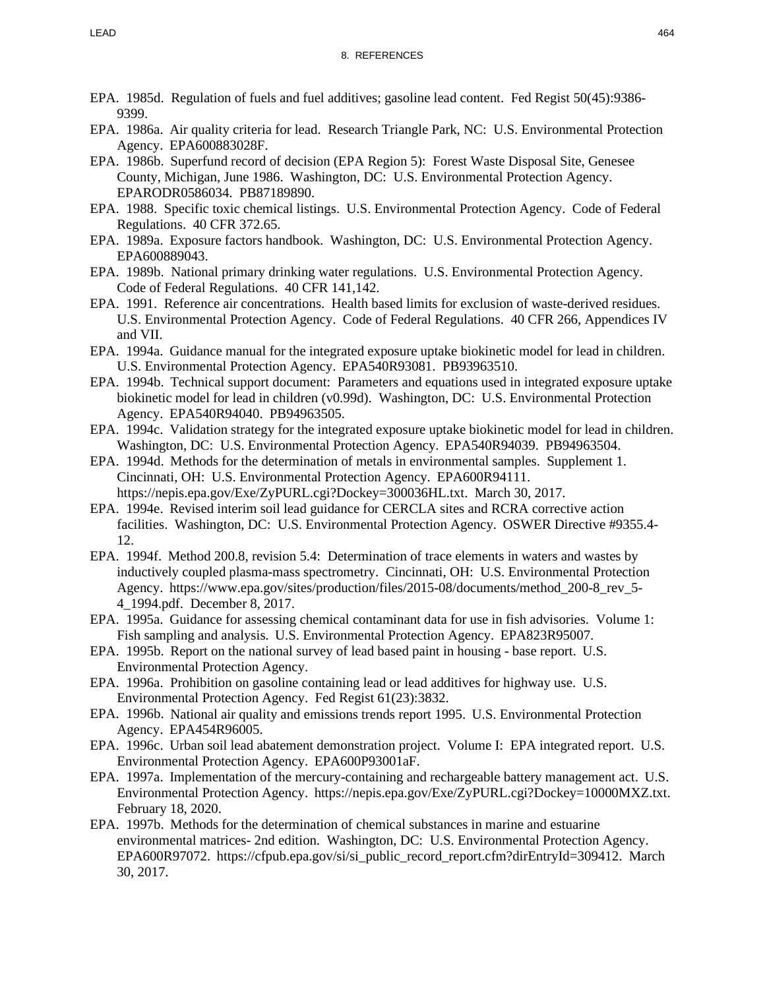- EPA. 1985d. Regulation of fuels and fuel additives; gasoline lead content. Fed Regist 50(45):9386- 9399.
- EPA. 1986a. Air quality criteria for lead. Research Triangle Park, NC: U.S. Environmental Protection Agency. EPA600883028F.
- EPA. 1986b. Superfund record of decision (EPA Region 5): Forest Waste Disposal Site, Genesee County, Michigan, June 1986. Washington, DC: U.S. Environmental Protection Agency. EPARODR0586034. PB87189890.
- EPA. 1988. Specific toxic chemical listings. U.S. Environmental Protection Agency. Code of Federal Regulations. 40 CFR 372.65.
- EPA. 1989a. Exposure factors handbook. Washington, DC: U.S. Environmental Protection Agency. EPA600889043.
- EPA. 1989b. National primary drinking water regulations. U.S. Environmental Protection Agency. Code of Federal Regulations. 40 CFR 141,142.
- EPA. 1991. Reference air concentrations. Health based limits for exclusion of waste-derived residues. U.S. Environmental Protection Agency. Code of Federal Regulations. 40 CFR 266, Appendices IV and VII.
- EPA. 1994a. Guidance manual for the integrated exposure uptake biokinetic model for lead in children. U.S. Environmental Protection Agency. EPA540R93081. PB93963510.
- EPA. 1994b. Technical support document: Parameters and equations used in integrated exposure uptake biokinetic model for lead in children (v0.99d). Washington, DC: U.S. Environmental Protection Agency. EPA540R94040. PB94963505.
- EPA. 1994c. Validation strategy for the integrated exposure uptake biokinetic model for lead in children. Washington, DC: U.S. Environmental Protection Agency. EPA540R94039. PB94963504.
- EPA. 1994d. Methods for the determination of metals in environmental samples. Supplement 1. Cincinnati, OH: U.S. Environmental Protection Agency. EPA600R94111. https://nepis.epa.gov/Exe/ZyPURL.cgi?Dockey=300036HL.txt. March 30, 2017.
- EPA. 1994e. Revised interim soil lead guidance for CERCLA sites and RCRA corrective action facilities. Washington, DC: U.S. Environmental Protection Agency. OSWER Directive #9355.4- 12.
- EPA. 1994f. Method 200.8, revision 5.4: Determination of trace elements in waters and wastes by inductively coupled plasma-mass spectrometry. Cincinnati, OH: U.S. Environmental Protection Agency. https://www.epa.gov/sites/production/files/2015-08/documents/method\_200-8\_rev\_5- 4\_1994.pdf. December 8, 2017.
- EPA. 1995a. Guidance for assessing chemical contaminant data for use in fish advisories. Volume 1: Fish sampling and analysis. U.S. Environmental Protection Agency. EPA823R95007.
- EPA. 1995b. Report on the national survey of lead based paint in housing base report. U.S. Environmental Protection Agency.
- EPA. 1996a. Prohibition on gasoline containing lead or lead additives for highway use. U.S. Environmental Protection Agency. Fed Regist 61(23):3832.
- EPA. 1996b. National air quality and emissions trends report 1995. U.S. Environmental Protection Agency. EPA454R96005.
- EPA. 1996c. Urban soil lead abatement demonstration project. Volume I: EPA integrated report. U.S. Environmental Protection Agency. EPA600P93001aF.
- EPA. 1997a. Implementation of the mercury-containing and rechargeable battery management act. U.S. Environmental Protection Agency. https://nepis.epa.gov/Exe/ZyPURL.cgi?Dockey=10000MXZ.txt. February 18, 2020.
- EPA. 1997b. Methods for the determination of chemical substances in marine and estuarine environmental matrices- 2nd edition. Washington, DC: U.S. Environmental Protection Agency. EPA600R97072. https://cfpub.epa.gov/si/si\_public\_record\_report.cfm?dirEntryId=309412. March 30, 2017.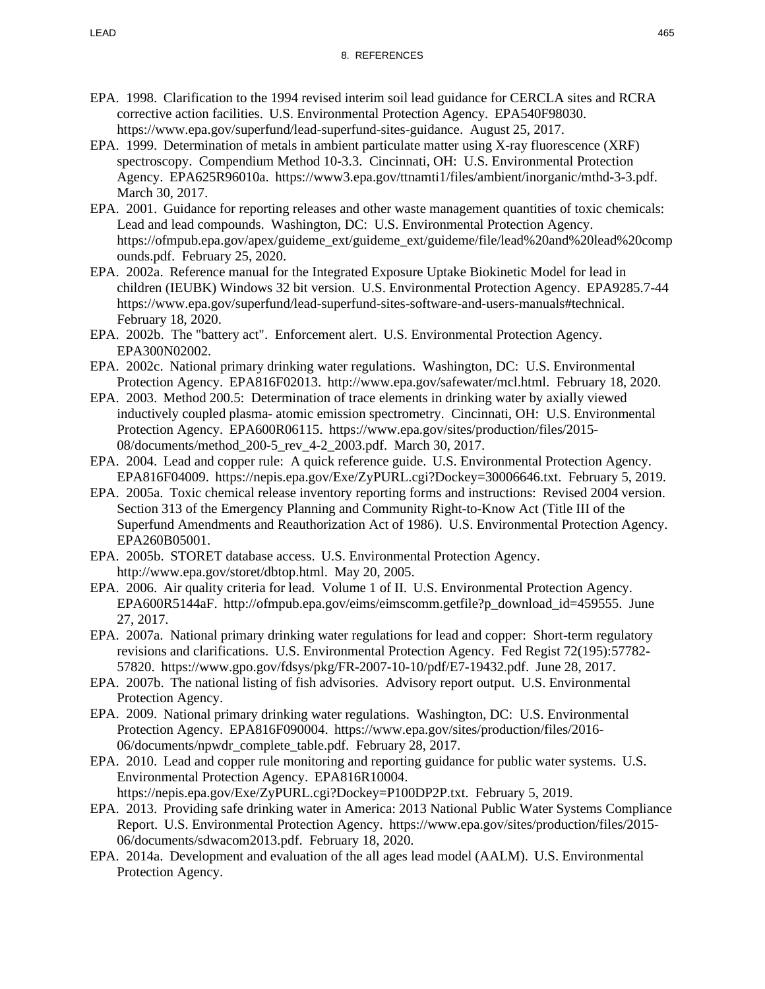- EPA. 1998. Clarification to the 1994 revised interim soil lead guidance for CERCLA sites and RCRA corrective action facilities. U.S. Environmental Protection Agency. EPA540F98030. https://www.epa.gov/superfund/lead-superfund-sites-guidance. August 25, 2017.
- EPA. 1999. Determination of metals in ambient particulate matter using X-ray fluorescence (XRF) spectroscopy. Compendium Method 10-3.3. Cincinnati, OH: U.S. Environmental Protection Agency. EPA625R96010a. https://www3.epa.gov/ttnamti1/files/ambient/inorganic/mthd-3-3.pdf. March 30, 2017.
- EPA. 2001. Guidance for reporting releases and other waste management quantities of toxic chemicals: Lead and lead compounds. Washington, DC: U.S. Environmental Protection Agency. https://ofmpub.epa.gov/apex/guideme\_ext/guideme\_ext/guideme/file/lead%20and%20lead%20comp ounds.pdf. February 25, 2020.
- EPA. 2002a. Reference manual for the Integrated Exposure Uptake Biokinetic Model for lead in children (IEUBK) Windows 32 bit version. U.S. Environmental Protection Agency. EPA9285.7-44 https://www.epa.gov/superfund/lead-superfund-sites-software-and-users-manuals#technical. February 18, 2020.
- EPA. 2002b. The "battery act". Enforcement alert. U.S. Environmental Protection Agency. EPA300N02002.
- EPA. 2002c. National primary drinking water regulations. Washington, DC: U.S. Environmental Protection Agency. EPA816F02013. http://www.epa.gov/safewater/mcl.html. February 18, 2020.
- EPA. 2003. Method 200.5: Determination of trace elements in drinking water by axially viewed inductively coupled plasma- atomic emission spectrometry. Cincinnati, OH: U.S. Environmental Protection Agency. EPA600R06115. https://www.epa.gov/sites/production/files/2015- 08/documents/method\_200-5\_rev\_4-2\_2003.pdf. March 30, 2017.
- EPA. 2004. Lead and copper rule: A quick reference guide. U.S. Environmental Protection Agency. EPA816F04009. https://nepis.epa.gov/Exe/ZyPURL.cgi?Dockey=30006646.txt. February 5, 2019.
- EPA. 2005a. Toxic chemical release inventory reporting forms and instructions: Revised 2004 version. Section 313 of the Emergency Planning and Community Right-to-Know Act (Title III of the Superfund Amendments and Reauthorization Act of 1986). U.S. Environmental Protection Agency. EPA260B05001.
- EPA. 2005b. STORET database access. U.S. Environmental Protection Agency. http://www.epa.gov/storet/dbtop.html. May 20, 2005.
- EPA. 2006. Air quality criteria for lead. Volume 1 of II. U.S. Environmental Protection Agency. EPA600R5144aF. http://ofmpub.epa.gov/eims/eimscomm.getfile?p\_download\_id=459555. June 27, 2017.
- EPA. 2007a. National primary drinking water regulations for lead and copper: Short-term regulatory revisions and clarifications. U.S. Environmental Protection Agency. Fed Regist 72(195):57782- 57820. https://www.gpo.gov/fdsys/pkg/FR-2007-10-10/pdf/E7-19432.pdf. June 28, 2017.
- EPA. 2007b. The national listing of fish advisories. Advisory report output. U.S. Environmental Protection Agency.
- EPA. 2009. National primary drinking water regulations. Washington, DC: U.S. Environmental Protection Agency. EPA816F090004. https://www.epa.gov/sites/production/files/2016- 06/documents/npwdr\_complete\_table.pdf. February 28, 2017.
- EPA. 2010. Lead and copper rule monitoring and reporting guidance for public water systems. U.S. Environmental Protection Agency. EPA816R10004. https://nepis.epa.gov/Exe/ZyPURL.cgi?Dockey=P100DP2P.txt. February 5, 2019.
- EPA. 2013. Providing safe drinking water in America: 2013 National Public Water Systems Compliance Report. U.S. Environmental Protection Agency. https://www.epa.gov/sites/production/files/2015- 06/documents/sdwacom2013.pdf. February 18, 2020.
- EPA. 2014a. Development and evaluation of the all ages lead model (AALM). U.S. Environmental Protection Agency.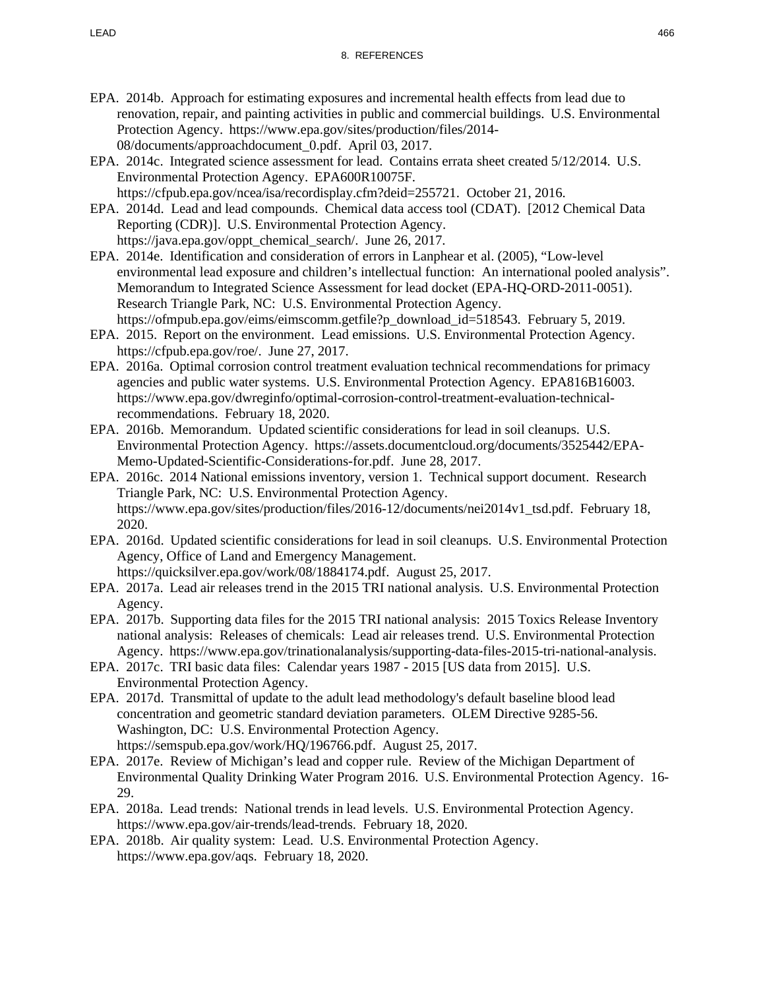- EPA. 2014b. Approach for estimating exposures and incremental health effects from lead due to renovation, repair, and painting activities in public and commercial buildings. U.S. Environmental Protection Agency. https://www.epa.gov/sites/production/files/2014- 08/documents/approachdocument\_0.pdf. April 03, 2017.
- EPA. 2014c. Integrated science assessment for lead. Contains errata sheet created 5/12/2014. U.S. Environmental Protection Agency. EPA600R10075F. https://cfpub.epa.gov/ncea/isa/recordisplay.cfm?deid=255721. October 21, 2016.
- EPA. 2014d. Lead and lead compounds. Chemical data access tool (CDAT). [2012 Chemical Data Reporting (CDR)]. U.S. Environmental Protection Agency. https://java.epa.gov/oppt\_chemical\_search/. June 26, 2017.
- EPA. 2014e. Identification and consideration of errors in Lanphear et al. (2005), "Low-level environmental lead exposure and children's intellectual function: An international pooled analysis". Memorandum to Integrated Science Assessment for lead docket (EPA-HQ-ORD-2011-0051). Research Triangle Park, NC: U.S. Environmental Protection Agency. https://ofmpub.epa.gov/eims/eimscomm.getfile?p\_download\_id=518543. February 5, 2019.
- EPA. 2015. Report on the environment. Lead emissions. U.S. Environmental Protection Agency. https://cfpub.epa.gov/roe/. June 27, 2017.
- EPA. 2016a. Optimal corrosion control treatment evaluation technical recommendations for primacy agencies and public water systems. U.S. Environmental Protection Agency. EPA816B16003. https://www.epa.gov/dwreginfo/optimal-corrosion-control-treatment-evaluation-technicalrecommendations. February 18, 2020.
- EPA. 2016b. Memorandum. Updated scientific considerations for lead in soil cleanups. U.S. Environmental Protection Agency. https://assets.documentcloud.org/documents/3525442/EPA-Memo-Updated-Scientific-Considerations-for.pdf. June 28, 2017.
- EPA. 2016c. 2014 National emissions inventory, version 1. Technical support document. Research Triangle Park, NC: U.S. Environmental Protection Agency. https://www.epa.gov/sites/production/files/2016-12/documents/nei2014v1\_tsd.pdf. February 18, 2020.
- EPA. 2016d. Updated scientific considerations for lead in soil cleanups. U.S. Environmental Protection Agency, Office of Land and Emergency Management.
	- https://quicksilver.epa.gov/work/08/1884174.pdf. August 25, 2017.
- EPA. 2017a. Lead air releases trend in the 2015 TRI national analysis. U.S. Environmental Protection Agency.
- EPA. 2017b. Supporting data files for the 2015 TRI national analysis: 2015 Toxics Release Inventory national analysis: Releases of chemicals: Lead air releases trend. U.S. Environmental Protection Agency. https://www.epa.gov/trinationalanalysis/supporting-data-files-2015-tri-national-analysis.
- EPA. 2017c. TRI basic data files: Calendar years 1987 2015 [US data from 2015]. U.S. Environmental Protection Agency.
- EPA. 2017d. Transmittal of update to the adult lead methodology's default baseline blood lead concentration and geometric standard deviation parameters. OLEM Directive 9285-56. Washington, DC: U.S. Environmental Protection Agency. https://semspub.epa.gov/work/HQ/196766.pdf. August 25, 2017.
- EPA. 2017e. Review of Michigan's lead and copper rule. Review of the Michigan Department of Environmental Quality Drinking Water Program 2016. U.S. Environmental Protection Agency. 16- 29.
- EPA. 2018a. Lead trends: National trends in lead levels. U.S. Environmental Protection Agency. https://www.epa.gov/air-trends/lead-trends. February 18, 2020.
- EPA. 2018b. Air quality system: Lead. U.S. Environmental Protection Agency. https://www.epa.gov/aqs. February 18, 2020.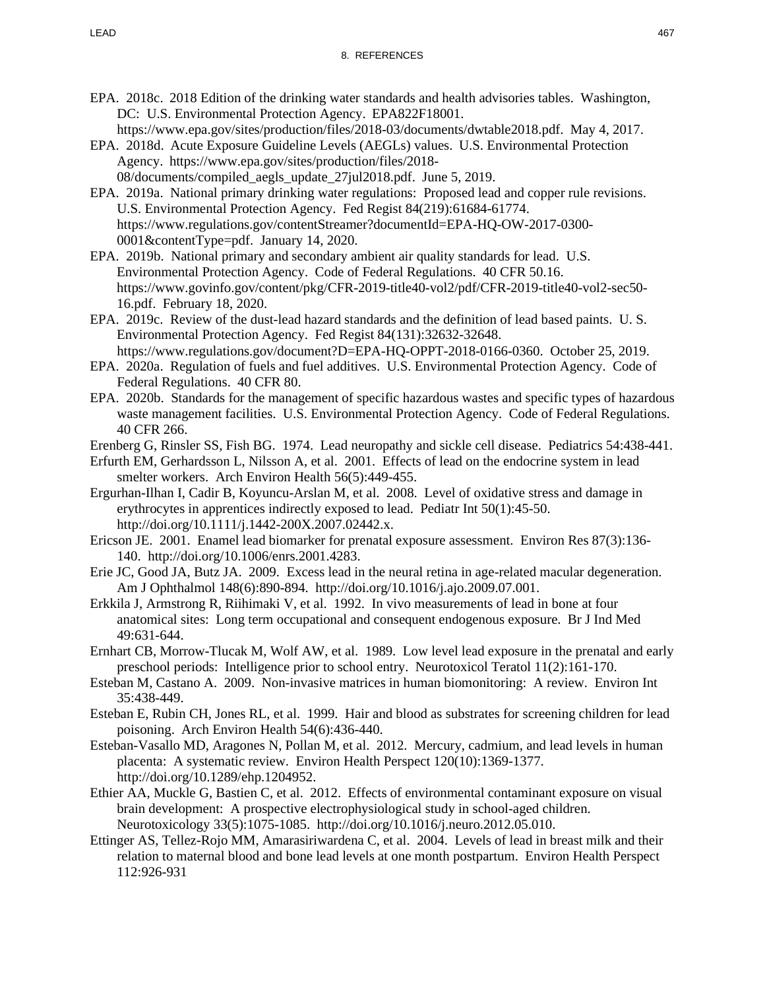- EPA. 2018c. 2018 Edition of the drinking water standards and health advisories tables. Washington, DC: U.S. Environmental Protection Agency. EPA822F18001.
	- https://www.epa.gov/sites/production/files/2018-03/documents/dwtable2018.pdf. May 4, 2017.
- EPA. 2018d. Acute Exposure Guideline Levels (AEGLs) values. U.S. Environmental Protection Agency. https://www.epa.gov/sites/production/files/2018- 08/documents/compiled\_aegls\_update\_27jul2018.pdf. June 5, 2019.
- EPA. 2019a. National primary drinking water regulations: Proposed lead and copper rule revisions. U.S. Environmental Protection Agency. Fed Regist 84(219):61684-61774. https://www.regulations.gov/contentStreamer?documentId=EPA-HQ-OW-2017-0300- 0001&contentType=pdf. January 14, 2020.
- EPA. 2019b. National primary and secondary ambient air quality standards for lead. U.S. Environmental Protection Agency. Code of Federal Regulations. 40 CFR 50.16. https://www.govinfo.gov/content/pkg/CFR-2019-title40-vol2/pdf/CFR-2019-title40-vol2-sec50- 16.pdf. February 18, 2020.
- EPA. 2019c. Review of the dust-lead hazard standards and the definition of lead based paints. U. S. Environmental Protection Agency. Fed Regist 84(131):32632-32648. https://www.regulations.gov/document?D=EPA-HQ-OPPT-2018-0166-0360. October 25, 2019.
- EPA. 2020a. Regulation of fuels and fuel additives. U.S. Environmental Protection Agency. Code of Federal Regulations. 40 CFR 80.
- EPA. 2020b. Standards for the management of specific hazardous wastes and specific types of hazardous waste management facilities. U.S. Environmental Protection Agency. Code of Federal Regulations. 40 CFR 266.
- Erenberg G, Rinsler SS, Fish BG. 1974. Lead neuropathy and sickle cell disease. Pediatrics 54:438-441.
- Erfurth EM, Gerhardsson L, Nilsson A, et al. 2001. Effects of lead on the endocrine system in lead smelter workers. Arch Environ Health 56(5):449-455.
- Ergurhan-Ilhan I, Cadir B, Koyuncu-Arslan M, et al. 2008. Level of oxidative stress and damage in erythrocytes in apprentices indirectly exposed to lead. Pediatr Int 50(1):45-50. http://doi.org/10.1111/j.1442-200X.2007.02442.x.
- Ericson JE. 2001. Enamel lead biomarker for prenatal exposure assessment. Environ Res 87(3):136- 140. http://doi.org/10.1006/enrs.2001.4283.
- Erie JC, Good JA, Butz JA. 2009. Excess lead in the neural retina in age-related macular degeneration. Am J Ophthalmol 148(6):890-894. http://doi.org/10.1016/j.ajo.2009.07.001.
- Erkkila J, Armstrong R, Riihimaki V, et al. 1992. In vivo measurements of lead in bone at four anatomical sites: Long term occupational and consequent endogenous exposure. Br J Ind Med 49:631-644.
- Ernhart CB, Morrow-Tlucak M, Wolf AW, et al. 1989. Low level lead exposure in the prenatal and early preschool periods: Intelligence prior to school entry. Neurotoxicol Teratol 11(2):161-170.
- Esteban M, Castano A. 2009. Non-invasive matrices in human biomonitoring: A review. Environ Int 35:438-449.
- Esteban E, Rubin CH, Jones RL, et al. 1999. Hair and blood as substrates for screening children for lead poisoning. Arch Environ Health 54(6):436-440.
- Esteban-Vasallo MD, Aragones N, Pollan M, et al. 2012. Mercury, cadmium, and lead levels in human placenta: A systematic review. Environ Health Perspect 120(10):1369-1377. http://doi.org/10.1289/ehp.1204952.
- Ethier AA, Muckle G, Bastien C, et al. 2012. Effects of environmental contaminant exposure on visual brain development: A prospective electrophysiological study in school-aged children. Neurotoxicology 33(5):1075-1085. http://doi.org/10.1016/j.neuro.2012.05.010.
- Ettinger AS, Tellez-Rojo MM, Amarasiriwardena C, et al. 2004. Levels of lead in breast milk and their relation to maternal blood and bone lead levels at one month postpartum. Environ Health Perspect 112:926-931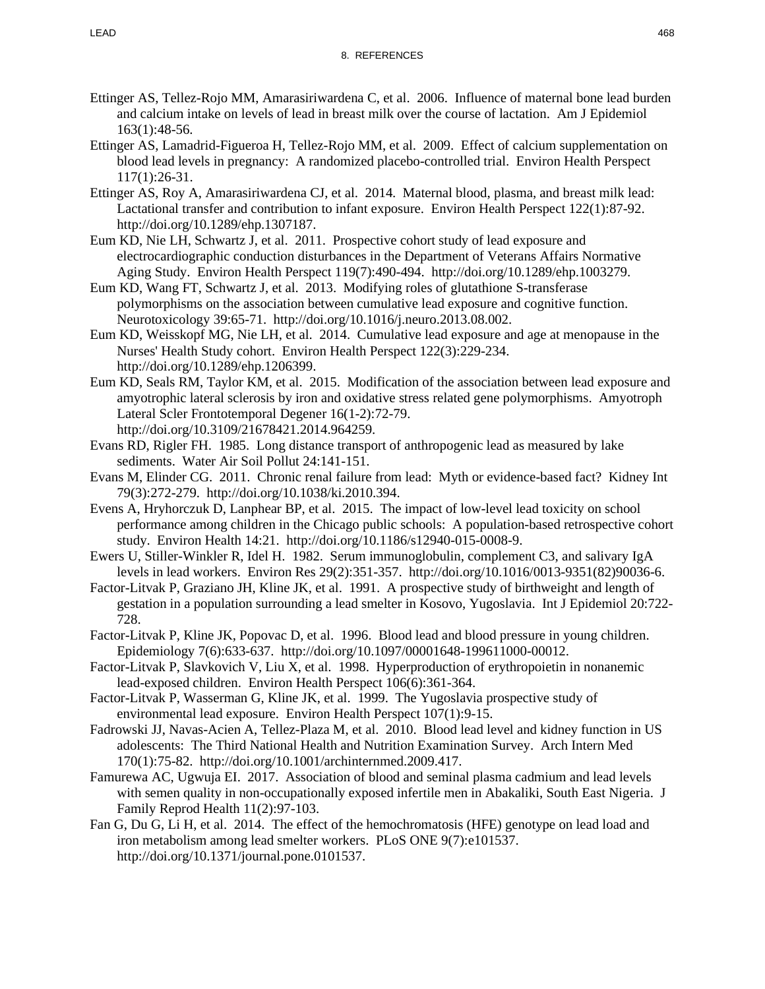- Ettinger AS, Tellez-Rojo MM, Amarasiriwardena C, et al. 2006. Influence of maternal bone lead burden and calcium intake on levels of lead in breast milk over the course of lactation. Am J Epidemiol 163(1):48-56.
- Ettinger AS, Lamadrid-Figueroa H, Tellez-Rojo MM, et al. 2009. Effect of calcium supplementation on blood lead levels in pregnancy: A randomized placebo-controlled trial. Environ Health Perspect 117(1):26-31.
- Ettinger AS, Roy A, Amarasiriwardena CJ, et al. 2014. Maternal blood, plasma, and breast milk lead: Lactational transfer and contribution to infant exposure. Environ Health Perspect 122(1):87-92. http://doi.org/10.1289/ehp.1307187.
- Eum KD, Nie LH, Schwartz J, et al. 2011. Prospective cohort study of lead exposure and electrocardiographic conduction disturbances in the Department of Veterans Affairs Normative Aging Study. Environ Health Perspect 119(7):490-494. http://doi.org/10.1289/ehp.1003279.
- Eum KD, Wang FT, Schwartz J, et al. 2013. Modifying roles of glutathione S-transferase polymorphisms on the association between cumulative lead exposure and cognitive function. Neurotoxicology 39:65-71. http://doi.org/10.1016/j.neuro.2013.08.002.
- Eum KD, Weisskopf MG, Nie LH, et al. 2014. Cumulative lead exposure and age at menopause in the Nurses' Health Study cohort. Environ Health Perspect 122(3):229-234. http://doi.org/10.1289/ehp.1206399.
- Eum KD, Seals RM, Taylor KM, et al. 2015. Modification of the association between lead exposure and amyotrophic lateral sclerosis by iron and oxidative stress related gene polymorphisms. Amyotroph Lateral Scler Frontotemporal Degener 16(1-2):72-79. http://doi.org/10.3109/21678421.2014.964259.
- Evans RD, Rigler FH. 1985. Long distance transport of anthropogenic lead as measured by lake sediments. Water Air Soil Pollut 24:141-151.
- Evans M, Elinder CG. 2011. Chronic renal failure from lead: Myth or evidence-based fact? Kidney Int 79(3):272-279. http://doi.org/10.1038/ki.2010.394.
- Evens A, Hryhorczuk D, Lanphear BP, et al. 2015. The impact of low-level lead toxicity on school performance among children in the Chicago public schools: A population-based retrospective cohort study. Environ Health 14:21. http://doi.org/10.1186/s12940-015-0008-9.
- Ewers U, Stiller-Winkler R, Idel H. 1982. Serum immunoglobulin, complement C3, and salivary IgA levels in lead workers. Environ Res 29(2):351-357. http://doi.org/10.1016/0013-9351(82)90036-6.
- Factor-Litvak P, Graziano JH, Kline JK, et al. 1991. A prospective study of birthweight and length of gestation in a population surrounding a lead smelter in Kosovo, Yugoslavia. Int J Epidemiol 20:722- 728.
- Factor-Litvak P, Kline JK, Popovac D, et al. 1996. Blood lead and blood pressure in young children. Epidemiology 7(6):633-637. http://doi.org/10.1097/00001648-199611000-00012.
- Factor-Litvak P, Slavkovich V, Liu X, et al. 1998. Hyperproduction of erythropoietin in nonanemic lead-exposed children. Environ Health Perspect 106(6):361-364.
- Factor-Litvak P, Wasserman G, Kline JK, et al. 1999. The Yugoslavia prospective study of environmental lead exposure. Environ Health Perspect 107(1):9-15.
- Fadrowski JJ, Navas-Acien A, Tellez-Plaza M, et al. 2010. Blood lead level and kidney function in US adolescents: The Third National Health and Nutrition Examination Survey. Arch Intern Med 170(1):75-82. http://doi.org/10.1001/archinternmed.2009.417.
- Famurewa AC, Ugwuja EI. 2017. Association of blood and seminal plasma cadmium and lead levels with semen quality in non-occupationally exposed infertile men in Abakaliki, South East Nigeria. J Family Reprod Health 11(2):97-103.
- Fan G, Du G, Li H, et al. 2014. The effect of the hemochromatosis (HFE) genotype on lead load and iron metabolism among lead smelter workers. PLoS ONE 9(7):e101537. http://doi.org/10.1371/journal.pone.0101537.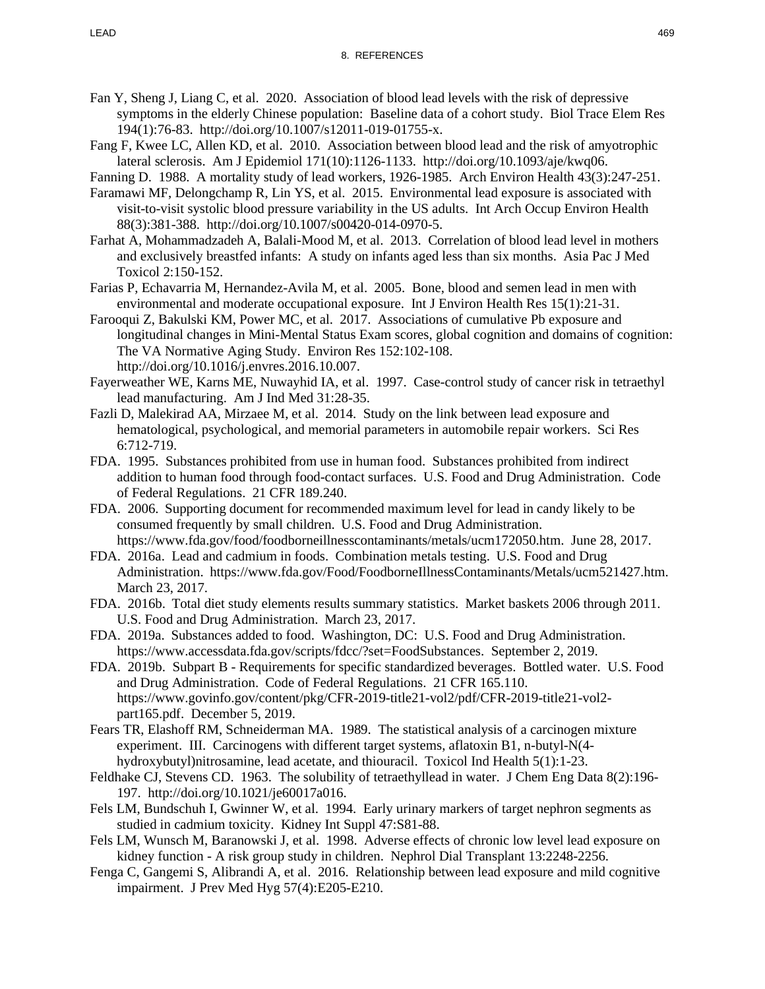- Fan Y, Sheng J, Liang C, et al. 2020. Association of blood lead levels with the risk of depressive symptoms in the elderly Chinese population: Baseline data of a cohort study. Biol Trace Elem Res 194(1):76-83. http://doi.org/10.1007/s12011-019-01755-x.
- Fang F, Kwee LC, Allen KD, et al. 2010. Association between blood lead and the risk of amyotrophic lateral sclerosis. Am J Epidemiol 171(10):1126-1133. http://doi.org/10.1093/aje/kwq06.
- Fanning D. 1988. A mortality study of lead workers, 1926-1985. Arch Environ Health 43(3):247-251.
- Faramawi MF, Delongchamp R, Lin YS, et al. 2015. Environmental lead exposure is associated with visit-to-visit systolic blood pressure variability in the US adults. Int Arch Occup Environ Health 88(3):381-388. http://doi.org/10.1007/s00420-014-0970-5.
- Farhat A, Mohammadzadeh A, Balali-Mood M, et al. 2013. Correlation of blood lead level in mothers and exclusively breastfed infants: A study on infants aged less than six months. Asia Pac J Med Toxicol 2:150-152.
- Farias P, Echavarria M, Hernandez-Avila M, et al. 2005. Bone, blood and semen lead in men with environmental and moderate occupational exposure. Int J Environ Health Res 15(1):21-31.
- Farooqui Z, Bakulski KM, Power MC, et al. 2017. Associations of cumulative Pb exposure and longitudinal changes in Mini-Mental Status Exam scores, global cognition and domains of cognition: The VA Normative Aging Study. Environ Res 152:102-108. http://doi.org/10.1016/j.envres.2016.10.007.
- Fayerweather WE, Karns ME, Nuwayhid IA, et al. 1997. Case-control study of cancer risk in tetraethyl lead manufacturing. Am J Ind Med 31:28-35.
- Fazli D, Malekirad AA, Mirzaee M, et al. 2014. Study on the link between lead exposure and hematological, psychological, and memorial parameters in automobile repair workers. Sci Res 6:712-719.
- FDA. 1995. Substances prohibited from use in human food. Substances prohibited from indirect addition to human food through food-contact surfaces. U.S. Food and Drug Administration. Code of Federal Regulations. 21 CFR 189.240.
- FDA. 2006. Supporting document for recommended maximum level for lead in candy likely to be consumed frequently by small children. U.S. Food and Drug Administration. https://www.fda.gov/food/foodborneillnesscontaminants/metals/ucm172050.htm. June 28, 2017.
- FDA. 2016a. Lead and cadmium in foods. Combination metals testing. U.S. Food and Drug Administration. https://www.fda.gov/Food/FoodborneIllnessContaminants/Metals/ucm521427.htm. March 23, 2017.
- FDA. 2016b. Total diet study elements results summary statistics. Market baskets 2006 through 2011. U.S. Food and Drug Administration. March 23, 2017.
- FDA. 2019a. Substances added to food. Washington, DC: U.S. Food and Drug Administration. https://www.accessdata.fda.gov/scripts/fdcc/?set=FoodSubstances. September 2, 2019.
- FDA. 2019b. Subpart B Requirements for specific standardized beverages. Bottled water. U.S. Food and Drug Administration. Code of Federal Regulations. 21 CFR 165.110. https://www.govinfo.gov/content/pkg/CFR-2019-title21-vol2/pdf/CFR-2019-title21-vol2 part165.pdf. December 5, 2019.
- Fears TR, Elashoff RM, Schneiderman MA. 1989. The statistical analysis of a carcinogen mixture experiment. III. Carcinogens with different target systems, aflatoxin B1, n-butyl-N(4 hydroxybutyl)nitrosamine, lead acetate, and thiouracil. Toxicol Ind Health 5(1):1-23.
- Feldhake CJ, Stevens CD. 1963. The solubility of tetraethyllead in water. J Chem Eng Data 8(2):196- 197. http://doi.org/10.1021/je60017a016.
- Fels LM, Bundschuh I, Gwinner W, et al. 1994. Early urinary markers of target nephron segments as studied in cadmium toxicity. Kidney Int Suppl 47:S81-88.
- Fels LM, Wunsch M, Baranowski J, et al. 1998. Adverse effects of chronic low level lead exposure on kidney function - A risk group study in children. Nephrol Dial Transplant 13:2248-2256.
- Fenga C, Gangemi S, Alibrandi A, et al. 2016. Relationship between lead exposure and mild cognitive impairment. J Prev Med Hyg 57(4):E205-E210.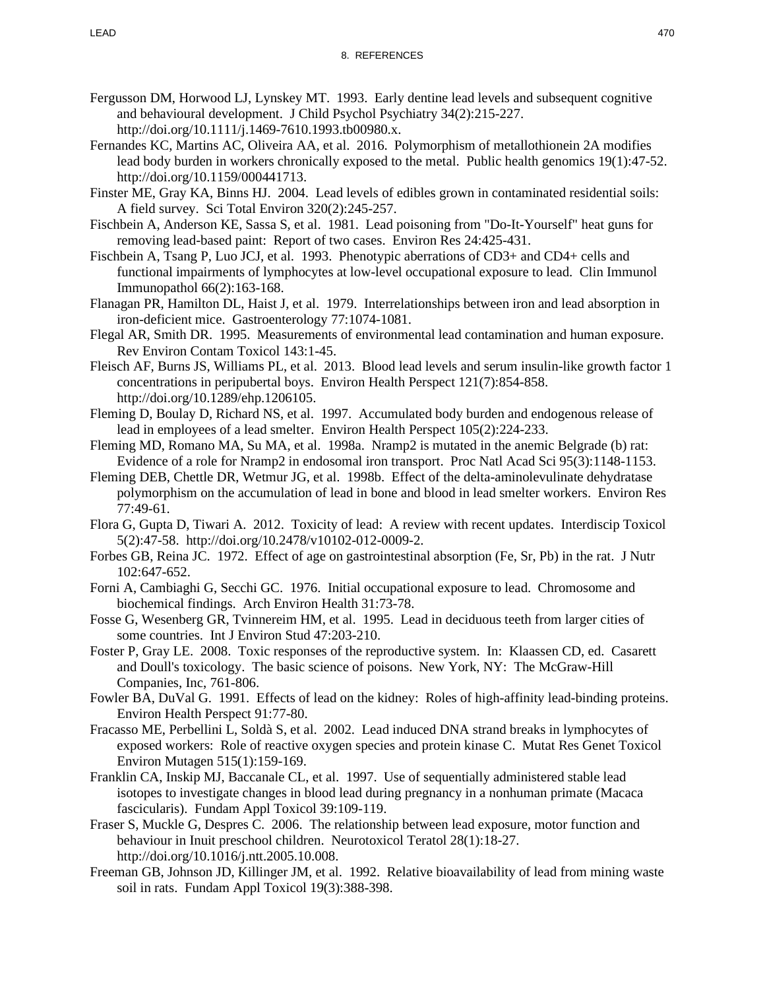- Fergusson DM, Horwood LJ, Lynskey MT. 1993. Early dentine lead levels and subsequent cognitive and behavioural development. J Child Psychol Psychiatry 34(2):215-227. http://doi.org/10.1111/j.1469-7610.1993.tb00980.x.
- Fernandes KC, Martins AC, Oliveira AA, et al. 2016. Polymorphism of metallothionein 2A modifies lead body burden in workers chronically exposed to the metal. Public health genomics 19(1):47-52. http://doi.org/10.1159/000441713.
- Finster ME, Gray KA, Binns HJ. 2004. Lead levels of edibles grown in contaminated residential soils: A field survey. Sci Total Environ 320(2):245-257.
- Fischbein A, Anderson KE, Sassa S, et al. 1981. Lead poisoning from "Do-It-Yourself" heat guns for removing lead-based paint: Report of two cases. Environ Res 24:425-431.
- Fischbein A, Tsang P, Luo JCJ, et al. 1993. Phenotypic aberrations of CD3+ and CD4+ cells and functional impairments of lymphocytes at low-level occupational exposure to lead. Clin Immunol Immunopathol 66(2):163-168.
- Flanagan PR, Hamilton DL, Haist J, et al. 1979. Interrelationships between iron and lead absorption in iron-deficient mice. Gastroenterology 77:1074-1081.
- Flegal AR, Smith DR. 1995. Measurements of environmental lead contamination and human exposure. Rev Environ Contam Toxicol 143:1-45.
- Fleisch AF, Burns JS, Williams PL, et al. 2013. Blood lead levels and serum insulin-like growth factor 1 concentrations in peripubertal boys. Environ Health Perspect 121(7):854-858. http://doi.org/10.1289/ehp.1206105.
- Fleming D, Boulay D, Richard NS, et al. 1997. Accumulated body burden and endogenous release of lead in employees of a lead smelter. Environ Health Perspect 105(2):224-233.
- Fleming MD, Romano MA, Su MA, et al. 1998a. Nramp2 is mutated in the anemic Belgrade (b) rat: Evidence of a role for Nramp2 in endosomal iron transport. Proc Natl Acad Sci 95(3):1148-1153.
- Fleming DEB, Chettle DR, Wetmur JG, et al. 1998b. Effect of the delta-aminolevulinate dehydratase polymorphism on the accumulation of lead in bone and blood in lead smelter workers. Environ Res 77:49-61.
- Flora G, Gupta D, Tiwari A. 2012. Toxicity of lead: A review with recent updates. Interdiscip Toxicol 5(2):47-58. http://doi.org/10.2478/v10102-012-0009-2.
- Forbes GB, Reina JC. 1972. Effect of age on gastrointestinal absorption (Fe, Sr, Pb) in the rat. J Nutr 102:647-652.
- Forni A, Cambiaghi G, Secchi GC. 1976. Initial occupational exposure to lead. Chromosome and biochemical findings. Arch Environ Health 31:73-78.
- Fosse G, Wesenberg GR, Tvinnereim HM, et al. 1995. Lead in deciduous teeth from larger cities of some countries. Int J Environ Stud 47:203-210.
- Foster P, Gray LE. 2008. Toxic responses of the reproductive system. In: Klaassen CD, ed. Casarett and Doull's toxicology. The basic science of poisons. New York, NY: The McGraw-Hill Companies, Inc, 761-806.
- Fowler BA, DuVal G. 1991. Effects of lead on the kidney: Roles of high-affinity lead-binding proteins. Environ Health Perspect 91:77-80.
- Fracasso ME, Perbellini L, Soldà S, et al. 2002. Lead induced DNA strand breaks in lymphocytes of exposed workers: Role of reactive oxygen species and protein kinase C. Mutat Res Genet Toxicol Environ Mutagen 515(1):159-169.
- Franklin CA, Inskip MJ, Baccanale CL, et al. 1997. Use of sequentially administered stable lead isotopes to investigate changes in blood lead during pregnancy in a nonhuman primate (Macaca fascicularis). Fundam Appl Toxicol 39:109-119.
- Fraser S, Muckle G, Despres C. 2006. The relationship between lead exposure, motor function and behaviour in Inuit preschool children. Neurotoxicol Teratol 28(1):18-27. http://doi.org/10.1016/j.ntt.2005.10.008.
- Freeman GB, Johnson JD, Killinger JM, et al. 1992. Relative bioavailability of lead from mining waste soil in rats. Fundam Appl Toxicol 19(3):388-398.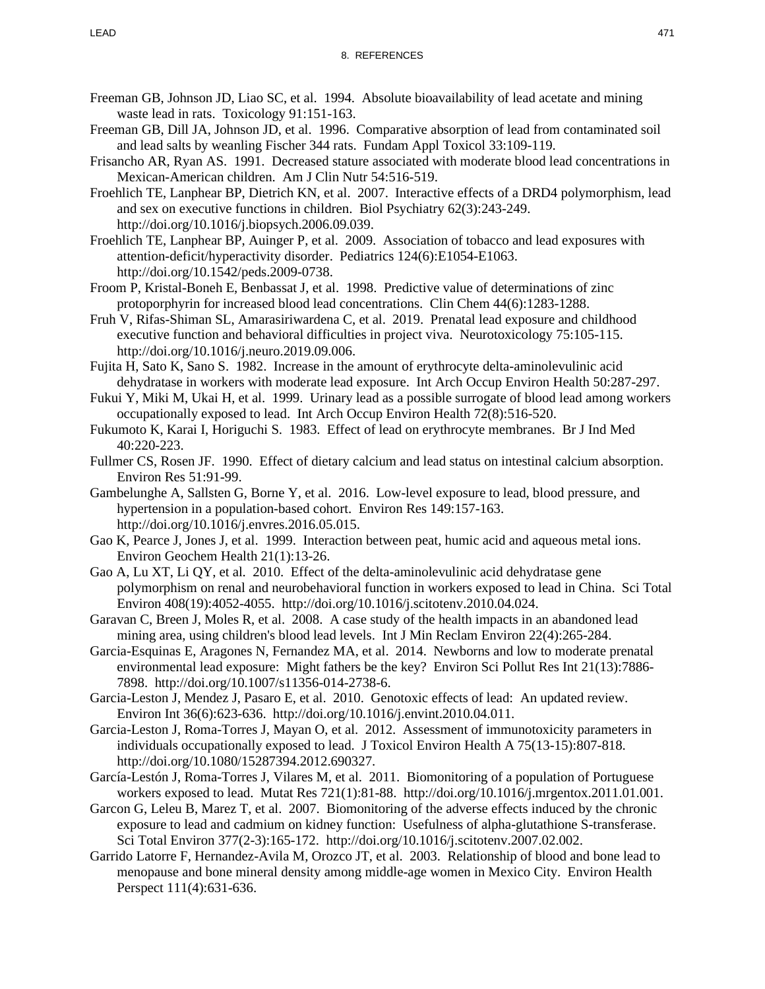- Freeman GB, Johnson JD, Liao SC, et al. 1994. Absolute bioavailability of lead acetate and mining waste lead in rats. Toxicology 91:151-163.
- Freeman GB, Dill JA, Johnson JD, et al. 1996. Comparative absorption of lead from contaminated soil and lead salts by weanling Fischer 344 rats. Fundam Appl Toxicol 33:109-119.
- Frisancho AR, Ryan AS. 1991. Decreased stature associated with moderate blood lead concentrations in Mexican-American children. Am J Clin Nutr 54:516-519.
- Froehlich TE, Lanphear BP, Dietrich KN, et al. 2007. Interactive effects of a DRD4 polymorphism, lead and sex on executive functions in children. Biol Psychiatry 62(3):243-249. http://doi.org/10.1016/j.biopsych.2006.09.039.
- Froehlich TE, Lanphear BP, Auinger P, et al. 2009. Association of tobacco and lead exposures with attention-deficit/hyperactivity disorder. Pediatrics 124(6):E1054-E1063. http://doi.org/10.1542/peds.2009-0738.
- Froom P, Kristal-Boneh E, Benbassat J, et al. 1998. Predictive value of determinations of zinc protoporphyrin for increased blood lead concentrations. Clin Chem 44(6):1283-1288.
- Fruh V, Rifas-Shiman SL, Amarasiriwardena C, et al. 2019. Prenatal lead exposure and childhood executive function and behavioral difficulties in project viva. Neurotoxicology 75:105-115. http://doi.org/10.1016/j.neuro.2019.09.006.
- Fujita H, Sato K, Sano S. 1982. Increase in the amount of erythrocyte delta-aminolevulinic acid dehydratase in workers with moderate lead exposure. Int Arch Occup Environ Health 50:287-297.
- Fukui Y, Miki M, Ukai H, et al. 1999. Urinary lead as a possible surrogate of blood lead among workers occupationally exposed to lead. Int Arch Occup Environ Health 72(8):516-520.
- Fukumoto K, Karai I, Horiguchi S. 1983. Effect of lead on erythrocyte membranes. Br J Ind Med 40:220-223.
- Fullmer CS, Rosen JF. 1990. Effect of dietary calcium and lead status on intestinal calcium absorption. Environ Res 51:91-99.
- Gambelunghe A, Sallsten G, Borne Y, et al. 2016. Low-level exposure to lead, blood pressure, and hypertension in a population-based cohort. Environ Res 149:157-163. http://doi.org/10.1016/j.envres.2016.05.015.
- Gao K, Pearce J, Jones J, et al. 1999. Interaction between peat, humic acid and aqueous metal ions. Environ Geochem Health 21(1):13-26.
- Gao A, Lu XT, Li QY, et al. 2010. Effect of the delta-aminolevulinic acid dehydratase gene polymorphism on renal and neurobehavioral function in workers exposed to lead in China. Sci Total Environ 408(19):4052-4055. http://doi.org/10.1016/j.scitotenv.2010.04.024.
- Garavan C, Breen J, Moles R, et al. 2008. A case study of the health impacts in an abandoned lead mining area, using children's blood lead levels. Int J Min Reclam Environ 22(4):265-284.
- Garcia-Esquinas E, Aragones N, Fernandez MA, et al. 2014. Newborns and low to moderate prenatal environmental lead exposure: Might fathers be the key? Environ Sci Pollut Res Int 21(13):7886- 7898. http://doi.org/10.1007/s11356-014-2738-6.
- Garcia-Leston J, Mendez J, Pasaro E, et al. 2010. Genotoxic effects of lead: An updated review. Environ Int 36(6):623-636. http://doi.org/10.1016/j.envint.2010.04.011.
- Garcia-Leston J, Roma-Torres J, Mayan O, et al. 2012. Assessment of immunotoxicity parameters in individuals occupationally exposed to lead. J Toxicol Environ Health A 75(13-15):807-818. http://doi.org/10.1080/15287394.2012.690327.
- García-Lestón J, Roma-Torres J, Vilares M, et al. 2011. Biomonitoring of a population of Portuguese workers exposed to lead. Mutat Res 721(1):81-88. http://doi.org/10.1016/j.mrgentox.2011.01.001.
- Garcon G, Leleu B, Marez T, et al. 2007. Biomonitoring of the adverse effects induced by the chronic exposure to lead and cadmium on kidney function: Usefulness of alpha-glutathione S-transferase. Sci Total Environ 377(2-3):165-172. http://doi.org/10.1016/j.scitotenv.2007.02.002.
- Garrido Latorre F, Hernandez-Avila M, Orozco JT, et al. 2003. Relationship of blood and bone lead to menopause and bone mineral density among middle-age women in Mexico City. Environ Health Perspect 111(4):631-636.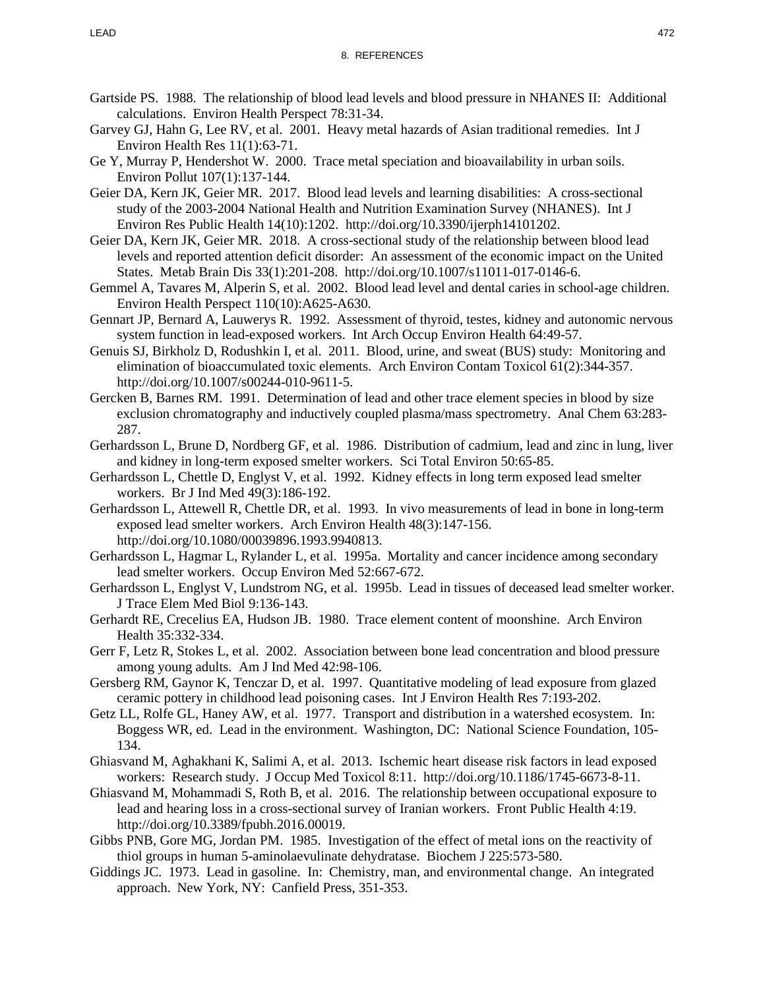- Gartside PS. 1988. The relationship of blood lead levels and blood pressure in NHANES II: Additional calculations. Environ Health Perspect 78:31-34.
- Garvey GJ, Hahn G, Lee RV, et al. 2001. Heavy metal hazards of Asian traditional remedies. Int J Environ Health Res 11(1):63-71.
- Ge Y, Murray P, Hendershot W. 2000. Trace metal speciation and bioavailability in urban soils. Environ Pollut 107(1):137-144.
- Geier DA, Kern JK, Geier MR. 2017. Blood lead levels and learning disabilities: A cross-sectional study of the 2003-2004 National Health and Nutrition Examination Survey (NHANES). Int J Environ Res Public Health 14(10):1202. http://doi.org/10.3390/ijerph14101202.
- Geier DA, Kern JK, Geier MR. 2018. A cross-sectional study of the relationship between blood lead levels and reported attention deficit disorder: An assessment of the economic impact on the United States. Metab Brain Dis 33(1):201-208. http://doi.org/10.1007/s11011-017-0146-6.
- Gemmel A, Tavares M, Alperin S, et al. 2002. Blood lead level and dental caries in school-age children. Environ Health Perspect 110(10):A625-A630.
- Gennart JP, Bernard A, Lauwerys R. 1992. Assessment of thyroid, testes, kidney and autonomic nervous system function in lead-exposed workers. Int Arch Occup Environ Health 64:49-57.
- Genuis SJ, Birkholz D, Rodushkin I, et al. 2011. Blood, urine, and sweat (BUS) study: Monitoring and elimination of bioaccumulated toxic elements. Arch Environ Contam Toxicol 61(2):344-357. http://doi.org/10.1007/s00244-010-9611-5.
- Gercken B, Barnes RM. 1991. Determination of lead and other trace element species in blood by size exclusion chromatography and inductively coupled plasma/mass spectrometry. Anal Chem 63:283- 287.
- Gerhardsson L, Brune D, Nordberg GF, et al. 1986. Distribution of cadmium, lead and zinc in lung, liver and kidney in long-term exposed smelter workers. Sci Total Environ 50:65-85.
- Gerhardsson L, Chettle D, Englyst V, et al. 1992. Kidney effects in long term exposed lead smelter workers. Br J Ind Med 49(3):186-192.
- Gerhardsson L, Attewell R, Chettle DR, et al. 1993. In vivo measurements of lead in bone in long-term exposed lead smelter workers. Arch Environ Health 48(3):147-156. http://doi.org/10.1080/00039896.1993.9940813.
- Gerhardsson L, Hagmar L, Rylander L, et al. 1995a. Mortality and cancer incidence among secondary lead smelter workers. Occup Environ Med 52:667-672.
- Gerhardsson L, Englyst V, Lundstrom NG, et al. 1995b. Lead in tissues of deceased lead smelter worker. J Trace Elem Med Biol 9:136-143.
- Gerhardt RE, Crecelius EA, Hudson JB. 1980. Trace element content of moonshine. Arch Environ Health 35:332-334.
- Gerr F, Letz R, Stokes L, et al. 2002. Association between bone lead concentration and blood pressure among young adults. Am J Ind Med 42:98-106.
- Gersberg RM, Gaynor K, Tenczar D, et al. 1997. Quantitative modeling of lead exposure from glazed ceramic pottery in childhood lead poisoning cases. Int J Environ Health Res 7:193-202.
- Getz LL, Rolfe GL, Haney AW, et al. 1977. Transport and distribution in a watershed ecosystem. In: Boggess WR, ed. Lead in the environment. Washington, DC: National Science Foundation, 105- 134.
- Ghiasvand M, Aghakhani K, Salimi A, et al. 2013. Ischemic heart disease risk factors in lead exposed workers: Research study. J Occup Med Toxicol 8:11. http://doi.org/10.1186/1745-6673-8-11.
- Ghiasvand M, Mohammadi S, Roth B, et al. 2016. The relationship between occupational exposure to lead and hearing loss in a cross-sectional survey of Iranian workers. Front Public Health 4:19. http://doi.org/10.3389/fpubh.2016.00019.
- Gibbs PNB, Gore MG, Jordan PM. 1985. Investigation of the effect of metal ions on the reactivity of thiol groups in human 5-aminolaevulinate dehydratase. Biochem J 225:573-580.
- Giddings JC. 1973. Lead in gasoline. In: Chemistry, man, and environmental change. An integrated approach. New York, NY: Canfield Press, 351-353.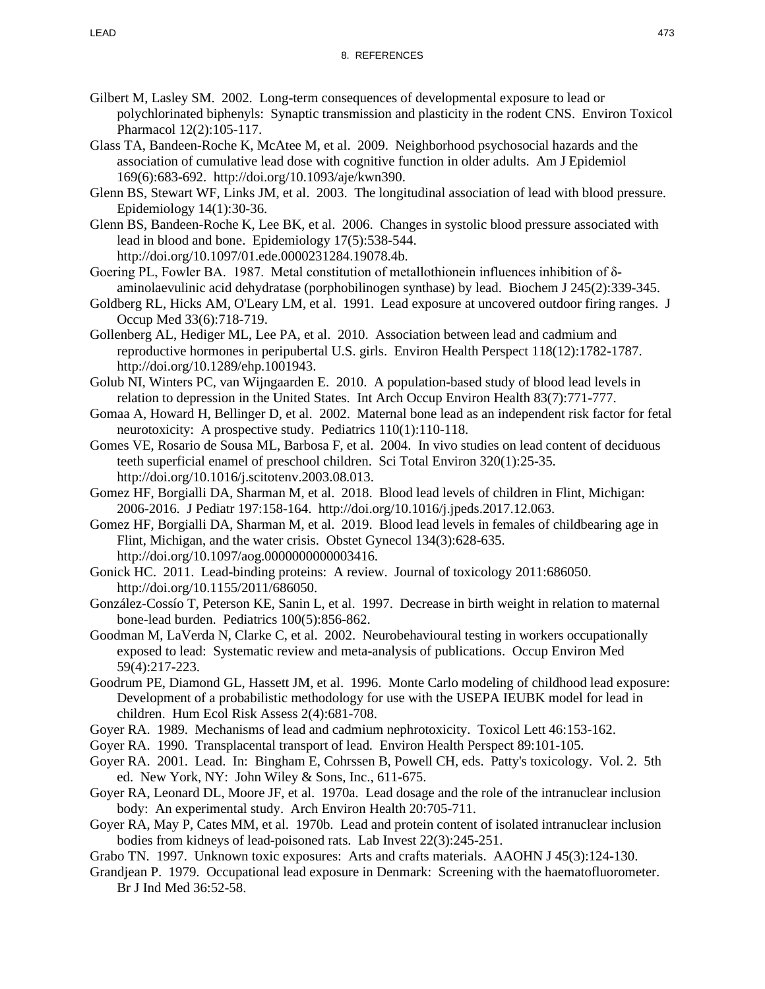- Gilbert M, Lasley SM. 2002. Long-term consequences of developmental exposure to lead or polychlorinated biphenyls: Synaptic transmission and plasticity in the rodent CNS. Environ Toxicol Pharmacol 12(2):105-117.
- Glass TA, Bandeen-Roche K, McAtee M, et al. 2009. Neighborhood psychosocial hazards and the association of cumulative lead dose with cognitive function in older adults. Am J Epidemiol 169(6):683-692. http://doi.org/10.1093/aje/kwn390.
- Glenn BS, Stewart WF, Links JM, et al. 2003. The longitudinal association of lead with blood pressure. Epidemiology 14(1):30-36.
- Glenn BS, Bandeen-Roche K, Lee BK, et al. 2006. Changes in systolic blood pressure associated with lead in blood and bone. Epidemiology 17(5):538-544. http://doi.org/10.1097/01.ede.0000231284.19078.4b.
- Goering PL, Fowler BA. 1987. Metal constitution of metallothionein influences inhibition of δaminolaevulinic acid dehydratase (porphobilinogen synthase) by lead. Biochem J 245(2):339-345.
- Goldberg RL, Hicks AM, O'Leary LM, et al. 1991. Lead exposure at uncovered outdoor firing ranges. J Occup Med 33(6):718-719.
- Gollenberg AL, Hediger ML, Lee PA, et al. 2010. Association between lead and cadmium and reproductive hormones in peripubertal U.S. girls. Environ Health Perspect 118(12):1782-1787. http://doi.org/10.1289/ehp.1001943.
- Golub NI, Winters PC, van Wijngaarden E. 2010. A population-based study of blood lead levels in relation to depression in the United States. Int Arch Occup Environ Health 83(7):771-777.
- Gomaa A, Howard H, Bellinger D, et al. 2002. Maternal bone lead as an independent risk factor for fetal neurotoxicity: A prospective study. Pediatrics 110(1):110-118.
- Gomes VE, Rosario de Sousa ML, Barbosa F, et al. 2004. In vivo studies on lead content of deciduous teeth superficial enamel of preschool children. Sci Total Environ 320(1):25-35. http://doi.org/10.1016/j.scitotenv.2003.08.013.
- Gomez HF, Borgialli DA, Sharman M, et al. 2018. Blood lead levels of children in Flint, Michigan: 2006-2016. J Pediatr 197:158-164. http://doi.org/10.1016/j.jpeds.2017.12.063.
- Gomez HF, Borgialli DA, Sharman M, et al. 2019. Blood lead levels in females of childbearing age in Flint, Michigan, and the water crisis. Obstet Gynecol 134(3):628-635. http://doi.org/10.1097/aog.0000000000003416.
- Gonick HC. 2011. Lead-binding proteins: A review. Journal of toxicology 2011:686050. http://doi.org/10.1155/2011/686050.
- González-Cossío T, Peterson KE, Sanin L, et al. 1997. Decrease in birth weight in relation to maternal bone-lead burden. Pediatrics 100(5):856-862.
- Goodman M, LaVerda N, Clarke C, et al. 2002. Neurobehavioural testing in workers occupationally exposed to lead: Systematic review and meta-analysis of publications. Occup Environ Med 59(4):217-223.
- Goodrum PE, Diamond GL, Hassett JM, et al. 1996. Monte Carlo modeling of childhood lead exposure: Development of a probabilistic methodology for use with the USEPA IEUBK model for lead in children. Hum Ecol Risk Assess 2(4):681-708.
- Goyer RA. 1989. Mechanisms of lead and cadmium nephrotoxicity. Toxicol Lett 46:153-162.
- Goyer RA. 1990. Transplacental transport of lead. Environ Health Perspect 89:101-105.
- Goyer RA. 2001. Lead. In: Bingham E, Cohrssen B, Powell CH, eds. Patty's toxicology. Vol. 2. 5th ed. New York, NY: John Wiley & Sons, Inc., 611-675.
- Goyer RA, Leonard DL, Moore JF, et al. 1970a. Lead dosage and the role of the intranuclear inclusion body: An experimental study. Arch Environ Health 20:705-711.
- Goyer RA, May P, Cates MM, et al. 1970b. Lead and protein content of isolated intranuclear inclusion bodies from kidneys of lead-poisoned rats. Lab Invest 22(3):245-251.
- Grabo TN. 1997. Unknown toxic exposures: Arts and crafts materials. AAOHN J 45(3):124-130.
- Grandjean P. 1979. Occupational lead exposure in Denmark: Screening with the haematofluorometer. Br J Ind Med 36:52-58.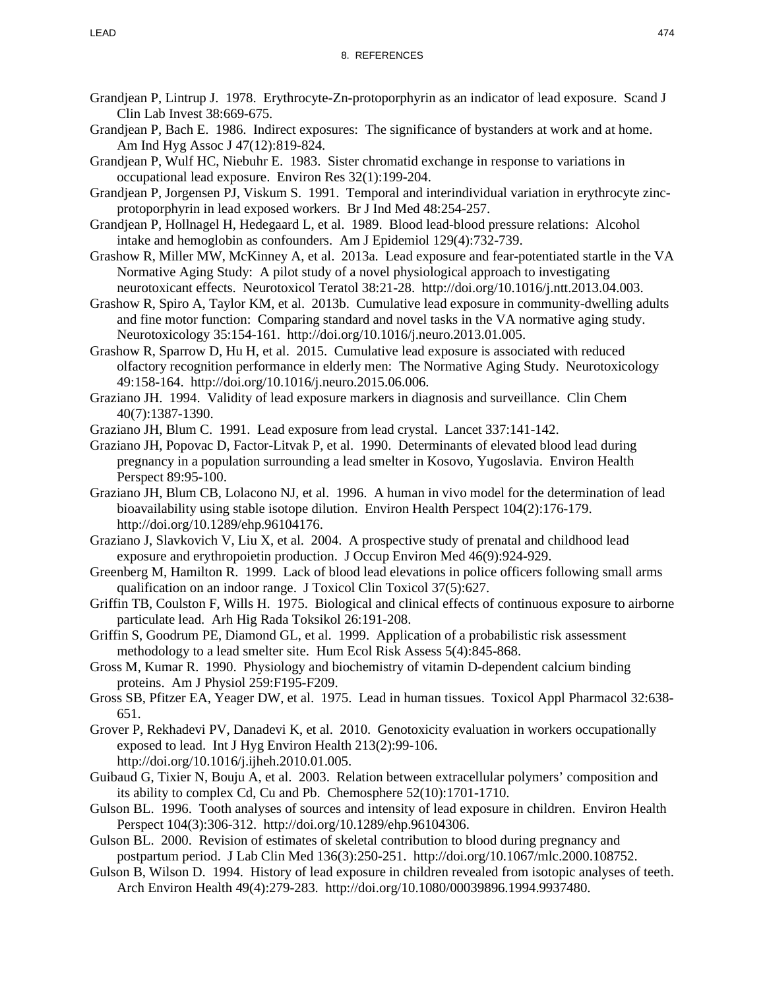- Grandjean P, Lintrup J. 1978. Erythrocyte-Zn-protoporphyrin as an indicator of lead exposure. Scand J Clin Lab Invest 38:669-675.
- Grandjean P, Bach E. 1986. Indirect exposures: The significance of bystanders at work and at home. Am Ind Hyg Assoc J 47(12):819-824.
- Grandjean P, Wulf HC, Niebuhr E. 1983. Sister chromatid exchange in response to variations in occupational lead exposure. Environ Res 32(1):199-204.
- Grandjean P, Jorgensen PJ, Viskum S. 1991. Temporal and interindividual variation in erythrocyte zincprotoporphyrin in lead exposed workers. Br J Ind Med 48:254-257.
- Grandjean P, Hollnagel H, Hedegaard L, et al. 1989. Blood lead-blood pressure relations: Alcohol intake and hemoglobin as confounders. Am J Epidemiol 129(4):732-739.
- Grashow R, Miller MW, McKinney A, et al. 2013a. Lead exposure and fear-potentiated startle in the VA Normative Aging Study: A pilot study of a novel physiological approach to investigating neurotoxicant effects. Neurotoxicol Teratol 38:21-28. http://doi.org/10.1016/j.ntt.2013.04.003.
- Grashow R, Spiro A, Taylor KM, et al. 2013b. Cumulative lead exposure in community-dwelling adults and fine motor function: Comparing standard and novel tasks in the VA normative aging study. Neurotoxicology 35:154-161. http://doi.org/10.1016/j.neuro.2013.01.005.
- Grashow R, Sparrow D, Hu H, et al. 2015. Cumulative lead exposure is associated with reduced olfactory recognition performance in elderly men: The Normative Aging Study. Neurotoxicology 49:158-164. http://doi.org/10.1016/j.neuro.2015.06.006.
- Graziano JH. 1994. Validity of lead exposure markers in diagnosis and surveillance. Clin Chem 40(7):1387-1390.
- Graziano JH, Blum C. 1991. Lead exposure from lead crystal. Lancet 337:141-142.
- Graziano JH, Popovac D, Factor-Litvak P, et al. 1990. Determinants of elevated blood lead during pregnancy in a population surrounding a lead smelter in Kosovo, Yugoslavia. Environ Health Perspect 89:95-100.
- Graziano JH, Blum CB, Lolacono NJ, et al. 1996. A human in vivo model for the determination of lead bioavailability using stable isotope dilution. Environ Health Perspect 104(2):176-179. http://doi.org/10.1289/ehp.96104176.
- Graziano J, Slavkovich V, Liu X, et al. 2004. A prospective study of prenatal and childhood lead exposure and erythropoietin production. J Occup Environ Med 46(9):924-929.
- Greenberg M, Hamilton R. 1999. Lack of blood lead elevations in police officers following small arms qualification on an indoor range. J Toxicol Clin Toxicol 37(5):627.
- Griffin TB, Coulston F, Wills H. 1975. Biological and clinical effects of continuous exposure to airborne particulate lead. Arh Hig Rada Toksikol 26:191-208.
- Griffin S, Goodrum PE, Diamond GL, et al. 1999. Application of a probabilistic risk assessment methodology to a lead smelter site. Hum Ecol Risk Assess 5(4):845-868.
- Gross M, Kumar R. 1990. Physiology and biochemistry of vitamin D-dependent calcium binding proteins. Am J Physiol 259:F195-F209.
- Gross SB, Pfitzer EA, Yeager DW, et al. 1975. Lead in human tissues. Toxicol Appl Pharmacol 32:638- 651.
- Grover P, Rekhadevi PV, Danadevi K, et al. 2010. Genotoxicity evaluation in workers occupationally exposed to lead. Int J Hyg Environ Health 213(2):99-106. http://doi.org/10.1016/j.ijheh.2010.01.005.
- Guibaud G, Tixier N, Bouju A, et al. 2003. Relation between extracellular polymers' composition and its ability to complex Cd, Cu and Pb. Chemosphere 52(10):1701-1710.
- Gulson BL. 1996. Tooth analyses of sources and intensity of lead exposure in children. Environ Health Perspect 104(3):306-312. http://doi.org/10.1289/ehp.96104306.
- Gulson BL. 2000. Revision of estimates of skeletal contribution to blood during pregnancy and postpartum period. J Lab Clin Med 136(3):250-251. http://doi.org/10.1067/mlc.2000.108752.
- Gulson B, Wilson D. 1994. History of lead exposure in children revealed from isotopic analyses of teeth. Arch Environ Health 49(4):279-283. http://doi.org/10.1080/00039896.1994.9937480.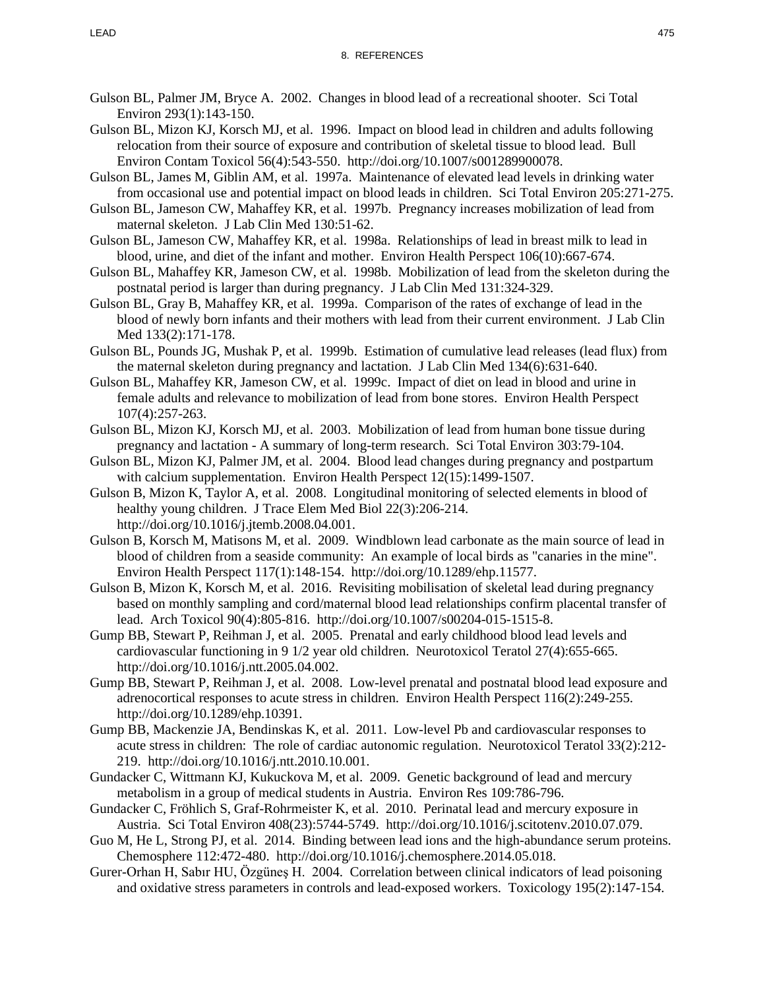- Gulson BL, Palmer JM, Bryce A. 2002. Changes in blood lead of a recreational shooter. Sci Total Environ 293(1):143-150.
- Gulson BL, Mizon KJ, Korsch MJ, et al. 1996. Impact on blood lead in children and adults following relocation from their source of exposure and contribution of skeletal tissue to blood lead. Bull Environ Contam Toxicol 56(4):543-550. http://doi.org/10.1007/s001289900078.
- Gulson BL, James M, Giblin AM, et al. 1997a. Maintenance of elevated lead levels in drinking water from occasional use and potential impact on blood leads in children. Sci Total Environ 205:271-275.
- Gulson BL, Jameson CW, Mahaffey KR, et al. 1997b. Pregnancy increases mobilization of lead from maternal skeleton. J Lab Clin Med 130:51-62.
- Gulson BL, Jameson CW, Mahaffey KR, et al. 1998a. Relationships of lead in breast milk to lead in blood, urine, and diet of the infant and mother. Environ Health Perspect 106(10):667-674.
- Gulson BL, Mahaffey KR, Jameson CW, et al. 1998b. Mobilization of lead from the skeleton during the postnatal period is larger than during pregnancy. J Lab Clin Med 131:324-329.
- Gulson BL, Gray B, Mahaffey KR, et al. 1999a. Comparison of the rates of exchange of lead in the blood of newly born infants and their mothers with lead from their current environment. J Lab Clin Med 133(2):171-178.
- Gulson BL, Pounds JG, Mushak P, et al. 1999b. Estimation of cumulative lead releases (lead flux) from the maternal skeleton during pregnancy and lactation. J Lab Clin Med 134(6):631-640.
- Gulson BL, Mahaffey KR, Jameson CW, et al. 1999c. Impact of diet on lead in blood and urine in female adults and relevance to mobilization of lead from bone stores. Environ Health Perspect 107(4):257-263.
- Gulson BL, Mizon KJ, Korsch MJ, et al. 2003. Mobilization of lead from human bone tissue during pregnancy and lactation - A summary of long-term research. Sci Total Environ 303:79-104.
- Gulson BL, Mizon KJ, Palmer JM, et al. 2004. Blood lead changes during pregnancy and postpartum with calcium supplementation. Environ Health Perspect 12(15):1499-1507.
- Gulson B, Mizon K, Taylor A, et al. 2008. Longitudinal monitoring of selected elements in blood of healthy young children. J Trace Elem Med Biol 22(3):206-214. http://doi.org/10.1016/j.jtemb.2008.04.001.
- Gulson B, Korsch M, Matisons M, et al. 2009. Windblown lead carbonate as the main source of lead in blood of children from a seaside community: An example of local birds as "canaries in the mine". Environ Health Perspect 117(1):148-154. http://doi.org/10.1289/ehp.11577.
- Gulson B, Mizon K, Korsch M, et al. 2016. Revisiting mobilisation of skeletal lead during pregnancy based on monthly sampling and cord/maternal blood lead relationships confirm placental transfer of lead. Arch Toxicol 90(4):805-816. http://doi.org/10.1007/s00204-015-1515-8.
- Gump BB, Stewart P, Reihman J, et al. 2005. Prenatal and early childhood blood lead levels and cardiovascular functioning in 9 1/2 year old children. Neurotoxicol Teratol 27(4):655-665. http://doi.org/10.1016/j.ntt.2005.04.002.
- Gump BB, Stewart P, Reihman J, et al. 2008. Low-level prenatal and postnatal blood lead exposure and adrenocortical responses to acute stress in children. Environ Health Perspect 116(2):249-255. http://doi.org/10.1289/ehp.10391.
- Gump BB, Mackenzie JA, Bendinskas K, et al. 2011. Low-level Pb and cardiovascular responses to acute stress in children: The role of cardiac autonomic regulation. Neurotoxicol Teratol 33(2):212- 219. http://doi.org/10.1016/j.ntt.2010.10.001.
- Gundacker C, Wittmann KJ, Kukuckova M, et al. 2009. Genetic background of lead and mercury metabolism in a group of medical students in Austria. Environ Res 109:786-796.
- Gundacker C, Fröhlich S, Graf-Rohrmeister K, et al. 2010. Perinatal lead and mercury exposure in Austria. Sci Total Environ 408(23):5744-5749. http://doi.org/10.1016/j.scitotenv.2010.07.079.
- Guo M, He L, Strong PJ, et al. 2014. Binding between lead ions and the high-abundance serum proteins. Chemosphere 112:472-480. http://doi.org/10.1016/j.chemosphere.2014.05.018.
- Gurer-Orhan H, Sabır HU, Özgüneş H. 2004. Correlation between clinical indicators of lead poisoning and oxidative stress parameters in controls and lead-exposed workers. Toxicology 195(2):147-154.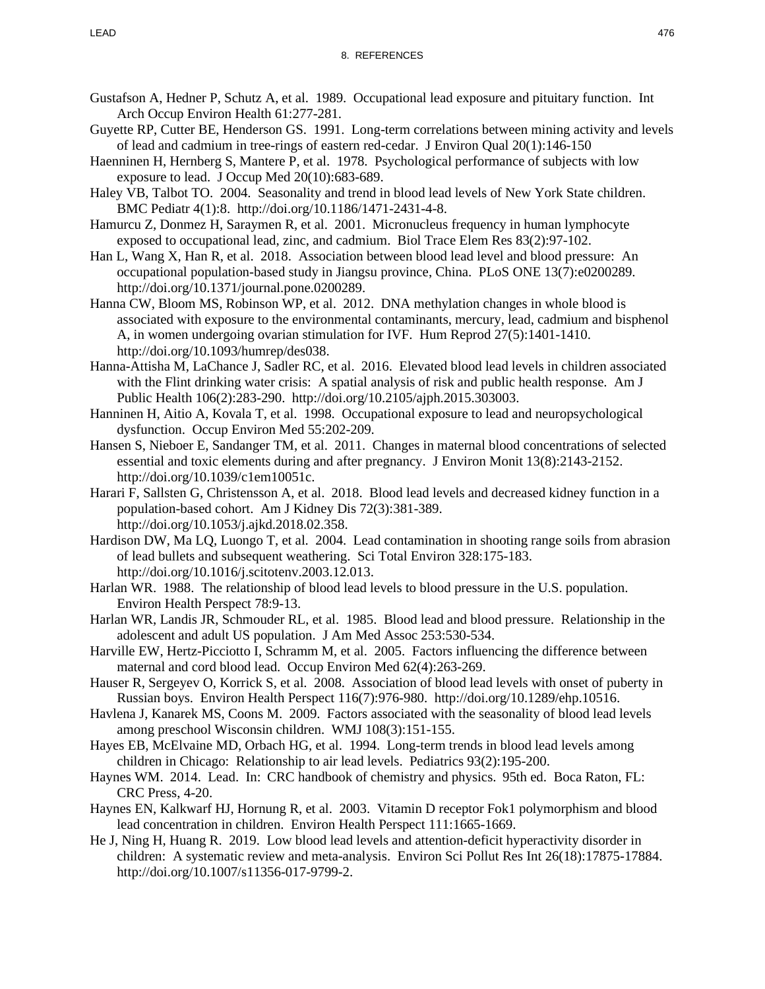- Gustafson A, Hedner P, Schutz A, et al. 1989. Occupational lead exposure and pituitary function. Int Arch Occup Environ Health 61:277-281.
- Guyette RP, Cutter BE, Henderson GS. 1991. Long-term correlations between mining activity and levels of lead and cadmium in tree-rings of eastern red-cedar. J Environ Qual 20(1):146-150
- Haenninen H, Hernberg S, Mantere P, et al. 1978. Psychological performance of subjects with low exposure to lead. J Occup Med 20(10):683-689.
- Haley VB, Talbot TO. 2004. Seasonality and trend in blood lead levels of New York State children. BMC Pediatr 4(1):8. http://doi.org/10.1186/1471-2431-4-8.
- Hamurcu Z, Donmez H, Saraymen R, et al. 2001. Micronucleus frequency in human lymphocyte exposed to occupational lead, zinc, and cadmium. Biol Trace Elem Res 83(2):97-102.
- Han L, Wang X, Han R, et al. 2018. Association between blood lead level and blood pressure: An occupational population-based study in Jiangsu province, China. PLoS ONE 13(7):e0200289. http://doi.org/10.1371/journal.pone.0200289.
- Hanna CW, Bloom MS, Robinson WP, et al. 2012. DNA methylation changes in whole blood is associated with exposure to the environmental contaminants, mercury, lead, cadmium and bisphenol A, in women undergoing ovarian stimulation for IVF. Hum Reprod 27(5):1401-1410. http://doi.org/10.1093/humrep/des038.
- Hanna-Attisha M, LaChance J, Sadler RC, et al. 2016. Elevated blood lead levels in children associated with the Flint drinking water crisis: A spatial analysis of risk and public health response. Am J Public Health 106(2):283-290. http://doi.org/10.2105/ajph.2015.303003.
- Hanninen H, Aitio A, Kovala T, et al. 1998. Occupational exposure to lead and neuropsychological dysfunction. Occup Environ Med 55:202-209.
- Hansen S, Nieboer E, Sandanger TM, et al. 2011. Changes in maternal blood concentrations of selected essential and toxic elements during and after pregnancy. J Environ Monit 13(8):2143-2152. http://doi.org/10.1039/c1em10051c.
- Harari F, Sallsten G, Christensson A, et al. 2018. Blood lead levels and decreased kidney function in a population-based cohort. Am J Kidney Dis 72(3):381-389. http://doi.org/10.1053/j.ajkd.2018.02.358.
- Hardison DW, Ma LQ, Luongo T, et al. 2004. Lead contamination in shooting range soils from abrasion of lead bullets and subsequent weathering. Sci Total Environ 328:175-183. http://doi.org/10.1016/j.scitotenv.2003.12.013.
- Harlan WR. 1988. The relationship of blood lead levels to blood pressure in the U.S. population. Environ Health Perspect 78:9-13.
- Harlan WR, Landis JR, Schmouder RL, et al. 1985. Blood lead and blood pressure. Relationship in the adolescent and adult US population. J Am Med Assoc 253:530-534.
- Harville EW, Hertz-Picciotto I, Schramm M, et al. 2005. Factors influencing the difference between maternal and cord blood lead. Occup Environ Med 62(4):263-269.
- Hauser R, Sergeyev O, Korrick S, et al. 2008. Association of blood lead levels with onset of puberty in Russian boys. Environ Health Perspect 116(7):976-980. http://doi.org/10.1289/ehp.10516.
- Havlena J, Kanarek MS, Coons M. 2009. Factors associated with the seasonality of blood lead levels among preschool Wisconsin children. WMJ 108(3):151-155.
- Hayes EB, McElvaine MD, Orbach HG, et al. 1994. Long-term trends in blood lead levels among children in Chicago: Relationship to air lead levels. Pediatrics 93(2):195-200.
- Haynes WM. 2014. Lead. In: CRC handbook of chemistry and physics. 95th ed. Boca Raton, FL: CRC Press, 4-20.
- Haynes EN, Kalkwarf HJ, Hornung R, et al. 2003. Vitamin D receptor Fok1 polymorphism and blood lead concentration in children. Environ Health Perspect 111:1665-1669.
- He J, Ning H, Huang R. 2019. Low blood lead levels and attention-deficit hyperactivity disorder in children: A systematic review and meta-analysis. Environ Sci Pollut Res Int 26(18):17875-17884. http://doi.org/10.1007/s11356-017-9799-2.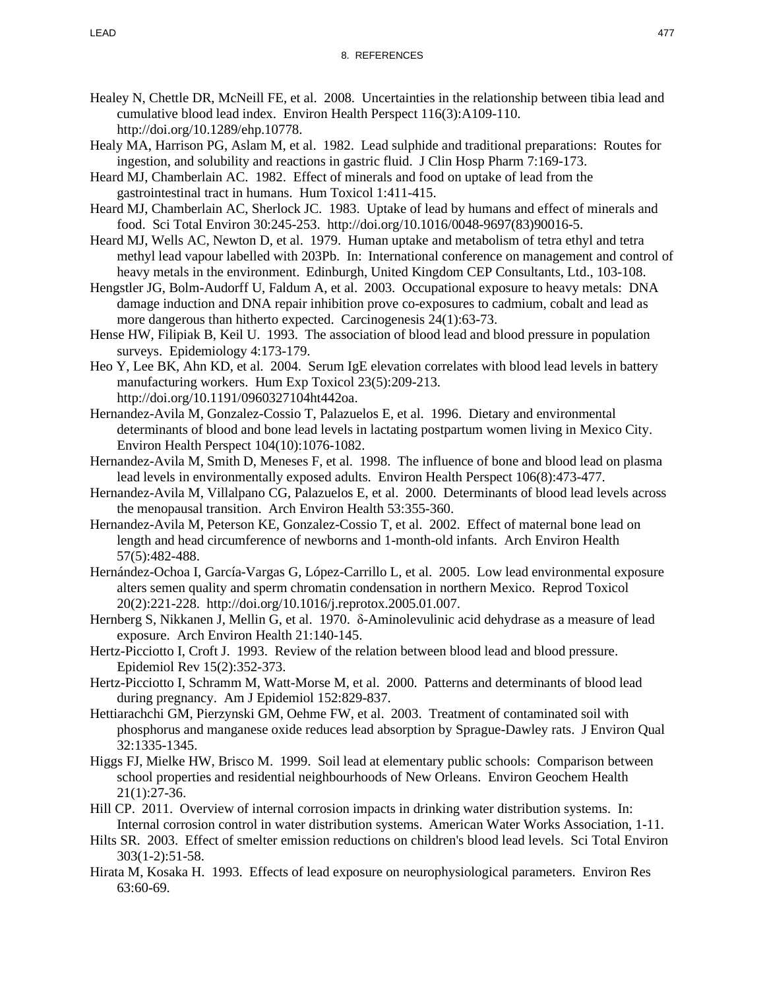- Healey N, Chettle DR, McNeill FE, et al. 2008. Uncertainties in the relationship between tibia lead and cumulative blood lead index. Environ Health Perspect 116(3):A109-110. http://doi.org/10.1289/ehp.10778.
- Healy MA, Harrison PG, Aslam M, et al. 1982. Lead sulphide and traditional preparations: Routes for ingestion, and solubility and reactions in gastric fluid. J Clin Hosp Pharm 7:169-173.
- Heard MJ, Chamberlain AC. 1982. Effect of minerals and food on uptake of lead from the gastrointestinal tract in humans. Hum Toxicol 1:411-415.
- Heard MJ, Chamberlain AC, Sherlock JC. 1983. Uptake of lead by humans and effect of minerals and food. Sci Total Environ 30:245-253. http://doi.org/10.1016/0048-9697(83)90016-5.
- Heard MJ, Wells AC, Newton D, et al. 1979. Human uptake and metabolism of tetra ethyl and tetra methyl lead vapour labelled with 203Pb. In: International conference on management and control of heavy metals in the environment. Edinburgh, United Kingdom CEP Consultants, Ltd., 103-108.
- Hengstler JG, Bolm-Audorff U, Faldum A, et al. 2003. Occupational exposure to heavy metals: DNA damage induction and DNA repair inhibition prove co-exposures to cadmium, cobalt and lead as more dangerous than hitherto expected. Carcinogenesis 24(1):63-73.
- Hense HW, Filipiak B, Keil U. 1993. The association of blood lead and blood pressure in population surveys. Epidemiology 4:173-179.
- Heo Y, Lee BK, Ahn KD, et al. 2004. Serum IgE elevation correlates with blood lead levels in battery manufacturing workers. Hum Exp Toxicol 23(5):209-213. http://doi.org/10.1191/0960327104ht442oa.
- Hernandez-Avila M, Gonzalez-Cossio T, Palazuelos E, et al. 1996. Dietary and environmental determinants of blood and bone lead levels in lactating postpartum women living in Mexico City. Environ Health Perspect 104(10):1076-1082.
- Hernandez-Avila M, Smith D, Meneses F, et al. 1998. The influence of bone and blood lead on plasma lead levels in environmentally exposed adults. Environ Health Perspect 106(8):473-477.
- Hernandez-Avila M, Villalpano CG, Palazuelos E, et al. 2000. Determinants of blood lead levels across the menopausal transition. Arch Environ Health 53:355-360.
- Hernandez-Avila M, Peterson KE, Gonzalez-Cossio T, et al. 2002. Effect of maternal bone lead on length and head circumference of newborns and 1-month-old infants. Arch Environ Health 57(5):482-488.
- Hernández-Ochoa I, García-Vargas G, López-Carrillo L, et al. 2005. Low lead environmental exposure alters semen quality and sperm chromatin condensation in northern Mexico. Reprod Toxicol 20(2):221-228. http://doi.org/10.1016/j.reprotox.2005.01.007.
- Hernberg S, Nikkanen J, Mellin G, et al. 1970. δ-Aminolevulinic acid dehydrase as a measure of lead exposure. Arch Environ Health 21:140-145.
- Hertz-Picciotto I, Croft J. 1993. Review of the relation between blood lead and blood pressure. Epidemiol Rev 15(2):352-373.
- Hertz-Picciotto I, Schramm M, Watt-Morse M, et al. 2000. Patterns and determinants of blood lead during pregnancy. Am J Epidemiol 152:829-837.
- Hettiarachchi GM, Pierzynski GM, Oehme FW, et al. 2003. Treatment of contaminated soil with phosphorus and manganese oxide reduces lead absorption by Sprague-Dawley rats. J Environ Qual 32:1335-1345.
- Higgs FJ, Mielke HW, Brisco M. 1999. Soil lead at elementary public schools: Comparison between school properties and residential neighbourhoods of New Orleans. Environ Geochem Health 21(1):27-36.
- Hill CP. 2011. Overview of internal corrosion impacts in drinking water distribution systems. In: Internal corrosion control in water distribution systems. American Water Works Association, 1-11.
- Hilts SR. 2003. Effect of smelter emission reductions on children's blood lead levels. Sci Total Environ 303(1-2):51-58.
- Hirata M, Kosaka H. 1993. Effects of lead exposure on neurophysiological parameters. Environ Res 63:60-69.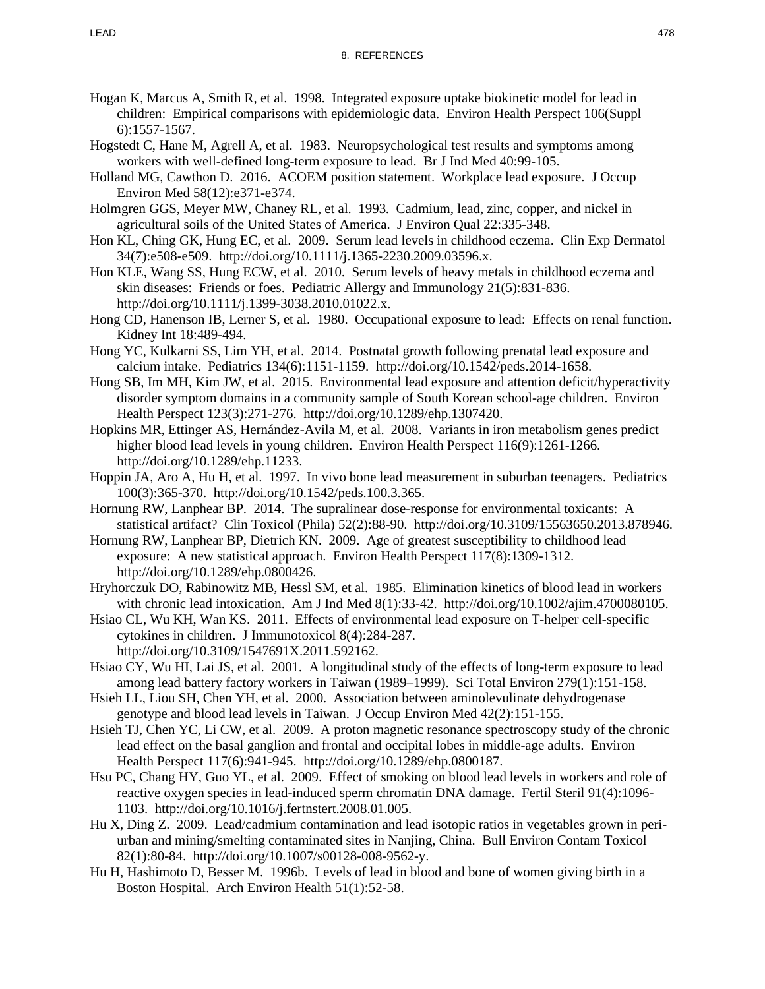- Hogan K, Marcus A, Smith R, et al. 1998. Integrated exposure uptake biokinetic model for lead in children: Empirical comparisons with epidemiologic data. Environ Health Perspect 106(Suppl 6):1557-1567.
- Hogstedt C, Hane M, Agrell A, et al. 1983. Neuropsychological test results and symptoms among workers with well-defined long-term exposure to lead. Br J Ind Med 40:99-105.
- Holland MG, Cawthon D. 2016. ACOEM position statement. Workplace lead exposure. J Occup Environ Med 58(12):e371-e374.
- Holmgren GGS, Meyer MW, Chaney RL, et al. 1993. Cadmium, lead, zinc, copper, and nickel in agricultural soils of the United States of America. J Environ Qual 22:335-348.
- Hon KL, Ching GK, Hung EC, et al. 2009. Serum lead levels in childhood eczema. Clin Exp Dermatol 34(7):e508-e509. http://doi.org/10.1111/j.1365-2230.2009.03596.x.
- Hon KLE, Wang SS, Hung ECW, et al. 2010. Serum levels of heavy metals in childhood eczema and skin diseases: Friends or foes. Pediatric Allergy and Immunology 21(5):831-836. http://doi.org/10.1111/j.1399-3038.2010.01022.x.
- Hong CD, Hanenson IB, Lerner S, et al. 1980. Occupational exposure to lead: Effects on renal function. Kidney Int 18:489-494.
- Hong YC, Kulkarni SS, Lim YH, et al. 2014. Postnatal growth following prenatal lead exposure and calcium intake. Pediatrics 134(6):1151-1159. http://doi.org/10.1542/peds.2014-1658.
- Hong SB, Im MH, Kim JW, et al. 2015. Environmental lead exposure and attention deficit/hyperactivity disorder symptom domains in a community sample of South Korean school-age children. Environ Health Perspect 123(3):271-276. http://doi.org/10.1289/ehp.1307420.
- Hopkins MR, Ettinger AS, Hernández-Avila M, et al. 2008. Variants in iron metabolism genes predict higher blood lead levels in young children. Environ Health Perspect 116(9):1261-1266. http://doi.org/10.1289/ehp.11233.
- Hoppin JA, Aro A, Hu H, et al. 1997. In vivo bone lead measurement in suburban teenagers. Pediatrics 100(3):365-370. http://doi.org/10.1542/peds.100.3.365.
- Hornung RW, Lanphear BP. 2014. The supralinear dose-response for environmental toxicants: A statistical artifact? Clin Toxicol (Phila) 52(2):88-90. http://doi.org/10.3109/15563650.2013.878946.
- Hornung RW, Lanphear BP, Dietrich KN. 2009. Age of greatest susceptibility to childhood lead exposure: A new statistical approach. Environ Health Perspect 117(8):1309-1312. http://doi.org/10.1289/ehp.0800426.
- Hryhorczuk DO, Rabinowitz MB, Hessl SM, et al. 1985. Elimination kinetics of blood lead in workers with chronic lead intoxication. Am J Ind Med 8(1):33-42. http://doi.org/10.1002/ajim.4700080105.
- Hsiao CL, Wu KH, Wan KS. 2011. Effects of environmental lead exposure on T-helper cell-specific cytokines in children. J Immunotoxicol 8(4):284-287. http://doi.org/10.3109/1547691X.2011.592162.
- Hsiao CY, Wu HI, Lai JS, et al. 2001. A longitudinal study of the effects of long-term exposure to lead among lead battery factory workers in Taiwan (1989–1999). Sci Total Environ 279(1):151-158.
- Hsieh LL, Liou SH, Chen YH, et al. 2000. Association between aminolevulinate dehydrogenase genotype and blood lead levels in Taiwan. J Occup Environ Med 42(2):151-155.
- Hsieh TJ, Chen YC, Li CW, et al. 2009. A proton magnetic resonance spectroscopy study of the chronic lead effect on the basal ganglion and frontal and occipital lobes in middle-age adults. Environ Health Perspect 117(6):941-945. http://doi.org/10.1289/ehp.0800187.
- Hsu PC, Chang HY, Guo YL, et al. 2009. Effect of smoking on blood lead levels in workers and role of reactive oxygen species in lead-induced sperm chromatin DNA damage. Fertil Steril 91(4):1096- 1103. http://doi.org/10.1016/j.fertnstert.2008.01.005.
- Hu X, Ding Z. 2009. Lead/cadmium contamination and lead isotopic ratios in vegetables grown in periurban and mining/smelting contaminated sites in Nanjing, China. Bull Environ Contam Toxicol 82(1):80-84. http://doi.org/10.1007/s00128-008-9562-y.
- Hu H, Hashimoto D, Besser M. 1996b. Levels of lead in blood and bone of women giving birth in a Boston Hospital. Arch Environ Health 51(1):52-58.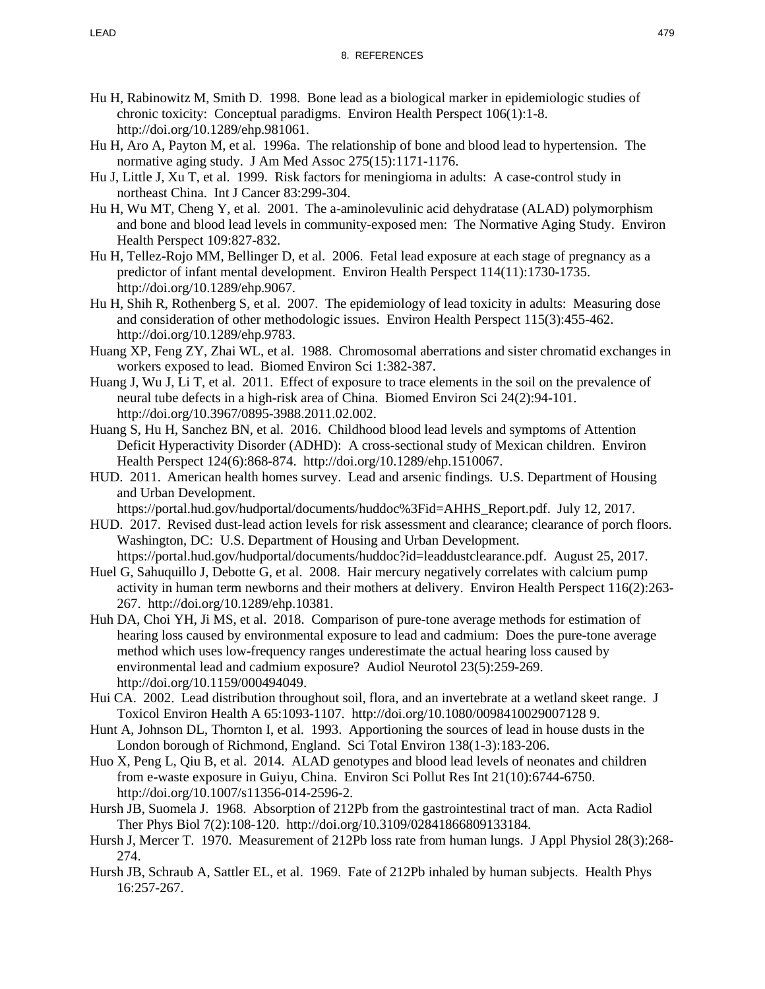- Hu H, Rabinowitz M, Smith D. 1998. Bone lead as a biological marker in epidemiologic studies of chronic toxicity: Conceptual paradigms. Environ Health Perspect 106(1):1-8. http://doi.org/10.1289/ehp.981061.
- Hu H, Aro A, Payton M, et al. 1996a. The relationship of bone and blood lead to hypertension. The normative aging study. J Am Med Assoc 275(15):1171-1176.
- Hu J, Little J, Xu T, et al. 1999. Risk factors for meningioma in adults: A case-control study in northeast China. Int J Cancer 83:299-304.
- Hu H, Wu MT, Cheng Y, et al. 2001. The a-aminolevulinic acid dehydratase (ALAD) polymorphism and bone and blood lead levels in community-exposed men: The Normative Aging Study. Environ Health Perspect 109:827-832.
- Hu H, Tellez-Rojo MM, Bellinger D, et al. 2006. Fetal lead exposure at each stage of pregnancy as a predictor of infant mental development. Environ Health Perspect 114(11):1730-1735. http://doi.org/10.1289/ehp.9067.
- Hu H, Shih R, Rothenberg S, et al. 2007. The epidemiology of lead toxicity in adults: Measuring dose and consideration of other methodologic issues. Environ Health Perspect 115(3):455-462. http://doi.org/10.1289/ehp.9783.
- Huang XP, Feng ZY, Zhai WL, et al. 1988. Chromosomal aberrations and sister chromatid exchanges in workers exposed to lead. Biomed Environ Sci 1:382-387.
- Huang J, Wu J, Li T, et al. 2011. Effect of exposure to trace elements in the soil on the prevalence of neural tube defects in a high-risk area of China. Biomed Environ Sci 24(2):94-101. http://doi.org/10.3967/0895-3988.2011.02.002.
- Huang S, Hu H, Sanchez BN, et al. 2016. Childhood blood lead levels and symptoms of Attention Deficit Hyperactivity Disorder (ADHD): A cross-sectional study of Mexican children. Environ Health Perspect 124(6):868-874. http://doi.org/10.1289/ehp.1510067.
- HUD. 2011. American health homes survey. Lead and arsenic findings. U.S. Department of Housing and Urban Development.

https://portal.hud.gov/hudportal/documents/huddoc%3Fid=AHHS\_Report.pdf. July 12, 2017.

- HUD. 2017. Revised dust-lead action levels for risk assessment and clearance; clearance of porch floors. Washington, DC: U.S. Department of Housing and Urban Development. https://portal.hud.gov/hudportal/documents/huddoc?id=leaddustclearance.pdf. August 25, 2017.
- Huel G, Sahuquillo J, Debotte G, et al. 2008. Hair mercury negatively correlates with calcium pump activity in human term newborns and their mothers at delivery. Environ Health Perspect 116(2):263- 267. http://doi.org/10.1289/ehp.10381.
- Huh DA, Choi YH, Ji MS, et al. 2018. Comparison of pure-tone average methods for estimation of hearing loss caused by environmental exposure to lead and cadmium: Does the pure-tone average method which uses low-frequency ranges underestimate the actual hearing loss caused by environmental lead and cadmium exposure? Audiol Neurotol 23(5):259-269. http://doi.org/10.1159/000494049.
- Hui CA. 2002. Lead distribution throughout soil, flora, and an invertebrate at a wetland skeet range. J Toxicol Environ Health A 65:1093-1107. http://doi.org/10.1080/0098410029007128 9.
- Hunt A, Johnson DL, Thornton I, et al. 1993. Apportioning the sources of lead in house dusts in the London borough of Richmond, England. Sci Total Environ 138(1-3):183-206.
- Huo X, Peng L, Qiu B, et al. 2014. ALAD genotypes and blood lead levels of neonates and children from e-waste exposure in Guiyu, China. Environ Sci Pollut Res Int 21(10):6744-6750. http://doi.org/10.1007/s11356-014-2596-2.
- Hursh JB, Suomela J. 1968. Absorption of 212Pb from the gastrointestinal tract of man. Acta Radiol Ther Phys Biol 7(2):108-120. http://doi.org/10.3109/02841866809133184.
- Hursh J, Mercer T. 1970. Measurement of 212Pb loss rate from human lungs. J Appl Physiol 28(3):268- 274.
- Hursh JB, Schraub A, Sattler EL, et al. 1969. Fate of 212Pb inhaled by human subjects. Health Phys 16:257-267.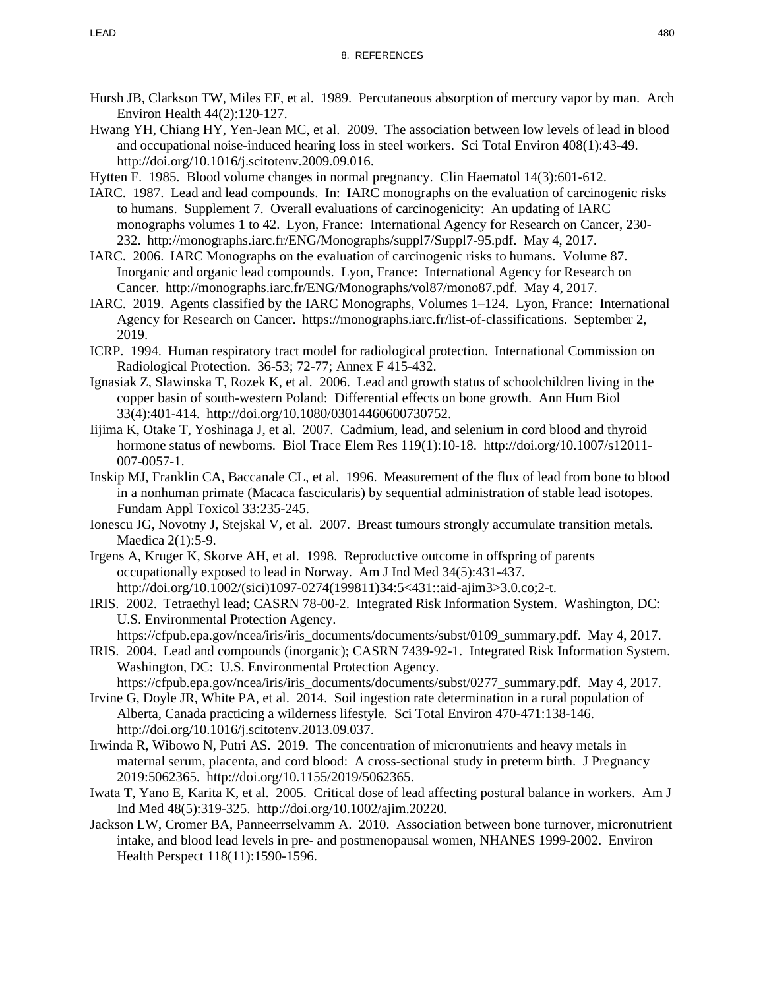- Hursh JB, Clarkson TW, Miles EF, et al. 1989. Percutaneous absorption of mercury vapor by man. Arch Environ Health 44(2):120-127.
- Hwang YH, Chiang HY, Yen-Jean MC, et al. 2009. The association between low levels of lead in blood and occupational noise-induced hearing loss in steel workers. Sci Total Environ 408(1):43-49. http://doi.org/10.1016/j.scitotenv.2009.09.016.
- Hytten F. 1985. Blood volume changes in normal pregnancy. Clin Haematol 14(3):601-612.
- IARC. 1987. Lead and lead compounds. In: IARC monographs on the evaluation of carcinogenic risks to humans. Supplement 7. Overall evaluations of carcinogenicity: An updating of IARC monographs volumes 1 to 42. Lyon, France: International Agency for Research on Cancer, 230- 232. http://monographs.iarc.fr/ENG/Monographs/suppl7/Suppl7-95.pdf. May 4, 2017.
- IARC. 2006. IARC Monographs on the evaluation of carcinogenic risks to humans. Volume 87. Inorganic and organic lead compounds. Lyon, France: International Agency for Research on Cancer. http://monographs.iarc.fr/ENG/Monographs/vol87/mono87.pdf. May 4, 2017.
- IARC. 2019. Agents classified by the IARC Monographs, Volumes 1–124. Lyon, France: International Agency for Research on Cancer. https://monographs.iarc.fr/list-of-classifications. September 2, 2019.
- ICRP. 1994. Human respiratory tract model for radiological protection. International Commission on Radiological Protection. 36-53; 72-77; Annex F 415-432.
- Ignasiak Z, Slawinska T, Rozek K, et al. 2006. Lead and growth status of schoolchildren living in the copper basin of south-western Poland: Differential effects on bone growth. Ann Hum Biol 33(4):401-414. http://doi.org/10.1080/03014460600730752.
- Iijima K, Otake T, Yoshinaga J, et al. 2007. Cadmium, lead, and selenium in cord blood and thyroid hormone status of newborns. Biol Trace Elem Res 119(1):10-18. http://doi.org/10.1007/s12011-007-0057-1.
- Inskip MJ, Franklin CA, Baccanale CL, et al. 1996. Measurement of the flux of lead from bone to blood in a nonhuman primate (Macaca fascicularis) by sequential administration of stable lead isotopes. Fundam Appl Toxicol 33:235-245.
- Ionescu JG, Novotny J, Stejskal V, et al. 2007. Breast tumours strongly accumulate transition metals. Maedica 2(1):5-9.
- Irgens A, Kruger K, Skorve AH, et al. 1998. Reproductive outcome in offspring of parents occupationally exposed to lead in Norway. Am J Ind Med 34(5):431-437. http://doi.org/10.1002/(sici)1097-0274(199811)34:5<431::aid-ajim3>3.0.co;2-t.
- IRIS. 2002. Tetraethyl lead; CASRN 78-00-2. Integrated Risk Information System. Washington, DC: U.S. Environmental Protection Agency.
- https://cfpub.epa.gov/ncea/iris/iris\_documents/documents/subst/0109\_summary.pdf. May 4, 2017.
- IRIS. 2004. Lead and compounds (inorganic); CASRN 7439-92-1. Integrated Risk Information System. Washington, DC: U.S. Environmental Protection Agency.
- https://cfpub.epa.gov/ncea/iris/iris\_documents/documents/subst/0277\_summary.pdf. May 4, 2017. Irvine G, Doyle JR, White PA, et al. 2014. Soil ingestion rate determination in a rural population of
- Alberta, Canada practicing a wilderness lifestyle. Sci Total Environ 470-471:138-146. http://doi.org/10.1016/j.scitotenv.2013.09.037.
- Irwinda R, Wibowo N, Putri AS. 2019. The concentration of micronutrients and heavy metals in maternal serum, placenta, and cord blood: A cross-sectional study in preterm birth. J Pregnancy 2019:5062365. http://doi.org/10.1155/2019/5062365.
- Iwata T, Yano E, Karita K, et al. 2005. Critical dose of lead affecting postural balance in workers. Am J Ind Med 48(5):319-325. http://doi.org/10.1002/ajim.20220.
- Jackson LW, Cromer BA, Panneerrselvamm A. 2010. Association between bone turnover, micronutrient intake, and blood lead levels in pre- and postmenopausal women, NHANES 1999-2002. Environ Health Perspect 118(11):1590-1596.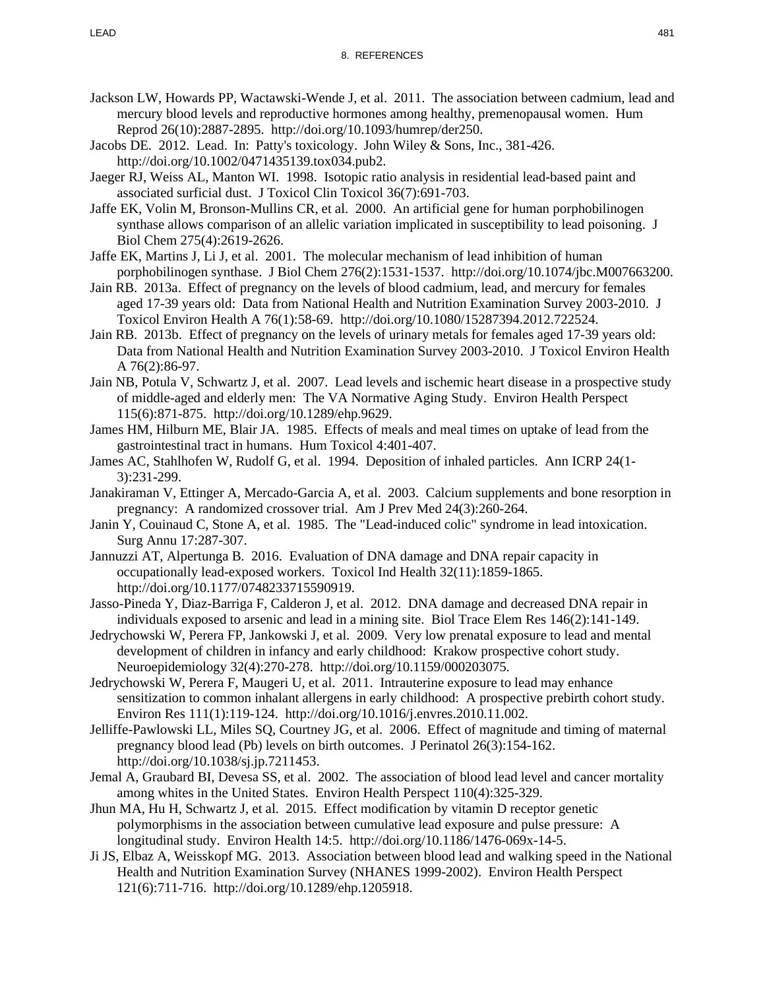- Jackson LW, Howards PP, Wactawski-Wende J, et al. 2011. The association between cadmium, lead and mercury blood levels and reproductive hormones among healthy, premenopausal women. Hum Reprod 26(10):2887-2895. http://doi.org/10.1093/humrep/der250.
- Jacobs DE. 2012. Lead. In: Patty's toxicology. John Wiley & Sons, Inc., 381-426. http://doi.org/10.1002/0471435139.tox034.pub2.
- Jaeger RJ, Weiss AL, Manton WI. 1998. Isotopic ratio analysis in residential lead-based paint and associated surficial dust. J Toxicol Clin Toxicol 36(7):691-703.
- Jaffe EK, Volin M, Bronson-Mullins CR, et al. 2000. An artificial gene for human porphobilinogen synthase allows comparison of an allelic variation implicated in susceptibility to lead poisoning. J Biol Chem 275(4):2619-2626.
- Jaffe EK, Martins J, Li J, et al. 2001. The molecular mechanism of lead inhibition of human porphobilinogen synthase. J Biol Chem 276(2):1531-1537. http://doi.org/10.1074/jbc.M007663200.
- Jain RB. 2013a. Effect of pregnancy on the levels of blood cadmium, lead, and mercury for females aged 17-39 years old: Data from National Health and Nutrition Examination Survey 2003-2010. J Toxicol Environ Health A 76(1):58-69. http://doi.org/10.1080/15287394.2012.722524.
- Jain RB. 2013b. Effect of pregnancy on the levels of urinary metals for females aged 17-39 years old: Data from National Health and Nutrition Examination Survey 2003-2010. J Toxicol Environ Health A 76(2):86-97.
- Jain NB, Potula V, Schwartz J, et al. 2007. Lead levels and ischemic heart disease in a prospective study of middle-aged and elderly men: The VA Normative Aging Study. Environ Health Perspect 115(6):871-875. http://doi.org/10.1289/ehp.9629.
- James HM, Hilburn ME, Blair JA. 1985. Effects of meals and meal times on uptake of lead from the gastrointestinal tract in humans. Hum Toxicol 4:401-407.
- James AC, Stahlhofen W, Rudolf G, et al. 1994. Deposition of inhaled particles. Ann ICRP 24(1- 3):231-299.
- Janakiraman V, Ettinger A, Mercado-Garcia A, et al. 2003. Calcium supplements and bone resorption in pregnancy: A randomized crossover trial. Am J Prev Med 24(3):260-264.
- Janin Y, Couinaud C, Stone A, et al. 1985. The "Lead-induced colic" syndrome in lead intoxication. Surg Annu 17:287-307.
- Jannuzzi AT, Alpertunga B. 2016. Evaluation of DNA damage and DNA repair capacity in occupationally lead-exposed workers. Toxicol Ind Health 32(11):1859-1865. http://doi.org/10.1177/0748233715590919.
- Jasso-Pineda Y, Diaz-Barriga F, Calderon J, et al. 2012. DNA damage and decreased DNA repair in individuals exposed to arsenic and lead in a mining site. Biol Trace Elem Res 146(2):141-149.
- Jedrychowski W, Perera FP, Jankowski J, et al. 2009. Very low prenatal exposure to lead and mental development of children in infancy and early childhood: Krakow prospective cohort study. Neuroepidemiology 32(4):270-278. http://doi.org/10.1159/000203075.
- Jedrychowski W, Perera F, Maugeri U, et al. 2011. Intrauterine exposure to lead may enhance sensitization to common inhalant allergens in early childhood: A prospective prebirth cohort study. Environ Res 111(1):119-124. http://doi.org/10.1016/j.envres.2010.11.002.
- Jelliffe-Pawlowski LL, Miles SQ, Courtney JG, et al. 2006. Effect of magnitude and timing of maternal pregnancy blood lead (Pb) levels on birth outcomes. J Perinatol 26(3):154-162. http://doi.org/10.1038/sj.jp.7211453.
- Jemal A, Graubard BI, Devesa SS, et al. 2002. The association of blood lead level and cancer mortality among whites in the United States. Environ Health Perspect 110(4):325-329.
- Jhun MA, Hu H, Schwartz J, et al. 2015. Effect modification by vitamin D receptor genetic polymorphisms in the association between cumulative lead exposure and pulse pressure: A longitudinal study. Environ Health 14:5. http://doi.org/10.1186/1476-069x-14-5.
- Ji JS, Elbaz A, Weisskopf MG. 2013. Association between blood lead and walking speed in the National Health and Nutrition Examination Survey (NHANES 1999-2002). Environ Health Perspect 121(6):711-716. http://doi.org/10.1289/ehp.1205918.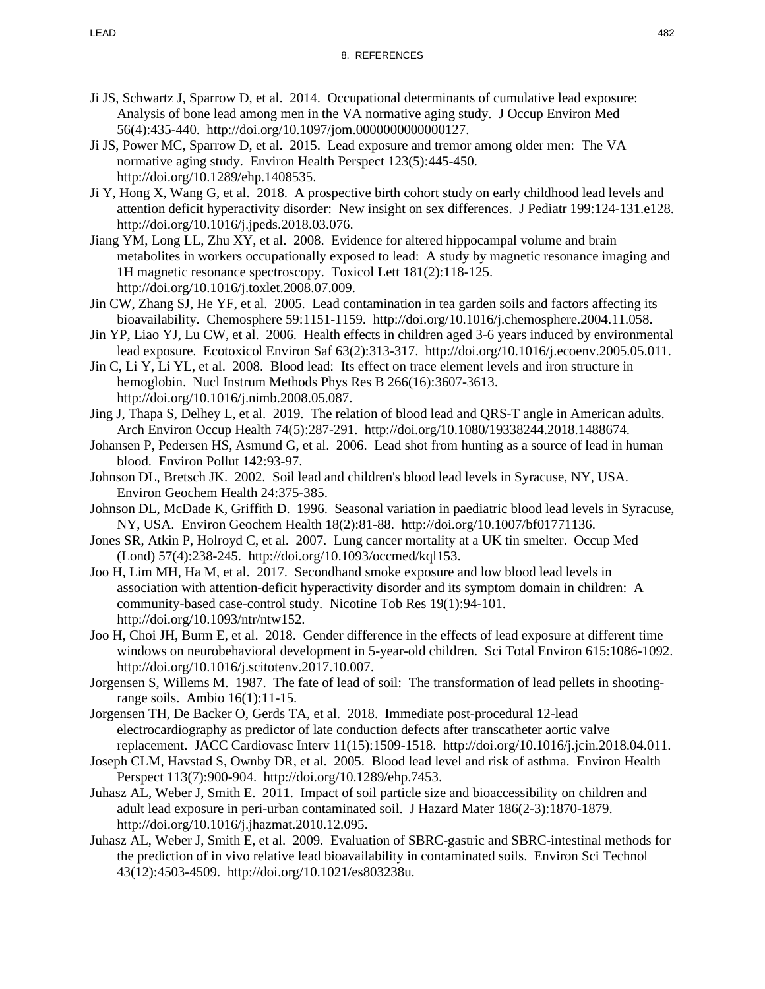- Ji JS, Schwartz J, Sparrow D, et al. 2014. Occupational determinants of cumulative lead exposure: Analysis of bone lead among men in the VA normative aging study. J Occup Environ Med 56(4):435-440. http://doi.org/10.1097/jom.0000000000000127.
- Ji JS, Power MC, Sparrow D, et al. 2015. Lead exposure and tremor among older men: The VA normative aging study. Environ Health Perspect 123(5):445-450. http://doi.org/10.1289/ehp.1408535.
- Ji Y, Hong X, Wang G, et al. 2018. A prospective birth cohort study on early childhood lead levels and attention deficit hyperactivity disorder: New insight on sex differences. J Pediatr 199:124-131.e128. http://doi.org/10.1016/j.jpeds.2018.03.076.
- Jiang YM, Long LL, Zhu XY, et al. 2008. Evidence for altered hippocampal volume and brain metabolites in workers occupationally exposed to lead: A study by magnetic resonance imaging and 1H magnetic resonance spectroscopy. Toxicol Lett 181(2):118-125. http://doi.org/10.1016/j.toxlet.2008.07.009.
- Jin CW, Zhang SJ, He YF, et al. 2005. Lead contamination in tea garden soils and factors affecting its bioavailability. Chemosphere 59:1151-1159. http://doi.org/10.1016/j.chemosphere.2004.11.058.
- Jin YP, Liao YJ, Lu CW, et al. 2006. Health effects in children aged 3-6 years induced by environmental lead exposure. Ecotoxicol Environ Saf 63(2):313-317. http://doi.org/10.1016/j.ecoenv.2005.05.011.
- Jin C, Li Y, Li YL, et al. 2008. Blood lead: Its effect on trace element levels and iron structure in hemoglobin. Nucl Instrum Methods Phys Res B 266(16):3607-3613. http://doi.org/10.1016/j.nimb.2008.05.087.
- Jing J, Thapa S, Delhey L, et al. 2019. The relation of blood lead and QRS-T angle in American adults. Arch Environ Occup Health 74(5):287-291. http://doi.org/10.1080/19338244.2018.1488674.
- Johansen P, Pedersen HS, Asmund G, et al. 2006. Lead shot from hunting as a source of lead in human blood. Environ Pollut 142:93-97.
- Johnson DL, Bretsch JK. 2002. Soil lead and children's blood lead levels in Syracuse, NY, USA. Environ Geochem Health 24:375-385.
- Johnson DL, McDade K, Griffith D. 1996. Seasonal variation in paediatric blood lead levels in Syracuse, NY, USA. Environ Geochem Health 18(2):81-88. http://doi.org/10.1007/bf01771136.
- Jones SR, Atkin P, Holroyd C, et al. 2007. Lung cancer mortality at a UK tin smelter. Occup Med (Lond) 57(4):238-245. http://doi.org/10.1093/occmed/kql153.
- Joo H, Lim MH, Ha M, et al. 2017. Secondhand smoke exposure and low blood lead levels in association with attention-deficit hyperactivity disorder and its symptom domain in children: A community-based case-control study. Nicotine Tob Res 19(1):94-101. http://doi.org/10.1093/ntr/ntw152.
- Joo H, Choi JH, Burm E, et al. 2018. Gender difference in the effects of lead exposure at different time windows on neurobehavioral development in 5-year-old children. Sci Total Environ 615:1086-1092. http://doi.org/10.1016/j.scitotenv.2017.10.007.
- Jorgensen S, Willems M. 1987. The fate of lead of soil: The transformation of lead pellets in shootingrange soils. Ambio 16(1):11-15.
- Jorgensen TH, De Backer O, Gerds TA, et al. 2018. Immediate post-procedural 12-lead electrocardiography as predictor of late conduction defects after transcatheter aortic valve replacement. JACC Cardiovasc Interv 11(15):1509-1518. http://doi.org/10.1016/j.jcin.2018.04.011.
- Joseph CLM, Havstad S, Ownby DR, et al. 2005. Blood lead level and risk of asthma. Environ Health Perspect 113(7):900-904. http://doi.org/10.1289/ehp.7453.
- Juhasz AL, Weber J, Smith E. 2011. Impact of soil particle size and bioaccessibility on children and adult lead exposure in peri-urban contaminated soil. J Hazard Mater 186(2-3):1870-1879. http://doi.org/10.1016/j.jhazmat.2010.12.095.
- Juhasz AL, Weber J, Smith E, et al. 2009. Evaluation of SBRC-gastric and SBRC-intestinal methods for the prediction of in vivo relative lead bioavailability in contaminated soils. Environ Sci Technol 43(12):4503-4509. http://doi.org/10.1021/es803238u.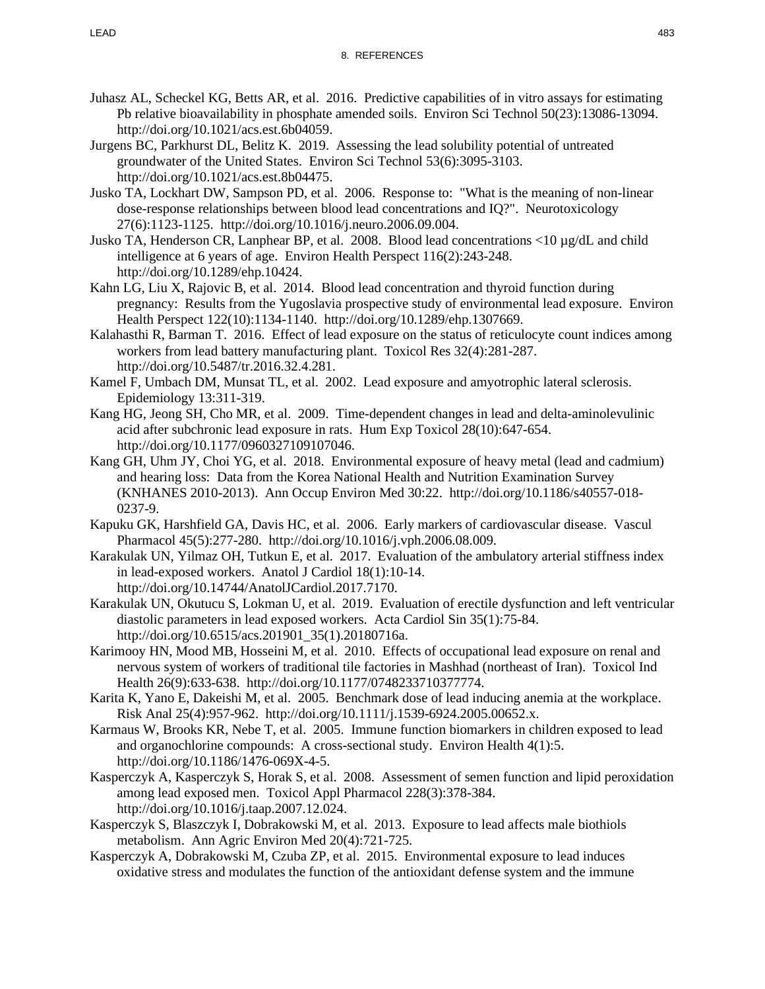- Juhasz AL, Scheckel KG, Betts AR, et al. 2016. Predictive capabilities of in vitro assays for estimating Pb relative bioavailability in phosphate amended soils. Environ Sci Technol 50(23):13086-13094. http://doi.org/10.1021/acs.est.6b04059.
- Jurgens BC, Parkhurst DL, Belitz K. 2019. Assessing the lead solubility potential of untreated groundwater of the United States. Environ Sci Technol 53(6):3095-3103. http://doi.org/10.1021/acs.est.8b04475.
- Jusko TA, Lockhart DW, Sampson PD, et al. 2006. Response to: "What is the meaning of non-linear dose-response relationships between blood lead concentrations and IQ?". Neurotoxicology 27(6):1123-1125. http://doi.org/10.1016/j.neuro.2006.09.004.
- Jusko TA, Henderson CR, Lanphear BP, et al. 2008. Blood lead concentrations <10 µg/dL and child intelligence at 6 years of age. Environ Health Perspect 116(2):243-248. http://doi.org/10.1289/ehp.10424.
- Kahn LG, Liu X, Rajovic B, et al. 2014. Blood lead concentration and thyroid function during pregnancy: Results from the Yugoslavia prospective study of environmental lead exposure. Environ Health Perspect 122(10):1134-1140. http://doi.org/10.1289/ehp.1307669.
- Kalahasthi R, Barman T. 2016. Effect of lead exposure on the status of reticulocyte count indices among workers from lead battery manufacturing plant. Toxicol Res 32(4):281-287. http://doi.org/10.5487/tr.2016.32.4.281.
- Kamel F, Umbach DM, Munsat TL, et al. 2002. Lead exposure and amyotrophic lateral sclerosis. Epidemiology 13:311-319.
- Kang HG, Jeong SH, Cho MR, et al. 2009. Time-dependent changes in lead and delta-aminolevulinic acid after subchronic lead exposure in rats. Hum Exp Toxicol 28(10):647-654. http://doi.org/10.1177/0960327109107046.
- Kang GH, Uhm JY, Choi YG, et al. 2018. Environmental exposure of heavy metal (lead and cadmium) and hearing loss: Data from the Korea National Health and Nutrition Examination Survey (KNHANES 2010-2013). Ann Occup Environ Med 30:22. http://doi.org/10.1186/s40557-018- 0237-9.
- Kapuku GK, Harshfield GA, Davis HC, et al. 2006. Early markers of cardiovascular disease. Vascul Pharmacol 45(5):277-280. http://doi.org/10.1016/j.vph.2006.08.009.
- Karakulak UN, Yilmaz OH, Tutkun E, et al. 2017. Evaluation of the ambulatory arterial stiffness index in lead-exposed workers. Anatol J Cardiol 18(1):10-14. http://doi.org/10.14744/AnatolJCardiol.2017.7170.
- Karakulak UN, Okutucu S, Lokman U, et al. 2019. Evaluation of erectile dysfunction and left ventricular diastolic parameters in lead exposed workers. Acta Cardiol Sin 35(1):75-84. http://doi.org/10.6515/acs.201901\_35(1).20180716a.
- Karimooy HN, Mood MB, Hosseini M, et al. 2010. Effects of occupational lead exposure on renal and nervous system of workers of traditional tile factories in Mashhad (northeast of Iran). Toxicol Ind Health 26(9):633-638. http://doi.org/10.1177/0748233710377774.
- Karita K, Yano E, Dakeishi M, et al. 2005. Benchmark dose of lead inducing anemia at the workplace. Risk Anal 25(4):957-962. http://doi.org/10.1111/j.1539-6924.2005.00652.x.
- Karmaus W, Brooks KR, Nebe T, et al. 2005. Immune function biomarkers in children exposed to lead and organochlorine compounds: A cross-sectional study. Environ Health 4(1):5. http://doi.org/10.1186/1476-069X-4-5.
- Kasperczyk A, Kasperczyk S, Horak S, et al. 2008. Assessment of semen function and lipid peroxidation among lead exposed men. Toxicol Appl Pharmacol 228(3):378-384. http://doi.org/10.1016/j.taap.2007.12.024.
- Kasperczyk S, Blaszczyk I, Dobrakowski M, et al. 2013. Exposure to lead affects male biothiols metabolism. Ann Agric Environ Med 20(4):721-725.
- Kasperczyk A, Dobrakowski M, Czuba ZP, et al. 2015. Environmental exposure to lead induces oxidative stress and modulates the function of the antioxidant defense system and the immune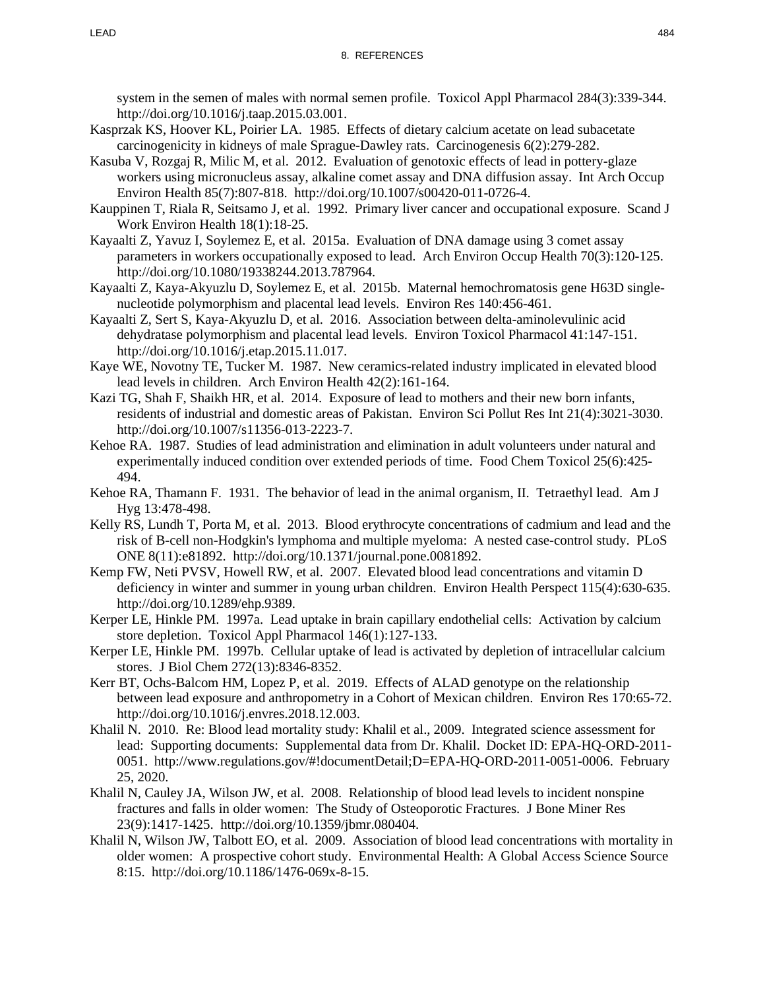system in the semen of males with normal semen profile. Toxicol Appl Pharmacol 284(3):339-344. http://doi.org/10.1016/j.taap.2015.03.001.

- Kasprzak KS, Hoover KL, Poirier LA. 1985. Effects of dietary calcium acetate on lead subacetate carcinogenicity in kidneys of male Sprague-Dawley rats. Carcinogenesis 6(2):279-282.
- Kasuba V, Rozgaj R, Milic M, et al. 2012. Evaluation of genotoxic effects of lead in pottery-glaze workers using micronucleus assay, alkaline comet assay and DNA diffusion assay. Int Arch Occup Environ Health 85(7):807-818. http://doi.org/10.1007/s00420-011-0726-4.
- Kauppinen T, Riala R, Seitsamo J, et al. 1992. Primary liver cancer and occupational exposure. Scand J Work Environ Health 18(1):18-25.
- Kayaalti Z, Yavuz I, Soylemez E, et al. 2015a. Evaluation of DNA damage using 3 comet assay parameters in workers occupationally exposed to lead. Arch Environ Occup Health 70(3):120-125. http://doi.org/10.1080/19338244.2013.787964.
- Kayaalti Z, Kaya-Akyuzlu D, Soylemez E, et al. 2015b. Maternal hemochromatosis gene H63D singlenucleotide polymorphism and placental lead levels. Environ Res 140:456-461.
- Kayaalti Z, Sert S, Kaya-Akyuzlu D, et al. 2016. Association between delta-aminolevulinic acid dehydratase polymorphism and placental lead levels. Environ Toxicol Pharmacol 41:147-151. http://doi.org/10.1016/j.etap.2015.11.017.
- Kaye WE, Novotny TE, Tucker M. 1987. New ceramics-related industry implicated in elevated blood lead levels in children. Arch Environ Health 42(2):161-164.
- Kazi TG, Shah F, Shaikh HR, et al. 2014. Exposure of lead to mothers and their new born infants, residents of industrial and domestic areas of Pakistan. Environ Sci Pollut Res Int 21(4):3021-3030. http://doi.org/10.1007/s11356-013-2223-7.
- Kehoe RA. 1987. Studies of lead administration and elimination in adult volunteers under natural and experimentally induced condition over extended periods of time. Food Chem Toxicol 25(6):425- 494.
- Kehoe RA, Thamann F. 1931. The behavior of lead in the animal organism, II. Tetraethyl lead. Am J Hyg 13:478-498.
- Kelly RS, Lundh T, Porta M, et al. 2013. Blood erythrocyte concentrations of cadmium and lead and the risk of B-cell non-Hodgkin's lymphoma and multiple myeloma: A nested case-control study. PLoS ONE 8(11):e81892. http://doi.org/10.1371/journal.pone.0081892.
- Kemp FW, Neti PVSV, Howell RW, et al. 2007. Elevated blood lead concentrations and vitamin D deficiency in winter and summer in young urban children. Environ Health Perspect 115(4):630-635. http://doi.org/10.1289/ehp.9389.
- Kerper LE, Hinkle PM. 1997a. Lead uptake in brain capillary endothelial cells: Activation by calcium store depletion. Toxicol Appl Pharmacol 146(1):127-133.
- Kerper LE, Hinkle PM. 1997b. Cellular uptake of lead is activated by depletion of intracellular calcium stores. J Biol Chem 272(13):8346-8352.
- Kerr BT, Ochs-Balcom HM, Lopez P, et al. 2019. Effects of ALAD genotype on the relationship between lead exposure and anthropometry in a Cohort of Mexican children. Environ Res 170:65-72. http://doi.org/10.1016/j.envres.2018.12.003.
- Khalil N. 2010. Re: Blood lead mortality study: Khalil et al., 2009. Integrated science assessment for lead: Supporting documents: Supplemental data from Dr. Khalil. Docket ID: EPA-HQ-ORD-2011- 0051. http://www.regulations.gov/#!documentDetail;D=EPA-HQ-ORD-2011-0051-0006. February 25, 2020.
- Khalil N, Cauley JA, Wilson JW, et al. 2008. Relationship of blood lead levels to incident nonspine fractures and falls in older women: The Study of Osteoporotic Fractures. J Bone Miner Res 23(9):1417-1425. http://doi.org/10.1359/jbmr.080404.
- Khalil N, Wilson JW, Talbott EO, et al. 2009. Association of blood lead concentrations with mortality in older women: A prospective cohort study. Environmental Health: A Global Access Science Source 8:15. http://doi.org/10.1186/1476-069x-8-15.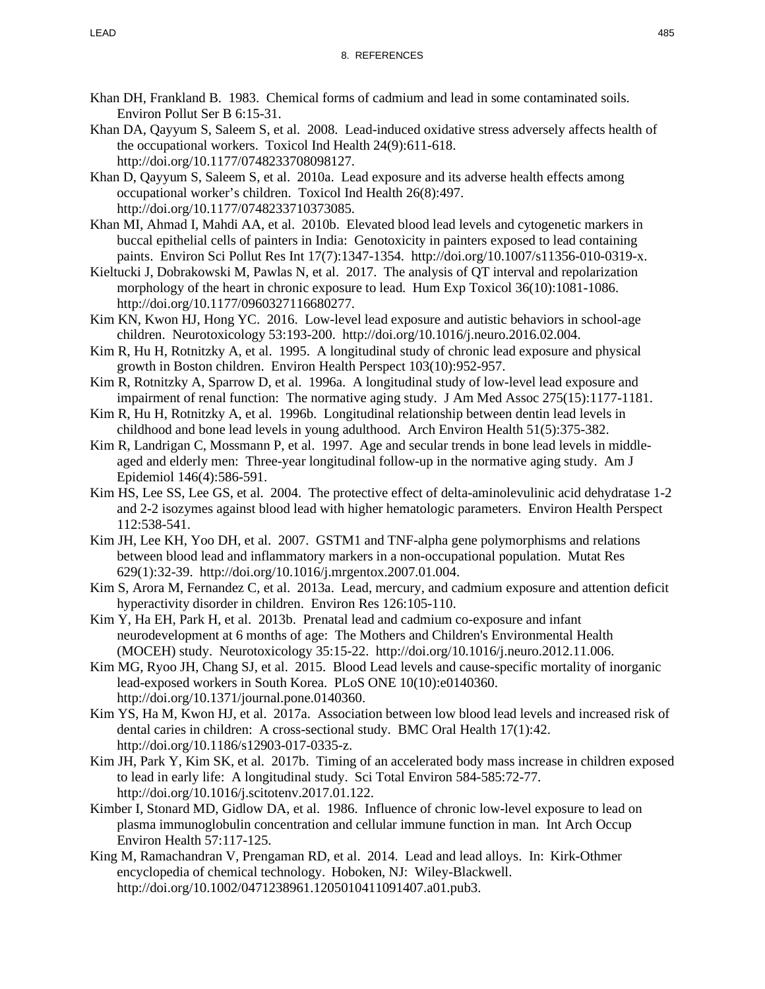- Khan DH, Frankland B. 1983. Chemical forms of cadmium and lead in some contaminated soils. Environ Pollut Ser B 6:15-31.
- Khan DA, Qayyum S, Saleem S, et al. 2008. Lead-induced oxidative stress adversely affects health of the occupational workers. Toxicol Ind Health 24(9):611-618. http://doi.org/10.1177/0748233708098127.
- Khan D, Qayyum S, Saleem S, et al. 2010a. Lead exposure and its adverse health effects among occupational worker's children. Toxicol Ind Health 26(8):497. http://doi.org/10.1177/0748233710373085.
- Khan MI, Ahmad I, Mahdi AA, et al. 2010b. Elevated blood lead levels and cytogenetic markers in buccal epithelial cells of painters in India: Genotoxicity in painters exposed to lead containing paints. Environ Sci Pollut Res Int 17(7):1347-1354. http://doi.org/10.1007/s11356-010-0319-x.
- Kieltucki J, Dobrakowski M, Pawlas N, et al. 2017. The analysis of QT interval and repolarization morphology of the heart in chronic exposure to lead. Hum Exp Toxicol 36(10):1081-1086. http://doi.org/10.1177/0960327116680277.
- Kim KN, Kwon HJ, Hong YC. 2016. Low-level lead exposure and autistic behaviors in school-age children. Neurotoxicology 53:193-200. http://doi.org/10.1016/j.neuro.2016.02.004.
- Kim R, Hu H, Rotnitzky A, et al. 1995. A longitudinal study of chronic lead exposure and physical growth in Boston children. Environ Health Perspect 103(10):952-957.
- Kim R, Rotnitzky A, Sparrow D, et al. 1996a. A longitudinal study of low-level lead exposure and impairment of renal function: The normative aging study. J Am Med Assoc 275(15):1177-1181.
- Kim R, Hu H, Rotnitzky A, et al. 1996b. Longitudinal relationship between dentin lead levels in childhood and bone lead levels in young adulthood. Arch Environ Health 51(5):375-382.
- Kim R, Landrigan C, Mossmann P, et al. 1997. Age and secular trends in bone lead levels in middleaged and elderly men: Three-year longitudinal follow-up in the normative aging study. Am J Epidemiol 146(4):586-591.
- Kim HS, Lee SS, Lee GS, et al. 2004. The protective effect of delta-aminolevulinic acid dehydratase 1-2 and 2-2 isozymes against blood lead with higher hematologic parameters. Environ Health Perspect 112:538-541.
- Kim JH, Lee KH, Yoo DH, et al. 2007. GSTM1 and TNF-alpha gene polymorphisms and relations between blood lead and inflammatory markers in a non-occupational population. Mutat Res 629(1):32-39. http://doi.org/10.1016/j.mrgentox.2007.01.004.
- Kim S, Arora M, Fernandez C, et al. 2013a. Lead, mercury, and cadmium exposure and attention deficit hyperactivity disorder in children. Environ Res 126:105-110.
- Kim Y, Ha EH, Park H, et al. 2013b. Prenatal lead and cadmium co-exposure and infant neurodevelopment at 6 months of age: The Mothers and Children's Environmental Health (MOCEH) study. Neurotoxicology 35:15-22. http://doi.org/10.1016/j.neuro.2012.11.006.
- Kim MG, Ryoo JH, Chang SJ, et al. 2015. Blood Lead levels and cause-specific mortality of inorganic lead-exposed workers in South Korea. PLoS ONE 10(10):e0140360. http://doi.org/10.1371/journal.pone.0140360.
- Kim YS, Ha M, Kwon HJ, et al. 2017a. Association between low blood lead levels and increased risk of dental caries in children: A cross-sectional study. BMC Oral Health 17(1):42. http://doi.org/10.1186/s12903-017-0335-z.
- Kim JH, Park Y, Kim SK, et al. 2017b. Timing of an accelerated body mass increase in children exposed to lead in early life: A longitudinal study. Sci Total Environ 584-585:72-77. http://doi.org/10.1016/j.scitotenv.2017.01.122.
- Kimber I, Stonard MD, Gidlow DA, et al. 1986. Influence of chronic low-level exposure to lead on plasma immunoglobulin concentration and cellular immune function in man. Int Arch Occup Environ Health 57:117-125.
- King M, Ramachandran V, Prengaman RD, et al. 2014. Lead and lead alloys. In: Kirk-Othmer encyclopedia of chemical technology. Hoboken, NJ: Wiley-Blackwell. http://doi.org/10.1002/0471238961.1205010411091407.a01.pub3.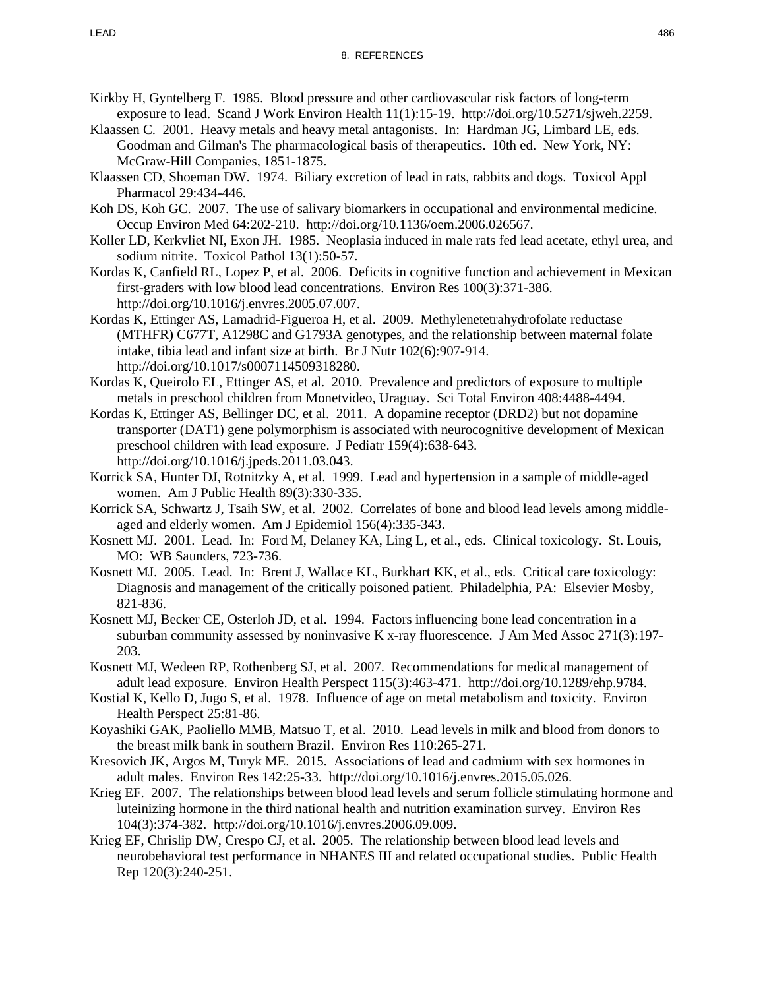- Kirkby H, Gyntelberg F. 1985. Blood pressure and other cardiovascular risk factors of long-term exposure to lead. Scand J Work Environ Health 11(1):15-19. http://doi.org/10.5271/sjweh.2259.
- Klaassen C. 2001. Heavy metals and heavy metal antagonists. In: Hardman JG, Limbard LE, eds. Goodman and Gilman's The pharmacological basis of therapeutics. 10th ed. New York, NY: McGraw-Hill Companies, 1851-1875.
- Klaassen CD, Shoeman DW. 1974. Biliary excretion of lead in rats, rabbits and dogs. Toxicol Appl Pharmacol 29:434-446.
- Koh DS, Koh GC. 2007. The use of salivary biomarkers in occupational and environmental medicine. Occup Environ Med 64:202-210. http://doi.org/10.1136/oem.2006.026567.
- Koller LD, Kerkvliet NI, Exon JH. 1985. Neoplasia induced in male rats fed lead acetate, ethyl urea, and sodium nitrite. Toxicol Pathol 13(1):50-57.
- Kordas K, Canfield RL, Lopez P, et al. 2006. Deficits in cognitive function and achievement in Mexican first-graders with low blood lead concentrations. Environ Res 100(3):371-386. http://doi.org/10.1016/j.envres.2005.07.007.
- Kordas K, Ettinger AS, Lamadrid-Figueroa H, et al. 2009. Methylenetetrahydrofolate reductase (MTHFR) C677T, A1298C and G1793A genotypes, and the relationship between maternal folate intake, tibia lead and infant size at birth. Br J Nutr 102(6):907-914. http://doi.org/10.1017/s0007114509318280.
- Kordas K, Queirolo EL, Ettinger AS, et al. 2010. Prevalence and predictors of exposure to multiple metals in preschool children from Monetvideo, Uraguay. Sci Total Environ 408:4488-4494.
- Kordas K, Ettinger AS, Bellinger DC, et al. 2011. A dopamine receptor (DRD2) but not dopamine transporter (DAT1) gene polymorphism is associated with neurocognitive development of Mexican preschool children with lead exposure. J Pediatr 159(4):638-643. http://doi.org/10.1016/j.jpeds.2011.03.043.
- Korrick SA, Hunter DJ, Rotnitzky A, et al. 1999. Lead and hypertension in a sample of middle-aged women. Am J Public Health 89(3):330-335.
- Korrick SA, Schwartz J, Tsaih SW, et al. 2002. Correlates of bone and blood lead levels among middleaged and elderly women. Am J Epidemiol 156(4):335-343.
- Kosnett MJ. 2001. Lead. In: Ford M, Delaney KA, Ling L, et al., eds. Clinical toxicology. St. Louis, MO: WB Saunders, 723-736.
- Kosnett MJ. 2005. Lead. In: Brent J, Wallace KL, Burkhart KK, et al., eds. Critical care toxicology: Diagnosis and management of the critically poisoned patient. Philadelphia, PA: Elsevier Mosby, 821-836.
- Kosnett MJ, Becker CE, Osterloh JD, et al. 1994. Factors influencing bone lead concentration in a suburban community assessed by noninvasive K x-ray fluorescence. J Am Med Assoc 271(3):197- 203.
- Kosnett MJ, Wedeen RP, Rothenberg SJ, et al. 2007. Recommendations for medical management of adult lead exposure. Environ Health Perspect 115(3):463-471. http://doi.org/10.1289/ehp.9784.
- Kostial K, Kello D, Jugo S, et al. 1978. Influence of age on metal metabolism and toxicity. Environ Health Perspect 25:81-86.
- Koyashiki GAK, Paoliello MMB, Matsuo T, et al. 2010. Lead levels in milk and blood from donors to the breast milk bank in southern Brazil. Environ Res 110:265-271.
- Kresovich JK, Argos M, Turyk ME. 2015. Associations of lead and cadmium with sex hormones in adult males. Environ Res 142:25-33. http://doi.org/10.1016/j.envres.2015.05.026.
- Krieg EF. 2007. The relationships between blood lead levels and serum follicle stimulating hormone and luteinizing hormone in the third national health and nutrition examination survey. Environ Res 104(3):374-382. http://doi.org/10.1016/j.envres.2006.09.009.
- Krieg EF, Chrislip DW, Crespo CJ, et al. 2005. The relationship between blood lead levels and neurobehavioral test performance in NHANES III and related occupational studies. Public Health Rep 120(3):240-251.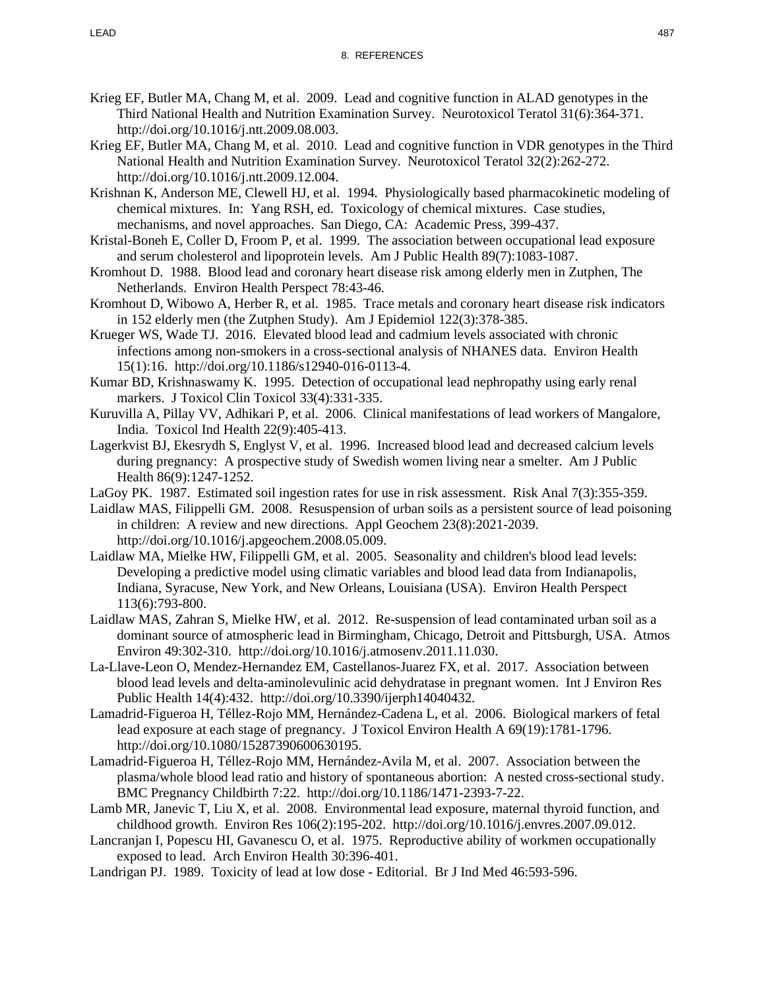- Krieg EF, Butler MA, Chang M, et al. 2009. Lead and cognitive function in ALAD genotypes in the Third National Health and Nutrition Examination Survey. Neurotoxicol Teratol 31(6):364-371. http://doi.org/10.1016/j.ntt.2009.08.003.
- Krieg EF, Butler MA, Chang M, et al. 2010. Lead and cognitive function in VDR genotypes in the Third National Health and Nutrition Examination Survey. Neurotoxicol Teratol 32(2):262-272. http://doi.org/10.1016/j.ntt.2009.12.004.
- Krishnan K, Anderson ME, Clewell HJ, et al. 1994. Physiologically based pharmacokinetic modeling of chemical mixtures. In: Yang RSH, ed. Toxicology of chemical mixtures. Case studies, mechanisms, and novel approaches. San Diego, CA: Academic Press, 399-437.
- Kristal-Boneh E, Coller D, Froom P, et al. 1999. The association between occupational lead exposure and serum cholesterol and lipoprotein levels. Am J Public Health 89(7):1083-1087.
- Kromhout D. 1988. Blood lead and coronary heart disease risk among elderly men in Zutphen, The Netherlands. Environ Health Perspect 78:43-46.
- Kromhout D, Wibowo A, Herber R, et al. 1985. Trace metals and coronary heart disease risk indicators in 152 elderly men (the Zutphen Study). Am J Epidemiol 122(3):378-385.
- Krueger WS, Wade TJ. 2016. Elevated blood lead and cadmium levels associated with chronic infections among non-smokers in a cross-sectional analysis of NHANES data. Environ Health 15(1):16. http://doi.org/10.1186/s12940-016-0113-4.
- Kumar BD, Krishnaswamy K. 1995. Detection of occupational lead nephropathy using early renal markers. J Toxicol Clin Toxicol 33(4):331-335.
- Kuruvilla A, Pillay VV, Adhikari P, et al. 2006. Clinical manifestations of lead workers of Mangalore, India. Toxicol Ind Health 22(9):405-413.
- Lagerkvist BJ, Ekesrydh S, Englyst V, et al. 1996. Increased blood lead and decreased calcium levels during pregnancy: A prospective study of Swedish women living near a smelter. Am J Public Health 86(9):1247-1252.
- LaGoy PK. 1987. Estimated soil ingestion rates for use in risk assessment. Risk Anal 7(3):355-359.
- Laidlaw MAS, Filippelli GM. 2008. Resuspension of urban soils as a persistent source of lead poisoning in children: A review and new directions. Appl Geochem 23(8):2021-2039. http://doi.org/10.1016/j.apgeochem.2008.05.009.
- Laidlaw MA, Mielke HW, Filippelli GM, et al. 2005. Seasonality and children's blood lead levels: Developing a predictive model using climatic variables and blood lead data from Indianapolis, Indiana, Syracuse, New York, and New Orleans, Louisiana (USA). Environ Health Perspect 113(6):793-800.
- Laidlaw MAS, Zahran S, Mielke HW, et al. 2012. Re-suspension of lead contaminated urban soil as a dominant source of atmospheric lead in Birmingham, Chicago, Detroit and Pittsburgh, USA. Atmos Environ 49:302-310. http://doi.org/10.1016/j.atmosenv.2011.11.030.
- La-Llave-Leon O, Mendez-Hernandez EM, Castellanos-Juarez FX, et al. 2017. Association between blood lead levels and delta-aminolevulinic acid dehydratase in pregnant women. Int J Environ Res Public Health 14(4):432. http://doi.org/10.3390/ijerph14040432.
- Lamadrid-Figueroa H, Téllez-Rojo MM, Hernández-Cadena L, et al. 2006. Biological markers of fetal lead exposure at each stage of pregnancy. J Toxicol Environ Health A 69(19):1781-1796. http://doi.org/10.1080/15287390600630195.
- Lamadrid-Figueroa H, Téllez-Rojo MM, Hernández-Avila M, et al. 2007. Association between the plasma/whole blood lead ratio and history of spontaneous abortion: A nested cross-sectional study. BMC Pregnancy Childbirth 7:22. http://doi.org/10.1186/1471-2393-7-22.
- Lamb MR, Janevic T, Liu X, et al. 2008. Environmental lead exposure, maternal thyroid function, and childhood growth. Environ Res 106(2):195-202. http://doi.org/10.1016/j.envres.2007.09.012.
- Lancranjan I, Popescu HI, Gavanescu O, et al. 1975. Reproductive ability of workmen occupationally exposed to lead. Arch Environ Health 30:396-401.
- Landrigan PJ. 1989. Toxicity of lead at low dose Editorial. Br J Ind Med 46:593-596.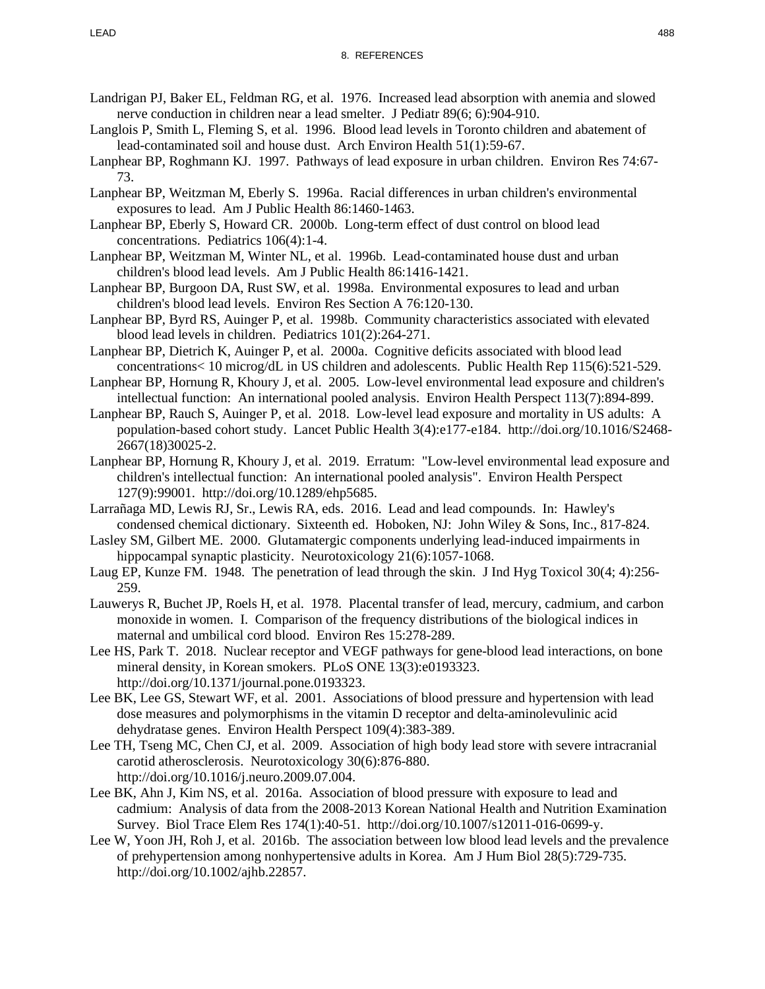- Landrigan PJ, Baker EL, Feldman RG, et al. 1976. Increased lead absorption with anemia and slowed nerve conduction in children near a lead smelter. J Pediatr 89(6; 6):904-910.
- Langlois P, Smith L, Fleming S, et al. 1996. Blood lead levels in Toronto children and abatement of lead-contaminated soil and house dust. Arch Environ Health 51(1):59-67.
- Lanphear BP, Roghmann KJ. 1997. Pathways of lead exposure in urban children. Environ Res 74:67- 73.
- Lanphear BP, Weitzman M, Eberly S. 1996a. Racial differences in urban children's environmental exposures to lead. Am J Public Health 86:1460-1463.
- Lanphear BP, Eberly S, Howard CR. 2000b. Long-term effect of dust control on blood lead concentrations. Pediatrics 106(4):1-4.
- Lanphear BP, Weitzman M, Winter NL, et al. 1996b. Lead-contaminated house dust and urban children's blood lead levels. Am J Public Health 86:1416-1421.
- Lanphear BP, Burgoon DA, Rust SW, et al. 1998a. Environmental exposures to lead and urban children's blood lead levels. Environ Res Section A 76:120-130.
- Lanphear BP, Byrd RS, Auinger P, et al. 1998b. Community characteristics associated with elevated blood lead levels in children. Pediatrics 101(2):264-271.
- Lanphear BP, Dietrich K, Auinger P, et al. 2000a. Cognitive deficits associated with blood lead concentrations< 10 microg/dL in US children and adolescents. Public Health Rep 115(6):521-529.
- Lanphear BP, Hornung R, Khoury J, et al. 2005. Low-level environmental lead exposure and children's intellectual function: An international pooled analysis. Environ Health Perspect 113(7):894-899.
- Lanphear BP, Rauch S, Auinger P, et al. 2018. Low-level lead exposure and mortality in US adults: A population-based cohort study. Lancet Public Health 3(4):e177-e184. http://doi.org/10.1016/S2468- 2667(18)30025-2.
- Lanphear BP, Hornung R, Khoury J, et al. 2019. Erratum: "Low-level environmental lead exposure and children's intellectual function: An international pooled analysis". Environ Health Perspect 127(9):99001. http://doi.org/10.1289/ehp5685.
- Larrañaga MD, Lewis RJ, Sr., Lewis RA, eds. 2016. Lead and lead compounds. In: Hawley's condensed chemical dictionary. Sixteenth ed. Hoboken, NJ: John Wiley & Sons, Inc., 817-824.
- Lasley SM, Gilbert ME. 2000. Glutamatergic components underlying lead-induced impairments in hippocampal synaptic plasticity. Neurotoxicology 21(6):1057-1068.
- Laug EP, Kunze FM. 1948. The penetration of lead through the skin. J Ind Hyg Toxicol 30(4; 4):256- 259.
- Lauwerys R, Buchet JP, Roels H, et al. 1978. Placental transfer of lead, mercury, cadmium, and carbon monoxide in women. I. Comparison of the frequency distributions of the biological indices in maternal and umbilical cord blood. Environ Res 15:278-289.
- Lee HS, Park T. 2018. Nuclear receptor and VEGF pathways for gene-blood lead interactions, on bone mineral density, in Korean smokers. PLoS ONE 13(3):e0193323. http://doi.org/10.1371/journal.pone.0193323.
- Lee BK, Lee GS, Stewart WF, et al. 2001. Associations of blood pressure and hypertension with lead dose measures and polymorphisms in the vitamin D receptor and delta-aminolevulinic acid dehydratase genes. Environ Health Perspect 109(4):383-389.
- Lee TH, Tseng MC, Chen CJ, et al. 2009. Association of high body lead store with severe intracranial carotid atherosclerosis. Neurotoxicology 30(6):876-880. http://doi.org/10.1016/j.neuro.2009.07.004.
- Lee BK, Ahn J, Kim NS, et al. 2016a. Association of blood pressure with exposure to lead and cadmium: Analysis of data from the 2008-2013 Korean National Health and Nutrition Examination Survey. Biol Trace Elem Res 174(1):40-51. http://doi.org/10.1007/s12011-016-0699-y.
- Lee W, Yoon JH, Roh J, et al. 2016b. The association between low blood lead levels and the prevalence of prehypertension among nonhypertensive adults in Korea. Am J Hum Biol 28(5):729-735. http://doi.org/10.1002/ajhb.22857.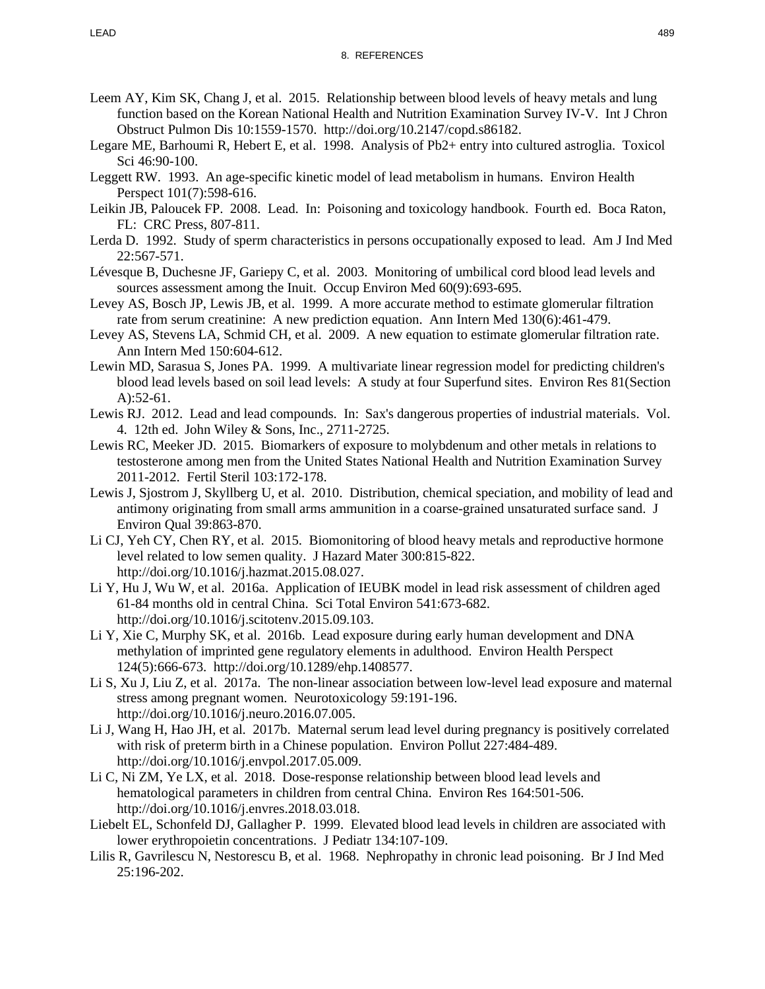- Leem AY, Kim SK, Chang J, et al. 2015. Relationship between blood levels of heavy metals and lung function based on the Korean National Health and Nutrition Examination Survey IV-V. Int J Chron Obstruct Pulmon Dis 10:1559-1570. http://doi.org/10.2147/copd.s86182.
- Legare ME, Barhoumi R, Hebert E, et al. 1998. Analysis of Pb2+ entry into cultured astroglia. Toxicol Sci 46:90-100.
- Leggett RW. 1993. An age-specific kinetic model of lead metabolism in humans. Environ Health Perspect 101(7):598-616.
- Leikin JB, Paloucek FP. 2008. Lead. In: Poisoning and toxicology handbook. Fourth ed. Boca Raton, FL: CRC Press, 807-811.
- Lerda D. 1992. Study of sperm characteristics in persons occupationally exposed to lead. Am J Ind Med 22:567-571.
- Lévesque B, Duchesne JF, Gariepy C, et al. 2003. Monitoring of umbilical cord blood lead levels and sources assessment among the Inuit. Occup Environ Med 60(9):693-695.
- Levey AS, Bosch JP, Lewis JB, et al. 1999. A more accurate method to estimate glomerular filtration rate from serum creatinine: A new prediction equation. Ann Intern Med 130(6):461-479.
- Levey AS, Stevens LA, Schmid CH, et al. 2009. A new equation to estimate glomerular filtration rate. Ann Intern Med 150:604-612.
- Lewin MD, Sarasua S, Jones PA. 1999. A multivariate linear regression model for predicting children's blood lead levels based on soil lead levels: A study at four Superfund sites. Environ Res 81(Section A):52-61.
- Lewis RJ. 2012. Lead and lead compounds. In: Sax's dangerous properties of industrial materials. Vol. 4. 12th ed. John Wiley & Sons, Inc., 2711-2725.
- Lewis RC, Meeker JD. 2015. Biomarkers of exposure to molybdenum and other metals in relations to testosterone among men from the United States National Health and Nutrition Examination Survey 2011-2012. Fertil Steril 103:172-178.
- Lewis J, Sjostrom J, Skyllberg U, et al. 2010. Distribution, chemical speciation, and mobility of lead and antimony originating from small arms ammunition in a coarse-grained unsaturated surface sand. J Environ Qual 39:863-870.
- Li CJ, Yeh CY, Chen RY, et al. 2015. Biomonitoring of blood heavy metals and reproductive hormone level related to low semen quality. J Hazard Mater 300:815-822. http://doi.org/10.1016/j.hazmat.2015.08.027.
- Li Y, Hu J, Wu W, et al. 2016a. Application of IEUBK model in lead risk assessment of children aged 61-84 months old in central China. Sci Total Environ 541:673-682. http://doi.org/10.1016/j.scitotenv.2015.09.103.
- Li Y, Xie C, Murphy SK, et al. 2016b. Lead exposure during early human development and DNA methylation of imprinted gene regulatory elements in adulthood. Environ Health Perspect 124(5):666-673. http://doi.org/10.1289/ehp.1408577.
- Li S, Xu J, Liu Z, et al. 2017a. The non-linear association between low-level lead exposure and maternal stress among pregnant women. Neurotoxicology 59:191-196. http://doi.org/10.1016/j.neuro.2016.07.005.
- Li J, Wang H, Hao JH, et al. 2017b. Maternal serum lead level during pregnancy is positively correlated with risk of preterm birth in a Chinese population. Environ Pollut 227:484-489. http://doi.org/10.1016/j.envpol.2017.05.009.
- Li C, Ni ZM, Ye LX, et al. 2018. Dose-response relationship between blood lead levels and hematological parameters in children from central China. Environ Res 164:501-506. http://doi.org/10.1016/j.envres.2018.03.018.
- Liebelt EL, Schonfeld DJ, Gallagher P. 1999. Elevated blood lead levels in children are associated with lower erythropoietin concentrations. J Pediatr 134:107-109.
- Lilis R, Gavrilescu N, Nestorescu B, et al. 1968. Nephropathy in chronic lead poisoning. Br J Ind Med 25:196-202.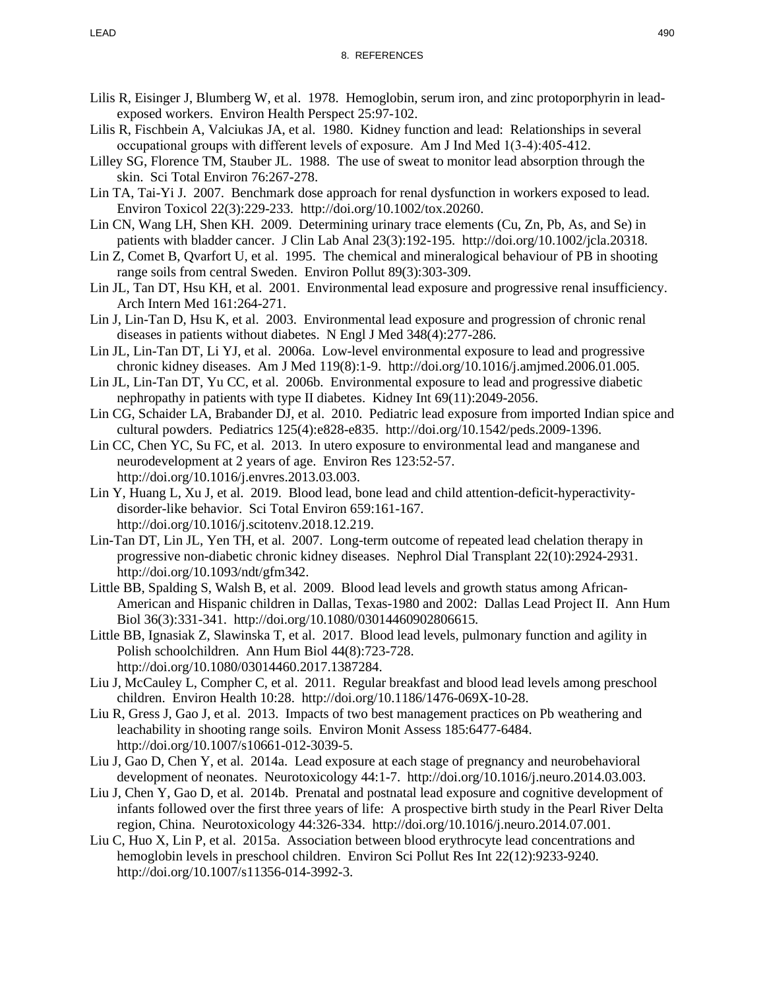- Lilis R, Eisinger J, Blumberg W, et al. 1978. Hemoglobin, serum iron, and zinc protoporphyrin in leadexposed workers. Environ Health Perspect 25:97-102.
- Lilis R, Fischbein A, Valciukas JA, et al. 1980. Kidney function and lead: Relationships in several occupational groups with different levels of exposure. Am J Ind Med 1(3‐4):405-412.
- Lilley SG, Florence TM, Stauber JL. 1988. The use of sweat to monitor lead absorption through the skin. Sci Total Environ 76:267-278.
- Lin TA, Tai-Yi J. 2007. Benchmark dose approach for renal dysfunction in workers exposed to lead. Environ Toxicol 22(3):229-233. http://doi.org/10.1002/tox.20260.
- Lin CN, Wang LH, Shen KH. 2009. Determining urinary trace elements (Cu, Zn, Pb, As, and Se) in patients with bladder cancer. J Clin Lab Anal 23(3):192-195. http://doi.org/10.1002/jcla.20318.
- Lin Z, Comet B, Qvarfort U, et al. 1995. The chemical and mineralogical behaviour of PB in shooting range soils from central Sweden. Environ Pollut 89(3):303-309.
- Lin JL, Tan DT, Hsu KH, et al. 2001. Environmental lead exposure and progressive renal insufficiency. Arch Intern Med 161:264-271.
- Lin J, Lin-Tan D, Hsu K, et al. 2003. Environmental lead exposure and progression of chronic renal diseases in patients without diabetes. N Engl J Med 348(4):277-286.
- Lin JL, Lin-Tan DT, Li YJ, et al. 2006a. Low-level environmental exposure to lead and progressive chronic kidney diseases. Am J Med 119(8):1-9. http://doi.org/10.1016/j.amjmed.2006.01.005.
- Lin JL, Lin-Tan DT, Yu CC, et al. 2006b. Environmental exposure to lead and progressive diabetic nephropathy in patients with type II diabetes. Kidney Int 69(11):2049-2056.
- Lin CG, Schaider LA, Brabander DJ, et al. 2010. Pediatric lead exposure from imported Indian spice and cultural powders. Pediatrics 125(4):e828-e835. http://doi.org/10.1542/peds.2009-1396.
- Lin CC, Chen YC, Su FC, et al. 2013. In utero exposure to environmental lead and manganese and neurodevelopment at 2 years of age. Environ Res 123:52-57. http://doi.org/10.1016/j.envres.2013.03.003.
- Lin Y, Huang L, Xu J, et al. 2019. Blood lead, bone lead and child attention-deficit-hyperactivitydisorder-like behavior. Sci Total Environ 659:161-167. http://doi.org/10.1016/j.scitotenv.2018.12.219.
- Lin-Tan DT, Lin JL, Yen TH, et al. 2007. Long-term outcome of repeated lead chelation therapy in progressive non-diabetic chronic kidney diseases. Nephrol Dial Transplant 22(10):2924-2931. http://doi.org/10.1093/ndt/gfm342.
- Little BB, Spalding S, Walsh B, et al. 2009. Blood lead levels and growth status among African-American and Hispanic children in Dallas, Texas-1980 and 2002: Dallas Lead Project II. Ann Hum Biol 36(3):331-341. http://doi.org/10.1080/03014460902806615.
- Little BB, Ignasiak Z, Slawinska T, et al. 2017. Blood lead levels, pulmonary function and agility in Polish schoolchildren. Ann Hum Biol 44(8):723-728. http://doi.org/10.1080/03014460.2017.1387284.
- Liu J, McCauley L, Compher C, et al. 2011. Regular breakfast and blood lead levels among preschool children. Environ Health 10:28. http://doi.org/10.1186/1476-069X-10-28.
- Liu R, Gress J, Gao J, et al. 2013. Impacts of two best management practices on Pb weathering and leachability in shooting range soils. Environ Monit Assess 185:6477-6484. http://doi.org/10.1007/s10661-012-3039-5.
- Liu J, Gao D, Chen Y, et al. 2014a. Lead exposure at each stage of pregnancy and neurobehavioral development of neonates. Neurotoxicology 44:1-7. http://doi.org/10.1016/j.neuro.2014.03.003.
- Liu J, Chen Y, Gao D, et al. 2014b. Prenatal and postnatal lead exposure and cognitive development of infants followed over the first three years of life: A prospective birth study in the Pearl River Delta region, China. Neurotoxicology 44:326-334. http://doi.org/10.1016/j.neuro.2014.07.001.
- Liu C, Huo X, Lin P, et al. 2015a. Association between blood erythrocyte lead concentrations and hemoglobin levels in preschool children. Environ Sci Pollut Res Int 22(12):9233-9240. http://doi.org/10.1007/s11356-014-3992-3.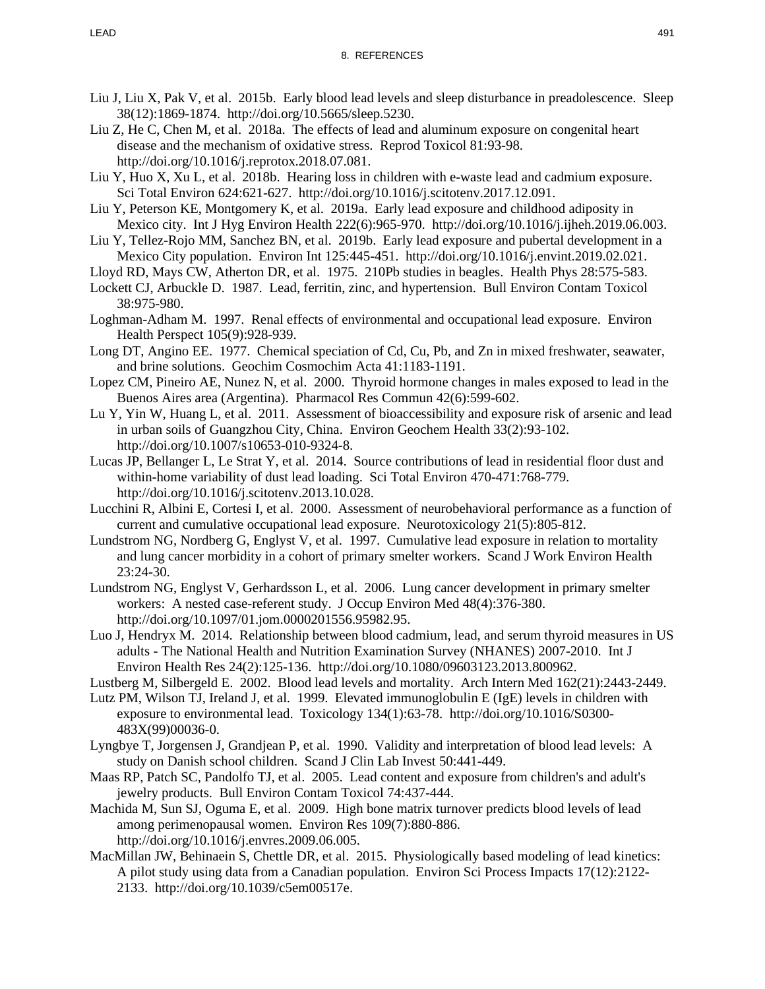- Liu J, Liu X, Pak V, et al. 2015b. Early blood lead levels and sleep disturbance in preadolescence. Sleep 38(12):1869-1874. http://doi.org/10.5665/sleep.5230.
- Liu Z, He C, Chen M, et al. 2018a. The effects of lead and aluminum exposure on congenital heart disease and the mechanism of oxidative stress. Reprod Toxicol 81:93-98. http://doi.org/10.1016/j.reprotox.2018.07.081.
- Liu Y, Huo X, Xu L, et al. 2018b. Hearing loss in children with e-waste lead and cadmium exposure. Sci Total Environ 624:621-627. http://doi.org/10.1016/j.scitotenv.2017.12.091.
- Liu Y, Peterson KE, Montgomery K, et al. 2019a. Early lead exposure and childhood adiposity in Mexico city. Int J Hyg Environ Health 222(6):965-970. http://doi.org/10.1016/j.ijheh.2019.06.003.
- Liu Y, Tellez-Rojo MM, Sanchez BN, et al. 2019b. Early lead exposure and pubertal development in a Mexico City population. Environ Int 125:445-451. http://doi.org/10.1016/j.envint.2019.02.021.
- Lloyd RD, Mays CW, Atherton DR, et al. 1975. 210Pb studies in beagles. Health Phys 28:575-583.
- Lockett CJ, Arbuckle D. 1987. Lead, ferritin, zinc, and hypertension. Bull Environ Contam Toxicol 38:975-980.
- Loghman-Adham M. 1997. Renal effects of environmental and occupational lead exposure. Environ Health Perspect 105(9):928-939.
- Long DT, Angino EE. 1977. Chemical speciation of Cd, Cu, Pb, and Zn in mixed freshwater, seawater, and brine solutions. Geochim Cosmochim Acta 41:1183-1191.
- Lopez CM, Pineiro AE, Nunez N, et al. 2000. Thyroid hormone changes in males exposed to lead in the Buenos Aires area (Argentina). Pharmacol Res Commun 42(6):599-602.
- Lu Y, Yin W, Huang L, et al. 2011. Assessment of bioaccessibility and exposure risk of arsenic and lead in urban soils of Guangzhou City, China. Environ Geochem Health 33(2):93-102. http://doi.org/10.1007/s10653-010-9324-8.
- Lucas JP, Bellanger L, Le Strat Y, et al. 2014. Source contributions of lead in residential floor dust and within-home variability of dust lead loading. Sci Total Environ 470-471:768-779. http://doi.org/10.1016/j.scitotenv.2013.10.028.
- Lucchini R, Albini E, Cortesi I, et al. 2000. Assessment of neurobehavioral performance as a function of current and cumulative occupational lead exposure. Neurotoxicology 21(5):805-812.
- Lundstrom NG, Nordberg G, Englyst V, et al. 1997. Cumulative lead exposure in relation to mortality and lung cancer morbidity in a cohort of primary smelter workers. Scand J Work Environ Health 23:24-30.
- Lundstrom NG, Englyst V, Gerhardsson L, et al. 2006. Lung cancer development in primary smelter workers: A nested case-referent study. J Occup Environ Med 48(4):376-380. http://doi.org/10.1097/01.jom.0000201556.95982.95.
- Luo J, Hendryx M. 2014. Relationship between blood cadmium, lead, and serum thyroid measures in US adults - The National Health and Nutrition Examination Survey (NHANES) 2007-2010. Int J Environ Health Res 24(2):125-136. http://doi.org/10.1080/09603123.2013.800962.
- Lustberg M, Silbergeld E. 2002. Blood lead levels and mortality. Arch Intern Med 162(21):2443-2449.
- Lutz PM, Wilson TJ, Ireland J, et al. 1999. Elevated immunoglobulin E (IgE) levels in children with exposure to environmental lead. Toxicology 134(1):63-78. http://doi.org/10.1016/S0300- 483X(99)00036-0.
- Lyngbye T, Jorgensen J, Grandjean P, et al. 1990. Validity and interpretation of blood lead levels: A study on Danish school children. Scand J Clin Lab Invest 50:441-449.
- Maas RP, Patch SC, Pandolfo TJ, et al. 2005. Lead content and exposure from children's and adult's jewelry products. Bull Environ Contam Toxicol 74:437-444.
- Machida M, Sun SJ, Oguma E, et al. 2009. High bone matrix turnover predicts blood levels of lead among perimenopausal women. Environ Res 109(7):880-886. http://doi.org/10.1016/j.envres.2009.06.005.
- MacMillan JW, Behinaein S, Chettle DR, et al. 2015. Physiologically based modeling of lead kinetics: A pilot study using data from a Canadian population. Environ Sci Process Impacts 17(12):2122- 2133. http://doi.org/10.1039/c5em00517e.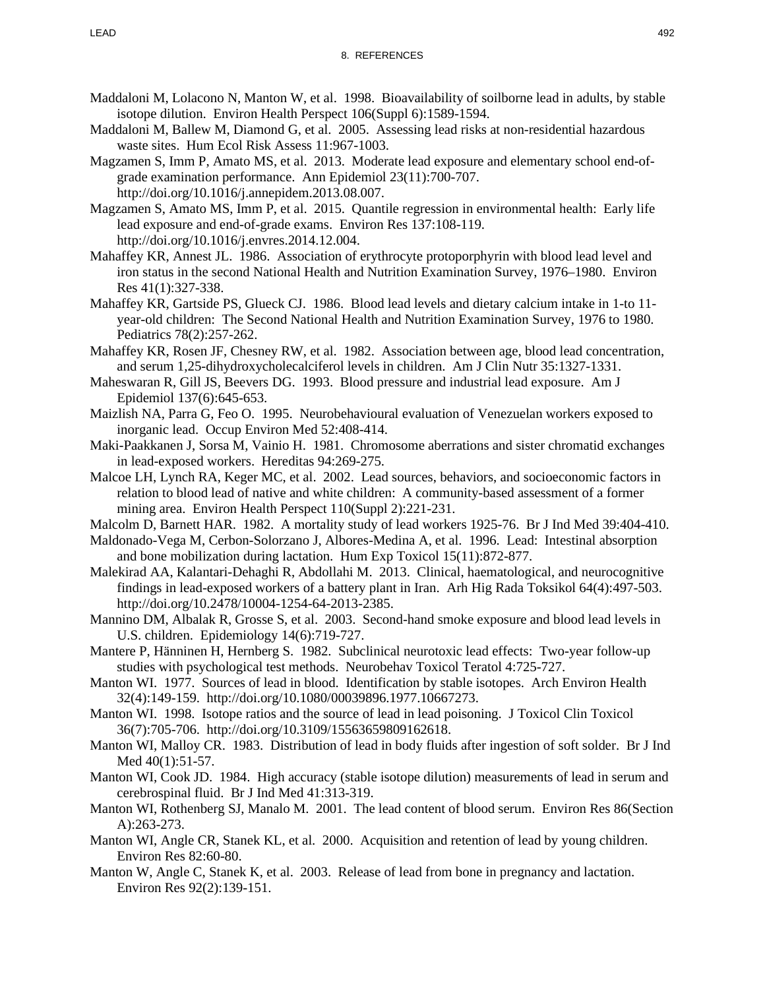- Maddaloni M, Lolacono N, Manton W, et al. 1998. Bioavailability of soilborne lead in adults, by stable isotope dilution. Environ Health Perspect 106(Suppl 6):1589-1594.
- Maddaloni M, Ballew M, Diamond G, et al. 2005. Assessing lead risks at non-residential hazardous waste sites. Hum Ecol Risk Assess 11:967-1003.
- Magzamen S, Imm P, Amato MS, et al. 2013. Moderate lead exposure and elementary school end-ofgrade examination performance. Ann Epidemiol 23(11):700-707. http://doi.org/10.1016/j.annepidem.2013.08.007.
- Magzamen S, Amato MS, Imm P, et al. 2015. Quantile regression in environmental health: Early life lead exposure and end-of-grade exams. Environ Res 137:108-119. http://doi.org/10.1016/j.envres.2014.12.004.
- Mahaffey KR, Annest JL. 1986. Association of erythrocyte protoporphyrin with blood lead level and iron status in the second National Health and Nutrition Examination Survey, 1976–1980. Environ Res 41(1):327-338.
- Mahaffey KR, Gartside PS, Glueck CJ. 1986. Blood lead levels and dietary calcium intake in 1-to 11 year-old children: The Second National Health and Nutrition Examination Survey, 1976 to 1980. Pediatrics 78(2):257-262.
- Mahaffey KR, Rosen JF, Chesney RW, et al. 1982. Association between age, blood lead concentration, and serum 1,25-dihydroxycholecalciferol levels in children. Am J Clin Nutr 35:1327-1331.
- Maheswaran R, Gill JS, Beevers DG. 1993. Blood pressure and industrial lead exposure. Am J Epidemiol 137(6):645-653.
- Maizlish NA, Parra G, Feo O. 1995. Neurobehavioural evaluation of Venezuelan workers exposed to inorganic lead. Occup Environ Med 52:408-414.
- Maki-Paakkanen J, Sorsa M, Vainio H. 1981. Chromosome aberrations and sister chromatid exchanges in lead-exposed workers. Hereditas 94:269-275.
- Malcoe LH, Lynch RA, Keger MC, et al. 2002. Lead sources, behaviors, and socioeconomic factors in relation to blood lead of native and white children: A community-based assessment of a former mining area. Environ Health Perspect 110(Suppl 2):221-231.
- Malcolm D, Barnett HAR. 1982. A mortality study of lead workers 1925-76. Br J Ind Med 39:404-410.
- Maldonado-Vega M, Cerbon-Solorzano J, Albores-Medina A, et al. 1996. Lead: Intestinal absorption and bone mobilization during lactation. Hum Exp Toxicol 15(11):872-877.
- Malekirad AA, Kalantari-Dehaghi R, Abdollahi M. 2013. Clinical, haematological, and neurocognitive findings in lead-exposed workers of a battery plant in Iran. Arh Hig Rada Toksikol 64(4):497-503. http://doi.org/10.2478/10004-1254-64-2013-2385.
- Mannino DM, Albalak R, Grosse S, et al. 2003. Second-hand smoke exposure and blood lead levels in U.S. children. Epidemiology 14(6):719-727.
- Mantere P, Hänninen H, Hernberg S. 1982. Subclinical neurotoxic lead effects: Two-year follow-up studies with psychological test methods. Neurobehav Toxicol Teratol 4:725-727.
- Manton WI. 1977. Sources of lead in blood. Identification by stable isotopes. Arch Environ Health 32(4):149-159. http://doi.org/10.1080/00039896.1977.10667273.
- Manton WI. 1998. Isotope ratios and the source of lead in lead poisoning. J Toxicol Clin Toxicol 36(7):705-706. http://doi.org/10.3109/15563659809162618.
- Manton WI, Malloy CR. 1983. Distribution of lead in body fluids after ingestion of soft solder. Br J Ind Med 40(1):51-57.
- Manton WI, Cook JD. 1984. High accuracy (stable isotope dilution) measurements of lead in serum and cerebrospinal fluid. Br J Ind Med 41:313-319.
- Manton WI, Rothenberg SJ, Manalo M. 2001. The lead content of blood serum. Environ Res 86(Section A):263-273.
- Manton WI, Angle CR, Stanek KL, et al. 2000. Acquisition and retention of lead by young children. Environ Res 82:60-80.
- Manton W, Angle C, Stanek K, et al. 2003. Release of lead from bone in pregnancy and lactation. Environ Res 92(2):139-151.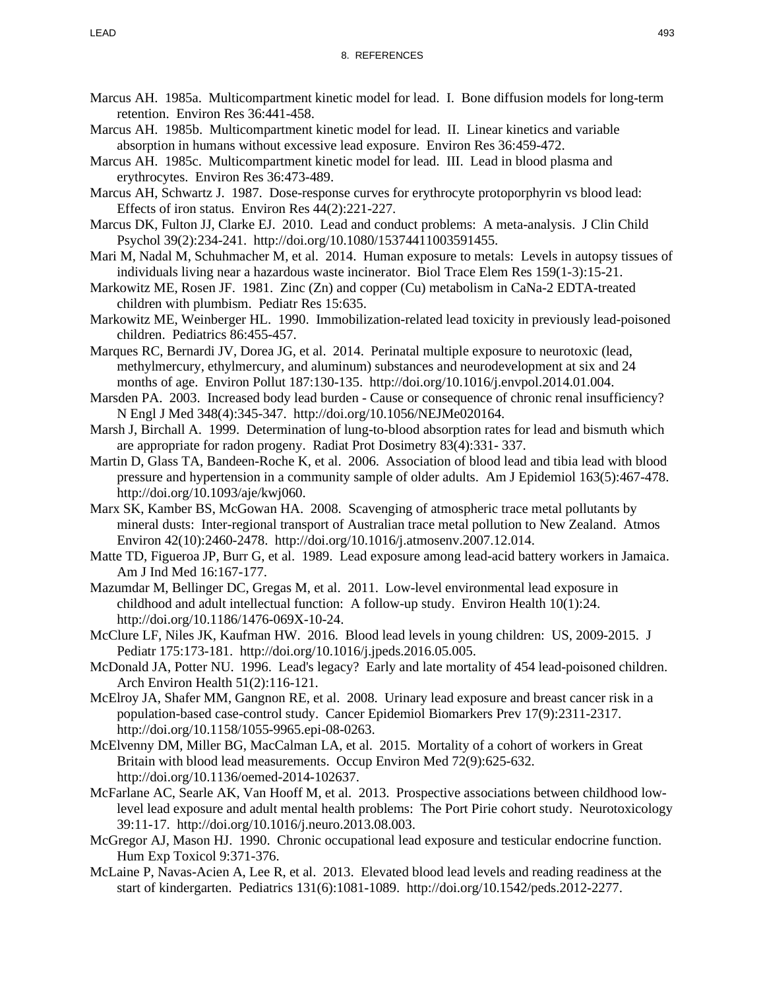- Marcus AH. 1985a. Multicompartment kinetic model for lead. I. Bone diffusion models for long-term retention. Environ Res 36:441-458.
- Marcus AH. 1985b. Multicompartment kinetic model for lead. II. Linear kinetics and variable absorption in humans without excessive lead exposure. Environ Res 36:459-472.
- Marcus AH. 1985c. Multicompartment kinetic model for lead. III. Lead in blood plasma and erythrocytes. Environ Res 36:473-489.
- Marcus AH, Schwartz J. 1987. Dose-response curves for erythrocyte protoporphyrin vs blood lead: Effects of iron status. Environ Res 44(2):221-227.
- Marcus DK, Fulton JJ, Clarke EJ. 2010. Lead and conduct problems: A meta-analysis. J Clin Child Psychol 39(2):234-241. http://doi.org/10.1080/15374411003591455.
- Mari M, Nadal M, Schuhmacher M, et al. 2014. Human exposure to metals: Levels in autopsy tissues of individuals living near a hazardous waste incinerator. Biol Trace Elem Res 159(1-3):15-21.
- Markowitz ME, Rosen JF. 1981. Zinc (Zn) and copper (Cu) metabolism in CaNa-2 EDTA-treated children with plumbism. Pediatr Res 15:635.
- Markowitz ME, Weinberger HL. 1990. Immobilization-related lead toxicity in previously lead-poisoned children. Pediatrics 86:455-457.
- Marques RC, Bernardi JV, Dorea JG, et al. 2014. Perinatal multiple exposure to neurotoxic (lead, methylmercury, ethylmercury, and aluminum) substances and neurodevelopment at six and 24 months of age. Environ Pollut 187:130-135. http://doi.org/10.1016/j.envpol.2014.01.004.
- Marsden PA. 2003. Increased body lead burden Cause or consequence of chronic renal insufficiency? N Engl J Med 348(4):345-347. http://doi.org/10.1056/NEJMe020164.
- Marsh J, Birchall A. 1999. Determination of lung-to-blood absorption rates for lead and bismuth which are appropriate for radon progeny. Radiat Prot Dosimetry 83(4):331- 337.
- Martin D, Glass TA, Bandeen-Roche K, et al. 2006. Association of blood lead and tibia lead with blood pressure and hypertension in a community sample of older adults. Am J Epidemiol 163(5):467-478. http://doi.org/10.1093/aje/kwj060.
- Marx SK, Kamber BS, McGowan HA. 2008. Scavenging of atmospheric trace metal pollutants by mineral dusts: Inter-regional transport of Australian trace metal pollution to New Zealand. Atmos Environ 42(10):2460-2478. http://doi.org/10.1016/j.atmosenv.2007.12.014.
- Matte TD, Figueroa JP, Burr G, et al. 1989. Lead exposure among lead-acid battery workers in Jamaica. Am J Ind Med 16:167-177.
- Mazumdar M, Bellinger DC, Gregas M, et al. 2011. Low-level environmental lead exposure in childhood and adult intellectual function: A follow-up study. Environ Health 10(1):24. http://doi.org/10.1186/1476-069X-10-24.
- McClure LF, Niles JK, Kaufman HW. 2016. Blood lead levels in young children: US, 2009-2015. J Pediatr 175:173-181. http://doi.org/10.1016/j.jpeds.2016.05.005.
- McDonald JA, Potter NU. 1996. Lead's legacy? Early and late mortality of 454 lead-poisoned children. Arch Environ Health 51(2):116-121.
- McElroy JA, Shafer MM, Gangnon RE, et al. 2008. Urinary lead exposure and breast cancer risk in a population-based case-control study. Cancer Epidemiol Biomarkers Prev 17(9):2311-2317. http://doi.org/10.1158/1055-9965.epi-08-0263.
- McElvenny DM, Miller BG, MacCalman LA, et al. 2015. Mortality of a cohort of workers in Great Britain with blood lead measurements. Occup Environ Med 72(9):625-632. http://doi.org/10.1136/oemed-2014-102637.
- McFarlane AC, Searle AK, Van Hooff M, et al. 2013. Prospective associations between childhood lowlevel lead exposure and adult mental health problems: The Port Pirie cohort study. Neurotoxicology 39:11-17. http://doi.org/10.1016/j.neuro.2013.08.003.
- McGregor AJ, Mason HJ. 1990. Chronic occupational lead exposure and testicular endocrine function. Hum Exp Toxicol 9:371-376.
- McLaine P, Navas-Acien A, Lee R, et al. 2013. Elevated blood lead levels and reading readiness at the start of kindergarten. Pediatrics 131(6):1081-1089. http://doi.org/10.1542/peds.2012-2277.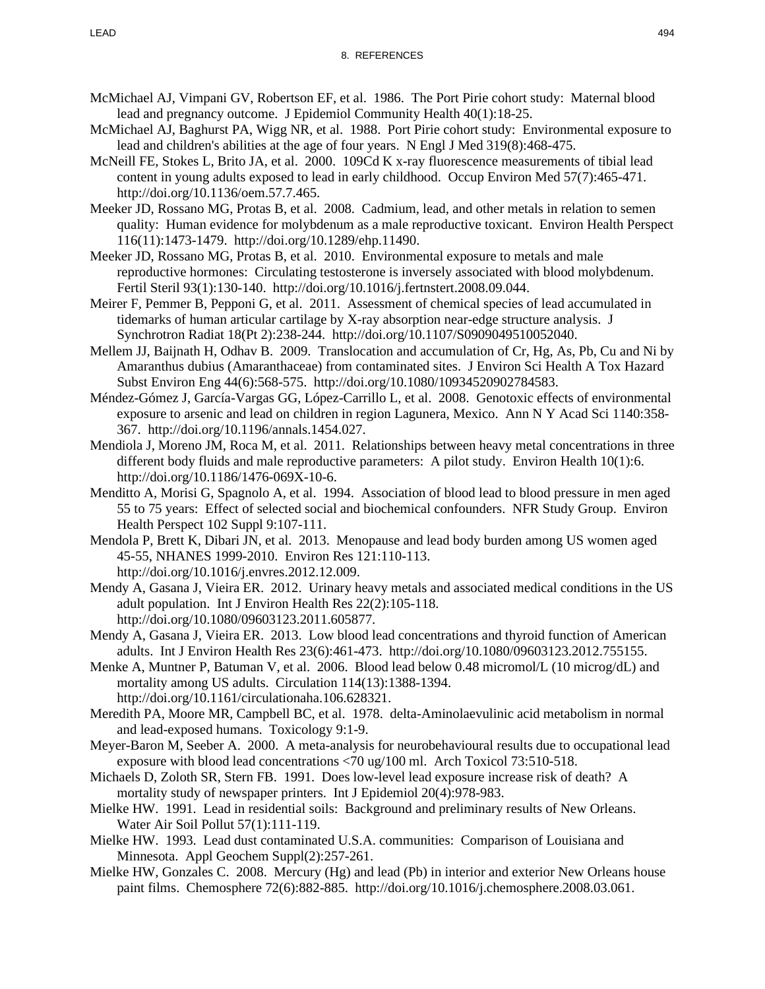- McMichael AJ, Vimpani GV, Robertson EF, et al. 1986. The Port Pirie cohort study: Maternal blood lead and pregnancy outcome. J Epidemiol Community Health 40(1):18-25.
- McMichael AJ, Baghurst PA, Wigg NR, et al. 1988. Port Pirie cohort study: Environmental exposure to lead and children's abilities at the age of four years. N Engl J Med 319(8):468-475.
- McNeill FE, Stokes L, Brito JA, et al. 2000. 109Cd K x-ray fluorescence measurements of tibial lead content in young adults exposed to lead in early childhood. Occup Environ Med 57(7):465-471. http://doi.org/10.1136/oem.57.7.465.
- Meeker JD, Rossano MG, Protas B, et al. 2008. Cadmium, lead, and other metals in relation to semen quality: Human evidence for molybdenum as a male reproductive toxicant. Environ Health Perspect 116(11):1473-1479. http://doi.org/10.1289/ehp.11490.
- Meeker JD, Rossano MG, Protas B, et al. 2010. Environmental exposure to metals and male reproductive hormones: Circulating testosterone is inversely associated with blood molybdenum. Fertil Steril 93(1):130-140. http://doi.org/10.1016/j.fertnstert.2008.09.044.
- Meirer F, Pemmer B, Pepponi G, et al. 2011. Assessment of chemical species of lead accumulated in tidemarks of human articular cartilage by X-ray absorption near-edge structure analysis. J Synchrotron Radiat 18(Pt 2):238-244. http://doi.org/10.1107/S0909049510052040.
- Mellem JJ, Baijnath H, Odhav B. 2009. Translocation and accumulation of Cr, Hg, As, Pb, Cu and Ni by Amaranthus dubius (Amaranthaceae) from contaminated sites. J Environ Sci Health A Tox Hazard Subst Environ Eng 44(6):568-575. http://doi.org/10.1080/10934520902784583.
- Méndez-Gómez J, García-Vargas GG, López-Carrillo L, et al. 2008. Genotoxic effects of environmental exposure to arsenic and lead on children in region Lagunera, Mexico. Ann N Y Acad Sci 1140:358- 367. http://doi.org/10.1196/annals.1454.027.
- Mendiola J, Moreno JM, Roca M, et al. 2011. Relationships between heavy metal concentrations in three different body fluids and male reproductive parameters: A pilot study. Environ Health 10(1):6. http://doi.org/10.1186/1476-069X-10-6.
- Menditto A, Morisi G, Spagnolo A, et al. 1994. Association of blood lead to blood pressure in men aged 55 to 75 years: Effect of selected social and biochemical confounders. NFR Study Group. Environ Health Perspect 102 Suppl 9:107-111.
- Mendola P, Brett K, Dibari JN, et al. 2013. Menopause and lead body burden among US women aged 45-55, NHANES 1999-2010. Environ Res 121:110-113. http://doi.org/10.1016/j.envres.2012.12.009.
- Mendy A, Gasana J, Vieira ER. 2012. Urinary heavy metals and associated medical conditions in the US adult population. Int J Environ Health Res 22(2):105-118. http://doi.org/10.1080/09603123.2011.605877.
- Mendy A, Gasana J, Vieira ER. 2013. Low blood lead concentrations and thyroid function of American adults. Int J Environ Health Res 23(6):461-473. http://doi.org/10.1080/09603123.2012.755155.
- Menke A, Muntner P, Batuman V, et al. 2006. Blood lead below 0.48 micromol/L (10 microg/dL) and mortality among US adults. Circulation 114(13):1388-1394. http://doi.org/10.1161/circulationaha.106.628321.
- Meredith PA, Moore MR, Campbell BC, et al. 1978. delta-Aminolaevulinic acid metabolism in normal and lead-exposed humans. Toxicology 9:1-9.
- Meyer-Baron M, Seeber A. 2000. A meta-analysis for neurobehavioural results due to occupational lead exposure with blood lead concentrations <70 ug/100 ml. Arch Toxicol 73:510-518.
- Michaels D, Zoloth SR, Stern FB. 1991. Does low-level lead exposure increase risk of death? A mortality study of newspaper printers. Int J Epidemiol 20(4):978-983.
- Mielke HW. 1991. Lead in residential soils: Background and preliminary results of New Orleans. Water Air Soil Pollut 57(1):111-119.
- Mielke HW. 1993. Lead dust contaminated U.S.A. communities: Comparison of Louisiana and Minnesota. Appl Geochem Suppl(2):257-261.
- Mielke HW, Gonzales C. 2008. Mercury (Hg) and lead (Pb) in interior and exterior New Orleans house paint films. Chemosphere 72(6):882-885. http://doi.org/10.1016/j.chemosphere.2008.03.061.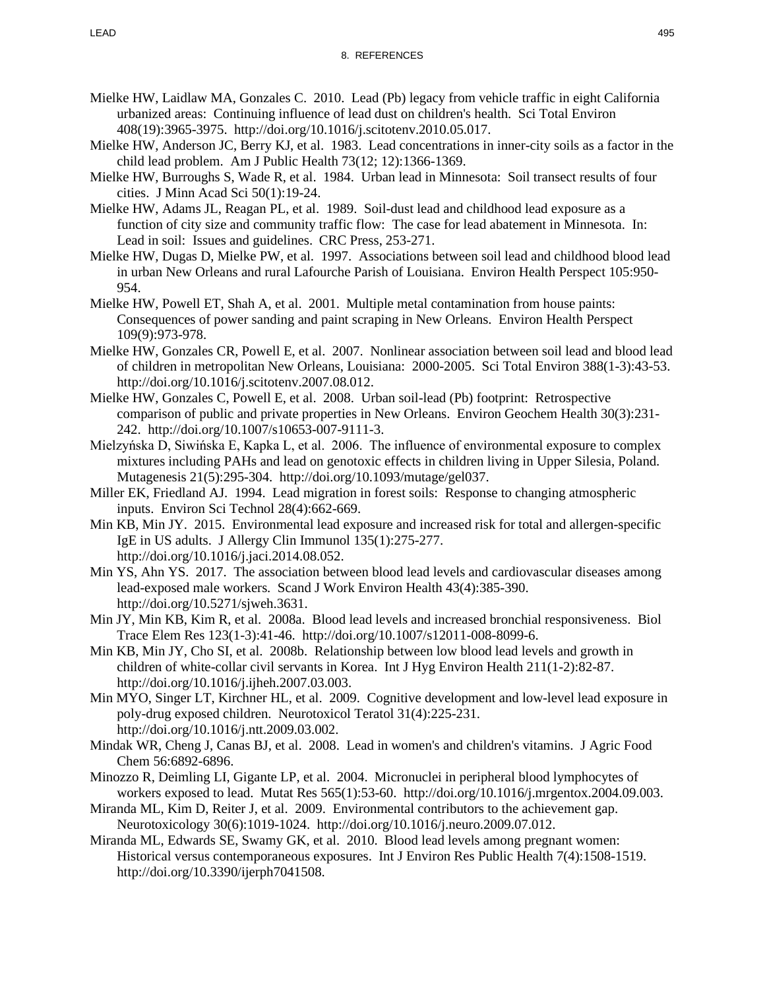- Mielke HW, Laidlaw MA, Gonzales C. 2010. Lead (Pb) legacy from vehicle traffic in eight California urbanized areas: Continuing influence of lead dust on children's health. Sci Total Environ 408(19):3965-3975. http://doi.org/10.1016/j.scitotenv.2010.05.017.
- Mielke HW, Anderson JC, Berry KJ, et al. 1983. Lead concentrations in inner-city soils as a factor in the child lead problem. Am J Public Health 73(12; 12):1366-1369.
- Mielke HW, Burroughs S, Wade R, et al. 1984. Urban lead in Minnesota: Soil transect results of four cities. J Minn Acad Sci 50(1):19-24.
- Mielke HW, Adams JL, Reagan PL, et al. 1989. Soil-dust lead and childhood lead exposure as a function of city size and community traffic flow: The case for lead abatement in Minnesota. In: Lead in soil: Issues and guidelines. CRC Press, 253-271.
- Mielke HW, Dugas D, Mielke PW, et al. 1997. Associations between soil lead and childhood blood lead in urban New Orleans and rural Lafourche Parish of Louisiana. Environ Health Perspect 105:950- 954.
- Mielke HW, Powell ET, Shah A, et al. 2001. Multiple metal contamination from house paints: Consequences of power sanding and paint scraping in New Orleans. Environ Health Perspect 109(9):973-978.
- Mielke HW, Gonzales CR, Powell E, et al. 2007. Nonlinear association between soil lead and blood lead of children in metropolitan New Orleans, Louisiana: 2000-2005. Sci Total Environ 388(1-3):43-53. http://doi.org/10.1016/j.scitotenv.2007.08.012.
- Mielke HW, Gonzales C, Powell E, et al. 2008. Urban soil-lead (Pb) footprint: Retrospective comparison of public and private properties in New Orleans. Environ Geochem Health 30(3):231- 242. http://doi.org/10.1007/s10653-007-9111-3.
- Mielzyńska D, Siwińska E, Kapka L, et al. 2006. The influence of environmental exposure to complex mixtures including PAHs and lead on genotoxic effects in children living in Upper Silesia, Poland. Mutagenesis 21(5):295-304. http://doi.org/10.1093/mutage/gel037.
- Miller EK, Friedland AJ. 1994. Lead migration in forest soils: Response to changing atmospheric inputs. Environ Sci Technol 28(4):662-669.
- Min KB, Min JY. 2015. Environmental lead exposure and increased risk for total and allergen-specific IgE in US adults. J Allergy Clin Immunol 135(1):275-277. http://doi.org/10.1016/j.jaci.2014.08.052.
- Min YS, Ahn YS. 2017. The association between blood lead levels and cardiovascular diseases among lead-exposed male workers. Scand J Work Environ Health 43(4):385-390. http://doi.org/10.5271/sjweh.3631.
- Min JY, Min KB, Kim R, et al. 2008a. Blood lead levels and increased bronchial responsiveness. Biol Trace Elem Res 123(1-3):41-46. http://doi.org/10.1007/s12011-008-8099-6.
- Min KB, Min JY, Cho SI, et al. 2008b. Relationship between low blood lead levels and growth in children of white-collar civil servants in Korea. Int J Hyg Environ Health 211(1-2):82-87. http://doi.org/10.1016/j.ijheh.2007.03.003.
- Min MYO, Singer LT, Kirchner HL, et al. 2009. Cognitive development and low-level lead exposure in poly-drug exposed children. Neurotoxicol Teratol 31(4):225-231. http://doi.org/10.1016/j.ntt.2009.03.002.
- Mindak WR, Cheng J, Canas BJ, et al. 2008. Lead in women's and children's vitamins. J Agric Food Chem 56:6892-6896.
- Minozzo R, Deimling LI, Gigante LP, et al. 2004. Micronuclei in peripheral blood lymphocytes of workers exposed to lead. Mutat Res 565(1):53-60. http://doi.org/10.1016/j.mrgentox.2004.09.003.
- Miranda ML, Kim D, Reiter J, et al. 2009. Environmental contributors to the achievement gap. Neurotoxicology 30(6):1019-1024. http://doi.org/10.1016/j.neuro.2009.07.012.
- Miranda ML, Edwards SE, Swamy GK, et al. 2010. Blood lead levels among pregnant women: Historical versus contemporaneous exposures. Int J Environ Res Public Health 7(4):1508-1519. http://doi.org/10.3390/ijerph7041508.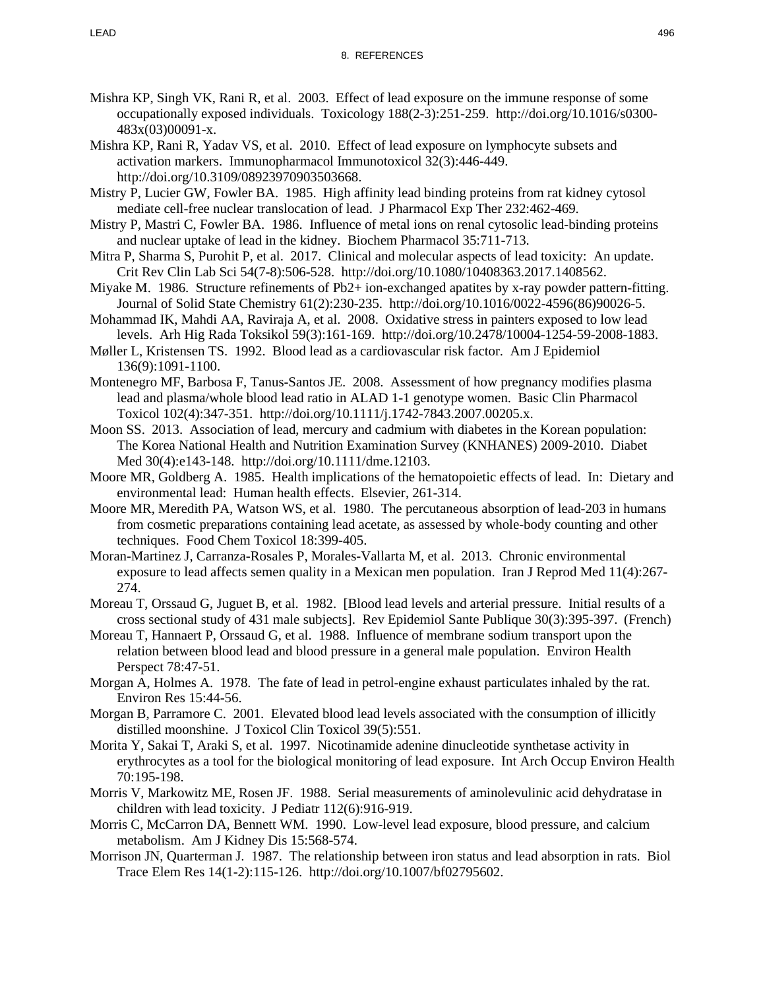- Mishra KP, Singh VK, Rani R, et al. 2003. Effect of lead exposure on the immune response of some occupationally exposed individuals. Toxicology 188(2-3):251-259. http://doi.org/10.1016/s0300- 483x(03)00091-x.
- Mishra KP, Rani R, Yadav VS, et al. 2010. Effect of lead exposure on lymphocyte subsets and activation markers. Immunopharmacol Immunotoxicol 32(3):446-449. http://doi.org/10.3109/08923970903503668.
- Mistry P, Lucier GW, Fowler BA. 1985. High affinity lead binding proteins from rat kidney cytosol mediate cell-free nuclear translocation of lead. J Pharmacol Exp Ther 232:462-469.
- Mistry P, Mastri C, Fowler BA. 1986. Influence of metal ions on renal cytosolic lead-binding proteins and nuclear uptake of lead in the kidney. Biochem Pharmacol 35:711-713.
- Mitra P, Sharma S, Purohit P, et al. 2017. Clinical and molecular aspects of lead toxicity: An update. Crit Rev Clin Lab Sci 54(7-8):506-528. http://doi.org/10.1080/10408363.2017.1408562.
- Miyake M. 1986. Structure refinements of Pb2+ ion-exchanged apatites by x-ray powder pattern-fitting. Journal of Solid State Chemistry 61(2):230-235. http://doi.org/10.1016/0022-4596(86)90026-5.
- Mohammad IK, Mahdi AA, Raviraja A, et al. 2008. Oxidative stress in painters exposed to low lead levels. Arh Hig Rada Toksikol 59(3):161-169. http://doi.org/10.2478/10004-1254-59-2008-1883.
- Møller L, Kristensen TS. 1992. Blood lead as a cardiovascular risk factor. Am J Epidemiol 136(9):1091-1100.
- Montenegro MF, Barbosa F, Tanus-Santos JE. 2008. Assessment of how pregnancy modifies plasma lead and plasma/whole blood lead ratio in ALAD 1-1 genotype women. Basic Clin Pharmacol Toxicol 102(4):347-351. http://doi.org/10.1111/j.1742-7843.2007.00205.x.
- Moon SS. 2013. Association of lead, mercury and cadmium with diabetes in the Korean population: The Korea National Health and Nutrition Examination Survey (KNHANES) 2009-2010. Diabet Med 30(4):e143-148. http://doi.org/10.1111/dme.12103.
- Moore MR, Goldberg A. 1985. Health implications of the hematopoietic effects of lead. In: Dietary and environmental lead: Human health effects. Elsevier, 261-314.
- Moore MR, Meredith PA, Watson WS, et al. 1980. The percutaneous absorption of lead-203 in humans from cosmetic preparations containing lead acetate, as assessed by whole-body counting and other techniques. Food Chem Toxicol 18:399-405.
- Moran-Martinez J, Carranza-Rosales P, Morales-Vallarta M, et al. 2013. Chronic environmental exposure to lead affects semen quality in a Mexican men population. Iran J Reprod Med 11(4):267- 274.
- Moreau T, Orssaud G, Juguet B, et al. 1982. [Blood lead levels and arterial pressure. Initial results of a cross sectional study of 431 male subjects]. Rev Epidemiol Sante Publique 30(3):395-397. (French)
- Moreau T, Hannaert P, Orssaud G, et al. 1988. Influence of membrane sodium transport upon the relation between blood lead and blood pressure in a general male population. Environ Health Perspect 78:47-51.
- Morgan A, Holmes A. 1978. The fate of lead in petrol-engine exhaust particulates inhaled by the rat. Environ Res 15:44-56.
- Morgan B, Parramore C. 2001. Elevated blood lead levels associated with the consumption of illicitly distilled moonshine. J Toxicol Clin Toxicol 39(5):551.
- Morita Y, Sakai T, Araki S, et al. 1997. Nicotinamide adenine dinucleotide synthetase activity in erythrocytes as a tool for the biological monitoring of lead exposure. Int Arch Occup Environ Health 70:195-198.
- Morris V, Markowitz ME, Rosen JF. 1988. Serial measurements of aminolevulinic acid dehydratase in children with lead toxicity. J Pediatr 112(6):916-919.
- Morris C, McCarron DA, Bennett WM. 1990. Low-level lead exposure, blood pressure, and calcium metabolism. Am J Kidney Dis 15:568-574.
- Morrison JN, Quarterman J. 1987. The relationship between iron status and lead absorption in rats. Biol Trace Elem Res 14(1-2):115-126. http://doi.org/10.1007/bf02795602.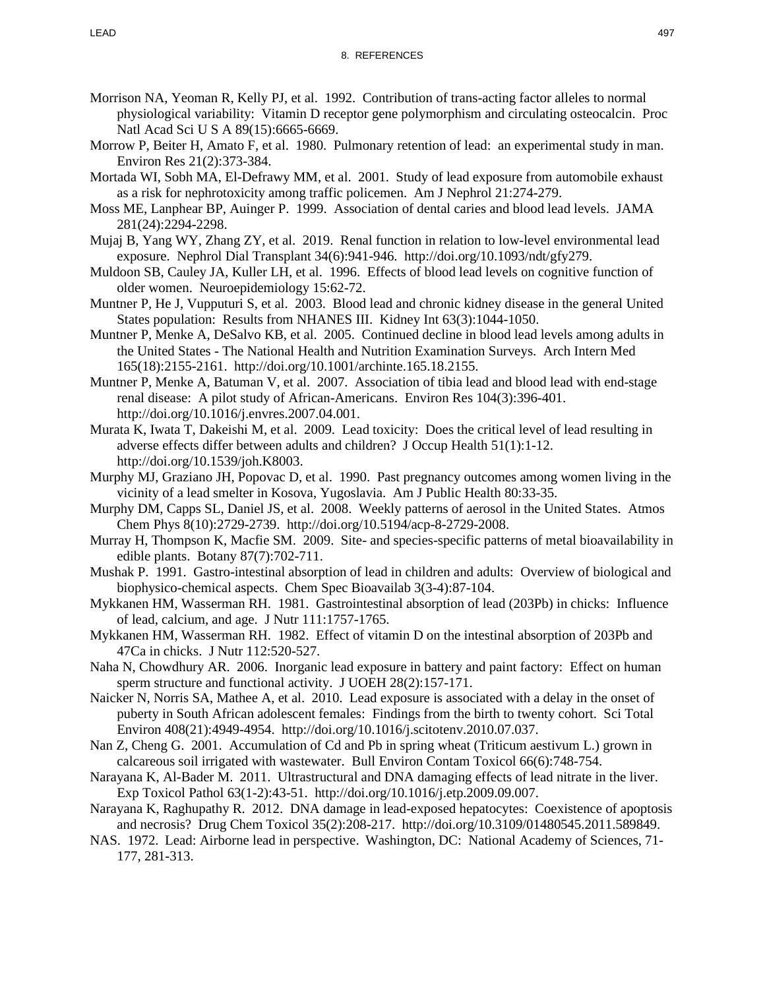- Morrison NA, Yeoman R, Kelly PJ, et al. 1992. Contribution of trans-acting factor alleles to normal physiological variability: Vitamin D receptor gene polymorphism and circulating osteocalcin. Proc Natl Acad Sci U S A 89(15):6665-6669.
- Morrow P, Beiter H, Amato F, et al. 1980. Pulmonary retention of lead: an experimental study in man. Environ Res 21(2):373-384.
- Mortada WI, Sobh MA, El-Defrawy MM, et al. 2001. Study of lead exposure from automobile exhaust as a risk for nephrotoxicity among traffic policemen. Am J Nephrol 21:274-279.
- Moss ME, Lanphear BP, Auinger P. 1999. Association of dental caries and blood lead levels. JAMA 281(24):2294-2298.
- Mujaj B, Yang WY, Zhang ZY, et al. 2019. Renal function in relation to low-level environmental lead exposure. Nephrol Dial Transplant 34(6):941-946. http://doi.org/10.1093/ndt/gfy279.
- Muldoon SB, Cauley JA, Kuller LH, et al. 1996. Effects of blood lead levels on cognitive function of older women. Neuroepidemiology 15:62-72.
- Muntner P, He J, Vupputuri S, et al. 2003. Blood lead and chronic kidney disease in the general United States population: Results from NHANES III. Kidney Int 63(3):1044-1050.
- Muntner P, Menke A, DeSalvo KB, et al. 2005. Continued decline in blood lead levels among adults in the United States - The National Health and Nutrition Examination Surveys. Arch Intern Med 165(18):2155-2161. http://doi.org/10.1001/archinte.165.18.2155.
- Muntner P, Menke A, Batuman V, et al. 2007. Association of tibia lead and blood lead with end-stage renal disease: A pilot study of African-Americans. Environ Res 104(3):396-401. http://doi.org/10.1016/j.envres.2007.04.001.
- Murata K, Iwata T, Dakeishi M, et al. 2009. Lead toxicity: Does the critical level of lead resulting in adverse effects differ between adults and children? J Occup Health 51(1):1-12. http://doi.org/10.1539/joh.K8003.
- Murphy MJ, Graziano JH, Popovac D, et al. 1990. Past pregnancy outcomes among women living in the vicinity of a lead smelter in Kosova, Yugoslavia. Am J Public Health 80:33-35.
- Murphy DM, Capps SL, Daniel JS, et al. 2008. Weekly patterns of aerosol in the United States. Atmos Chem Phys 8(10):2729-2739. http://doi.org/10.5194/acp-8-2729-2008.
- Murray H, Thompson K, Macfie SM. 2009. Site- and species-specific patterns of metal bioavailability in edible plants. Botany 87(7):702-711.
- Mushak P. 1991. Gastro-intestinal absorption of lead in children and adults: Overview of biological and biophysico-chemical aspects. Chem Spec Bioavailab 3(3-4):87-104.
- Mykkanen HM, Wasserman RH. 1981. Gastrointestinal absorption of lead (203Pb) in chicks: Influence of lead, calcium, and age. J Nutr 111:1757-1765.
- Mykkanen HM, Wasserman RH. 1982. Effect of vitamin D on the intestinal absorption of 203Pb and 47Ca in chicks. J Nutr 112:520-527.
- Naha N, Chowdhury AR. 2006. Inorganic lead exposure in battery and paint factory: Effect on human sperm structure and functional activity. J UOEH 28(2):157-171.
- Naicker N, Norris SA, Mathee A, et al. 2010. Lead exposure is associated with a delay in the onset of puberty in South African adolescent females: Findings from the birth to twenty cohort. Sci Total Environ 408(21):4949-4954. http://doi.org/10.1016/j.scitotenv.2010.07.037.
- Nan Z, Cheng G. 2001. Accumulation of Cd and Pb in spring wheat (Triticum aestivum L.) grown in calcareous soil irrigated with wastewater. Bull Environ Contam Toxicol 66(6):748-754.
- Narayana K, Al-Bader M. 2011. Ultrastructural and DNA damaging effects of lead nitrate in the liver. Exp Toxicol Pathol 63(1-2):43-51. http://doi.org/10.1016/j.etp.2009.09.007.
- Narayana K, Raghupathy R. 2012. DNA damage in lead-exposed hepatocytes: Coexistence of apoptosis and necrosis? Drug Chem Toxicol 35(2):208-217. http://doi.org/10.3109/01480545.2011.589849.
- NAS. 1972. Lead: Airborne lead in perspective. Washington, DC: National Academy of Sciences, 71- 177, 281-313.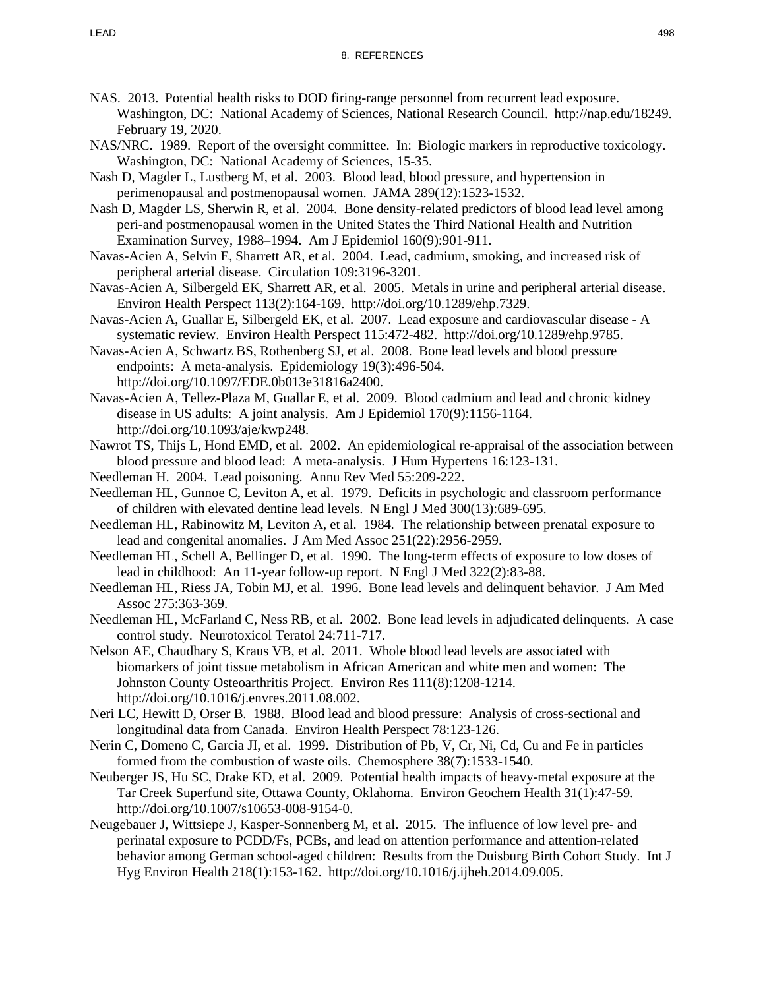- NAS. 2013. Potential health risks to DOD firing-range personnel from recurrent lead exposure. Washington, DC: National Academy of Sciences, National Research Council. http://nap.edu/18249. February 19, 2020.
- NAS/NRC. 1989. Report of the oversight committee. In: Biologic markers in reproductive toxicology. Washington, DC: National Academy of Sciences, 15-35.
- Nash D, Magder L, Lustberg M, et al. 2003. Blood lead, blood pressure, and hypertension in perimenopausal and postmenopausal women. JAMA 289(12):1523-1532.
- Nash D, Magder LS, Sherwin R, et al. 2004. Bone density-related predictors of blood lead level among peri-and postmenopausal women in the United States the Third National Health and Nutrition Examination Survey, 1988–1994. Am J Epidemiol 160(9):901-911.
- Navas-Acien A, Selvin E, Sharrett AR, et al. 2004. Lead, cadmium, smoking, and increased risk of peripheral arterial disease. Circulation 109:3196-3201.
- Navas-Acien A, Silbergeld EK, Sharrett AR, et al. 2005. Metals in urine and peripheral arterial disease. Environ Health Perspect 113(2):164-169. http://doi.org/10.1289/ehp.7329.
- Navas-Acien A, Guallar E, Silbergeld EK, et al. 2007. Lead exposure and cardiovascular disease A systematic review. Environ Health Perspect 115:472-482. http://doi.org/10.1289/ehp.9785.
- Navas-Acien A, Schwartz BS, Rothenberg SJ, et al. 2008. Bone lead levels and blood pressure endpoints: A meta-analysis. Epidemiology 19(3):496-504. http://doi.org/10.1097/EDE.0b013e31816a2400.
- Navas-Acien A, Tellez-Plaza M, Guallar E, et al. 2009. Blood cadmium and lead and chronic kidney disease in US adults: A joint analysis. Am J Epidemiol 170(9):1156-1164. http://doi.org/10.1093/aje/kwp248.
- Nawrot TS, Thijs L, Hond EMD, et al. 2002. An epidemiological re-appraisal of the association between blood pressure and blood lead: A meta-analysis. J Hum Hypertens 16:123-131.
- Needleman H. 2004. Lead poisoning. Annu Rev Med 55:209-222.
- Needleman HL, Gunnoe C, Leviton A, et al. 1979. Deficits in psychologic and classroom performance of children with elevated dentine lead levels. N Engl J Med 300(13):689-695.
- Needleman HL, Rabinowitz M, Leviton A, et al. 1984. The relationship between prenatal exposure to lead and congenital anomalies. J Am Med Assoc 251(22):2956-2959.
- Needleman HL, Schell A, Bellinger D, et al. 1990. The long-term effects of exposure to low doses of lead in childhood: An 11-year follow-up report. N Engl J Med 322(2):83-88.
- Needleman HL, Riess JA, Tobin MJ, et al. 1996. Bone lead levels and delinquent behavior. J Am Med Assoc 275:363-369.
- Needleman HL, McFarland C, Ness RB, et al. 2002. Bone lead levels in adjudicated delinquents. A case control study. Neurotoxicol Teratol 24:711-717.
- Nelson AE, Chaudhary S, Kraus VB, et al. 2011. Whole blood lead levels are associated with biomarkers of joint tissue metabolism in African American and white men and women: The Johnston County Osteoarthritis Project. Environ Res 111(8):1208-1214. http://doi.org/10.1016/j.envres.2011.08.002.
- Neri LC, Hewitt D, Orser B. 1988. Blood lead and blood pressure: Analysis of cross-sectional and longitudinal data from Canada. Environ Health Perspect 78:123-126.
- Nerin C, Domeno C, Garcia JI, et al. 1999. Distribution of Pb, V, Cr, Ni, Cd, Cu and Fe in particles formed from the combustion of waste oils. Chemosphere 38(7):1533-1540.
- Neuberger JS, Hu SC, Drake KD, et al. 2009. Potential health impacts of heavy-metal exposure at the Tar Creek Superfund site, Ottawa County, Oklahoma. Environ Geochem Health 31(1):47-59. http://doi.org/10.1007/s10653-008-9154-0.
- Neugebauer J, Wittsiepe J, Kasper-Sonnenberg M, et al. 2015. The influence of low level pre- and perinatal exposure to PCDD/Fs, PCBs, and lead on attention performance and attention-related behavior among German school-aged children: Results from the Duisburg Birth Cohort Study. Int J Hyg Environ Health 218(1):153-162. http://doi.org/10.1016/j.ijheh.2014.09.005.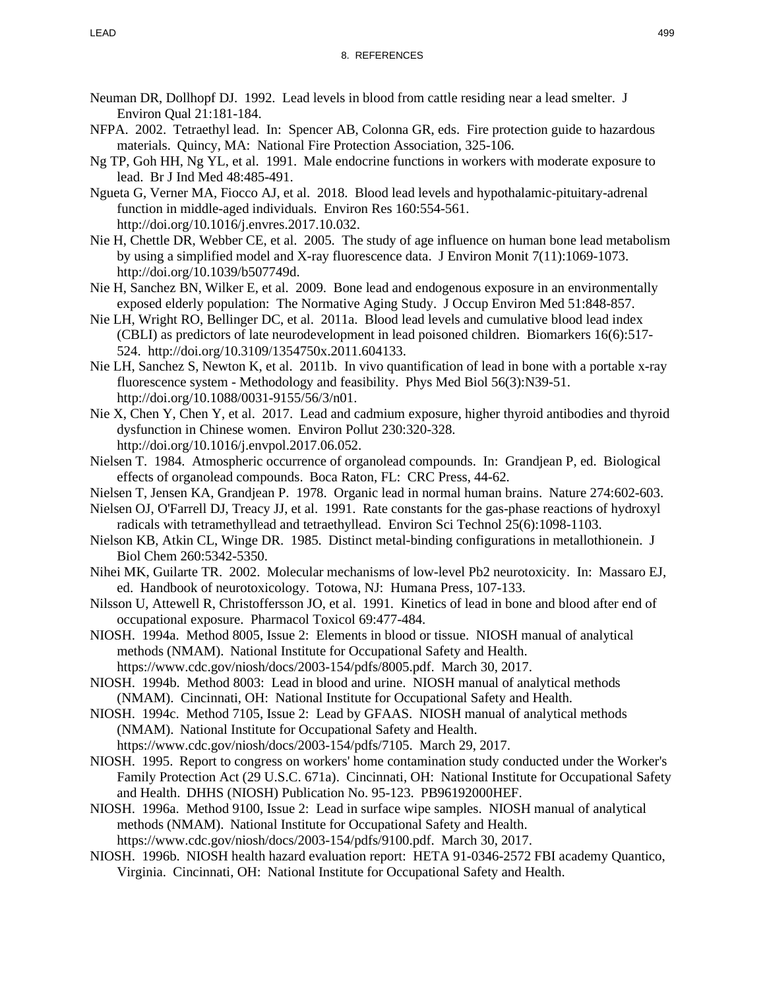- Neuman DR, Dollhopf DJ. 1992. Lead levels in blood from cattle residing near a lead smelter. J Environ Qual 21:181-184.
- NFPA. 2002. Tetraethyl lead. In: Spencer AB, Colonna GR, eds. Fire protection guide to hazardous materials. Quincy, MA: National Fire Protection Association, 325-106.
- Ng TP, Goh HH, Ng YL, et al. 1991. Male endocrine functions in workers with moderate exposure to lead. Br J Ind Med 48:485-491.
- Ngueta G, Verner MA, Fiocco AJ, et al. 2018. Blood lead levels and hypothalamic-pituitary-adrenal function in middle-aged individuals. Environ Res 160:554-561. http://doi.org/10.1016/j.envres.2017.10.032.
- Nie H, Chettle DR, Webber CE, et al. 2005. The study of age influence on human bone lead metabolism by using a simplified model and X-ray fluorescence data. J Environ Monit 7(11):1069-1073. http://doi.org/10.1039/b507749d.
- Nie H, Sanchez BN, Wilker E, et al. 2009. Bone lead and endogenous exposure in an environmentally exposed elderly population: The Normative Aging Study. J Occup Environ Med 51:848-857.
- Nie LH, Wright RO, Bellinger DC, et al. 2011a. Blood lead levels and cumulative blood lead index (CBLI) as predictors of late neurodevelopment in lead poisoned children. Biomarkers 16(6):517- 524. http://doi.org/10.3109/1354750x.2011.604133.
- Nie LH, Sanchez S, Newton K, et al. 2011b. In vivo quantification of lead in bone with a portable x-ray fluorescence system - Methodology and feasibility. Phys Med Biol 56(3):N39-51. http://doi.org/10.1088/0031-9155/56/3/n01.
- Nie X, Chen Y, Chen Y, et al. 2017. Lead and cadmium exposure, higher thyroid antibodies and thyroid dysfunction in Chinese women. Environ Pollut 230:320-328. http://doi.org/10.1016/j.envpol.2017.06.052.
- Nielsen T. 1984. Atmospheric occurrence of organolead compounds. In: Grandjean P, ed. Biological effects of organolead compounds. Boca Raton, FL: CRC Press, 44-62.
- Nielsen T, Jensen KA, Grandjean P. 1978. Organic lead in normal human brains. Nature 274:602-603.
- Nielsen OJ, O'Farrell DJ, Treacy JJ, et al. 1991. Rate constants for the gas-phase reactions of hydroxyl radicals with tetramethyllead and tetraethyllead. Environ Sci Technol 25(6):1098-1103.
- Nielson KB, Atkin CL, Winge DR. 1985. Distinct metal-binding configurations in metallothionein. J Biol Chem 260:5342-5350.
- Nihei MK, Guilarte TR. 2002. Molecular mechanisms of low-level Pb2 neurotoxicity. In: Massaro EJ, ed. Handbook of neurotoxicology. Totowa, NJ: Humana Press, 107-133.
- Nilsson U, Attewell R, Christoffersson JO, et al. 1991. Kinetics of lead in bone and blood after end of occupational exposure. Pharmacol Toxicol 69:477-484.
- NIOSH. 1994a. Method 8005, Issue 2: Elements in blood or tissue. NIOSH manual of analytical methods (NMAM). National Institute for Occupational Safety and Health.
- https://www.cdc.gov/niosh/docs/2003-154/pdfs/8005.pdf. March 30, 2017.
- NIOSH. 1994b. Method 8003: Lead in blood and urine. NIOSH manual of analytical methods (NMAM). Cincinnati, OH: National Institute for Occupational Safety and Health.
- NIOSH. 1994c. Method 7105, Issue 2: Lead by GFAAS. NIOSH manual of analytical methods (NMAM). National Institute for Occupational Safety and Health.
	- https://www.cdc.gov/niosh/docs/2003-154/pdfs/7105. March 29, 2017.
- NIOSH. 1995. Report to congress on workers' home contamination study conducted under the Worker's Family Protection Act (29 U.S.C. 671a). Cincinnati, OH: National Institute for Occupational Safety and Health. DHHS (NIOSH) Publication No. 95-123. PB96192000HEF.
- NIOSH. 1996a. Method 9100, Issue 2: Lead in surface wipe samples. NIOSH manual of analytical methods (NMAM). National Institute for Occupational Safety and Health. https://www.cdc.gov/niosh/docs/2003-154/pdfs/9100.pdf. March 30, 2017.
- NIOSH. 1996b. NIOSH health hazard evaluation report: HETA 91-0346-2572 FBI academy Quantico, Virginia. Cincinnati, OH: National Institute for Occupational Safety and Health.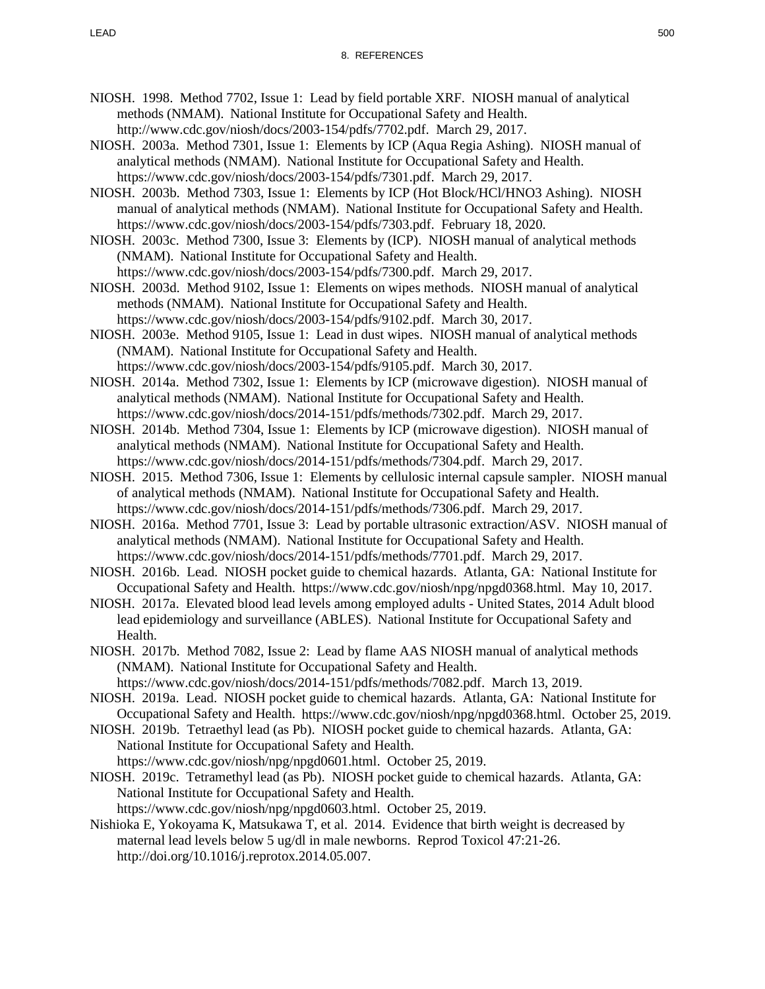- NIOSH. 1998. Method 7702, Issue 1: Lead by field portable XRF. NIOSH manual of analytical methods (NMAM). National Institute for Occupational Safety and Health. http://www.cdc.gov/niosh/docs/2003-154/pdfs/7702.pdf. March 29, 2017.
- NIOSH. 2003a. Method 7301, Issue 1: Elements by ICP (Aqua Regia Ashing). NIOSH manual of analytical methods (NMAM). National Institute for Occupational Safety and Health. https://www.cdc.gov/niosh/docs/2003-154/pdfs/7301.pdf. March 29, 2017.
- NIOSH. 2003b. Method 7303, Issue 1: Elements by ICP (Hot Block/HCl/HNO3 Ashing). NIOSH manual of analytical methods (NMAM). National Institute for Occupational Safety and Health. https://www.cdc.gov/niosh/docs/2003-154/pdfs/7303.pdf. February 18, 2020.
- NIOSH. 2003c. Method 7300, Issue 3: Elements by (ICP). NIOSH manual of analytical methods (NMAM). National Institute for Occupational Safety and Health. https://www.cdc.gov/niosh/docs/2003-154/pdfs/7300.pdf. March 29, 2017.
- NIOSH. 2003d. Method 9102, Issue 1: Elements on wipes methods. NIOSH manual of analytical methods (NMAM). National Institute for Occupational Safety and Health. https://www.cdc.gov/niosh/docs/2003-154/pdfs/9102.pdf. March 30, 2017.
- NIOSH. 2003e. Method 9105, Issue 1: Lead in dust wipes. NIOSH manual of analytical methods (NMAM). National Institute for Occupational Safety and Health.
	- https://www.cdc.gov/niosh/docs/2003-154/pdfs/9105.pdf. March 30, 2017.
- NIOSH. 2014a. Method 7302, Issue 1: Elements by ICP (microwave digestion). NIOSH manual of analytical methods (NMAM). National Institute for Occupational Safety and Health. https://www.cdc.gov/niosh/docs/2014-151/pdfs/methods/7302.pdf. March 29, 2017.
- NIOSH. 2014b. Method 7304, Issue 1: Elements by ICP (microwave digestion). NIOSH manual of analytical methods (NMAM). National Institute for Occupational Safety and Health. https://www.cdc.gov/niosh/docs/2014-151/pdfs/methods/7304.pdf. March 29, 2017.
- NIOSH. 2015. Method 7306, Issue 1: Elements by cellulosic internal capsule sampler. NIOSH manual of analytical methods (NMAM). National Institute for Occupational Safety and Health. https://www.cdc.gov/niosh/docs/2014-151/pdfs/methods/7306.pdf. March 29, 2017.
- NIOSH. 2016a. Method 7701, Issue 3: Lead by portable ultrasonic extraction/ASV. NIOSH manual of analytical methods (NMAM). National Institute for Occupational Safety and Health. https://www.cdc.gov/niosh/docs/2014-151/pdfs/methods/7701.pdf. March 29, 2017.
- NIOSH. 2016b. Lead. NIOSH pocket guide to chemical hazards. Atlanta, GA: National Institute for Occupational Safety and Health. https://www.cdc.gov/niosh/npg/npgd0368.html. May 10, 2017.
- NIOSH. 2017a. Elevated blood lead levels among employed adults United States, 2014 Adult blood lead epidemiology and surveillance (ABLES). National Institute for Occupational Safety and Health.
- NIOSH. 2017b. Method 7082, Issue 2: Lead by flame AAS NIOSH manual of analytical methods (NMAM). National Institute for Occupational Safety and Health. https://www.cdc.gov/niosh/docs/2014-151/pdfs/methods/7082.pdf. March 13, 2019.
- NIOSH. 2019a. Lead. NIOSH pocket guide to chemical hazards. Atlanta, GA: National Institute for Occupational Safety and Health. https://www.cdc.gov/niosh/npg/npgd0368.html. October 25, 2019.
- NIOSH. 2019b. Tetraethyl lead (as Pb). NIOSH pocket guide to chemical hazards. Atlanta, GA: National Institute for Occupational Safety and Health.
	- https://www.cdc.gov/niosh/npg/npgd0601.html. October 25, 2019.
- NIOSH. 2019c. Tetramethyl lead (as Pb). NIOSH pocket guide to chemical hazards. Atlanta, GA: National Institute for Occupational Safety and Health. https://www.cdc.gov/niosh/npg/npgd0603.html. October 25, 2019.
- Nishioka E, Yokoyama K, Matsukawa T, et al. 2014. Evidence that birth weight is decreased by maternal lead levels below 5 ug/dl in male newborns. Reprod Toxicol 47:21-26. http://doi.org/10.1016/j.reprotox.2014.05.007.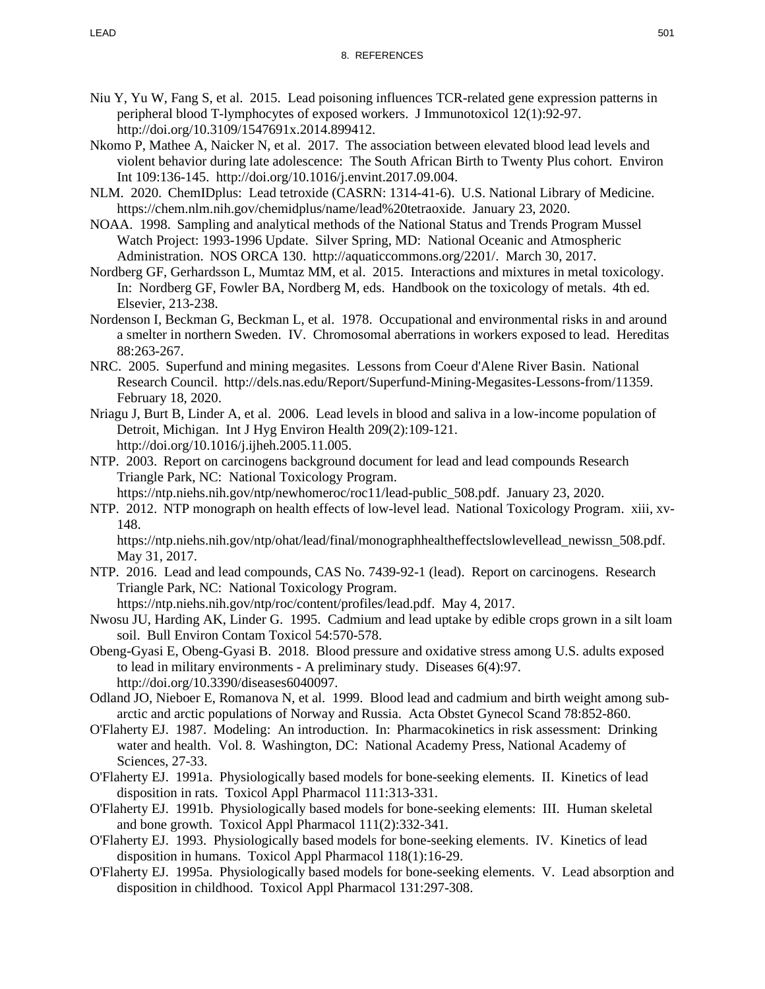- Niu Y, Yu W, Fang S, et al. 2015. Lead poisoning influences TCR-related gene expression patterns in peripheral blood T-lymphocytes of exposed workers. J Immunotoxicol 12(1):92-97. http://doi.org/10.3109/1547691x.2014.899412.
- Nkomo P, Mathee A, Naicker N, et al. 2017. The association between elevated blood lead levels and violent behavior during late adolescence: The South African Birth to Twenty Plus cohort. Environ Int 109:136-145. http://doi.org/10.1016/j.envint.2017.09.004.
- NLM. 2020. ChemIDplus: Lead tetroxide (CASRN: 1314-41-6). U.S. National Library of Medicine. https://chem.nlm.nih.gov/chemidplus/name/lead%20tetraoxide. January 23, 2020.
- NOAA. 1998. Sampling and analytical methods of the National Status and Trends Program Mussel Watch Project: 1993-1996 Update. Silver Spring, MD: National Oceanic and Atmospheric Administration. NOS ORCA 130. http://aquaticcommons.org/2201/. March 30, 2017.
- Nordberg GF, Gerhardsson L, Mumtaz MM, et al. 2015. Interactions and mixtures in metal toxicology. In: Nordberg GF, Fowler BA, Nordberg M, eds. Handbook on the toxicology of metals. 4th ed. Elsevier, 213-238.
- Nordenson I, Beckman G, Beckman L, et al. 1978. Occupational and environmental risks in and around a smelter in northern Sweden. IV. Chromosomal aberrations in workers exposed to lead. Hereditas 88:263-267.
- NRC. 2005. Superfund and mining megasites. Lessons from Coeur d'Alene River Basin. National Research Council. http://dels.nas.edu/Report/Superfund-Mining-Megasites-Lessons-from/11359. February 18, 2020.
- Nriagu J, Burt B, Linder A, et al. 2006. Lead levels in blood and saliva in a low-income population of Detroit, Michigan. Int J Hyg Environ Health 209(2):109-121. http://doi.org/10.1016/j.ijheh.2005.11.005.
- NTP. 2003. Report on carcinogens background document for lead and lead compounds Research Triangle Park, NC: National Toxicology Program.

https://ntp.niehs.nih.gov/ntp/newhomeroc/roc11/lead-public\_508.pdf. January 23, 2020.

NTP. 2012. NTP monograph on health effects of low-level lead. National Toxicology Program. xiii, xv-148.

https://ntp.niehs.nih.gov/ntp/ohat/lead/final/monographhealtheffectslowlevellead newissn 508.pdf. May 31, 2017.

NTP. 2016. Lead and lead compounds, CAS No. 7439-92-1 (lead). Report on carcinogens. Research Triangle Park, NC: National Toxicology Program.

https://ntp.niehs.nih.gov/ntp/roc/content/profiles/lead.pdf. May 4, 2017.

- Nwosu JU, Harding AK, Linder G. 1995. Cadmium and lead uptake by edible crops grown in a silt loam soil. Bull Environ Contam Toxicol 54:570-578.
- Obeng-Gyasi E, Obeng-Gyasi B. 2018. Blood pressure and oxidative stress among U.S. adults exposed to lead in military environments - A preliminary study. Diseases 6(4):97. http://doi.org/10.3390/diseases6040097.
- Odland JO, Nieboer E, Romanova N, et al. 1999. Blood lead and cadmium and birth weight among subarctic and arctic populations of Norway and Russia. Acta Obstet Gynecol Scand 78:852-860.
- O'Flaherty EJ. 1987. Modeling: An introduction. In: Pharmacokinetics in risk assessment: Drinking water and health. Vol. 8. Washington, DC: National Academy Press, National Academy of Sciences, 27-33.
- O'Flaherty EJ. 1991a. Physiologically based models for bone-seeking elements. II. Kinetics of lead disposition in rats. Toxicol Appl Pharmacol 111:313-331.
- O'Flaherty EJ. 1991b. Physiologically based models for bone-seeking elements: III. Human skeletal and bone growth. Toxicol Appl Pharmacol 111(2):332-341.
- O'Flaherty EJ. 1993. Physiologically based models for bone-seeking elements. IV. Kinetics of lead disposition in humans. Toxicol Appl Pharmacol 118(1):16-29.
- O'Flaherty EJ. 1995a. Physiologically based models for bone-seeking elements. V. Lead absorption and disposition in childhood. Toxicol Appl Pharmacol 131:297-308.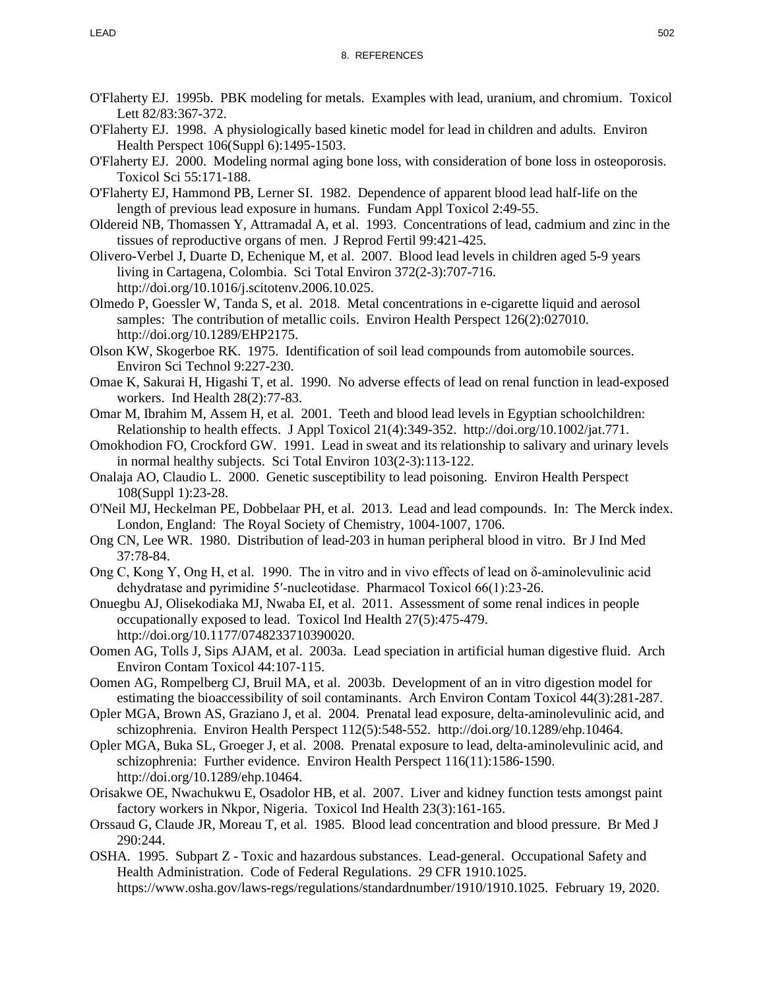- O'Flaherty EJ. 1995b. PBK modeling for metals. Examples with lead, uranium, and chromium. Toxicol Lett 82/83:367-372.
- O'Flaherty EJ. 1998. A physiologically based kinetic model for lead in children and adults. Environ Health Perspect 106(Suppl 6):1495-1503.
- O'Flaherty EJ. 2000. Modeling normal aging bone loss, with consideration of bone loss in osteoporosis. Toxicol Sci 55:171-188.
- O'Flaherty EJ, Hammond PB, Lerner SI. 1982. Dependence of apparent blood lead half-life on the length of previous lead exposure in humans. Fundam Appl Toxicol 2:49-55.
- Oldereid NB, Thomassen Y, Attramadal A, et al. 1993. Concentrations of lead, cadmium and zinc in the tissues of reproductive organs of men. J Reprod Fertil 99:421-425.
- Olivero-Verbel J, Duarte D, Echenique M, et al. 2007. Blood lead levels in children aged 5-9 years living in Cartagena, Colombia. Sci Total Environ 372(2-3):707-716. http://doi.org/10.1016/j.scitotenv.2006.10.025.
- Olmedo P, Goessler W, Tanda S, et al. 2018. Metal concentrations in e-cigarette liquid and aerosol samples: The contribution of metallic coils. Environ Health Perspect 126(2):027010. http://doi.org/10.1289/EHP2175.
- Olson KW, Skogerboe RK. 1975. Identification of soil lead compounds from automobile sources. Environ Sci Technol 9:227-230.
- Omae K, Sakurai H, Higashi T, et al. 1990. No adverse effects of lead on renal function in lead-exposed workers. Ind Health 28(2):77-83.
- Omar M, Ibrahim M, Assem H, et al. 2001. Teeth and blood lead levels in Egyptian schoolchildren: Relationship to health effects. J Appl Toxicol 21(4):349-352. http://doi.org/10.1002/jat.771.
- Omokhodion FO, Crockford GW. 1991. Lead in sweat and its relationship to salivary and urinary levels in normal healthy subjects. Sci Total Environ 103(2-3):113-122.
- Onalaja AO, Claudio L. 2000. Genetic susceptibility to lead poisoning. Environ Health Perspect 108(Suppl 1):23-28.
- O'Neil MJ, Heckelman PE, Dobbelaar PH, et al. 2013. Lead and lead compounds. In: The Merck index. London, England: The Royal Society of Chemistry, 1004-1007, 1706.
- Ong CN, Lee WR. 1980. Distribution of lead-203 in human peripheral blood in vitro. Br J Ind Med 37:78-84.
- Ong C, Kong Y, Ong H, et al. 1990. The in vitro and in vivo effects of lead on  $\delta$ -aminolevulinic acid dehydratase and pyrimidine 5′‐nucleotidase. Pharmacol Toxicol 66(1):23-26.
- Onuegbu AJ, Olisekodiaka MJ, Nwaba EI, et al. 2011. Assessment of some renal indices in people occupationally exposed to lead. Toxicol Ind Health 27(5):475-479. http://doi.org/10.1177/0748233710390020.
- Oomen AG, Tolls J, Sips AJAM, et al. 2003a. Lead speciation in artificial human digestive fluid. Arch Environ Contam Toxicol 44:107-115.
- Oomen AG, Rompelberg CJ, Bruil MA, et al. 2003b. Development of an in vitro digestion model for estimating the bioaccessibility of soil contaminants. Arch Environ Contam Toxicol 44(3):281-287.
- Opler MGA, Brown AS, Graziano J, et al. 2004. Prenatal lead exposure, delta-aminolevulinic acid, and schizophrenia. Environ Health Perspect 112(5):548-552. http://doi.org/10.1289/ehp.10464.
- Opler MGA, Buka SL, Groeger J, et al. 2008. Prenatal exposure to lead, delta-aminolevulinic acid, and schizophrenia: Further evidence. Environ Health Perspect 116(11):1586-1590. http://doi.org/10.1289/ehp.10464.
- Orisakwe OE, Nwachukwu E, Osadolor HB, et al. 2007. Liver and kidney function tests amongst paint factory workers in Nkpor, Nigeria. Toxicol Ind Health 23(3):161-165.
- Orssaud G, Claude JR, Moreau T, et al. 1985. Blood lead concentration and blood pressure. Br Med J 290:244.
- OSHA. 1995. Subpart Z Toxic and hazardous substances. Lead-general. Occupational Safety and Health Administration. Code of Federal Regulations. 29 CFR 1910.1025. https://www.osha.gov/laws-regs/regulations/standardnumber/1910/1910.1025. February 19, 2020.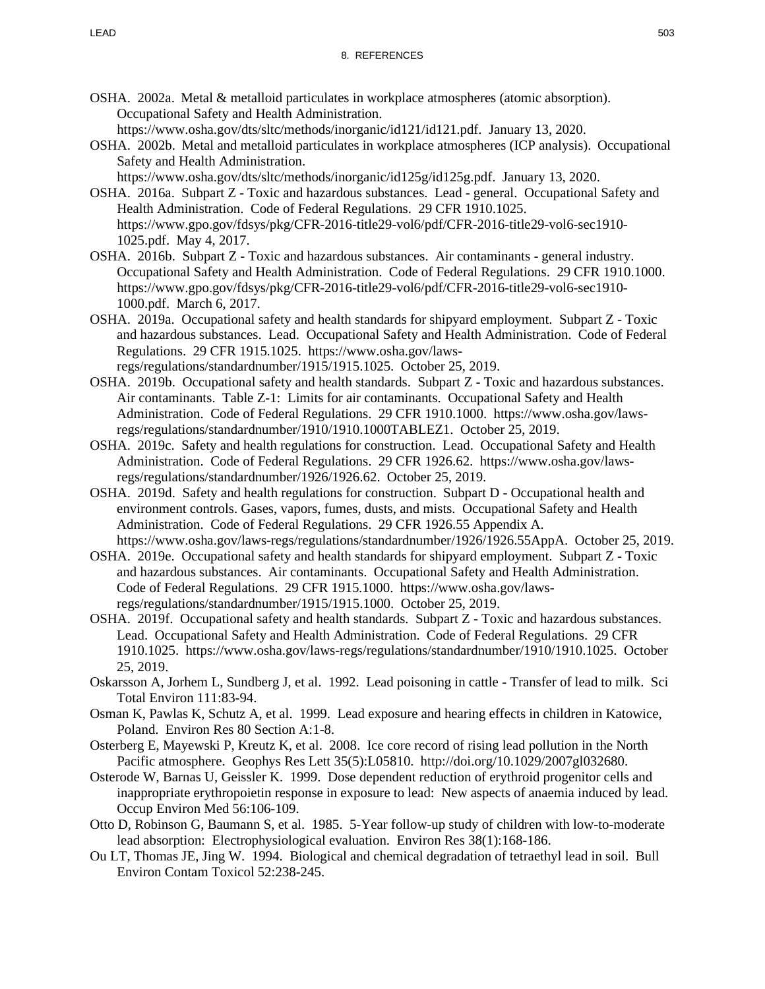OSHA. 2002a. Metal & metalloid particulates in workplace atmospheres (atomic absorption). Occupational Safety and Health Administration.

https://www.osha.gov/dts/sltc/methods/inorganic/id121/id121.pdf. January 13, 2020.

OSHA. 2002b. Metal and metalloid particulates in workplace atmospheres (ICP analysis). Occupational Safety and Health Administration.

https://www.osha.gov/dts/sltc/methods/inorganic/id125g/id125g.pdf. January 13, 2020.

- OSHA. 2016a. Subpart Z Toxic and hazardous substances. Lead general. Occupational Safety and Health Administration. Code of Federal Regulations. 29 CFR 1910.1025. https://www.gpo.gov/fdsys/pkg/CFR-2016-title29-vol6/pdf/CFR-2016-title29-vol6-sec1910- 1025.pdf. May 4, 2017.
- OSHA. 2016b. Subpart Z Toxic and hazardous substances. Air contaminants general industry. Occupational Safety and Health Administration. Code of Federal Regulations. 29 CFR 1910.1000. https://www.gpo.gov/fdsys/pkg/CFR-2016-title29-vol6/pdf/CFR-2016-title29-vol6-sec1910- 1000.pdf. March 6, 2017.
- OSHA. 2019a. Occupational safety and health standards for shipyard employment. Subpart Z Toxic and hazardous substances. Lead. Occupational Safety and Health Administration. Code of Federal Regulations. 29 CFR 1915.1025. https://www.osha.gov/lawsregs/regulations/standardnumber/1915/1915.1025. October 25, 2019.
- OSHA. 2019b. Occupational safety and health standards. Subpart Z Toxic and hazardous substances. Air contaminants. Table Z-1: Limits for air contaminants. Occupational Safety and Health Administration. Code of Federal Regulations. 29 CFR 1910.1000. https://www.osha.gov/lawsregs/regulations/standardnumber/1910/1910.1000TABLEZ1. October 25, 2019.
- OSHA. 2019c. Safety and health regulations for construction. Lead. Occupational Safety and Health Administration. Code of Federal Regulations. 29 CFR 1926.62. https://www.osha.gov/lawsregs/regulations/standardnumber/1926/1926.62. October 25, 2019.
- OSHA. 2019d. Safety and health regulations for construction. Subpart D Occupational health and environment controls. Gases, vapors, fumes, dusts, and mists. Occupational Safety and Health Administration. Code of Federal Regulations. 29 CFR 1926.55 Appendix A. https://www.osha.gov/laws-regs/regulations/standardnumber/1926/1926.55AppA. October 25, 2019.
- OSHA. 2019e. Occupational safety and health standards for shipyard employment. Subpart Z Toxic and hazardous substances. Air contaminants. Occupational Safety and Health Administration. Code of Federal Regulations. 29 CFR 1915.1000. https://www.osha.gov/lawsregs/regulations/standardnumber/1915/1915.1000. October 25, 2019.
- OSHA. 2019f. Occupational safety and health standards. Subpart Z Toxic and hazardous substances. Lead. Occupational Safety and Health Administration. Code of Federal Regulations. 29 CFR 1910.1025. https://www.osha.gov/laws-regs/regulations/standardnumber/1910/1910.1025. October 25, 2019.
- Oskarsson A, Jorhem L, Sundberg J, et al. 1992. Lead poisoning in cattle Transfer of lead to milk. Sci Total Environ 111:83-94.
- Osman K, Pawlas K, Schutz A, et al. 1999. Lead exposure and hearing effects in children in Katowice, Poland. Environ Res 80 Section A:1-8.
- Osterberg E, Mayewski P, Kreutz K, et al. 2008. Ice core record of rising lead pollution in the North Pacific atmosphere. Geophys Res Lett 35(5):L05810. http://doi.org/10.1029/2007gl032680.
- Osterode W, Barnas U, Geissler K. 1999. Dose dependent reduction of erythroid progenitor cells and inappropriate erythropoietin response in exposure to lead: New aspects of anaemia induced by lead. Occup Environ Med 56:106-109.
- Otto D, Robinson G, Baumann S, et al. 1985. 5-Year follow-up study of children with low-to-moderate lead absorption: Electrophysiological evaluation. Environ Res 38(1):168-186.
- Ou LT, Thomas JE, Jing W. 1994. Biological and chemical degradation of tetraethyl lead in soil. Bull Environ Contam Toxicol 52:238-245.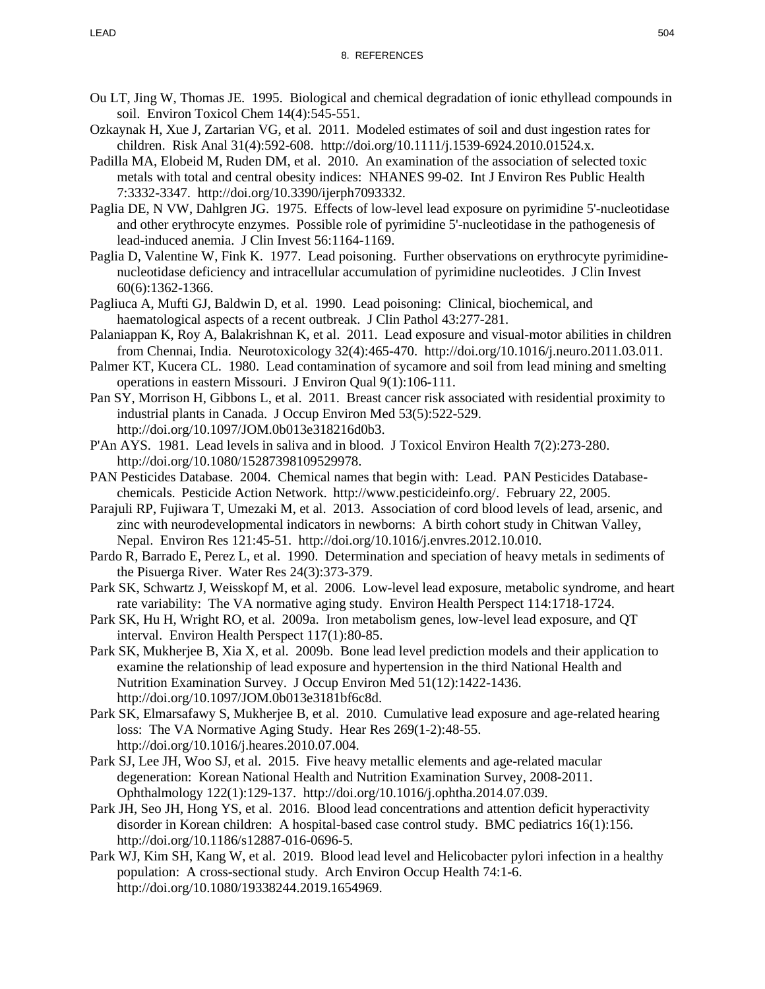- Ou LT, Jing W, Thomas JE. 1995. Biological and chemical degradation of ionic ethyllead compounds in soil. Environ Toxicol Chem 14(4):545-551.
- Ozkaynak H, Xue J, Zartarian VG, et al. 2011. Modeled estimates of soil and dust ingestion rates for children. Risk Anal 31(4):592-608. http://doi.org/10.1111/j.1539-6924.2010.01524.x.
- Padilla MA, Elobeid M, Ruden DM, et al. 2010. An examination of the association of selected toxic metals with total and central obesity indices: NHANES 99-02. Int J Environ Res Public Health 7:3332-3347. http://doi.org/10.3390/ijerph7093332.
- Paglia DE, N VW, Dahlgren JG. 1975. Effects of low-level lead exposure on pyrimidine 5'-nucleotidase and other erythrocyte enzymes. Possible role of pyrimidine 5'-nucleotidase in the pathogenesis of lead-induced anemia. J Clin Invest 56:1164-1169.
- Paglia D, Valentine W, Fink K. 1977. Lead poisoning. Further observations on erythrocyte pyrimidinenucleotidase deficiency and intracellular accumulation of pyrimidine nucleotides. J Clin Invest 60(6):1362-1366.
- Pagliuca A, Mufti GJ, Baldwin D, et al. 1990. Lead poisoning: Clinical, biochemical, and haematological aspects of a recent outbreak. J Clin Pathol 43:277-281.
- Palaniappan K, Roy A, Balakrishnan K, et al. 2011. Lead exposure and visual-motor abilities in children from Chennai, India. Neurotoxicology 32(4):465-470. http://doi.org/10.1016/j.neuro.2011.03.011.
- Palmer KT, Kucera CL. 1980. Lead contamination of sycamore and soil from lead mining and smelting operations in eastern Missouri. J Environ Qual 9(1):106-111.
- Pan SY, Morrison H, Gibbons L, et al. 2011. Breast cancer risk associated with residential proximity to industrial plants in Canada. J Occup Environ Med 53(5):522-529. http://doi.org/10.1097/JOM.0b013e318216d0b3.
- P'An AYS. 1981. Lead levels in saliva and in blood. J Toxicol Environ Health 7(2):273-280. http://doi.org/10.1080/15287398109529978.
- PAN Pesticides Database. 2004. Chemical names that begin with: Lead. PAN Pesticides Databasechemicals. Pesticide Action Network. http://www.pesticideinfo.org/. February 22, 2005.
- Parajuli RP, Fujiwara T, Umezaki M, et al. 2013. Association of cord blood levels of lead, arsenic, and zinc with neurodevelopmental indicators in newborns: A birth cohort study in Chitwan Valley, Nepal. Environ Res 121:45-51. http://doi.org/10.1016/j.envres.2012.10.010.
- Pardo R, Barrado E, Perez L, et al. 1990. Determination and speciation of heavy metals in sediments of the Pisuerga River. Water Res 24(3):373-379.
- Park SK, Schwartz J, Weisskopf M, et al. 2006. Low-level lead exposure, metabolic syndrome, and heart rate variability: The VA normative aging study. Environ Health Perspect 114:1718-1724.
- Park SK, Hu H, Wright RO, et al. 2009a. Iron metabolism genes, low-level lead exposure, and QT interval. Environ Health Perspect 117(1):80-85.
- Park SK, Mukherjee B, Xia X, et al. 2009b. Bone lead level prediction models and their application to examine the relationship of lead exposure and hypertension in the third National Health and Nutrition Examination Survey. J Occup Environ Med 51(12):1422-1436. http://doi.org/10.1097/JOM.0b013e3181bf6c8d.
- Park SK, Elmarsafawy S, Mukherjee B, et al. 2010. Cumulative lead exposure and age-related hearing loss: The VA Normative Aging Study. Hear Res 269(1-2):48-55. http://doi.org/10.1016/j.heares.2010.07.004.
- Park SJ, Lee JH, Woo SJ, et al. 2015. Five heavy metallic elements and age-related macular degeneration: Korean National Health and Nutrition Examination Survey, 2008-2011. Ophthalmology 122(1):129-137. http://doi.org/10.1016/j.ophtha.2014.07.039.
- Park JH, Seo JH, Hong YS, et al. 2016. Blood lead concentrations and attention deficit hyperactivity disorder in Korean children: A hospital-based case control study. BMC pediatrics 16(1):156. http://doi.org/10.1186/s12887-016-0696-5.
- Park WJ, Kim SH, Kang W, et al. 2019. Blood lead level and Helicobacter pylori infection in a healthy population: A cross-sectional study. Arch Environ Occup Health 74:1-6. http://doi.org/10.1080/19338244.2019.1654969.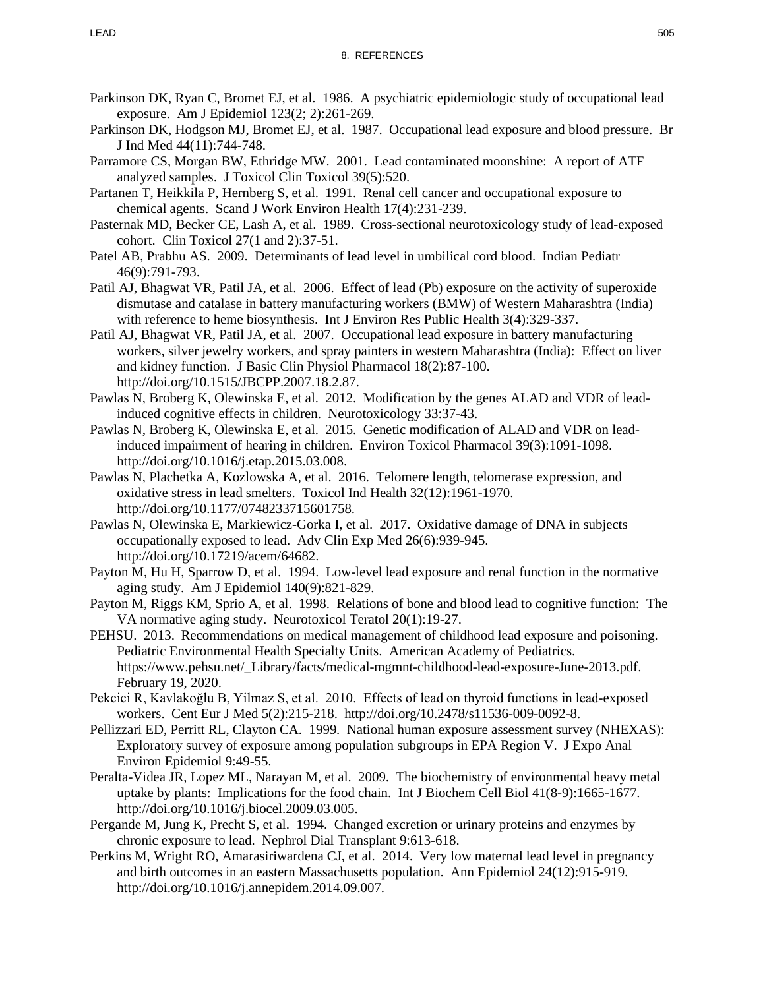- Parkinson DK, Ryan C, Bromet EJ, et al. 1986. A psychiatric epidemiologic study of occupational lead exposure. Am J Epidemiol 123(2; 2):261-269.
- Parkinson DK, Hodgson MJ, Bromet EJ, et al. 1987. Occupational lead exposure and blood pressure. Br J Ind Med 44(11):744-748.
- Parramore CS, Morgan BW, Ethridge MW. 2001. Lead contaminated moonshine: A report of ATF analyzed samples. J Toxicol Clin Toxicol 39(5):520.
- Partanen T, Heikkila P, Hernberg S, et al. 1991. Renal cell cancer and occupational exposure to chemical agents. Scand J Work Environ Health 17(4):231-239.
- Pasternak MD, Becker CE, Lash A, et al. 1989. Cross-sectional neurotoxicology study of lead-exposed cohort. Clin Toxicol 27(1 and 2):37-51.
- Patel AB, Prabhu AS. 2009. Determinants of lead level in umbilical cord blood. Indian Pediatr 46(9):791-793.
- Patil AJ, Bhagwat VR, Patil JA, et al. 2006. Effect of lead (Pb) exposure on the activity of superoxide dismutase and catalase in battery manufacturing workers (BMW) of Western Maharashtra (India) with reference to heme biosynthesis. Int J Environ Res Public Health 3(4):329-337.
- Patil AJ, Bhagwat VR, Patil JA, et al. 2007. Occupational lead exposure in battery manufacturing workers, silver jewelry workers, and spray painters in western Maharashtra (India): Effect on liver and kidney function. J Basic Clin Physiol Pharmacol 18(2):87-100. http://doi.org/10.1515/JBCPP.2007.18.2.87.
- Pawlas N, Broberg K, Olewinska E, et al. 2012. Modification by the genes ALAD and VDR of leadinduced cognitive effects in children. Neurotoxicology 33:37-43.
- Pawlas N, Broberg K, Olewinska E, et al. 2015. Genetic modification of ALAD and VDR on leadinduced impairment of hearing in children. Environ Toxicol Pharmacol 39(3):1091-1098. http://doi.org/10.1016/j.etap.2015.03.008.
- Pawlas N, Plachetka A, Kozlowska A, et al. 2016. Telomere length, telomerase expression, and oxidative stress in lead smelters. Toxicol Ind Health 32(12):1961-1970. http://doi.org/10.1177/0748233715601758.
- Pawlas N, Olewinska E, Markiewicz-Gorka I, et al. 2017. Oxidative damage of DNA in subjects occupationally exposed to lead. Adv Clin Exp Med 26(6):939-945. http://doi.org/10.17219/acem/64682.
- Payton M, Hu H, Sparrow D, et al. 1994. Low-level lead exposure and renal function in the normative aging study. Am J Epidemiol 140(9):821-829.
- Payton M, Riggs KM, Sprio A, et al. 1998. Relations of bone and blood lead to cognitive function: The VA normative aging study. Neurotoxicol Teratol 20(1):19-27.
- PEHSU. 2013. Recommendations on medical management of childhood lead exposure and poisoning. Pediatric Environmental Health Specialty Units. American Academy of Pediatrics. https://www.pehsu.net/\_Library/facts/medical-mgmnt-childhood-lead-exposure-June-2013.pdf. February 19, 2020.
- Pekcici R, Kavlakoğlu B, Yilmaz S, et al. 2010. Effects of lead on thyroid functions in lead-exposed workers. Cent Eur J Med 5(2):215-218. http://doi.org/10.2478/s11536-009-0092-8.
- Pellizzari ED, Perritt RL, Clayton CA. 1999. National human exposure assessment survey (NHEXAS): Exploratory survey of exposure among population subgroups in EPA Region V. J Expo Anal Environ Epidemiol 9:49-55.
- Peralta-Videa JR, Lopez ML, Narayan M, et al. 2009. The biochemistry of environmental heavy metal uptake by plants: Implications for the food chain. Int J Biochem Cell Biol 41(8-9):1665-1677. http://doi.org/10.1016/j.biocel.2009.03.005.
- Pergande M, Jung K, Precht S, et al. 1994. Changed excretion or urinary proteins and enzymes by chronic exposure to lead. Nephrol Dial Transplant 9:613-618.
- Perkins M, Wright RO, Amarasiriwardena CJ, et al. 2014. Very low maternal lead level in pregnancy and birth outcomes in an eastern Massachusetts population. Ann Epidemiol 24(12):915-919. http://doi.org/10.1016/j.annepidem.2014.09.007.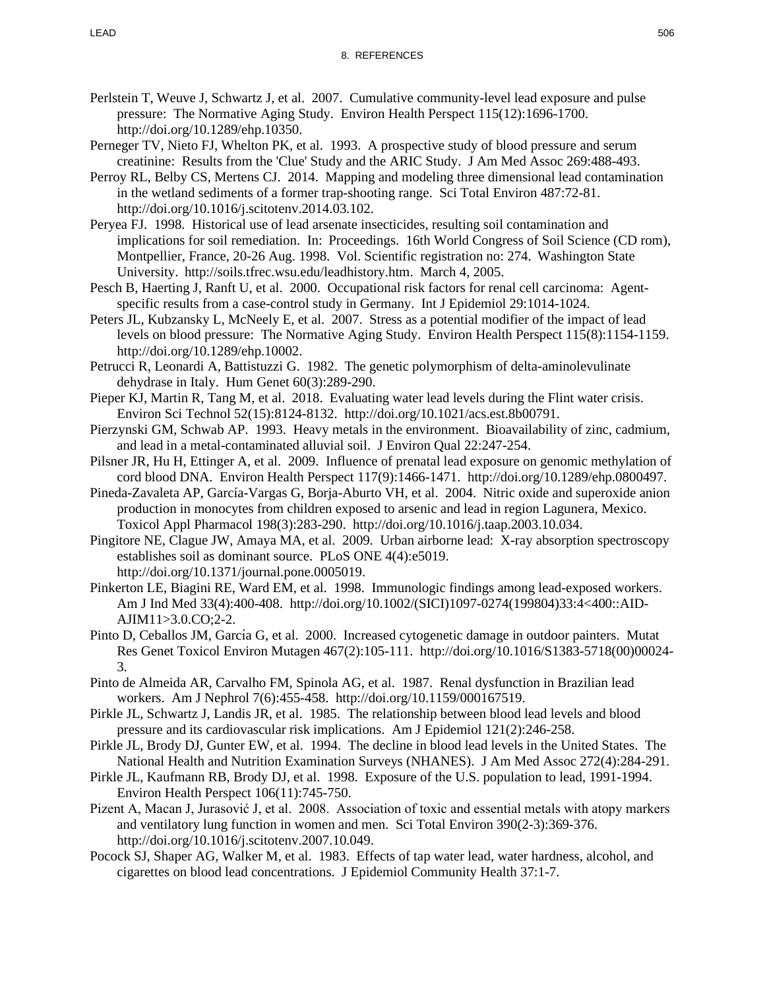- Perlstein T, Weuve J, Schwartz J, et al. 2007. Cumulative community-level lead exposure and pulse pressure: The Normative Aging Study. Environ Health Perspect 115(12):1696-1700. http://doi.org/10.1289/ehp.10350.
- Perneger TV, Nieto FJ, Whelton PK, et al. 1993. A prospective study of blood pressure and serum creatinine: Results from the 'Clue' Study and the ARIC Study. J Am Med Assoc 269:488-493.
- Perroy RL, Belby CS, Mertens CJ. 2014. Mapping and modeling three dimensional lead contamination in the wetland sediments of a former trap-shooting range. Sci Total Environ 487:72-81. http://doi.org/10.1016/j.scitotenv.2014.03.102.
- Peryea FJ. 1998. Historical use of lead arsenate insecticides, resulting soil contamination and implications for soil remediation. In: Proceedings. 16th World Congress of Soil Science (CD rom), Montpellier, France, 20-26 Aug. 1998. Vol. Scientific registration no: 274. Washington State University. http://soils.tfrec.wsu.edu/leadhistory.htm. March 4, 2005.
- Pesch B, Haerting J, Ranft U, et al. 2000. Occupational risk factors for renal cell carcinoma: Agentspecific results from a case-control study in Germany. Int J Epidemiol 29:1014-1024.
- Peters JL, Kubzansky L, McNeely E, et al. 2007. Stress as a potential modifier of the impact of lead levels on blood pressure: The Normative Aging Study. Environ Health Perspect 115(8):1154-1159. http://doi.org/10.1289/ehp.10002.
- Petrucci R, Leonardi A, Battistuzzi G. 1982. The genetic polymorphism of delta-aminolevulinate dehydrase in Italy. Hum Genet 60(3):289-290.
- Pieper KJ, Martin R, Tang M, et al. 2018. Evaluating water lead levels during the Flint water crisis. Environ Sci Technol 52(15):8124-8132. http://doi.org/10.1021/acs.est.8b00791.
- Pierzynski GM, Schwab AP. 1993. Heavy metals in the environment. Bioavailability of zinc, cadmium, and lead in a metal-contaminated alluvial soil. J Environ Qual 22:247-254.
- Pilsner JR, Hu H, Ettinger A, et al. 2009. Influence of prenatal lead exposure on genomic methylation of cord blood DNA. Environ Health Perspect 117(9):1466-1471. http://doi.org/10.1289/ehp.0800497.
- Pineda-Zavaleta AP, García-Vargas G, Borja-Aburto VH, et al. 2004. Nitric oxide and superoxide anion production in monocytes from children exposed to arsenic and lead in region Lagunera, Mexico. Toxicol Appl Pharmacol 198(3):283-290. http://doi.org/10.1016/j.taap.2003.10.034.
- Pingitore NE, Clague JW, Amaya MA, et al. 2009. Urban airborne lead: X-ray absorption spectroscopy establishes soil as dominant source. PLoS ONE 4(4):e5019. http://doi.org/10.1371/journal.pone.0005019.
- Pinkerton LE, Biagini RE, Ward EM, et al. 1998. Immunologic findings among lead-exposed workers. Am J Ind Med 33(4):400-408. http://doi.org/10.1002/(SICI)1097-0274(199804)33:4<400::AID-AJIM11>3.0.CO;2-2.
- Pinto D, Ceballos JM, García G, et al. 2000. Increased cytogenetic damage in outdoor painters. Mutat Res Genet Toxicol Environ Mutagen 467(2):105-111. http://doi.org/10.1016/S1383-5718(00)00024- 3.
- Pinto de Almeida AR, Carvalho FM, Spinola AG, et al. 1987. Renal dysfunction in Brazilian lead workers. Am J Nephrol 7(6):455-458. http://doi.org/10.1159/000167519.
- Pirkle JL, Schwartz J, Landis JR, et al. 1985. The relationship between blood lead levels and blood pressure and its cardiovascular risk implications. Am J Epidemiol 121(2):246-258.
- Pirkle JL, Brody DJ, Gunter EW, et al. 1994. The decline in blood lead levels in the United States. The National Health and Nutrition Examination Surveys (NHANES). J Am Med Assoc 272(4):284-291.
- Pirkle JL, Kaufmann RB, Brody DJ, et al. 1998. Exposure of the U.S. population to lead, 1991-1994. Environ Health Perspect 106(11):745-750.
- Pizent A, Macan J, Jurasović J, et al. 2008. Association of toxic and essential metals with atopy markers and ventilatory lung function in women and men. Sci Total Environ 390(2-3):369-376. http://doi.org/10.1016/j.scitotenv.2007.10.049.
- Pocock SJ, Shaper AG, Walker M, et al. 1983. Effects of tap water lead, water hardness, alcohol, and cigarettes on blood lead concentrations. J Epidemiol Community Health 37:1-7.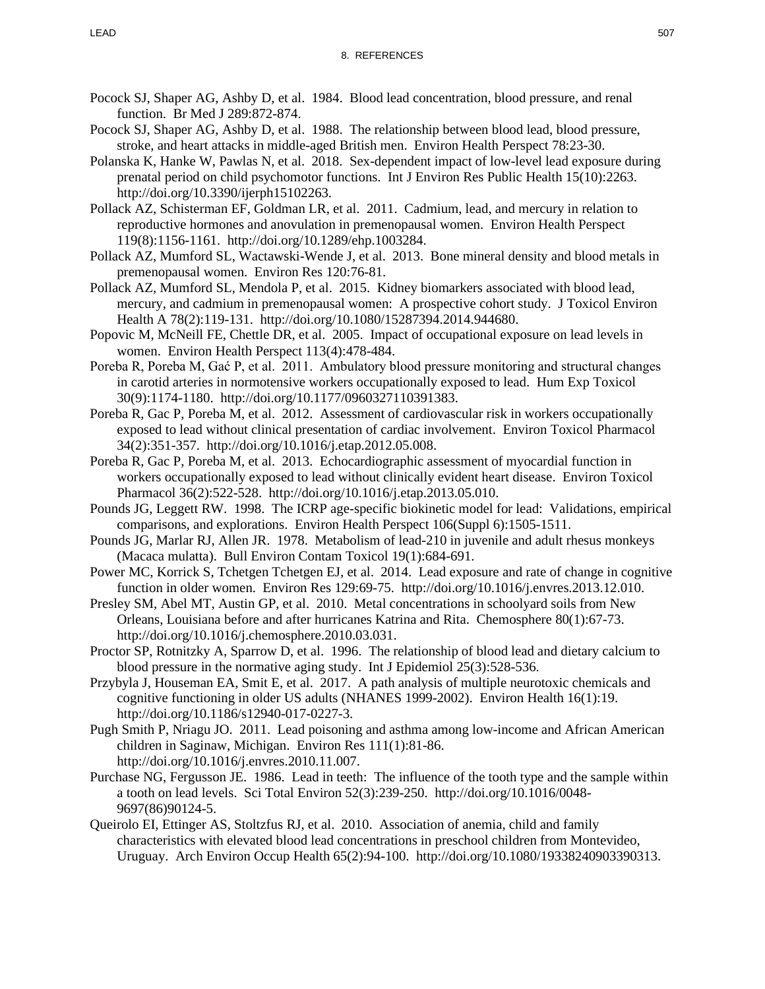- Pocock SJ, Shaper AG, Ashby D, et al. 1984. Blood lead concentration, blood pressure, and renal function. Br Med J 289:872-874.
- Pocock SJ, Shaper AG, Ashby D, et al. 1988. The relationship between blood lead, blood pressure, stroke, and heart attacks in middle-aged British men. Environ Health Perspect 78:23-30.
- Polanska K, Hanke W, Pawlas N, et al. 2018. Sex-dependent impact of low-level lead exposure during prenatal period on child psychomotor functions. Int J Environ Res Public Health 15(10):2263. http://doi.org/10.3390/ijerph15102263.
- Pollack AZ, Schisterman EF, Goldman LR, et al. 2011. Cadmium, lead, and mercury in relation to reproductive hormones and anovulation in premenopausal women. Environ Health Perspect 119(8):1156-1161. http://doi.org/10.1289/ehp.1003284.
- Pollack AZ, Mumford SL, Wactawski-Wende J, et al. 2013. Bone mineral density and blood metals in premenopausal women. Environ Res 120:76-81.
- Pollack AZ, Mumford SL, Mendola P, et al. 2015. Kidney biomarkers associated with blood lead, mercury, and cadmium in premenopausal women: A prospective cohort study. J Toxicol Environ Health A 78(2):119-131. http://doi.org/10.1080/15287394.2014.944680.
- Popovic M, McNeill FE, Chettle DR, et al. 2005. Impact of occupational exposure on lead levels in women. Environ Health Perspect 113(4):478-484.
- Poreba R, Poreba M, Gać P, et al. 2011. Ambulatory blood pressure monitoring and structural changes in carotid arteries in normotensive workers occupationally exposed to lead. Hum Exp Toxicol 30(9):1174-1180. http://doi.org/10.1177/0960327110391383.
- Poreba R, Gac P, Poreba M, et al. 2012. Assessment of cardiovascular risk in workers occupationally exposed to lead without clinical presentation of cardiac involvement. Environ Toxicol Pharmacol 34(2):351-357. http://doi.org/10.1016/j.etap.2012.05.008.
- Poreba R, Gac P, Poreba M, et al. 2013. Echocardiographic assessment of myocardial function in workers occupationally exposed to lead without clinically evident heart disease. Environ Toxicol Pharmacol 36(2):522-528. http://doi.org/10.1016/j.etap.2013.05.010.
- Pounds JG, Leggett RW. 1998. The ICRP age-specific biokinetic model for lead: Validations, empirical comparisons, and explorations. Environ Health Perspect 106(Suppl 6):1505-1511.
- Pounds JG, Marlar RJ, Allen JR. 1978. Metabolism of lead-210 in juvenile and adult rhesus monkeys (Macaca mulatta). Bull Environ Contam Toxicol 19(1):684-691.
- Power MC, Korrick S, Tchetgen Tchetgen EJ, et al. 2014. Lead exposure and rate of change in cognitive function in older women. Environ Res 129:69-75. http://doi.org/10.1016/j.envres.2013.12.010.
- Presley SM, Abel MT, Austin GP, et al. 2010. Metal concentrations in schoolyard soils from New Orleans, Louisiana before and after hurricanes Katrina and Rita. Chemosphere 80(1):67-73. http://doi.org/10.1016/j.chemosphere.2010.03.031.
- Proctor SP, Rotnitzky A, Sparrow D, et al. 1996. The relationship of blood lead and dietary calcium to blood pressure in the normative aging study. Int J Epidemiol 25(3):528-536.
- Przybyla J, Houseman EA, Smit E, et al. 2017. A path analysis of multiple neurotoxic chemicals and cognitive functioning in older US adults (NHANES 1999-2002). Environ Health 16(1):19. http://doi.org/10.1186/s12940-017-0227-3.
- Pugh Smith P, Nriagu JO. 2011. Lead poisoning and asthma among low-income and African American children in Saginaw, Michigan. Environ Res 111(1):81-86. http://doi.org/10.1016/j.envres.2010.11.007.
- Purchase NG, Fergusson JE. 1986. Lead in teeth: The influence of the tooth type and the sample within a tooth on lead levels. Sci Total Environ 52(3):239-250. http://doi.org/10.1016/0048- 9697(86)90124-5.
- Queirolo EI, Ettinger AS, Stoltzfus RJ, et al. 2010. Association of anemia, child and family characteristics with elevated blood lead concentrations in preschool children from Montevideo, Uruguay. Arch Environ Occup Health 65(2):94-100. http://doi.org/10.1080/19338240903390313.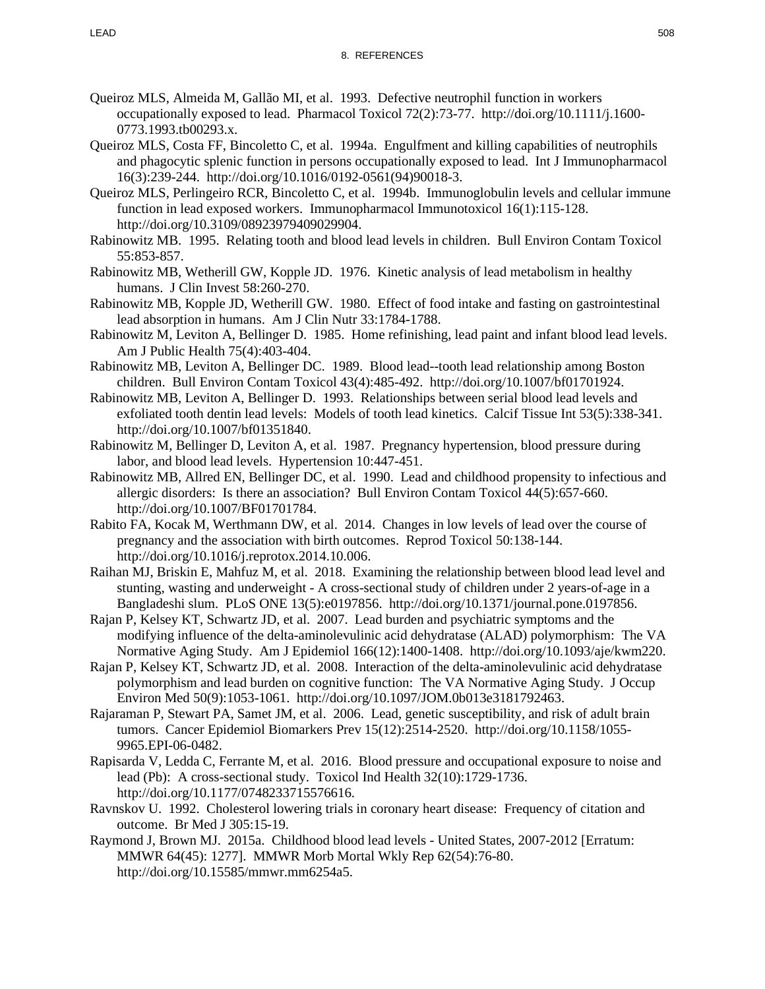- Queiroz MLS, Almeida M, Gallão MI, et al. 1993. Defective neutrophil function in workers occupationally exposed to lead. Pharmacol Toxicol 72(2):73-77. http://doi.org/10.1111/j.1600- 0773.1993.tb00293.x.
- Queiroz MLS, Costa FF, Bincoletto C, et al. 1994a. Engulfment and killing capabilities of neutrophils and phagocytic splenic function in persons occupationally exposed to lead. Int J Immunopharmacol 16(3):239-244. http://doi.org/10.1016/0192-0561(94)90018-3.
- Queiroz MLS, Perlingeiro RCR, Bincoletto C, et al. 1994b. Immunoglobulin levels and cellular immune function in lead exposed workers. Immunopharmacol Immunotoxicol 16(1):115-128. http://doi.org/10.3109/08923979409029904.
- Rabinowitz MB. 1995. Relating tooth and blood lead levels in children. Bull Environ Contam Toxicol 55:853-857.
- Rabinowitz MB, Wetherill GW, Kopple JD. 1976. Kinetic analysis of lead metabolism in healthy humans. J Clin Invest 58:260-270.
- Rabinowitz MB, Kopple JD, Wetherill GW. 1980. Effect of food intake and fasting on gastrointestinal lead absorption in humans. Am J Clin Nutr 33:1784-1788.
- Rabinowitz M, Leviton A, Bellinger D. 1985. Home refinishing, lead paint and infant blood lead levels. Am J Public Health 75(4):403-404.
- Rabinowitz MB, Leviton A, Bellinger DC. 1989. Blood lead--tooth lead relationship among Boston children. Bull Environ Contam Toxicol 43(4):485-492. http://doi.org/10.1007/bf01701924.
- Rabinowitz MB, Leviton A, Bellinger D. 1993. Relationships between serial blood lead levels and exfoliated tooth dentin lead levels: Models of tooth lead kinetics. Calcif Tissue Int 53(5):338-341. http://doi.org/10.1007/bf01351840.
- Rabinowitz M, Bellinger D, Leviton A, et al. 1987. Pregnancy hypertension, blood pressure during labor, and blood lead levels. Hypertension 10:447-451.
- Rabinowitz MB, Allred EN, Bellinger DC, et al. 1990. Lead and childhood propensity to infectious and allergic disorders: Is there an association? Bull Environ Contam Toxicol 44(5):657-660. http://doi.org/10.1007/BF01701784.
- Rabito FA, Kocak M, Werthmann DW, et al. 2014. Changes in low levels of lead over the course of pregnancy and the association with birth outcomes. Reprod Toxicol 50:138-144. http://doi.org/10.1016/j.reprotox.2014.10.006.
- Raihan MJ, Briskin E, Mahfuz M, et al. 2018. Examining the relationship between blood lead level and stunting, wasting and underweight - A cross-sectional study of children under 2 years-of-age in a Bangladeshi slum. PLoS ONE 13(5):e0197856. http://doi.org/10.1371/journal.pone.0197856.
- Rajan P, Kelsey KT, Schwartz JD, et al. 2007. Lead burden and psychiatric symptoms and the modifying influence of the delta-aminolevulinic acid dehydratase (ALAD) polymorphism: The VA Normative Aging Study. Am J Epidemiol 166(12):1400-1408. http://doi.org/10.1093/aje/kwm220.
- Rajan P, Kelsey KT, Schwartz JD, et al. 2008. Interaction of the delta-aminolevulinic acid dehydratase polymorphism and lead burden on cognitive function: The VA Normative Aging Study. J Occup Environ Med 50(9):1053-1061. http://doi.org/10.1097/JOM.0b013e3181792463.
- Rajaraman P, Stewart PA, Samet JM, et al. 2006. Lead, genetic susceptibility, and risk of adult brain tumors. Cancer Epidemiol Biomarkers Prev 15(12):2514-2520. http://doi.org/10.1158/1055- 9965.EPI-06-0482.
- Rapisarda V, Ledda C, Ferrante M, et al. 2016. Blood pressure and occupational exposure to noise and lead (Pb): A cross-sectional study. Toxicol Ind Health 32(10):1729-1736. http://doi.org/10.1177/0748233715576616.
- Ravnskov U. 1992. Cholesterol lowering trials in coronary heart disease: Frequency of citation and outcome. Br Med J 305:15-19.
- Raymond J, Brown MJ. 2015a. Childhood blood lead levels United States, 2007-2012 [Erratum: MMWR 64(45): 1277]. MMWR Morb Mortal Wkly Rep 62(54):76-80. http://doi.org/10.15585/mmwr.mm6254a5.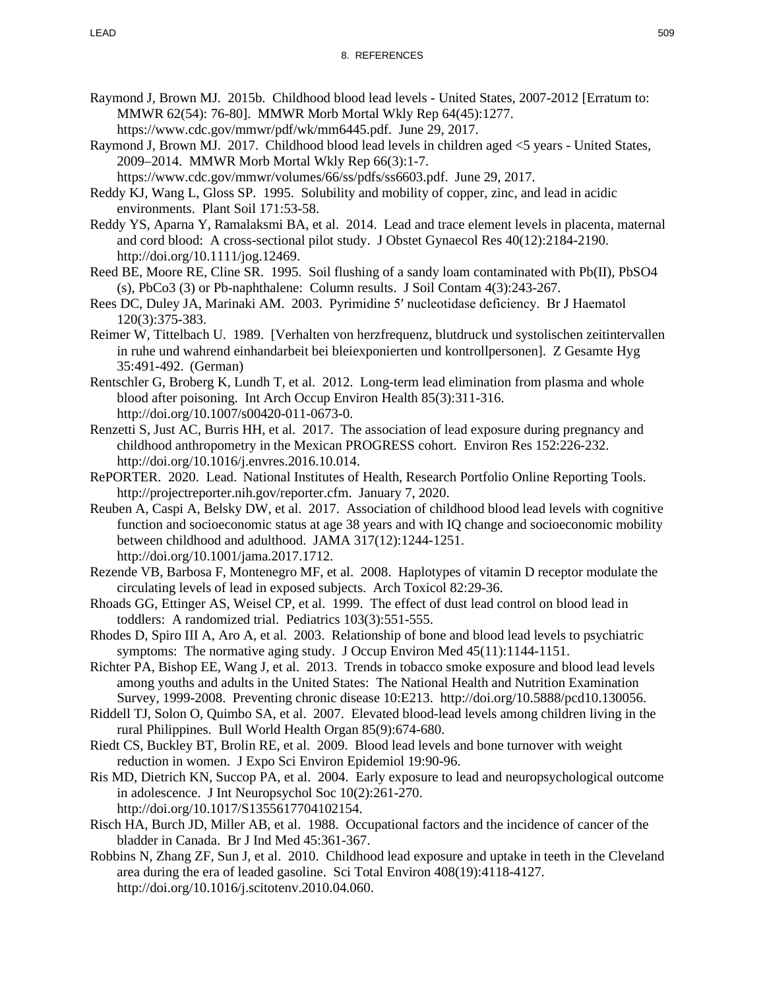- Raymond J, Brown MJ. 2015b. Childhood blood lead levels United States, 2007-2012 [Erratum to: MMWR 62(54): 76-80]. MMWR Morb Mortal Wkly Rep 64(45):1277. https://www.cdc.gov/mmwr/pdf/wk/mm6445.pdf. June 29, 2017.
- Raymond J, Brown MJ. 2017. Childhood blood lead levels in children aged <5 years United States, 2009–2014. MMWR Morb Mortal Wkly Rep 66(3):1-7.

https://www.cdc.gov/mmwr/volumes/66/ss/pdfs/ss6603.pdf. June 29, 2017.

- Reddy KJ, Wang L, Gloss SP. 1995. Solubility and mobility of copper, zinc, and lead in acidic environments. Plant Soil 171:53-58.
- Reddy YS, Aparna Y, Ramalaksmi BA, et al. 2014. Lead and trace element levels in placenta, maternal and cord blood: A cross-sectional pilot study. J Obstet Gynaecol Res 40(12):2184-2190. http://doi.org/10.1111/jog.12469.
- Reed BE, Moore RE, Cline SR. 1995. Soil flushing of a sandy loam contaminated with Pb(II), PbSO4 (s), PbCo3 (3) or Pb-naphthalene: Column results. J Soil Contam 4(3):243-267.
- Rees DC, Duley JA, Marinaki AM. 2003. Pyrimidine 5′ nucleotidase deficiency. Br J Haematol 120(3):375-383.
- Reimer W, Tittelbach U. 1989. [Verhalten von herzfrequenz, blutdruck und systolischen zeitintervallen in ruhe und wahrend einhandarbeit bei bleiexponierten und kontrollpersonen]. Z Gesamte Hyg 35:491-492. (German)
- Rentschler G, Broberg K, Lundh T, et al. 2012. Long-term lead elimination from plasma and whole blood after poisoning. Int Arch Occup Environ Health 85(3):311-316. http://doi.org/10.1007/s00420-011-0673-0.
- Renzetti S, Just AC, Burris HH, et al. 2017. The association of lead exposure during pregnancy and childhood anthropometry in the Mexican PROGRESS cohort. Environ Res 152:226-232. http://doi.org/10.1016/j.envres.2016.10.014.
- RePORTER. 2020. Lead. National Institutes of Health, Research Portfolio Online Reporting Tools. http://projectreporter.nih.gov/reporter.cfm. January 7, 2020.
- Reuben A, Caspi A, Belsky DW, et al. 2017. Association of childhood blood lead levels with cognitive function and socioeconomic status at age 38 years and with IQ change and socioeconomic mobility between childhood and adulthood. JAMA 317(12):1244-1251. http://doi.org/10.1001/jama.2017.1712.
- Rezende VB, Barbosa F, Montenegro MF, et al. 2008. Haplotypes of vitamin D receptor modulate the circulating levels of lead in exposed subjects. Arch Toxicol 82:29-36.
- Rhoads GG, Ettinger AS, Weisel CP, et al. 1999. The effect of dust lead control on blood lead in toddlers: A randomized trial. Pediatrics 103(3):551-555.
- Rhodes D, Spiro III A, Aro A, et al. 2003. Relationship of bone and blood lead levels to psychiatric symptoms: The normative aging study. J Occup Environ Med 45(11):1144-1151.
- Richter PA, Bishop EE, Wang J, et al. 2013. Trends in tobacco smoke exposure and blood lead levels among youths and adults in the United States: The National Health and Nutrition Examination Survey, 1999-2008. Preventing chronic disease 10:E213. http://doi.org/10.5888/pcd10.130056.
- Riddell TJ, Solon O, Quimbo SA, et al. 2007. Elevated blood-lead levels among children living in the rural Philippines. Bull World Health Organ 85(9):674-680.
- Riedt CS, Buckley BT, Brolin RE, et al. 2009. Blood lead levels and bone turnover with weight reduction in women. J Expo Sci Environ Epidemiol 19:90-96.
- Ris MD, Dietrich KN, Succop PA, et al. 2004. Early exposure to lead and neuropsychological outcome in adolescence. J Int Neuropsychol Soc 10(2):261-270. http://doi.org/10.1017/S1355617704102154.
- Risch HA, Burch JD, Miller AB, et al. 1988. Occupational factors and the incidence of cancer of the bladder in Canada. Br J Ind Med 45:361-367.
- Robbins N, Zhang ZF, Sun J, et al. 2010. Childhood lead exposure and uptake in teeth in the Cleveland area during the era of leaded gasoline. Sci Total Environ 408(19):4118-4127. http://doi.org/10.1016/j.scitotenv.2010.04.060.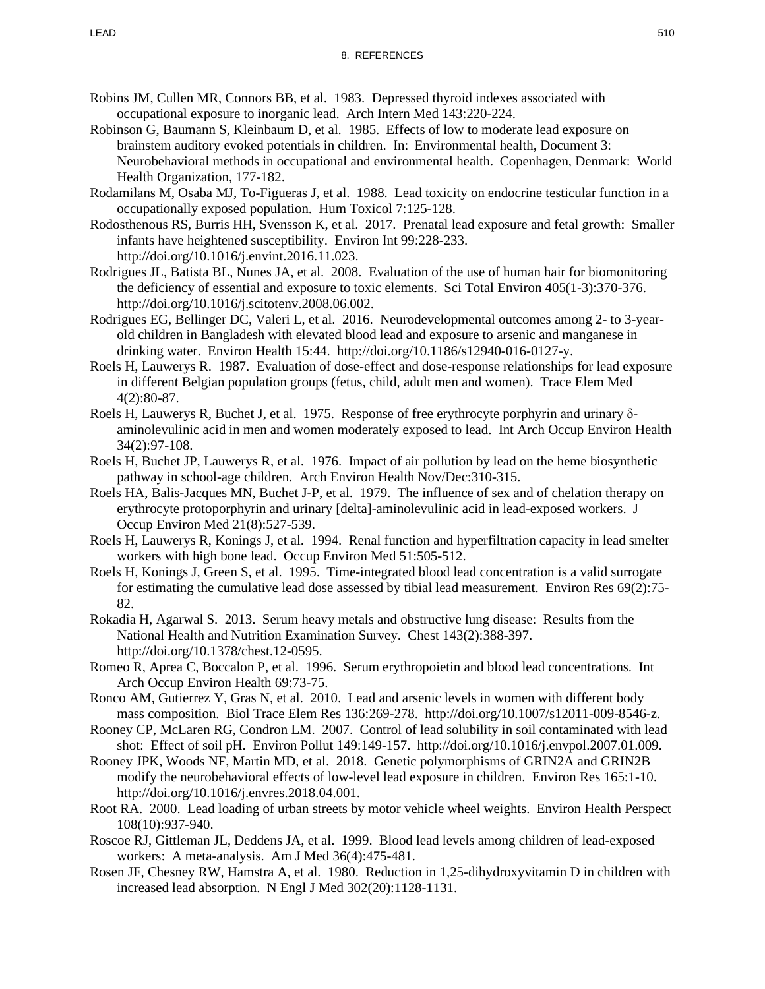- Robins JM, Cullen MR, Connors BB, et al. 1983. Depressed thyroid indexes associated with occupational exposure to inorganic lead. Arch Intern Med 143:220-224.
- Robinson G, Baumann S, Kleinbaum D, et al. 1985. Effects of low to moderate lead exposure on brainstem auditory evoked potentials in children. In: Environmental health, Document 3: Neurobehavioral methods in occupational and environmental health. Copenhagen, Denmark: World Health Organization, 177-182.
- Rodamilans M, Osaba MJ, To-Figueras J, et al. 1988. Lead toxicity on endocrine testicular function in a occupationally exposed population. Hum Toxicol 7:125-128.
- Rodosthenous RS, Burris HH, Svensson K, et al. 2017. Prenatal lead exposure and fetal growth: Smaller infants have heightened susceptibility. Environ Int 99:228-233. http://doi.org/10.1016/j.envint.2016.11.023.
- Rodrigues JL, Batista BL, Nunes JA, et al. 2008. Evaluation of the use of human hair for biomonitoring the deficiency of essential and exposure to toxic elements. Sci Total Environ 405(1-3):370-376. http://doi.org/10.1016/j.scitotenv.2008.06.002.
- Rodrigues EG, Bellinger DC, Valeri L, et al. 2016. Neurodevelopmental outcomes among 2- to 3-yearold children in Bangladesh with elevated blood lead and exposure to arsenic and manganese in drinking water. Environ Health 15:44. http://doi.org/10.1186/s12940-016-0127-y.
- Roels H, Lauwerys R. 1987. Evaluation of dose-effect and dose-response relationships for lead exposure in different Belgian population groups (fetus, child, adult men and women). Trace Elem Med 4(2):80-87.
- Roels H, Lauwerys R, Buchet J, et al. 1975. Response of free erythrocyte porphyrin and urinary δaminolevulinic acid in men and women moderately exposed to lead. Int Arch Occup Environ Health 34(2):97-108.
- Roels H, Buchet JP, Lauwerys R, et al. 1976. Impact of air pollution by lead on the heme biosynthetic pathway in school-age children. Arch Environ Health Nov/Dec:310-315.
- Roels HA, Balis-Jacques MN, Buchet J-P, et al. 1979. The influence of sex and of chelation therapy on erythrocyte protoporphyrin and urinary [delta]-aminolevulinic acid in lead-exposed workers. J Occup Environ Med 21(8):527-539.
- Roels H, Lauwerys R, Konings J, et al. 1994. Renal function and hyperfiltration capacity in lead smelter workers with high bone lead. Occup Environ Med 51:505-512.
- Roels H, Konings J, Green S, et al. 1995. Time-integrated blood lead concentration is a valid surrogate for estimating the cumulative lead dose assessed by tibial lead measurement. Environ Res 69(2):75- 82.
- Rokadia H, Agarwal S. 2013. Serum heavy metals and obstructive lung disease: Results from the National Health and Nutrition Examination Survey. Chest 143(2):388-397. http://doi.org/10.1378/chest.12-0595.
- Romeo R, Aprea C, Boccalon P, et al. 1996. Serum erythropoietin and blood lead concentrations. Int Arch Occup Environ Health 69:73-75.
- Ronco AM, Gutierrez Y, Gras N, et al. 2010. Lead and arsenic levels in women with different body mass composition. Biol Trace Elem Res 136:269-278. http://doi.org/10.1007/s12011-009-8546-z.
- Rooney CP, McLaren RG, Condron LM. 2007. Control of lead solubility in soil contaminated with lead shot: Effect of soil pH. Environ Pollut 149:149-157. http://doi.org/10.1016/j.envpol.2007.01.009.
- Rooney JPK, Woods NF, Martin MD, et al. 2018. Genetic polymorphisms of GRIN2A and GRIN2B modify the neurobehavioral effects of low-level lead exposure in children. Environ Res 165:1-10. http://doi.org/10.1016/j.envres.2018.04.001.
- Root RA. 2000. Lead loading of urban streets by motor vehicle wheel weights. Environ Health Perspect 108(10):937-940.
- Roscoe RJ, Gittleman JL, Deddens JA, et al. 1999. Blood lead levels among children of lead-exposed workers: A meta-analysis. Am J Med 36(4):475-481.
- Rosen JF, Chesney RW, Hamstra A, et al. 1980. Reduction in 1,25-dihydroxyvitamin D in children with increased lead absorption. N Engl J Med 302(20):1128-1131.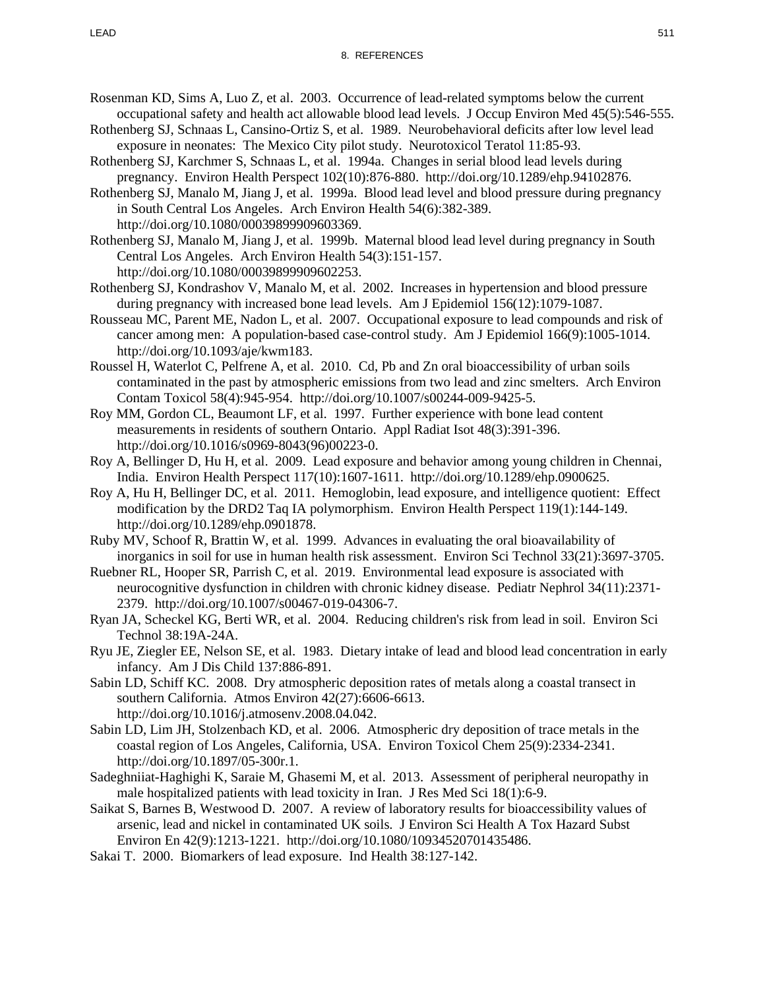- Rosenman KD, Sims A, Luo Z, et al. 2003. Occurrence of lead-related symptoms below the current occupational safety and health act allowable blood lead levels. J Occup Environ Med 45(5):546-555.
- Rothenberg SJ, Schnaas L, Cansino-Ortiz S, et al. 1989. Neurobehavioral deficits after low level lead exposure in neonates: The Mexico City pilot study. Neurotoxicol Teratol 11:85-93.
- Rothenberg SJ, Karchmer S, Schnaas L, et al. 1994a. Changes in serial blood lead levels during pregnancy. Environ Health Perspect 102(10):876-880. http://doi.org/10.1289/ehp.94102876.
- Rothenberg SJ, Manalo M, Jiang J, et al. 1999a. Blood lead level and blood pressure during pregnancy in South Central Los Angeles. Arch Environ Health 54(6):382-389. http://doi.org/10.1080/00039899909603369.
- Rothenberg SJ, Manalo M, Jiang J, et al. 1999b. Maternal blood lead level during pregnancy in South Central Los Angeles. Arch Environ Health 54(3):151-157. http://doi.org/10.1080/00039899909602253.
- Rothenberg SJ, Kondrashov V, Manalo M, et al. 2002. Increases in hypertension and blood pressure during pregnancy with increased bone lead levels. Am J Epidemiol 156(12):1079-1087.
- Rousseau MC, Parent ME, Nadon L, et al. 2007. Occupational exposure to lead compounds and risk of cancer among men: A population-based case-control study. Am J Epidemiol 166(9):1005-1014. http://doi.org/10.1093/aje/kwm183.
- Roussel H, Waterlot C, Pelfrene A, et al. 2010. Cd, Pb and Zn oral bioaccessibility of urban soils contaminated in the past by atmospheric emissions from two lead and zinc smelters. Arch Environ Contam Toxicol 58(4):945-954. http://doi.org/10.1007/s00244-009-9425-5.
- Roy MM, Gordon CL, Beaumont LF, et al. 1997. Further experience with bone lead content measurements in residents of southern Ontario. Appl Radiat Isot 48(3):391-396. http://doi.org/10.1016/s0969-8043(96)00223-0.
- Roy A, Bellinger D, Hu H, et al. 2009. Lead exposure and behavior among young children in Chennai, India. Environ Health Perspect 117(10):1607-1611. http://doi.org/10.1289/ehp.0900625.
- Roy A, Hu H, Bellinger DC, et al. 2011. Hemoglobin, lead exposure, and intelligence quotient: Effect modification by the DRD2 Taq IA polymorphism. Environ Health Perspect 119(1):144-149. http://doi.org/10.1289/ehp.0901878.
- Ruby MV, Schoof R, Brattin W, et al. 1999. Advances in evaluating the oral bioavailability of inorganics in soil for use in human health risk assessment. Environ Sci Technol 33(21):3697-3705.
- Ruebner RL, Hooper SR, Parrish C, et al. 2019. Environmental lead exposure is associated with neurocognitive dysfunction in children with chronic kidney disease. Pediatr Nephrol 34(11):2371- 2379. http://doi.org/10.1007/s00467-019-04306-7.
- Ryan JA, Scheckel KG, Berti WR, et al. 2004. Reducing children's risk from lead in soil. Environ Sci Technol 38:19A-24A.
- Ryu JE, Ziegler EE, Nelson SE, et al. 1983. Dietary intake of lead and blood lead concentration in early infancy. Am J Dis Child 137:886-891.
- Sabin LD, Schiff KC. 2008. Dry atmospheric deposition rates of metals along a coastal transect in southern California. Atmos Environ 42(27):6606-6613. http://doi.org/10.1016/j.atmosenv.2008.04.042.
- Sabin LD, Lim JH, Stolzenbach KD, et al. 2006. Atmospheric dry deposition of trace metals in the coastal region of Los Angeles, California, USA. Environ Toxicol Chem 25(9):2334-2341. http://doi.org/10.1897/05-300r.1.
- Sadeghniiat-Haghighi K, Saraie M, Ghasemi M, et al. 2013. Assessment of peripheral neuropathy in male hospitalized patients with lead toxicity in Iran. J Res Med Sci 18(1):6-9.
- Saikat S, Barnes B, Westwood D. 2007. A review of laboratory results for bioaccessibility values of arsenic, lead and nickel in contaminated UK soils. J Environ Sci Health A Tox Hazard Subst Environ En 42(9):1213-1221. http://doi.org/10.1080/10934520701435486.
- Sakai T. 2000. Biomarkers of lead exposure. Ind Health 38:127-142.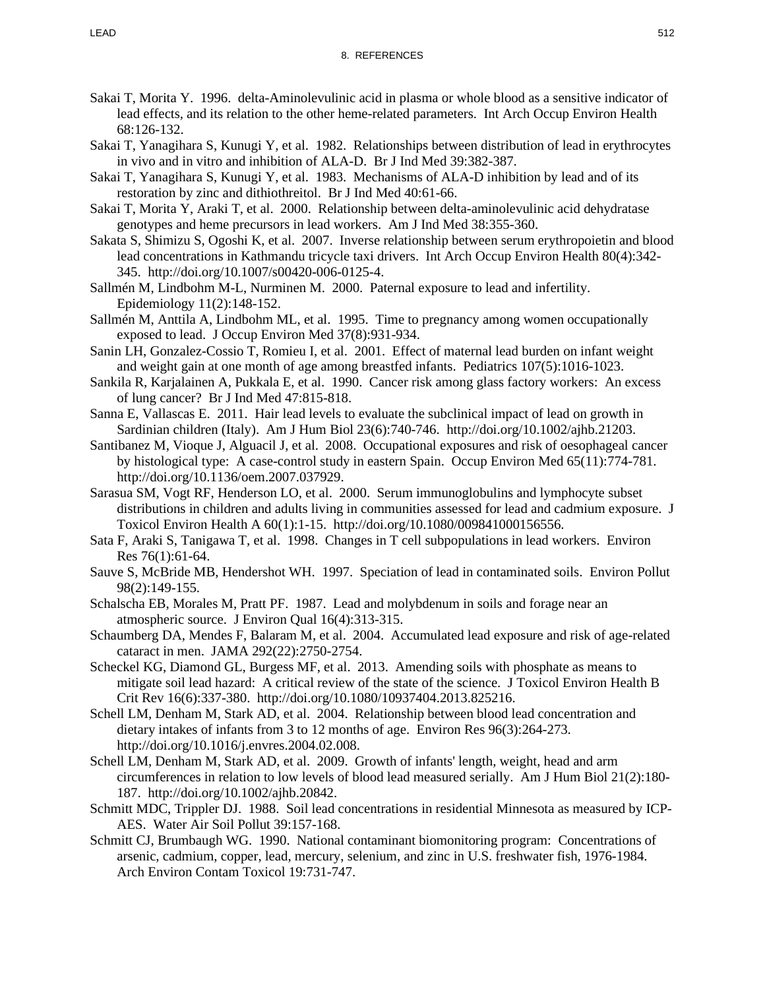- Sakai T, Morita Y. 1996. delta-Aminolevulinic acid in plasma or whole blood as a sensitive indicator of lead effects, and its relation to the other heme-related parameters. Int Arch Occup Environ Health 68:126-132.
- Sakai T, Yanagihara S, Kunugi Y, et al. 1982. Relationships between distribution of lead in erythrocytes in vivo and in vitro and inhibition of ALA-D. Br J Ind Med 39:382-387.
- Sakai T, Yanagihara S, Kunugi Y, et al. 1983. Mechanisms of ALA-D inhibition by lead and of its restoration by zinc and dithiothreitol. Br J Ind Med 40:61-66.
- Sakai T, Morita Y, Araki T, et al. 2000. Relationship between delta-aminolevulinic acid dehydratase genotypes and heme precursors in lead workers. Am J Ind Med 38:355-360.
- Sakata S, Shimizu S, Ogoshi K, et al. 2007. Inverse relationship between serum erythropoietin and blood lead concentrations in Kathmandu tricycle taxi drivers. Int Arch Occup Environ Health 80(4):342- 345. http://doi.org/10.1007/s00420-006-0125-4.
- Sallmén M, Lindbohm M-L, Nurminen M. 2000. Paternal exposure to lead and infertility. Epidemiology 11(2):148-152.
- Sallmén M, Anttila A, Lindbohm ML, et al. 1995. Time to pregnancy among women occupationally exposed to lead. J Occup Environ Med 37(8):931-934.
- Sanin LH, Gonzalez-Cossio T, Romieu I, et al. 2001. Effect of maternal lead burden on infant weight and weight gain at one month of age among breastfed infants. Pediatrics 107(5):1016-1023.
- Sankila R, Karjalainen A, Pukkala E, et al. 1990. Cancer risk among glass factory workers: An excess of lung cancer? Br J Ind Med 47:815-818.
- Sanna E, Vallascas E. 2011. Hair lead levels to evaluate the subclinical impact of lead on growth in Sardinian children (Italy). Am J Hum Biol 23(6):740-746. http://doi.org/10.1002/ajhb.21203.
- Santibanez M, Vioque J, Alguacil J, et al. 2008. Occupational exposures and risk of oesophageal cancer by histological type: A case-control study in eastern Spain. Occup Environ Med 65(11):774-781. http://doi.org/10.1136/oem.2007.037929.
- Sarasua SM, Vogt RF, Henderson LO, et al. 2000. Serum immunoglobulins and lymphocyte subset distributions in children and adults living in communities assessed for lead and cadmium exposure. J Toxicol Environ Health A 60(1):1-15. http://doi.org/10.1080/009841000156556.
- Sata F, Araki S, Tanigawa T, et al. 1998. Changes in T cell subpopulations in lead workers. Environ Res 76(1):61-64.
- Sauve S, McBride MB, Hendershot WH. 1997. Speciation of lead in contaminated soils. Environ Pollut 98(2):149-155.
- Schalscha EB, Morales M, Pratt PF. 1987. Lead and molybdenum in soils and forage near an atmospheric source. J Environ Qual 16(4):313-315.
- Schaumberg DA, Mendes F, Balaram M, et al. 2004. Accumulated lead exposure and risk of age-related cataract in men. JAMA 292(22):2750-2754.
- Scheckel KG, Diamond GL, Burgess MF, et al. 2013. Amending soils with phosphate as means to mitigate soil lead hazard: A critical review of the state of the science. J Toxicol Environ Health B Crit Rev 16(6):337-380. http://doi.org/10.1080/10937404.2013.825216.
- Schell LM, Denham M, Stark AD, et al. 2004. Relationship between blood lead concentration and dietary intakes of infants from 3 to 12 months of age. Environ Res 96(3):264-273. http://doi.org/10.1016/j.envres.2004.02.008.
- Schell LM, Denham M, Stark AD, et al. 2009. Growth of infants' length, weight, head and arm circumferences in relation to low levels of blood lead measured serially. Am J Hum Biol 21(2):180- 187. http://doi.org/10.1002/ajhb.20842.
- Schmitt MDC, Trippler DJ. 1988. Soil lead concentrations in residential Minnesota as measured by ICP-AES. Water Air Soil Pollut 39:157-168.
- Schmitt CJ, Brumbaugh WG. 1990. National contaminant biomonitoring program: Concentrations of arsenic, cadmium, copper, lead, mercury, selenium, and zinc in U.S. freshwater fish, 1976-1984. Arch Environ Contam Toxicol 19:731-747.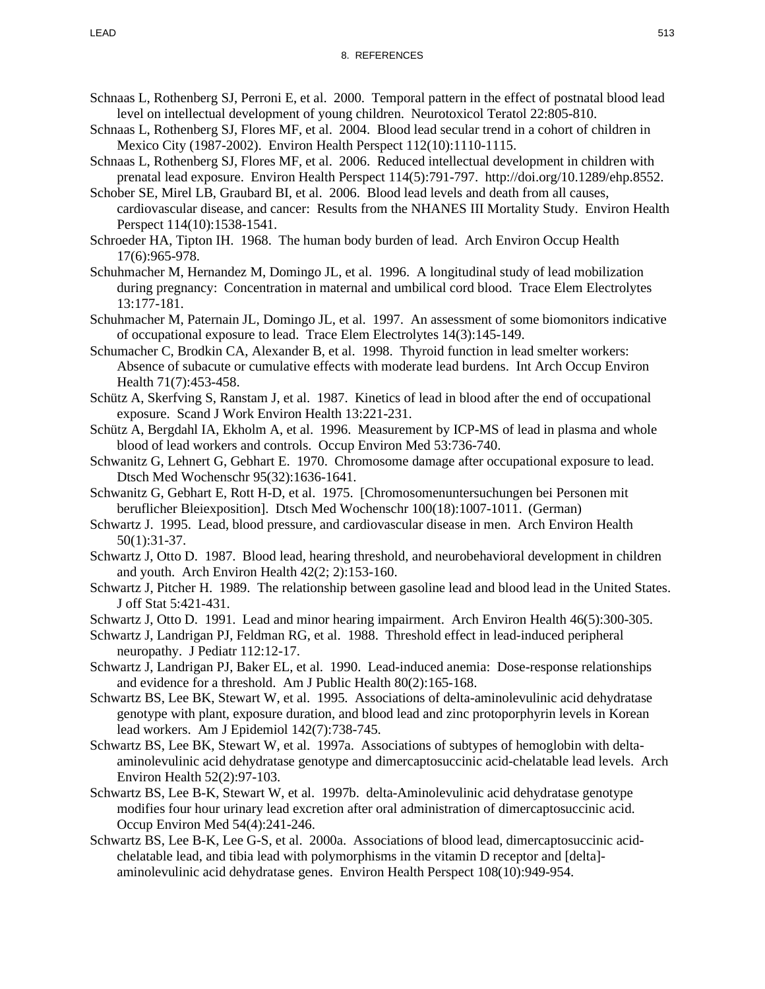- Schnaas L, Rothenberg SJ, Perroni E, et al. 2000. Temporal pattern in the effect of postnatal blood lead level on intellectual development of young children. Neurotoxicol Teratol 22:805-810.
- Schnaas L, Rothenberg SJ, Flores MF, et al. 2004. Blood lead secular trend in a cohort of children in Mexico City (1987-2002). Environ Health Perspect 112(10):1110-1115.
- Schnaas L, Rothenberg SJ, Flores MF, et al. 2006. Reduced intellectual development in children with prenatal lead exposure. Environ Health Perspect 114(5):791-797. http://doi.org/10.1289/ehp.8552.
- Schober SE, Mirel LB, Graubard BI, et al. 2006. Blood lead levels and death from all causes, cardiovascular disease, and cancer: Results from the NHANES III Mortality Study. Environ Health Perspect 114(10):1538-1541.
- Schroeder HA, Tipton IH. 1968. The human body burden of lead. Arch Environ Occup Health 17(6):965-978.
- Schuhmacher M, Hernandez M, Domingo JL, et al. 1996. A longitudinal study of lead mobilization during pregnancy: Concentration in maternal and umbilical cord blood. Trace Elem Electrolytes 13:177-181.
- Schuhmacher M, Paternain JL, Domingo JL, et al. 1997. An assessment of some biomonitors indicative of occupational exposure to lead. Trace Elem Electrolytes 14(3):145-149.
- Schumacher C, Brodkin CA, Alexander B, et al. 1998. Thyroid function in lead smelter workers: Absence of subacute or cumulative effects with moderate lead burdens. Int Arch Occup Environ Health 71(7):453-458.
- Schütz A, Skerfving S, Ranstam J, et al. 1987. Kinetics of lead in blood after the end of occupational exposure. Scand J Work Environ Health 13:221-231.
- Schütz A, Bergdahl IA, Ekholm A, et al. 1996. Measurement by ICP-MS of lead in plasma and whole blood of lead workers and controls. Occup Environ Med 53:736-740.
- Schwanitz G, Lehnert G, Gebhart E. 1970. Chromosome damage after occupational exposure to lead. Dtsch Med Wochenschr 95(32):1636-1641.
- Schwanitz G, Gebhart E, Rott H-D, et al. 1975. [Chromosomenuntersuchungen bei Personen mit beruflicher Bleiexposition]. Dtsch Med Wochenschr 100(18):1007-1011. (German)
- Schwartz J. 1995. Lead, blood pressure, and cardiovascular disease in men. Arch Environ Health 50(1):31-37.
- Schwartz J, Otto D. 1987. Blood lead, hearing threshold, and neurobehavioral development in children and youth. Arch Environ Health 42(2; 2):153-160.
- Schwartz J, Pitcher H. 1989. The relationship between gasoline lead and blood lead in the United States. J off Stat 5:421-431.
- Schwartz J, Otto D. 1991. Lead and minor hearing impairment. Arch Environ Health 46(5):300-305.
- Schwartz J, Landrigan PJ, Feldman RG, et al. 1988. Threshold effect in lead-induced peripheral neuropathy. J Pediatr 112:12-17.
- Schwartz J, Landrigan PJ, Baker EL, et al. 1990. Lead-induced anemia: Dose-response relationships and evidence for a threshold. Am J Public Health 80(2):165-168.
- Schwartz BS, Lee BK, Stewart W, et al. 1995. Associations of delta-aminolevulinic acid dehydratase genotype with plant, exposure duration, and blood lead and zinc protoporphyrin levels in Korean lead workers. Am J Epidemiol 142(7):738-745.
- Schwartz BS, Lee BK, Stewart W, et al. 1997a. Associations of subtypes of hemoglobin with deltaaminolevulinic acid dehydratase genotype and dimercaptosuccinic acid-chelatable lead levels. Arch Environ Health 52(2):97-103.
- Schwartz BS, Lee B-K, Stewart W, et al. 1997b. delta-Aminolevulinic acid dehydratase genotype modifies four hour urinary lead excretion after oral administration of dimercaptosuccinic acid. Occup Environ Med 54(4):241-246.
- Schwartz BS, Lee B-K, Lee G-S, et al. 2000a. Associations of blood lead, dimercaptosuccinic acidchelatable lead, and tibia lead with polymorphisms in the vitamin D receptor and [delta] aminolevulinic acid dehydratase genes. Environ Health Perspect 108(10):949-954.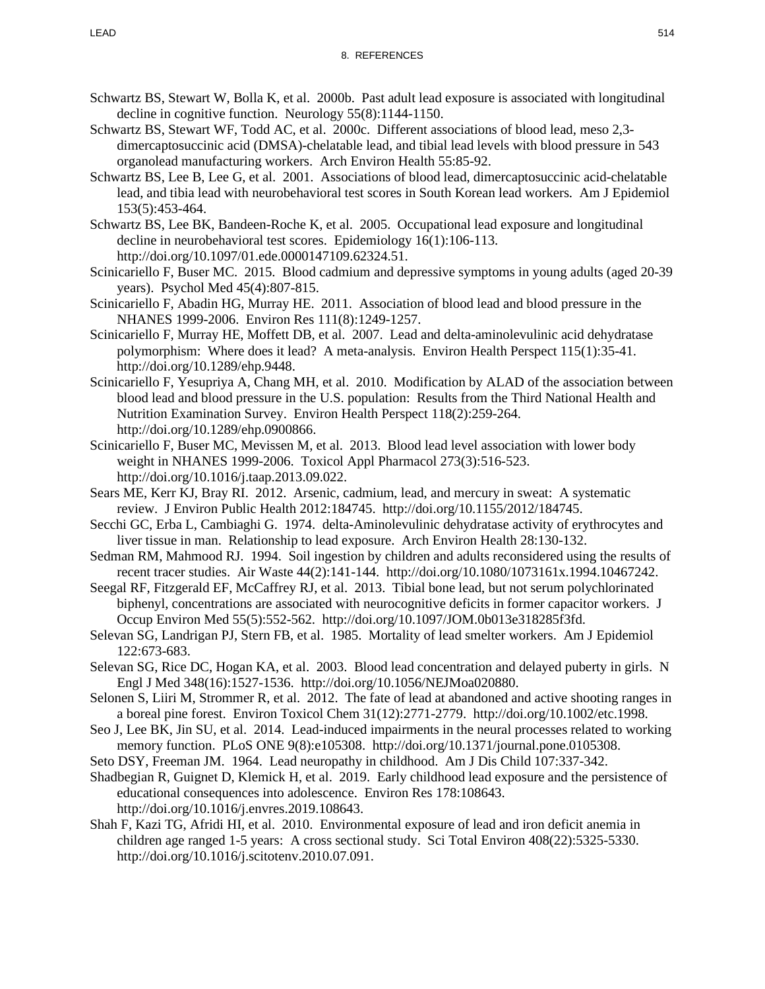- Schwartz BS, Stewart W, Bolla K, et al. 2000b. Past adult lead exposure is associated with longitudinal decline in cognitive function. Neurology 55(8):1144-1150.
- Schwartz BS, Stewart WF, Todd AC, et al. 2000c. Different associations of blood lead, meso 2,3 dimercaptosuccinic acid (DMSA)-chelatable lead, and tibial lead levels with blood pressure in 543 organolead manufacturing workers. Arch Environ Health 55:85-92.
- Schwartz BS, Lee B, Lee G, et al. 2001. Associations of blood lead, dimercaptosuccinic acid-chelatable lead, and tibia lead with neurobehavioral test scores in South Korean lead workers. Am J Epidemiol 153(5):453-464.
- Schwartz BS, Lee BK, Bandeen-Roche K, et al. 2005. Occupational lead exposure and longitudinal decline in neurobehavioral test scores. Epidemiology 16(1):106-113. http://doi.org/10.1097/01.ede.0000147109.62324.51.
- Scinicariello F, Buser MC. 2015. Blood cadmium and depressive symptoms in young adults (aged 20-39 years). Psychol Med 45(4):807-815.
- Scinicariello F, Abadin HG, Murray HE. 2011. Association of blood lead and blood pressure in the NHANES 1999-2006. Environ Res 111(8):1249-1257.
- Scinicariello F, Murray HE, Moffett DB, et al. 2007. Lead and delta-aminolevulinic acid dehydratase polymorphism: Where does it lead? A meta-analysis. Environ Health Perspect 115(1):35-41. http://doi.org/10.1289/ehp.9448.
- Scinicariello F, Yesupriya A, Chang MH, et al. 2010. Modification by ALAD of the association between blood lead and blood pressure in the U.S. population: Results from the Third National Health and Nutrition Examination Survey. Environ Health Perspect 118(2):259-264. http://doi.org/10.1289/ehp.0900866.
- Scinicariello F, Buser MC, Mevissen M, et al. 2013. Blood lead level association with lower body weight in NHANES 1999-2006. Toxicol Appl Pharmacol 273(3):516-523. http://doi.org/10.1016/j.taap.2013.09.022.
- Sears ME, Kerr KJ, Bray RI. 2012. Arsenic, cadmium, lead, and mercury in sweat: A systematic review. J Environ Public Health 2012:184745. http://doi.org/10.1155/2012/184745.
- Secchi GC, Erba L, Cambiaghi G. 1974. delta-Aminolevulinic dehydratase activity of erythrocytes and liver tissue in man. Relationship to lead exposure. Arch Environ Health 28:130-132.
- Sedman RM, Mahmood RJ. 1994. Soil ingestion by children and adults reconsidered using the results of recent tracer studies. Air Waste 44(2):141-144. http://doi.org/10.1080/1073161x.1994.10467242.
- Seegal RF, Fitzgerald EF, McCaffrey RJ, et al. 2013. Tibial bone lead, but not serum polychlorinated biphenyl, concentrations are associated with neurocognitive deficits in former capacitor workers. J Occup Environ Med 55(5):552-562. http://doi.org/10.1097/JOM.0b013e318285f3fd.
- Selevan SG, Landrigan PJ, Stern FB, et al. 1985. Mortality of lead smelter workers. Am J Epidemiol 122:673-683.
- Selevan SG, Rice DC, Hogan KA, et al. 2003. Blood lead concentration and delayed puberty in girls. N Engl J Med 348(16):1527-1536. http://doi.org/10.1056/NEJMoa020880.
- Selonen S, Liiri M, Strommer R, et al. 2012. The fate of lead at abandoned and active shooting ranges in a boreal pine forest. Environ Toxicol Chem 31(12):2771-2779. http://doi.org/10.1002/etc.1998.
- Seo J, Lee BK, Jin SU, et al. 2014. Lead-induced impairments in the neural processes related to working memory function. PLoS ONE 9(8):e105308. http://doi.org/10.1371/journal.pone.0105308.
- Seto DSY, Freeman JM. 1964. Lead neuropathy in childhood. Am J Dis Child 107:337-342.
- Shadbegian R, Guignet D, Klemick H, et al. 2019. Early childhood lead exposure and the persistence of educational consequences into adolescence. Environ Res 178:108643. http://doi.org/10.1016/j.envres.2019.108643.
- Shah F, Kazi TG, Afridi HI, et al. 2010. Environmental exposure of lead and iron deficit anemia in children age ranged 1-5 years: A cross sectional study. Sci Total Environ 408(22):5325-5330. http://doi.org/10.1016/j.scitotenv.2010.07.091.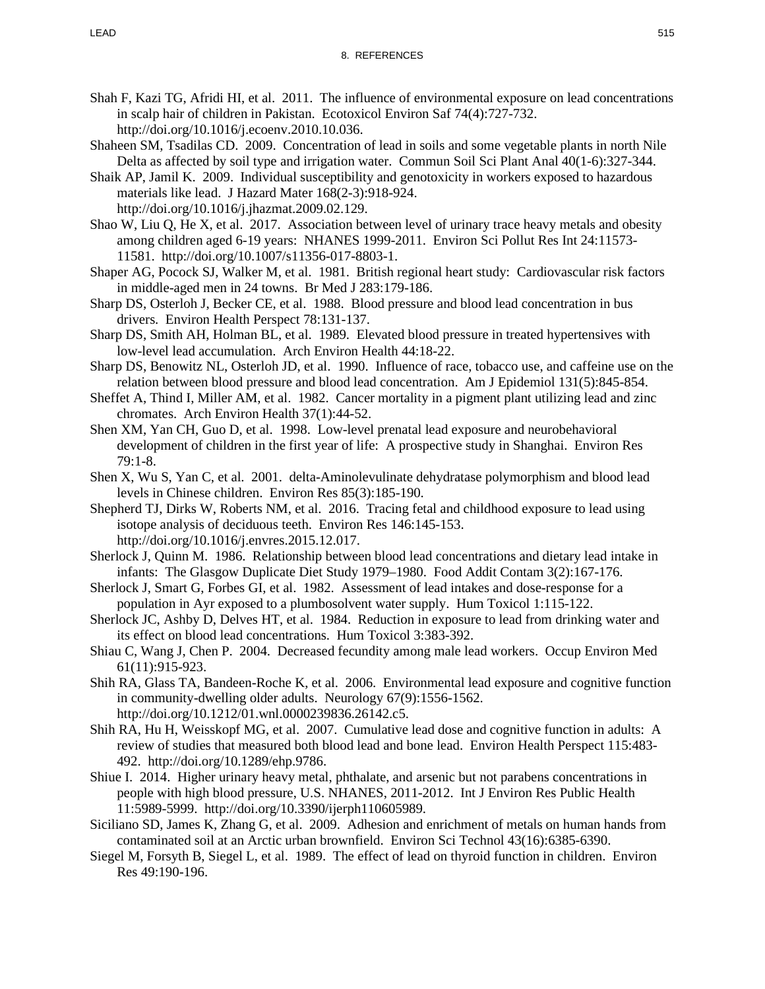- Shah F, Kazi TG, Afridi HI, et al. 2011. The influence of environmental exposure on lead concentrations in scalp hair of children in Pakistan. Ecotoxicol Environ Saf 74(4):727-732. http://doi.org/10.1016/j.ecoenv.2010.10.036.
- Shaheen SM, Tsadilas CD. 2009. Concentration of lead in soils and some vegetable plants in north Nile Delta as affected by soil type and irrigation water. Commun Soil Sci Plant Anal 40(1-6):327-344.
- Shaik AP, Jamil K. 2009. Individual susceptibility and genotoxicity in workers exposed to hazardous materials like lead. J Hazard Mater 168(2-3):918-924. http://doi.org/10.1016/j.jhazmat.2009.02.129.
- Shao W, Liu Q, He X, et al. 2017. Association between level of urinary trace heavy metals and obesity among children aged 6-19 years: NHANES 1999-2011. Environ Sci Pollut Res Int 24:11573- 11581. http://doi.org/10.1007/s11356-017-8803-1.
- Shaper AG, Pocock SJ, Walker M, et al. 1981. British regional heart study: Cardiovascular risk factors in middle-aged men in 24 towns. Br Med J 283:179-186.
- Sharp DS, Osterloh J, Becker CE, et al. 1988. Blood pressure and blood lead concentration in bus drivers. Environ Health Perspect 78:131-137.
- Sharp DS, Smith AH, Holman BL, et al. 1989. Elevated blood pressure in treated hypertensives with low-level lead accumulation. Arch Environ Health 44:18-22.
- Sharp DS, Benowitz NL, Osterloh JD, et al. 1990. Influence of race, tobacco use, and caffeine use on the relation between blood pressure and blood lead concentration. Am J Epidemiol 131(5):845-854.
- Sheffet A, Thind I, Miller AM, et al. 1982. Cancer mortality in a pigment plant utilizing lead and zinc chromates. Arch Environ Health 37(1):44-52.
- Shen XM, Yan CH, Guo D, et al. 1998. Low-level prenatal lead exposure and neurobehavioral development of children in the first year of life: A prospective study in Shanghai. Environ Res 79:1-8.
- Shen X, Wu S, Yan C, et al. 2001. delta-Aminolevulinate dehydratase polymorphism and blood lead levels in Chinese children. Environ Res 85(3):185-190.
- Shepherd TJ, Dirks W, Roberts NM, et al. 2016. Tracing fetal and childhood exposure to lead using isotope analysis of deciduous teeth. Environ Res 146:145-153. http://doi.org/10.1016/j.envres.2015.12.017.
- Sherlock J, Quinn M. 1986. Relationship between blood lead concentrations and dietary lead intake in infants: The Glasgow Duplicate Diet Study 1979–1980. Food Addit Contam 3(2):167-176.
- Sherlock J, Smart G, Forbes GI, et al. 1982. Assessment of lead intakes and dose-response for a population in Ayr exposed to a plumbosolvent water supply. Hum Toxicol 1:115-122.
- Sherlock JC, Ashby D, Delves HT, et al. 1984. Reduction in exposure to lead from drinking water and its effect on blood lead concentrations. Hum Toxicol 3:383-392.
- Shiau C, Wang J, Chen P. 2004. Decreased fecundity among male lead workers. Occup Environ Med 61(11):915-923.
- Shih RA, Glass TA, Bandeen-Roche K, et al. 2006. Environmental lead exposure and cognitive function in community-dwelling older adults. Neurology 67(9):1556-1562. http://doi.org/10.1212/01.wnl.0000239836.26142.c5.
- Shih RA, Hu H, Weisskopf MG, et al. 2007. Cumulative lead dose and cognitive function in adults: A review of studies that measured both blood lead and bone lead. Environ Health Perspect 115:483- 492. http://doi.org/10.1289/ehp.9786.
- Shiue I. 2014. Higher urinary heavy metal, phthalate, and arsenic but not parabens concentrations in people with high blood pressure, U.S. NHANES, 2011-2012. Int J Environ Res Public Health 11:5989-5999. http://doi.org/10.3390/ijerph110605989.
- Siciliano SD, James K, Zhang G, et al. 2009. Adhesion and enrichment of metals on human hands from contaminated soil at an Arctic urban brownfield. Environ Sci Technol 43(16):6385-6390.
- Siegel M, Forsyth B, Siegel L, et al. 1989. The effect of lead on thyroid function in children. Environ Res 49:190-196.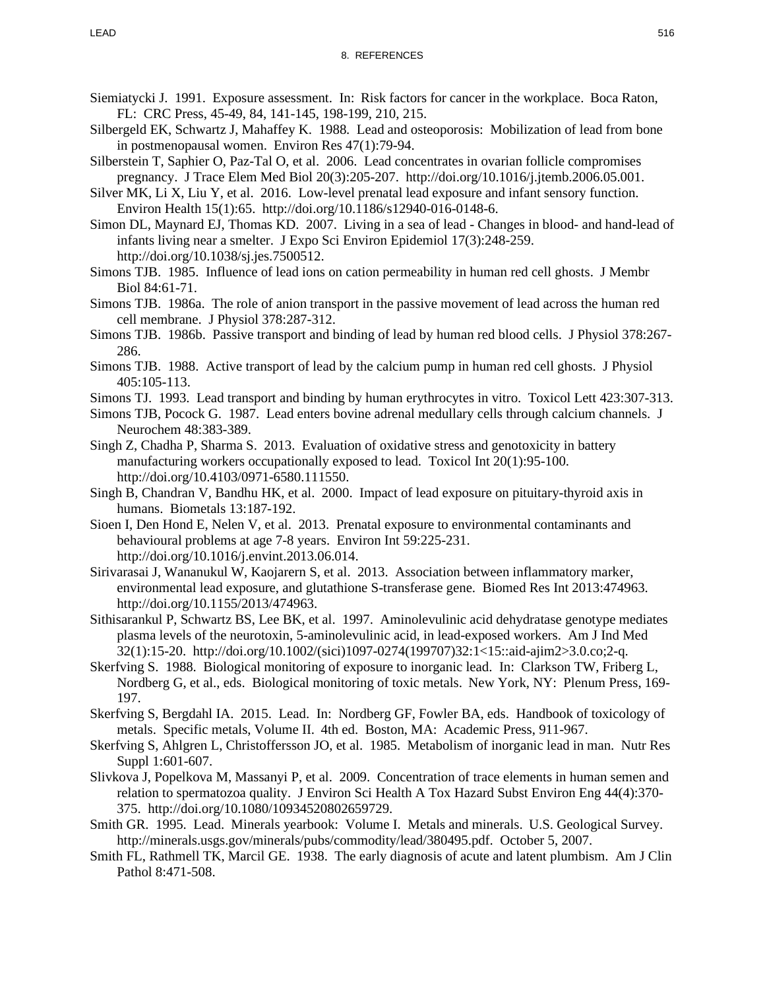- Siemiatycki J. 1991. Exposure assessment. In: Risk factors for cancer in the workplace. Boca Raton, FL: CRC Press, 45-49, 84, 141-145, 198-199, 210, 215.
- Silbergeld EK, Schwartz J, Mahaffey K. 1988. Lead and osteoporosis: Mobilization of lead from bone in postmenopausal women. Environ Res 47(1):79-94.
- Silberstein T, Saphier O, Paz-Tal O, et al. 2006. Lead concentrates in ovarian follicle compromises pregnancy. J Trace Elem Med Biol 20(3):205-207. http://doi.org/10.1016/j.jtemb.2006.05.001.
- Silver MK, Li X, Liu Y, et al. 2016. Low-level prenatal lead exposure and infant sensory function. Environ Health 15(1):65. http://doi.org/10.1186/s12940-016-0148-6.
- Simon DL, Maynard EJ, Thomas KD. 2007. Living in a sea of lead Changes in blood- and hand-lead of infants living near a smelter. J Expo Sci Environ Epidemiol 17(3):248-259. http://doi.org/10.1038/sj.jes.7500512.
- Simons TJB. 1985. Influence of lead ions on cation permeability in human red cell ghosts. J Membr Biol 84:61-71.
- Simons TJB. 1986a. The role of anion transport in the passive movement of lead across the human red cell membrane. J Physiol 378:287-312.
- Simons TJB. 1986b. Passive transport and binding of lead by human red blood cells. J Physiol 378:267- 286.
- Simons TJB. 1988. Active transport of lead by the calcium pump in human red cell ghosts. J Physiol 405:105-113.
- Simons TJ. 1993. Lead transport and binding by human erythrocytes in vitro. Toxicol Lett 423:307-313.
- Simons TJB, Pocock G. 1987. Lead enters bovine adrenal medullary cells through calcium channels. J Neurochem 48:383-389.
- Singh Z, Chadha P, Sharma S. 2013. Evaluation of oxidative stress and genotoxicity in battery manufacturing workers occupationally exposed to lead. Toxicol Int 20(1):95-100. http://doi.org/10.4103/0971-6580.111550.
- Singh B, Chandran V, Bandhu HK, et al. 2000. Impact of lead exposure on pituitary-thyroid axis in humans. Biometals 13:187-192.
- Sioen I, Den Hond E, Nelen V, et al. 2013. Prenatal exposure to environmental contaminants and behavioural problems at age 7-8 years. Environ Int 59:225-231. http://doi.org/10.1016/j.envint.2013.06.014.
- Sirivarasai J, Wananukul W, Kaojarern S, et al. 2013. Association between inflammatory marker, environmental lead exposure, and glutathione S-transferase gene. Biomed Res Int 2013:474963. http://doi.org/10.1155/2013/474963.
- Sithisarankul P, Schwartz BS, Lee BK, et al. 1997. Aminolevulinic acid dehydratase genotype mediates plasma levels of the neurotoxin, 5-aminolevulinic acid, in lead-exposed workers. Am J Ind Med 32(1):15-20. http://doi.org/10.1002/(sici)1097-0274(199707)32:1<15::aid-ajim2>3.0.co;2-q.
- Skerfving S. 1988. Biological monitoring of exposure to inorganic lead. In: Clarkson TW, Friberg L, Nordberg G, et al., eds. Biological monitoring of toxic metals. New York, NY: Plenum Press, 169- 197.
- Skerfving S, Bergdahl IA. 2015. Lead. In: Nordberg GF, Fowler BA, eds. Handbook of toxicology of metals. Specific metals, Volume II. 4th ed. Boston, MA: Academic Press, 911-967.
- Skerfving S, Ahlgren L, Christoffersson JO, et al. 1985. Metabolism of inorganic lead in man. Nutr Res Suppl 1:601-607.
- Slivkova J, Popelkova M, Massanyi P, et al. 2009. Concentration of trace elements in human semen and relation to spermatozoa quality. J Environ Sci Health A Tox Hazard Subst Environ Eng 44(4):370- 375. http://doi.org/10.1080/10934520802659729.
- Smith GR. 1995. Lead. Minerals yearbook: Volume I. Metals and minerals. U.S. Geological Survey. http://minerals.usgs.gov/minerals/pubs/commodity/lead/380495.pdf. October 5, 2007.
- Smith FL, Rathmell TK, Marcil GE. 1938. The early diagnosis of acute and latent plumbism. Am J Clin Pathol 8:471-508.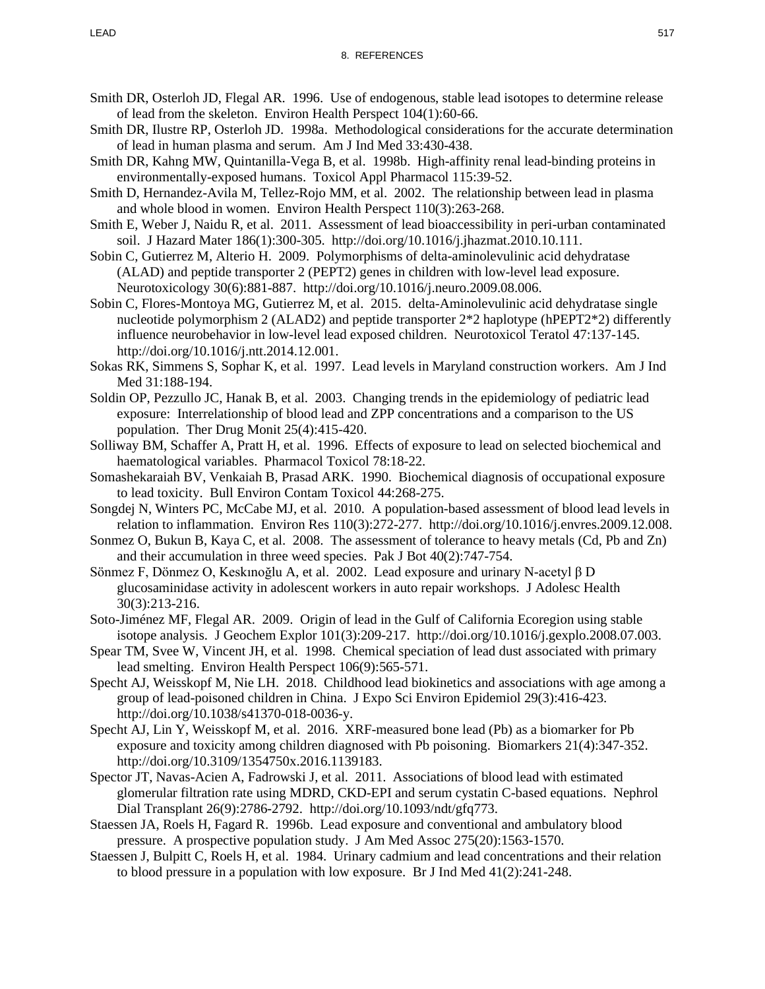- Smith DR, Osterloh JD, Flegal AR. 1996. Use of endogenous, stable lead isotopes to determine release of lead from the skeleton. Environ Health Perspect 104(1):60-66.
- Smith DR, Ilustre RP, Osterloh JD. 1998a. Methodological considerations for the accurate determination of lead in human plasma and serum. Am J Ind Med 33:430-438.
- Smith DR, Kahng MW, Quintanilla-Vega B, et al. 1998b. High-affinity renal lead-binding proteins in environmentally-exposed humans. Toxicol Appl Pharmacol 115:39-52.
- Smith D, Hernandez-Avila M, Tellez-Rojo MM, et al. 2002. The relationship between lead in plasma and whole blood in women. Environ Health Perspect 110(3):263-268.
- Smith E, Weber J, Naidu R, et al. 2011. Assessment of lead bioaccessibility in peri-urban contaminated soil. J Hazard Mater 186(1):300-305. http://doi.org/10.1016/j.jhazmat.2010.10.111.
- Sobin C, Gutierrez M, Alterio H. 2009. Polymorphisms of delta-aminolevulinic acid dehydratase (ALAD) and peptide transporter 2 (PEPT2) genes in children with low-level lead exposure. Neurotoxicology 30(6):881-887. http://doi.org/10.1016/j.neuro.2009.08.006.
- Sobin C, Flores-Montoya MG, Gutierrez M, et al. 2015. delta-Aminolevulinic acid dehydratase single nucleotide polymorphism 2 (ALAD2) and peptide transporter 2\*2 haplotype (hPEPT2\*2) differently influence neurobehavior in low-level lead exposed children. Neurotoxicol Teratol 47:137-145. http://doi.org/10.1016/j.ntt.2014.12.001.
- Sokas RK, Simmens S, Sophar K, et al. 1997. Lead levels in Maryland construction workers. Am J Ind Med 31:188-194.
- Soldin OP, Pezzullo JC, Hanak B, et al. 2003. Changing trends in the epidemiology of pediatric lead exposure: Interrelationship of blood lead and ZPP concentrations and a comparison to the US population. Ther Drug Monit 25(4):415-420.
- Solliway BM, Schaffer A, Pratt H, et al. 1996. Effects of exposure to lead on selected biochemical and haematological variables. Pharmacol Toxicol 78:18-22.
- Somashekaraiah BV, Venkaiah B, Prasad ARK. 1990. Biochemical diagnosis of occupational exposure to lead toxicity. Bull Environ Contam Toxicol 44:268-275.
- Songdej N, Winters PC, McCabe MJ, et al. 2010. A population-based assessment of blood lead levels in relation to inflammation. Environ Res 110(3):272-277. http://doi.org/10.1016/j.envres.2009.12.008.
- Sonmez O, Bukun B, Kaya C, et al. 2008. The assessment of tolerance to heavy metals (Cd, Pb and Zn) and their accumulation in three weed species. Pak J Bot 40(2):747-754.
- Sönmez F, Dönmez O, Keskınoğlu A, et al. 2002. Lead exposure and urinary N-acetyl β D glucosaminidase activity in adolescent workers in auto repair workshops. J Adolesc Health 30(3):213-216.
- Soto-Jiménez MF, Flegal AR. 2009. Origin of lead in the Gulf of California Ecoregion using stable isotope analysis. J Geochem Explor 101(3):209-217. http://doi.org/10.1016/j.gexplo.2008.07.003.
- Spear TM, Svee W, Vincent JH, et al. 1998. Chemical speciation of lead dust associated with primary lead smelting. Environ Health Perspect 106(9):565-571.
- Specht AJ, Weisskopf M, Nie LH. 2018. Childhood lead biokinetics and associations with age among a group of lead-poisoned children in China. J Expo Sci Environ Epidemiol 29(3):416-423. http://doi.org/10.1038/s41370-018-0036-y.
- Specht AJ, Lin Y, Weisskopf M, et al. 2016. XRF-measured bone lead (Pb) as a biomarker for Pb exposure and toxicity among children diagnosed with Pb poisoning. Biomarkers 21(4):347-352. http://doi.org/10.3109/1354750x.2016.1139183.
- Spector JT, Navas-Acien A, Fadrowski J, et al. 2011. Associations of blood lead with estimated glomerular filtration rate using MDRD, CKD-EPI and serum cystatin C-based equations. Nephrol Dial Transplant 26(9):2786-2792. http://doi.org/10.1093/ndt/gfq773.
- Staessen JA, Roels H, Fagard R. 1996b. Lead exposure and conventional and ambulatory blood pressure. A prospective population study. J Am Med Assoc 275(20):1563-1570.
- Staessen J, Bulpitt C, Roels H, et al. 1984. Urinary cadmium and lead concentrations and their relation to blood pressure in a population with low exposure. Br J Ind Med 41(2):241-248.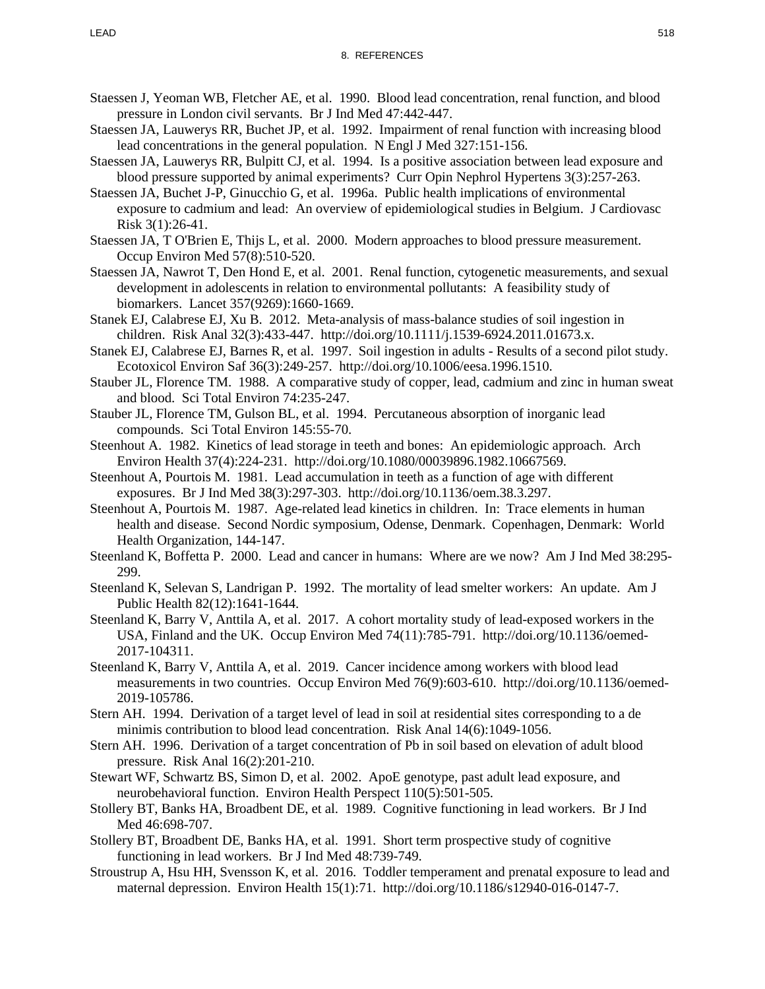- Staessen J, Yeoman WB, Fletcher AE, et al. 1990. Blood lead concentration, renal function, and blood pressure in London civil servants. Br J Ind Med 47:442-447.
- Staessen JA, Lauwerys RR, Buchet JP, et al. 1992. Impairment of renal function with increasing blood lead concentrations in the general population. N Engl J Med 327:151-156.
- Staessen JA, Lauwerys RR, Bulpitt CJ, et al. 1994. Is a positive association between lead exposure and blood pressure supported by animal experiments? Curr Opin Nephrol Hypertens 3(3):257-263.
- Staessen JA, Buchet J-P, Ginucchio G, et al. 1996a. Public health implications of environmental exposure to cadmium and lead: An overview of epidemiological studies in Belgium. J Cardiovasc Risk 3(1):26-41.
- Staessen JA, T O'Brien E, Thijs L, et al. 2000. Modern approaches to blood pressure measurement. Occup Environ Med 57(8):510-520.
- Staessen JA, Nawrot T, Den Hond E, et al. 2001. Renal function, cytogenetic measurements, and sexual development in adolescents in relation to environmental pollutants: A feasibility study of biomarkers. Lancet 357(9269):1660-1669.
- Stanek EJ, Calabrese EJ, Xu B. 2012. Meta-analysis of mass-balance studies of soil ingestion in children. Risk Anal 32(3):433-447. http://doi.org/10.1111/j.1539-6924.2011.01673.x.
- Stanek EJ, Calabrese EJ, Barnes R, et al. 1997. Soil ingestion in adults Results of a second pilot study. Ecotoxicol Environ Saf 36(3):249-257. http://doi.org/10.1006/eesa.1996.1510.
- Stauber JL, Florence TM. 1988. A comparative study of copper, lead, cadmium and zinc in human sweat and blood. Sci Total Environ 74:235-247.
- Stauber JL, Florence TM, Gulson BL, et al. 1994. Percutaneous absorption of inorganic lead compounds. Sci Total Environ 145:55-70.
- Steenhout A. 1982. Kinetics of lead storage in teeth and bones: An epidemiologic approach. Arch Environ Health 37(4):224-231. http://doi.org/10.1080/00039896.1982.10667569.
- Steenhout A, Pourtois M. 1981. Lead accumulation in teeth as a function of age with different exposures. Br J Ind Med 38(3):297-303. http://doi.org/10.1136/oem.38.3.297.
- Steenhout A, Pourtois M. 1987. Age-related lead kinetics in children. In: Trace elements in human health and disease. Second Nordic symposium, Odense, Denmark. Copenhagen, Denmark: World Health Organization, 144-147.
- Steenland K, Boffetta P. 2000. Lead and cancer in humans: Where are we now? Am J Ind Med 38:295- 299.
- Steenland K, Selevan S, Landrigan P. 1992. The mortality of lead smelter workers: An update. Am J Public Health 82(12):1641-1644.
- Steenland K, Barry V, Anttila A, et al. 2017. A cohort mortality study of lead-exposed workers in the USA, Finland and the UK. Occup Environ Med 74(11):785-791. http://doi.org/10.1136/oemed-2017-104311.
- Steenland K, Barry V, Anttila A, et al. 2019. Cancer incidence among workers with blood lead measurements in two countries. Occup Environ Med 76(9):603-610. http://doi.org/10.1136/oemed-2019-105786.
- Stern AH. 1994. Derivation of a target level of lead in soil at residential sites corresponding to a de minimis contribution to blood lead concentration. Risk Anal 14(6):1049-1056.
- Stern AH. 1996. Derivation of a target concentration of Pb in soil based on elevation of adult blood pressure. Risk Anal 16(2):201-210.
- Stewart WF, Schwartz BS, Simon D, et al. 2002. ApoE genotype, past adult lead exposure, and neurobehavioral function. Environ Health Perspect 110(5):501-505.
- Stollery BT, Banks HA, Broadbent DE, et al. 1989. Cognitive functioning in lead workers. Br J Ind Med 46:698-707.
- Stollery BT, Broadbent DE, Banks HA, et al. 1991. Short term prospective study of cognitive functioning in lead workers. Br J Ind Med 48:739-749.
- Stroustrup A, Hsu HH, Svensson K, et al. 2016. Toddler temperament and prenatal exposure to lead and maternal depression. Environ Health 15(1):71. http://doi.org/10.1186/s12940-016-0147-7.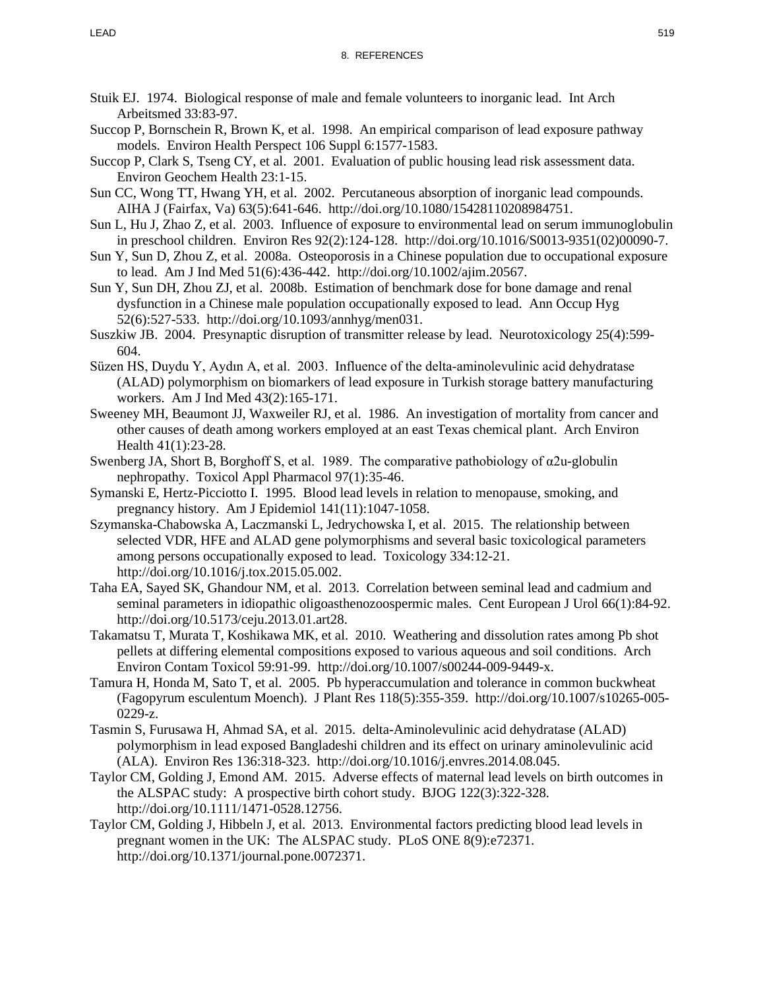- Stuik EJ. 1974. Biological response of male and female volunteers to inorganic lead. Int Arch Arbeitsmed 33:83-97.
- Succop P, Bornschein R, Brown K, et al. 1998. An empirical comparison of lead exposure pathway models. Environ Health Perspect 106 Suppl 6:1577-1583.
- Succop P, Clark S, Tseng CY, et al. 2001. Evaluation of public housing lead risk assessment data. Environ Geochem Health 23:1-15.
- Sun CC, Wong TT, Hwang YH, et al. 2002. Percutaneous absorption of inorganic lead compounds. AIHA J (Fairfax, Va) 63(5):641-646. http://doi.org/10.1080/15428110208984751.
- Sun L, Hu J, Zhao Z, et al. 2003. Influence of exposure to environmental lead on serum immunoglobulin in preschool children. Environ Res 92(2):124-128. http://doi.org/10.1016/S0013-9351(02)00090-7.
- Sun Y, Sun D, Zhou Z, et al. 2008a. Osteoporosis in a Chinese population due to occupational exposure to lead. Am J Ind Med 51(6):436-442. http://doi.org/10.1002/ajim.20567.
- Sun Y, Sun DH, Zhou ZJ, et al. 2008b. Estimation of benchmark dose for bone damage and renal dysfunction in a Chinese male population occupationally exposed to lead. Ann Occup Hyg 52(6):527-533. http://doi.org/10.1093/annhyg/men031.
- Suszkiw JB. 2004. Presynaptic disruption of transmitter release by lead. Neurotoxicology 25(4):599- 604.
- Süzen HS, Duydu Y, Aydın A, et al. 2003. Influence of the delta-aminolevulinic acid dehydratase (ALAD) polymorphism on biomarkers of lead exposure in Turkish storage battery manufacturing workers. Am J Ind Med 43(2):165-171.
- Sweeney MH, Beaumont JJ, Waxweiler RJ, et al. 1986. An investigation of mortality from cancer and other causes of death among workers employed at an east Texas chemical plant. Arch Environ Health 41(1):23-28.
- Swenberg JA, Short B, Borghoff S, et al. 1989. The comparative pathobiology of α2u-globulin nephropathy. Toxicol Appl Pharmacol 97(1):35-46.
- Symanski E, Hertz-Picciotto I. 1995. Blood lead levels in relation to menopause, smoking, and pregnancy history. Am J Epidemiol 141(11):1047-1058.
- Szymanska-Chabowska A, Laczmanski L, Jedrychowska I, et al. 2015. The relationship between selected VDR, HFE and ALAD gene polymorphisms and several basic toxicological parameters among persons occupationally exposed to lead. Toxicology 334:12-21. http://doi.org/10.1016/j.tox.2015.05.002.
- Taha EA, Sayed SK, Ghandour NM, et al. 2013. Correlation between seminal lead and cadmium and seminal parameters in idiopathic oligoasthenozoospermic males. Cent European J Urol 66(1):84-92. http://doi.org/10.5173/ceju.2013.01.art28.
- Takamatsu T, Murata T, Koshikawa MK, et al. 2010. Weathering and dissolution rates among Pb shot pellets at differing elemental compositions exposed to various aqueous and soil conditions. Arch Environ Contam Toxicol 59:91-99. http://doi.org/10.1007/s00244-009-9449-x.
- Tamura H, Honda M, Sato T, et al. 2005. Pb hyperaccumulation and tolerance in common buckwheat (Fagopyrum esculentum Moench). J Plant Res 118(5):355-359. http://doi.org/10.1007/s10265-005- 0229-z.
- Tasmin S, Furusawa H, Ahmad SA, et al. 2015. delta-Aminolevulinic acid dehydratase (ALAD) polymorphism in lead exposed Bangladeshi children and its effect on urinary aminolevulinic acid (ALA). Environ Res 136:318-323. http://doi.org/10.1016/j.envres.2014.08.045.
- Taylor CM, Golding J, Emond AM. 2015. Adverse effects of maternal lead levels on birth outcomes in the ALSPAC study: A prospective birth cohort study. BJOG 122(3):322-328. http://doi.org/10.1111/1471-0528.12756.
- Taylor CM, Golding J, Hibbeln J, et al. 2013. Environmental factors predicting blood lead levels in pregnant women in the UK: The ALSPAC study. PLoS ONE 8(9):e72371. http://doi.org/10.1371/journal.pone.0072371.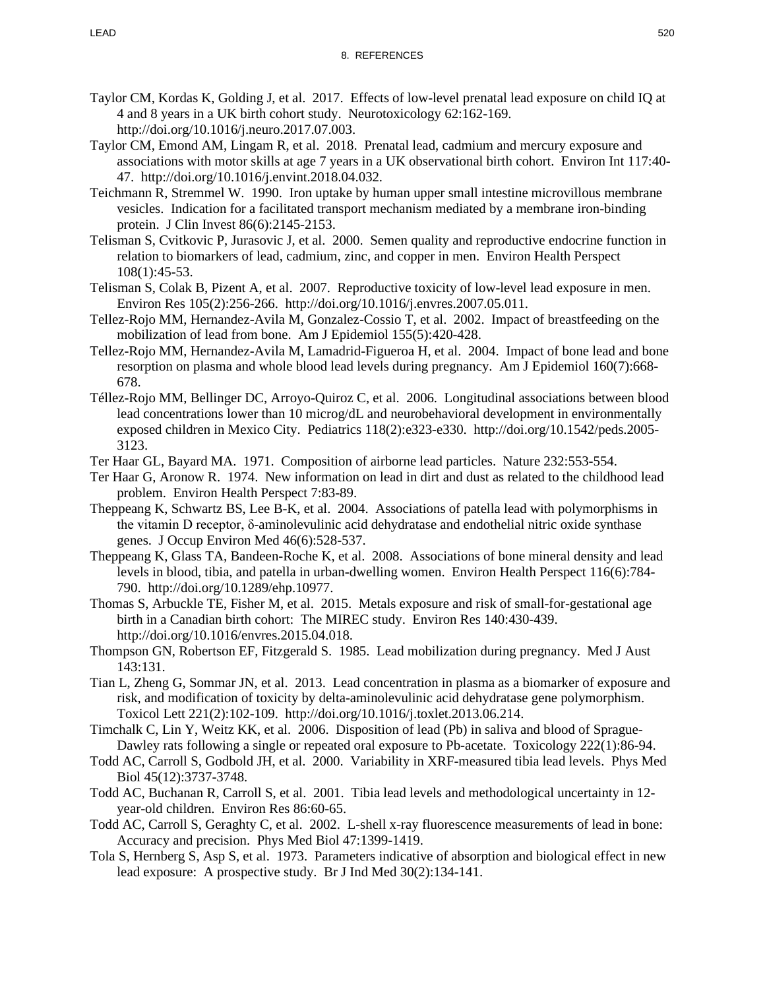- Taylor CM, Kordas K, Golding J, et al. 2017. Effects of low-level prenatal lead exposure on child IQ at 4 and 8 years in a UK birth cohort study. Neurotoxicology 62:162-169. http://doi.org/10.1016/j.neuro.2017.07.003.
- Taylor CM, Emond AM, Lingam R, et al. 2018. Prenatal lead, cadmium and mercury exposure and associations with motor skills at age 7 years in a UK observational birth cohort. Environ Int 117:40- 47. http://doi.org/10.1016/j.envint.2018.04.032.
- Teichmann R, Stremmel W. 1990. Iron uptake by human upper small intestine microvillous membrane vesicles. Indication for a facilitated transport mechanism mediated by a membrane iron-binding protein. J Clin Invest 86(6):2145-2153.
- Telisman S, Cvitkovic P, Jurasovic J, et al. 2000. Semen quality and reproductive endocrine function in relation to biomarkers of lead, cadmium, zinc, and copper in men. Environ Health Perspect 108(1):45-53.
- Telisman S, Colak B, Pizent A, et al. 2007. Reproductive toxicity of low-level lead exposure in men. Environ Res 105(2):256-266. http://doi.org/10.1016/j.envres.2007.05.011.
- Tellez-Rojo MM, Hernandez-Avila M, Gonzalez-Cossio T, et al. 2002. Impact of breastfeeding on the mobilization of lead from bone. Am J Epidemiol 155(5):420-428.
- Tellez-Rojo MM, Hernandez-Avila M, Lamadrid-Figueroa H, et al. 2004. Impact of bone lead and bone resorption on plasma and whole blood lead levels during pregnancy. Am J Epidemiol 160(7):668- 678.
- Téllez-Rojo MM, Bellinger DC, Arroyo-Quiroz C, et al. 2006. Longitudinal associations between blood lead concentrations lower than 10 microg/dL and neurobehavioral development in environmentally exposed children in Mexico City. Pediatrics 118(2):e323-e330. http://doi.org/10.1542/peds.2005- 3123.
- Ter Haar GL, Bayard MA. 1971. Composition of airborne lead particles. Nature 232:553-554.
- Ter Haar G, Aronow R. 1974. New information on lead in dirt and dust as related to the childhood lead problem. Environ Health Perspect 7:83-89.
- Theppeang K, Schwartz BS, Lee B-K, et al. 2004. Associations of patella lead with polymorphisms in the vitamin D receptor, δ-aminolevulinic acid dehydratase and endothelial nitric oxide synthase genes. J Occup Environ Med 46(6):528-537.
- Theppeang K, Glass TA, Bandeen-Roche K, et al. 2008. Associations of bone mineral density and lead levels in blood, tibia, and patella in urban-dwelling women. Environ Health Perspect 116(6):784- 790. http://doi.org/10.1289/ehp.10977.
- Thomas S, Arbuckle TE, Fisher M, et al. 2015. Metals exposure and risk of small-for-gestational age birth in a Canadian birth cohort: The MIREC study. Environ Res 140:430-439. http://doi.org/10.1016/envres.2015.04.018.
- Thompson GN, Robertson EF, Fitzgerald S. 1985. Lead mobilization during pregnancy. Med J Aust 143:131.
- Tian L, Zheng G, Sommar JN, et al. 2013. Lead concentration in plasma as a biomarker of exposure and risk, and modification of toxicity by delta-aminolevulinic acid dehydratase gene polymorphism. Toxicol Lett 221(2):102-109. http://doi.org/10.1016/j.toxlet.2013.06.214.
- Timchalk C, Lin Y, Weitz KK, et al. 2006. Disposition of lead (Pb) in saliva and blood of Sprague-Dawley rats following a single or repeated oral exposure to Pb-acetate. Toxicology 222(1):86-94.
- Todd AC, Carroll S, Godbold JH, et al. 2000. Variability in XRF-measured tibia lead levels. Phys Med Biol 45(12):3737-3748.
- Todd AC, Buchanan R, Carroll S, et al. 2001. Tibia lead levels and methodological uncertainty in 12 year-old children. Environ Res 86:60-65.
- Todd AC, Carroll S, Geraghty C, et al. 2002. L-shell x-ray fluorescence measurements of lead in bone: Accuracy and precision. Phys Med Biol 47:1399-1419.
- Tola S, Hernberg S, Asp S, et al. 1973. Parameters indicative of absorption and biological effect in new lead exposure: A prospective study. Br J Ind Med 30(2):134-141.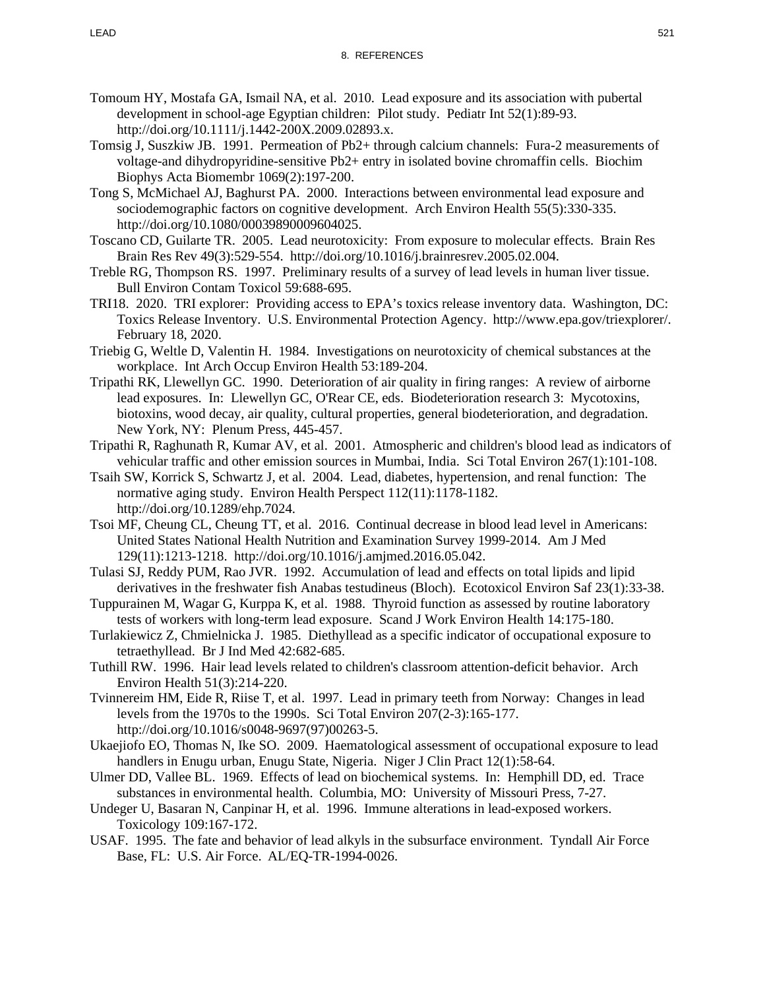- Tomoum HY, Mostafa GA, Ismail NA, et al. 2010. Lead exposure and its association with pubertal development in school-age Egyptian children: Pilot study. Pediatr Int 52(1):89-93. http://doi.org/10.1111/j.1442-200X.2009.02893.x.
- Tomsig J, Suszkiw JB. 1991. Permeation of Pb2+ through calcium channels: Fura-2 measurements of voltage-and dihydropyridine-sensitive Pb2+ entry in isolated bovine chromaffin cells. Biochim Biophys Acta Biomembr 1069(2):197-200.
- Tong S, McMichael AJ, Baghurst PA. 2000. Interactions between environmental lead exposure and sociodemographic factors on cognitive development. Arch Environ Health 55(5):330-335. http://doi.org/10.1080/00039890009604025.
- Toscano CD, Guilarte TR. 2005. Lead neurotoxicity: From exposure to molecular effects. Brain Res Brain Res Rev 49(3):529-554. http://doi.org/10.1016/j.brainresrev.2005.02.004.
- Treble RG, Thompson RS. 1997. Preliminary results of a survey of lead levels in human liver tissue. Bull Environ Contam Toxicol 59:688-695.
- TRI18. 2020. TRI explorer: Providing access to EPA's toxics release inventory data. Washington, DC: Toxics Release Inventory. U.S. Environmental Protection Agency. http://www.epa.gov/triexplorer/. February 18, 2020.
- Triebig G, Weltle D, Valentin H. 1984. Investigations on neurotoxicity of chemical substances at the workplace. Int Arch Occup Environ Health 53:189-204.
- Tripathi RK, Llewellyn GC. 1990. Deterioration of air quality in firing ranges: A review of airborne lead exposures. In: Llewellyn GC, O'Rear CE, eds. Biodeterioration research 3: Mycotoxins, biotoxins, wood decay, air quality, cultural properties, general biodeterioration, and degradation. New York, NY: Plenum Press, 445-457.
- Tripathi R, Raghunath R, Kumar AV, et al. 2001. Atmospheric and children's blood lead as indicators of vehicular traffic and other emission sources in Mumbai, India. Sci Total Environ 267(1):101-108.
- Tsaih SW, Korrick S, Schwartz J, et al. 2004. Lead, diabetes, hypertension, and renal function: The normative aging study. Environ Health Perspect 112(11):1178-1182. http://doi.org/10.1289/ehp.7024.
- Tsoi MF, Cheung CL, Cheung TT, et al. 2016. Continual decrease in blood lead level in Americans: United States National Health Nutrition and Examination Survey 1999-2014. Am J Med 129(11):1213-1218. http://doi.org/10.1016/j.amjmed.2016.05.042.
- Tulasi SJ, Reddy PUM, Rao JVR. 1992. Accumulation of lead and effects on total lipids and lipid derivatives in the freshwater fish Anabas testudineus (Bloch). Ecotoxicol Environ Saf 23(1):33-38.
- Tuppurainen M, Wagar G, Kurppa K, et al. 1988. Thyroid function as assessed by routine laboratory tests of workers with long-term lead exposure. Scand J Work Environ Health 14:175-180.
- Turlakiewicz Z, Chmielnicka J. 1985. Diethyllead as a specific indicator of occupational exposure to tetraethyllead. Br J Ind Med 42:682-685.
- Tuthill RW. 1996. Hair lead levels related to children's classroom attention-deficit behavior. Arch Environ Health 51(3):214-220.
- Tvinnereim HM, Eide R, Riise T, et al. 1997. Lead in primary teeth from Norway: Changes in lead levels from the 1970s to the 1990s. Sci Total Environ 207(2-3):165-177. http://doi.org/10.1016/s0048-9697(97)00263-5.
- Ukaejiofo EO, Thomas N, Ike SO. 2009. Haematological assessment of occupational exposure to lead handlers in Enugu urban, Enugu State, Nigeria. Niger J Clin Pract 12(1):58-64.
- Ulmer DD, Vallee BL. 1969. Effects of lead on biochemical systems. In: Hemphill DD, ed. Trace substances in environmental health. Columbia, MO: University of Missouri Press, 7-27.
- Undeger U, Basaran N, Canpinar H, et al. 1996. Immune alterations in lead-exposed workers. Toxicology 109:167-172.
- USAF. 1995. The fate and behavior of lead alkyls in the subsurface environment. Tyndall Air Force Base, FL: U.S. Air Force. AL/EQ-TR-1994-0026.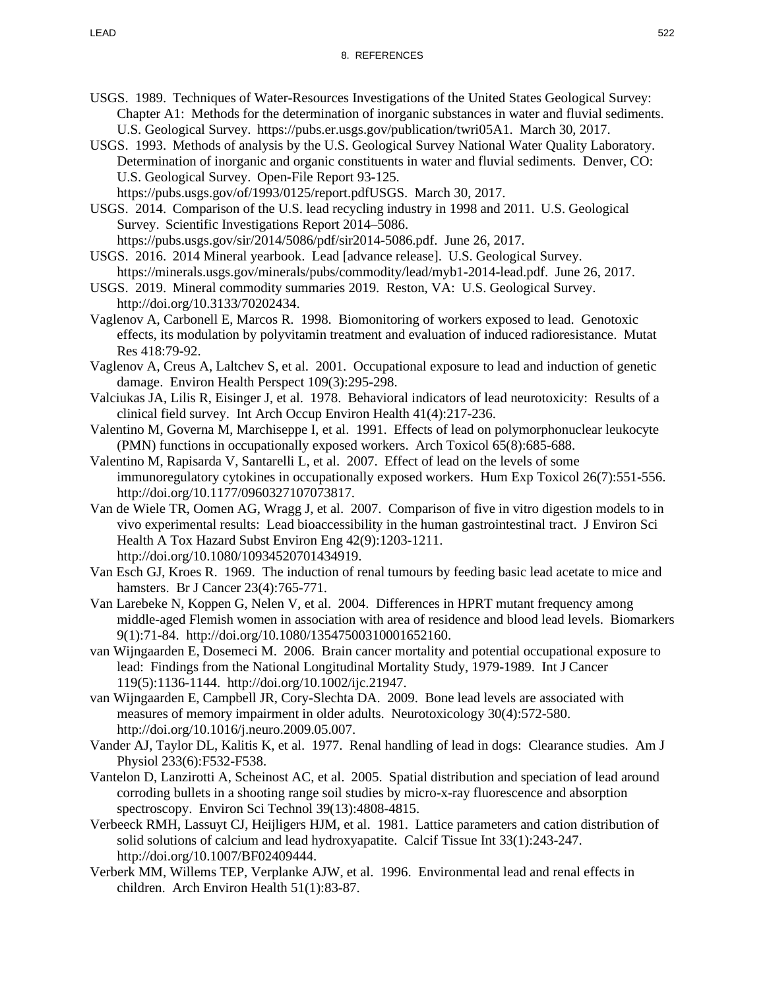- USGS. 1989. Techniques of Water-Resources Investigations of the United States Geological Survey: Chapter A1: Methods for the determination of inorganic substances in water and fluvial sediments. U.S. Geological Survey. https://pubs.er.usgs.gov/publication/twri05A1. March 30, 2017.
- USGS. 1993. Methods of analysis by the U.S. Geological Survey National Water Quality Laboratory. Determination of inorganic and organic constituents in water and fluvial sediments. Denver, CO: U.S. Geological Survey. Open-File Report 93-125. https://pubs.usgs.gov/of/1993/0125/report.pdfUSGS. March 30, 2017.
- USGS. 2014. Comparison of the U.S. lead recycling industry in 1998 and 2011. U.S. Geological Survey. Scientific Investigations Report 2014–5086. https://pubs.usgs.gov/sir/2014/5086/pdf/sir2014-5086.pdf. June 26, 2017.
- USGS. 2016. 2014 Mineral yearbook. Lead [advance release]. U.S. Geological Survey. https://minerals.usgs.gov/minerals/pubs/commodity/lead/myb1-2014-lead.pdf. June 26, 2017.
- USGS. 2019. Mineral commodity summaries 2019. Reston, VA: U.S. Geological Survey. http://doi.org/10.3133/70202434.
- Vaglenov A, Carbonell E, Marcos R. 1998. Biomonitoring of workers exposed to lead. Genotoxic effects, its modulation by polyvitamin treatment and evaluation of induced radioresistance. Mutat Res 418:79-92.
- Vaglenov A, Creus A, Laltchev S, et al. 2001. Occupational exposure to lead and induction of genetic damage. Environ Health Perspect 109(3):295-298.
- Valciukas JA, Lilis R, Eisinger J, et al. 1978. Behavioral indicators of lead neurotoxicity: Results of a clinical field survey. Int Arch Occup Environ Health 41(4):217-236.
- Valentino M, Governa M, Marchiseppe I, et al. 1991. Effects of lead on polymorphonuclear leukocyte (PMN) functions in occupationally exposed workers. Arch Toxicol 65(8):685-688.
- Valentino M, Rapisarda V, Santarelli L, et al. 2007. Effect of lead on the levels of some immunoregulatory cytokines in occupationally exposed workers. Hum Exp Toxicol 26(7):551-556. http://doi.org/10.1177/0960327107073817.
- Van de Wiele TR, Oomen AG, Wragg J, et al. 2007. Comparison of five in vitro digestion models to in vivo experimental results: Lead bioaccessibility in the human gastrointestinal tract. J Environ Sci Health A Tox Hazard Subst Environ Eng 42(9):1203-1211. http://doi.org/10.1080/10934520701434919.
- Van Esch GJ, Kroes R. 1969. The induction of renal tumours by feeding basic lead acetate to mice and hamsters. Br J Cancer 23(4):765-771.
- Van Larebeke N, Koppen G, Nelen V, et al. 2004. Differences in HPRT mutant frequency among middle-aged Flemish women in association with area of residence and blood lead levels. Biomarkers 9(1):71-84. http://doi.org/10.1080/13547500310001652160.
- van Wijngaarden E, Dosemeci M. 2006. Brain cancer mortality and potential occupational exposure to lead: Findings from the National Longitudinal Mortality Study, 1979-1989. Int J Cancer 119(5):1136-1144. http://doi.org/10.1002/ijc.21947.
- van Wijngaarden E, Campbell JR, Cory-Slechta DA. 2009. Bone lead levels are associated with measures of memory impairment in older adults. Neurotoxicology 30(4):572-580. http://doi.org/10.1016/j.neuro.2009.05.007.
- Vander AJ, Taylor DL, Kalitis K, et al. 1977. Renal handling of lead in dogs: Clearance studies. Am J Physiol 233(6):F532-F538.
- Vantelon D, Lanzirotti A, Scheinost AC, et al. 2005. Spatial distribution and speciation of lead around corroding bullets in a shooting range soil studies by micro-x-ray fluorescence and absorption spectroscopy. Environ Sci Technol 39(13):4808-4815.
- Verbeeck RMH, Lassuyt CJ, Heijligers HJM, et al. 1981. Lattice parameters and cation distribution of solid solutions of calcium and lead hydroxyapatite. Calcif Tissue Int 33(1):243-247. http://doi.org/10.1007/BF02409444.
- Verberk MM, Willems TEP, Verplanke AJW, et al. 1996. Environmental lead and renal effects in children. Arch Environ Health 51(1):83-87.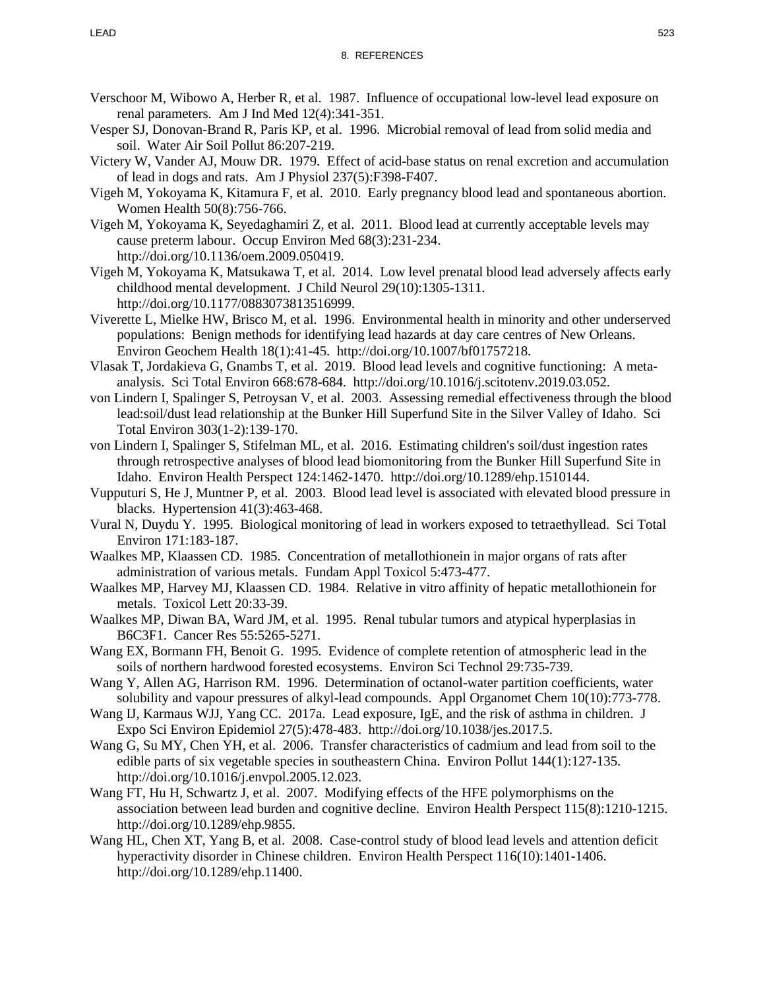- Verschoor M, Wibowo A, Herber R, et al. 1987. Influence of occupational low-level lead exposure on renal parameters. Am J Ind Med 12(4):341-351.
- Vesper SJ, Donovan-Brand R, Paris KP, et al. 1996. Microbial removal of lead from solid media and soil. Water Air Soil Pollut 86:207-219.
- Victery W, Vander AJ, Mouw DR. 1979. Effect of acid-base status on renal excretion and accumulation of lead in dogs and rats. Am J Physiol 237(5):F398-F407.
- Vigeh M, Yokoyama K, Kitamura F, et al. 2010. Early pregnancy blood lead and spontaneous abortion. Women Health 50(8):756-766.
- Vigeh M, Yokoyama K, Seyedaghamiri Z, et al. 2011. Blood lead at currently acceptable levels may cause preterm labour. Occup Environ Med 68(3):231-234. http://doi.org/10.1136/oem.2009.050419.
- Vigeh M, Yokoyama K, Matsukawa T, et al. 2014. Low level prenatal blood lead adversely affects early childhood mental development. J Child Neurol 29(10):1305-1311. http://doi.org/10.1177/0883073813516999.
- Viverette L, Mielke HW, Brisco M, et al. 1996. Environmental health in minority and other underserved populations: Benign methods for identifying lead hazards at day care centres of New Orleans. Environ Geochem Health 18(1):41-45. http://doi.org/10.1007/bf01757218.
- Vlasak T, Jordakieva G, Gnambs T, et al. 2019. Blood lead levels and cognitive functioning: A metaanalysis. Sci Total Environ 668:678-684. http://doi.org/10.1016/j.scitotenv.2019.03.052.
- von Lindern I, Spalinger S, Petroysan V, et al. 2003. Assessing remedial effectiveness through the blood lead:soil/dust lead relationship at the Bunker Hill Superfund Site in the Silver Valley of Idaho. Sci Total Environ 303(1-2):139-170.
- von Lindern I, Spalinger S, Stifelman ML, et al. 2016. Estimating children's soil/dust ingestion rates through retrospective analyses of blood lead biomonitoring from the Bunker Hill Superfund Site in Idaho. Environ Health Perspect 124:1462-1470. http://doi.org/10.1289/ehp.1510144.
- Vupputuri S, He J, Muntner P, et al. 2003. Blood lead level is associated with elevated blood pressure in blacks. Hypertension 41(3):463-468.
- Vural N, Duydu Y. 1995. Biological monitoring of lead in workers exposed to tetraethyllead. Sci Total Environ 171:183-187.
- Waalkes MP, Klaassen CD. 1985. Concentration of metallothionein in major organs of rats after administration of various metals. Fundam Appl Toxicol 5:473-477.
- Waalkes MP, Harvey MJ, Klaassen CD. 1984. Relative in vitro affinity of hepatic metallothionein for metals. Toxicol Lett 20:33-39.
- Waalkes MP, Diwan BA, Ward JM, et al. 1995. Renal tubular tumors and atypical hyperplasias in B6C3F1. Cancer Res 55:5265-5271.
- Wang EX, Bormann FH, Benoit G. 1995. Evidence of complete retention of atmospheric lead in the soils of northern hardwood forested ecosystems. Environ Sci Technol 29:735-739.
- Wang Y, Allen AG, Harrison RM. 1996. Determination of octanol-water partition coefficients, water solubility and vapour pressures of alkyl-lead compounds. Appl Organomet Chem 10(10):773-778.
- Wang IJ, Karmaus WJJ, Yang CC. 2017a. Lead exposure, IgE, and the risk of asthma in children. J Expo Sci Environ Epidemiol 27(5):478-483. http://doi.org/10.1038/jes.2017.5.
- Wang G, Su MY, Chen YH, et al. 2006. Transfer characteristics of cadmium and lead from soil to the edible parts of six vegetable species in southeastern China. Environ Pollut 144(1):127-135. http://doi.org/10.1016/j.envpol.2005.12.023.
- Wang FT, Hu H, Schwartz J, et al. 2007. Modifying effects of the HFE polymorphisms on the association between lead burden and cognitive decline. Environ Health Perspect 115(8):1210-1215. http://doi.org/10.1289/ehp.9855.
- Wang HL, Chen XT, Yang B, et al. 2008. Case-control study of blood lead levels and attention deficit hyperactivity disorder in Chinese children. Environ Health Perspect 116(10):1401-1406. http://doi.org/10.1289/ehp.11400.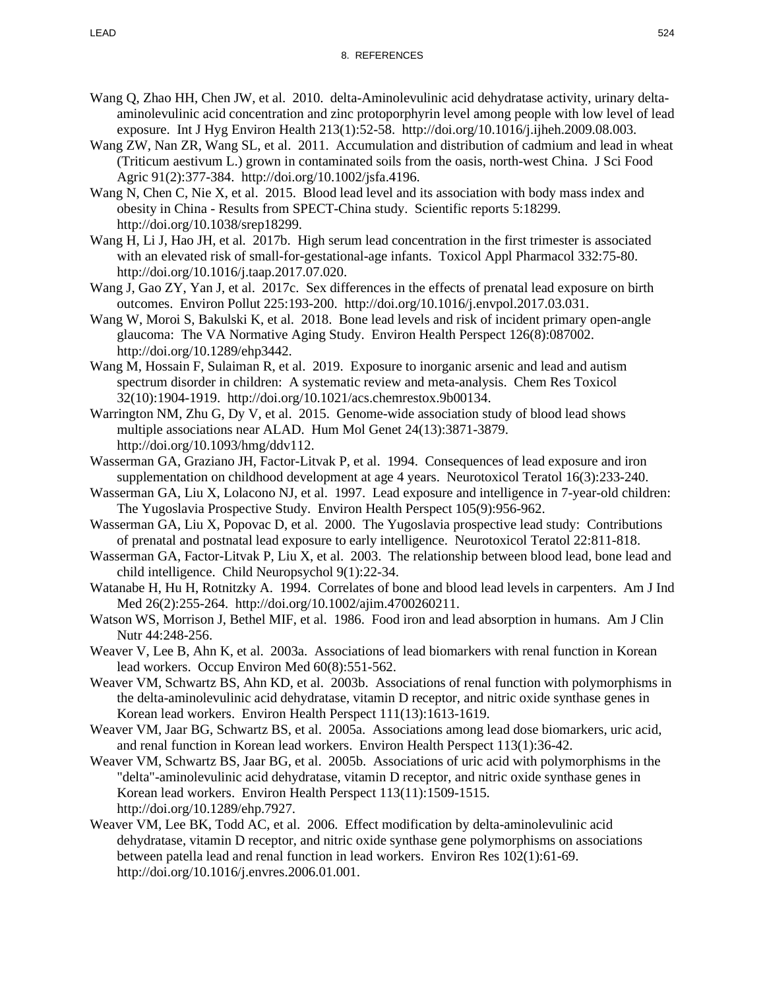- Wang Q, Zhao HH, Chen JW, et al. 2010. delta-Aminolevulinic acid dehydratase activity, urinary deltaaminolevulinic acid concentration and zinc protoporphyrin level among people with low level of lead exposure. Int J Hyg Environ Health 213(1):52-58. http://doi.org/10.1016/j.ijheh.2009.08.003.
- Wang ZW, Nan ZR, Wang SL, et al. 2011. Accumulation and distribution of cadmium and lead in wheat (Triticum aestivum L.) grown in contaminated soils from the oasis, north-west China. J Sci Food Agric 91(2):377-384. http://doi.org/10.1002/jsfa.4196.
- Wang N, Chen C, Nie X, et al. 2015. Blood lead level and its association with body mass index and obesity in China - Results from SPECT-China study. Scientific reports 5:18299. http://doi.org/10.1038/srep18299.
- Wang H, Li J, Hao JH, et al. 2017b. High serum lead concentration in the first trimester is associated with an elevated risk of small-for-gestational-age infants. Toxicol Appl Pharmacol 332:75-80. http://doi.org/10.1016/j.taap.2017.07.020.
- Wang J, Gao ZY, Yan J, et al. 2017c. Sex differences in the effects of prenatal lead exposure on birth outcomes. Environ Pollut 225:193-200. http://doi.org/10.1016/j.envpol.2017.03.031.
- Wang W, Moroi S, Bakulski K, et al. 2018. Bone lead levels and risk of incident primary open-angle glaucoma: The VA Normative Aging Study. Environ Health Perspect 126(8):087002. http://doi.org/10.1289/ehp3442.
- Wang M, Hossain F, Sulaiman R, et al. 2019. Exposure to inorganic arsenic and lead and autism spectrum disorder in children: A systematic review and meta-analysis. Chem Res Toxicol 32(10):1904-1919. http://doi.org/10.1021/acs.chemrestox.9b00134.
- Warrington NM, Zhu G, Dy V, et al. 2015. Genome-wide association study of blood lead shows multiple associations near ALAD. Hum Mol Genet 24(13):3871-3879. http://doi.org/10.1093/hmg/ddv112.
- Wasserman GA, Graziano JH, Factor-Litvak P, et al. 1994. Consequences of lead exposure and iron supplementation on childhood development at age 4 years. Neurotoxicol Teratol 16(3):233-240.
- Wasserman GA, Liu X, Lolacono NJ, et al. 1997. Lead exposure and intelligence in 7-year-old children: The Yugoslavia Prospective Study. Environ Health Perspect 105(9):956-962.
- Wasserman GA, Liu X, Popovac D, et al. 2000. The Yugoslavia prospective lead study: Contributions of prenatal and postnatal lead exposure to early intelligence. Neurotoxicol Teratol 22:811-818.
- Wasserman GA, Factor-Litvak P, Liu X, et al. 2003. The relationship between blood lead, bone lead and child intelligence. Child Neuropsychol 9(1):22-34.
- Watanabe H, Hu H, Rotnitzky A. 1994. Correlates of bone and blood lead levels in carpenters. Am J Ind Med 26(2):255-264. http://doi.org/10.1002/ajim.4700260211.
- Watson WS, Morrison J, Bethel MIF, et al. 1986. Food iron and lead absorption in humans. Am J Clin Nutr 44:248-256.
- Weaver V, Lee B, Ahn K, et al. 2003a. Associations of lead biomarkers with renal function in Korean lead workers. Occup Environ Med 60(8):551-562.
- Weaver VM, Schwartz BS, Ahn KD, et al. 2003b. Associations of renal function with polymorphisms in the delta-aminolevulinic acid dehydratase, vitamin D receptor, and nitric oxide synthase genes in Korean lead workers. Environ Health Perspect 111(13):1613-1619.
- Weaver VM, Jaar BG, Schwartz BS, et al. 2005a. Associations among lead dose biomarkers, uric acid, and renal function in Korean lead workers. Environ Health Perspect 113(1):36-42.
- Weaver VM, Schwartz BS, Jaar BG, et al. 2005b. Associations of uric acid with polymorphisms in the "delta"-aminolevulinic acid dehydratase, vitamin D receptor, and nitric oxide synthase genes in Korean lead workers. Environ Health Perspect 113(11):1509-1515. http://doi.org/10.1289/ehp.7927.
- Weaver VM, Lee BK, Todd AC, et al. 2006. Effect modification by delta-aminolevulinic acid dehydratase, vitamin D receptor, and nitric oxide synthase gene polymorphisms on associations between patella lead and renal function in lead workers. Environ Res 102(1):61-69. http://doi.org/10.1016/j.envres.2006.01.001.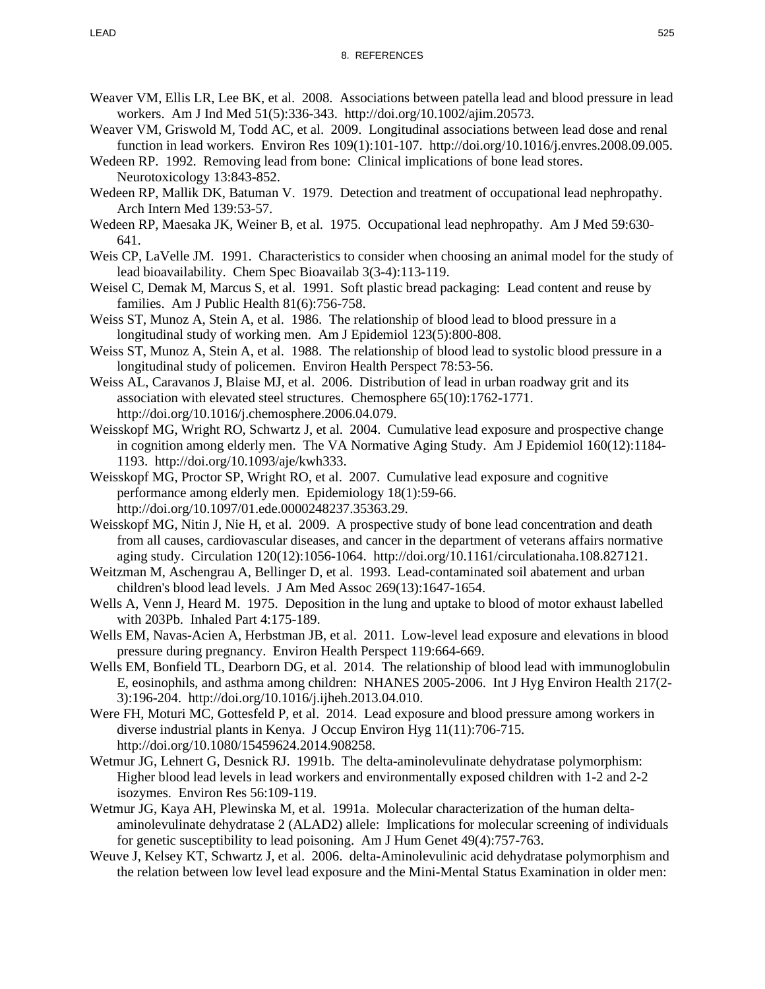- Weaver VM, Ellis LR, Lee BK, et al. 2008. Associations between patella lead and blood pressure in lead workers. Am J Ind Med 51(5):336-343. http://doi.org/10.1002/ajim.20573.
- Weaver VM, Griswold M, Todd AC, et al. 2009. Longitudinal associations between lead dose and renal function in lead workers. Environ Res 109(1):101-107. http://doi.org/10.1016/j.envres.2008.09.005.
- Wedeen RP. 1992. Removing lead from bone: Clinical implications of bone lead stores. Neurotoxicology 13:843-852.
- Wedeen RP, Mallik DK, Batuman V. 1979. Detection and treatment of occupational lead nephropathy. Arch Intern Med 139:53-57.
- Wedeen RP, Maesaka JK, Weiner B, et al. 1975. Occupational lead nephropathy. Am J Med 59:630- 641.
- Weis CP, LaVelle JM. 1991. Characteristics to consider when choosing an animal model for the study of lead bioavailability. Chem Spec Bioavailab 3(3-4):113-119.
- Weisel C, Demak M, Marcus S, et al. 1991. Soft plastic bread packaging: Lead content and reuse by families. Am J Public Health 81(6):756-758.
- Weiss ST, Munoz A, Stein A, et al. 1986. The relationship of blood lead to blood pressure in a longitudinal study of working men. Am J Epidemiol 123(5):800-808.
- Weiss ST, Munoz A, Stein A, et al. 1988. The relationship of blood lead to systolic blood pressure in a longitudinal study of policemen. Environ Health Perspect 78:53-56.
- Weiss AL, Caravanos J, Blaise MJ, et al. 2006. Distribution of lead in urban roadway grit and its association with elevated steel structures. Chemosphere 65(10):1762-1771. http://doi.org/10.1016/j.chemosphere.2006.04.079.
- Weisskopf MG, Wright RO, Schwartz J, et al. 2004. Cumulative lead exposure and prospective change in cognition among elderly men. The VA Normative Aging Study. Am J Epidemiol 160(12):1184- 1193. http://doi.org/10.1093/aje/kwh333.
- Weisskopf MG, Proctor SP, Wright RO, et al. 2007. Cumulative lead exposure and cognitive performance among elderly men. Epidemiology 18(1):59-66. http://doi.org/10.1097/01.ede.0000248237.35363.29.
- Weisskopf MG, Nitin J, Nie H, et al. 2009. A prospective study of bone lead concentration and death from all causes, cardiovascular diseases, and cancer in the department of veterans affairs normative aging study. Circulation 120(12):1056-1064. http://doi.org/10.1161/circulationaha.108.827121.
- Weitzman M, Aschengrau A, Bellinger D, et al. 1993. Lead-contaminated soil abatement and urban children's blood lead levels. J Am Med Assoc 269(13):1647-1654.
- Wells A, Venn J, Heard M. 1975. Deposition in the lung and uptake to blood of motor exhaust labelled with 203Pb. Inhaled Part 4:175-189.
- Wells EM, Navas-Acien A, Herbstman JB, et al. 2011. Low-level lead exposure and elevations in blood pressure during pregnancy. Environ Health Perspect 119:664-669.
- Wells EM, Bonfield TL, Dearborn DG, et al. 2014. The relationship of blood lead with immunoglobulin E, eosinophils, and asthma among children: NHANES 2005-2006. Int J Hyg Environ Health 217(2- 3):196-204. http://doi.org/10.1016/j.ijheh.2013.04.010.
- Were FH, Moturi MC, Gottesfeld P, et al. 2014. Lead exposure and blood pressure among workers in diverse industrial plants in Kenya. J Occup Environ Hyg 11(11):706-715. http://doi.org/10.1080/15459624.2014.908258.
- Wetmur JG, Lehnert G, Desnick RJ. 1991b. The delta-aminolevulinate dehydratase polymorphism: Higher blood lead levels in lead workers and environmentally exposed children with 1-2 and 2-2 isozymes. Environ Res 56:109-119.
- Wetmur JG, Kaya AH, Plewinska M, et al. 1991a. Molecular characterization of the human deltaaminolevulinate dehydratase 2 (ALAD2) allele: Implications for molecular screening of individuals for genetic susceptibility to lead poisoning. Am J Hum Genet 49(4):757-763.
- Weuve J, Kelsey KT, Schwartz J, et al. 2006. delta-Aminolevulinic acid dehydratase polymorphism and the relation between low level lead exposure and the Mini-Mental Status Examination in older men: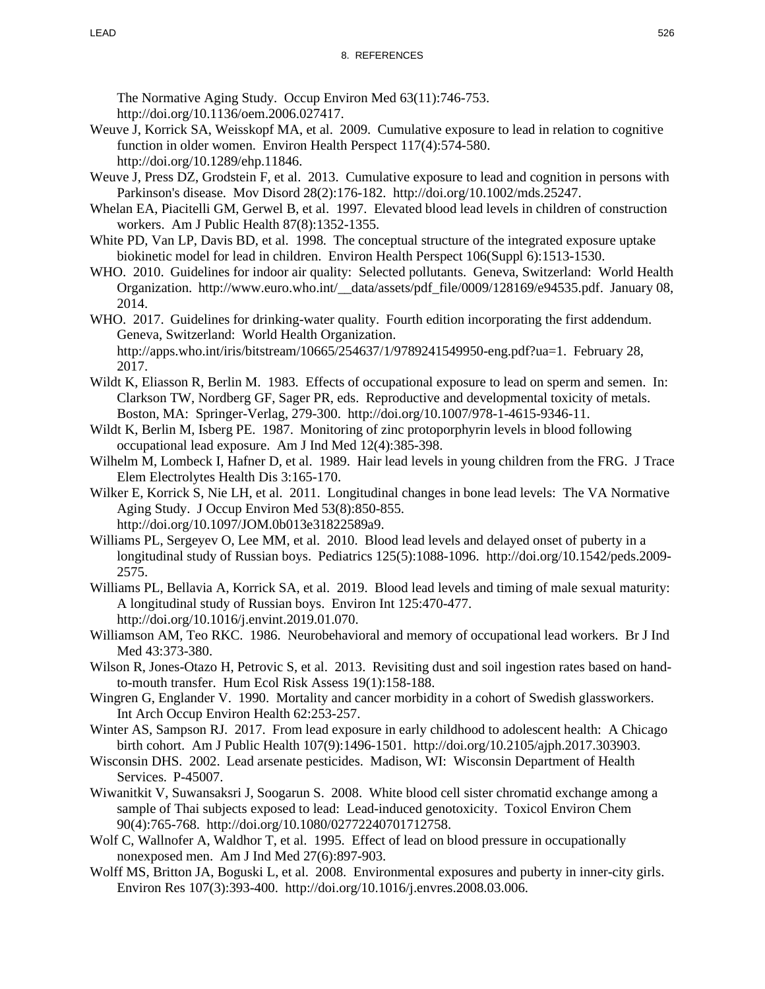The Normative Aging Study. Occup Environ Med 63(11):746-753. http://doi.org/10.1136/oem.2006.027417.

- Weuve J, Korrick SA, Weisskopf MA, et al. 2009. Cumulative exposure to lead in relation to cognitive function in older women. Environ Health Perspect 117(4):574-580. http://doi.org/10.1289/ehp.11846.
- Weuve J, Press DZ, Grodstein F, et al. 2013. Cumulative exposure to lead and cognition in persons with Parkinson's disease. Mov Disord 28(2):176-182. http://doi.org/10.1002/mds.25247.
- Whelan EA, Piacitelli GM, Gerwel B, et al. 1997. Elevated blood lead levels in children of construction workers. Am J Public Health 87(8):1352-1355.
- White PD, Van LP, Davis BD, et al. 1998. The conceptual structure of the integrated exposure uptake biokinetic model for lead in children. Environ Health Perspect 106(Suppl 6):1513-1530.
- WHO. 2010. Guidelines for indoor air quality: Selected pollutants. Geneva, Switzerland: World Health Organization. http://www.euro.who.int/\_\_data/assets/pdf\_file/0009/128169/e94535.pdf. January 08, 2014.
- WHO. 2017. Guidelines for drinking-water quality. Fourth edition incorporating the first addendum. Geneva, Switzerland: World Health Organization. http://apps.who.int/iris/bitstream/10665/254637/1/9789241549950-eng.pdf?ua=1. February 28, 2017.
- Wildt K, Eliasson R, Berlin M. 1983. Effects of occupational exposure to lead on sperm and semen. In: Clarkson TW, Nordberg GF, Sager PR, eds. Reproductive and developmental toxicity of metals. Boston, MA: Springer-Verlag, 279-300. http://doi.org/10.1007/978-1-4615-9346-11.
- Wildt K, Berlin M, Isberg PE. 1987. Monitoring of zinc protoporphyrin levels in blood following occupational lead exposure. Am J Ind Med 12(4):385-398.
- Wilhelm M, Lombeck I, Hafner D, et al. 1989. Hair lead levels in young children from the FRG. J Trace Elem Electrolytes Health Dis 3:165-170.
- Wilker E, Korrick S, Nie LH, et al. 2011. Longitudinal changes in bone lead levels: The VA Normative Aging Study. J Occup Environ Med 53(8):850-855. http://doi.org/10.1097/JOM.0b013e31822589a9.
- Williams PL, Sergeyev O, Lee MM, et al. 2010. Blood lead levels and delayed onset of puberty in a longitudinal study of Russian boys. Pediatrics 125(5):1088-1096. http://doi.org/10.1542/peds.2009- 2575.
- Williams PL, Bellavia A, Korrick SA, et al. 2019. Blood lead levels and timing of male sexual maturity: A longitudinal study of Russian boys. Environ Int 125:470-477. http://doi.org/10.1016/j.envint.2019.01.070.
- Williamson AM, Teo RKC. 1986. Neurobehavioral and memory of occupational lead workers. Br J Ind Med 43:373-380.
- Wilson R, Jones-Otazo H, Petrovic S, et al. 2013. Revisiting dust and soil ingestion rates based on handto-mouth transfer. Hum Ecol Risk Assess 19(1):158-188.
- Wingren G, Englander V. 1990. Mortality and cancer morbidity in a cohort of Swedish glassworkers. Int Arch Occup Environ Health 62:253-257.
- Winter AS, Sampson RJ. 2017. From lead exposure in early childhood to adolescent health: A Chicago birth cohort. Am J Public Health 107(9):1496-1501. http://doi.org/10.2105/ajph.2017.303903.
- Wisconsin DHS. 2002. Lead arsenate pesticides. Madison, WI: Wisconsin Department of Health Services. P-45007.
- Wiwanitkit V, Suwansaksri J, Soogarun S. 2008. White blood cell sister chromatid exchange among a sample of Thai subjects exposed to lead: Lead-induced genotoxicity. Toxicol Environ Chem 90(4):765-768. http://doi.org/10.1080/02772240701712758.
- Wolf C, Wallnofer A, Waldhor T, et al. 1995. Effect of lead on blood pressure in occupationally nonexposed men. Am J Ind Med 27(6):897-903.
- Wolff MS, Britton JA, Boguski L, et al. 2008. Environmental exposures and puberty in inner-city girls. Environ Res 107(3):393-400. http://doi.org/10.1016/j.envres.2008.03.006.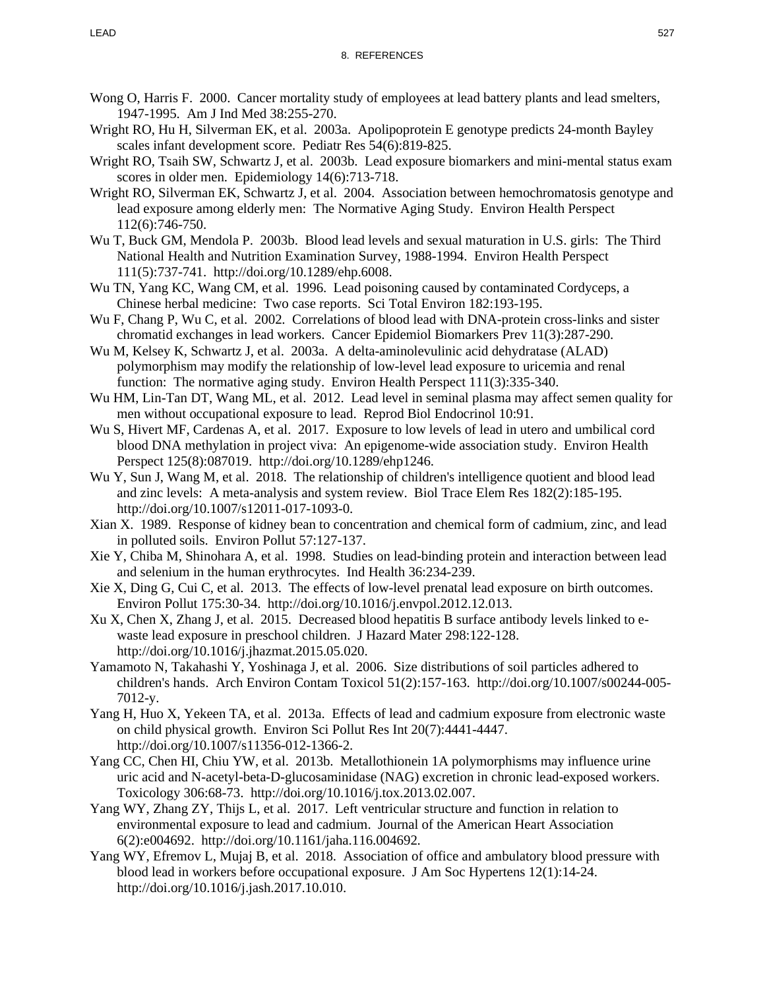- Wong O, Harris F. 2000. Cancer mortality study of employees at lead battery plants and lead smelters, 1947-1995. Am J Ind Med 38:255-270.
- Wright RO, Hu H, Silverman EK, et al. 2003a. Apolipoprotein E genotype predicts 24-month Bayley scales infant development score. Pediatr Res 54(6):819-825.
- Wright RO, Tsaih SW, Schwartz J, et al. 2003b. Lead exposure biomarkers and mini-mental status exam scores in older men. Epidemiology 14(6):713-718.
- Wright RO, Silverman EK, Schwartz J, et al. 2004. Association between hemochromatosis genotype and lead exposure among elderly men: The Normative Aging Study. Environ Health Perspect 112(6):746-750.
- Wu T, Buck GM, Mendola P. 2003b. Blood lead levels and sexual maturation in U.S. girls: The Third National Health and Nutrition Examination Survey, 1988-1994. Environ Health Perspect 111(5):737-741. http://doi.org/10.1289/ehp.6008.
- Wu TN, Yang KC, Wang CM, et al. 1996. Lead poisoning caused by contaminated Cordyceps, a Chinese herbal medicine: Two case reports. Sci Total Environ 182:193-195.
- Wu F, Chang P, Wu C, et al. 2002. Correlations of blood lead with DNA-protein cross-links and sister chromatid exchanges in lead workers. Cancer Epidemiol Biomarkers Prev 11(3):287-290.
- Wu M, Kelsey K, Schwartz J, et al. 2003a. A delta-aminolevulinic acid dehydratase (ALAD) polymorphism may modify the relationship of low-level lead exposure to uricemia and renal function: The normative aging study. Environ Health Perspect 111(3):335-340.
- Wu HM, Lin-Tan DT, Wang ML, et al. 2012. Lead level in seminal plasma may affect semen quality for men without occupational exposure to lead. Reprod Biol Endocrinol 10:91.
- Wu S, Hivert MF, Cardenas A, et al. 2017. Exposure to low levels of lead in utero and umbilical cord blood DNA methylation in project viva: An epigenome-wide association study. Environ Health Perspect 125(8):087019. http://doi.org/10.1289/ehp1246.
- Wu Y, Sun J, Wang M, et al. 2018. The relationship of children's intelligence quotient and blood lead and zinc levels: A meta-analysis and system review. Biol Trace Elem Res 182(2):185-195. http://doi.org/10.1007/s12011-017-1093-0.
- Xian X. 1989. Response of kidney bean to concentration and chemical form of cadmium, zinc, and lead in polluted soils. Environ Pollut 57:127-137.
- Xie Y, Chiba M, Shinohara A, et al. 1998. Studies on lead-binding protein and interaction between lead and selenium in the human erythrocytes. Ind Health 36:234-239.
- Xie X, Ding G, Cui C, et al. 2013. The effects of low-level prenatal lead exposure on birth outcomes. Environ Pollut 175:30-34. http://doi.org/10.1016/j.envpol.2012.12.013.
- Xu X, Chen X, Zhang J, et al. 2015. Decreased blood hepatitis B surface antibody levels linked to ewaste lead exposure in preschool children. J Hazard Mater 298:122-128. http://doi.org/10.1016/j.jhazmat.2015.05.020.
- Yamamoto N, Takahashi Y, Yoshinaga J, et al. 2006. Size distributions of soil particles adhered to children's hands. Arch Environ Contam Toxicol 51(2):157-163. http://doi.org/10.1007/s00244-005- 7012-y.
- Yang H, Huo X, Yekeen TA, et al. 2013a. Effects of lead and cadmium exposure from electronic waste on child physical growth. Environ Sci Pollut Res Int 20(7):4441-4447. http://doi.org/10.1007/s11356-012-1366-2.
- Yang CC, Chen HI, Chiu YW, et al. 2013b. Metallothionein 1A polymorphisms may influence urine uric acid and N-acetyl-beta-D-glucosaminidase (NAG) excretion in chronic lead-exposed workers. Toxicology 306:68-73. http://doi.org/10.1016/j.tox.2013.02.007.
- Yang WY, Zhang ZY, Thijs L, et al. 2017. Left ventricular structure and function in relation to environmental exposure to lead and cadmium. Journal of the American Heart Association 6(2):e004692. http://doi.org/10.1161/jaha.116.004692.
- Yang WY, Efremov L, Mujaj B, et al. 2018. Association of office and ambulatory blood pressure with blood lead in workers before occupational exposure. J Am Soc Hypertens 12(1):14-24. http://doi.org/10.1016/j.jash.2017.10.010.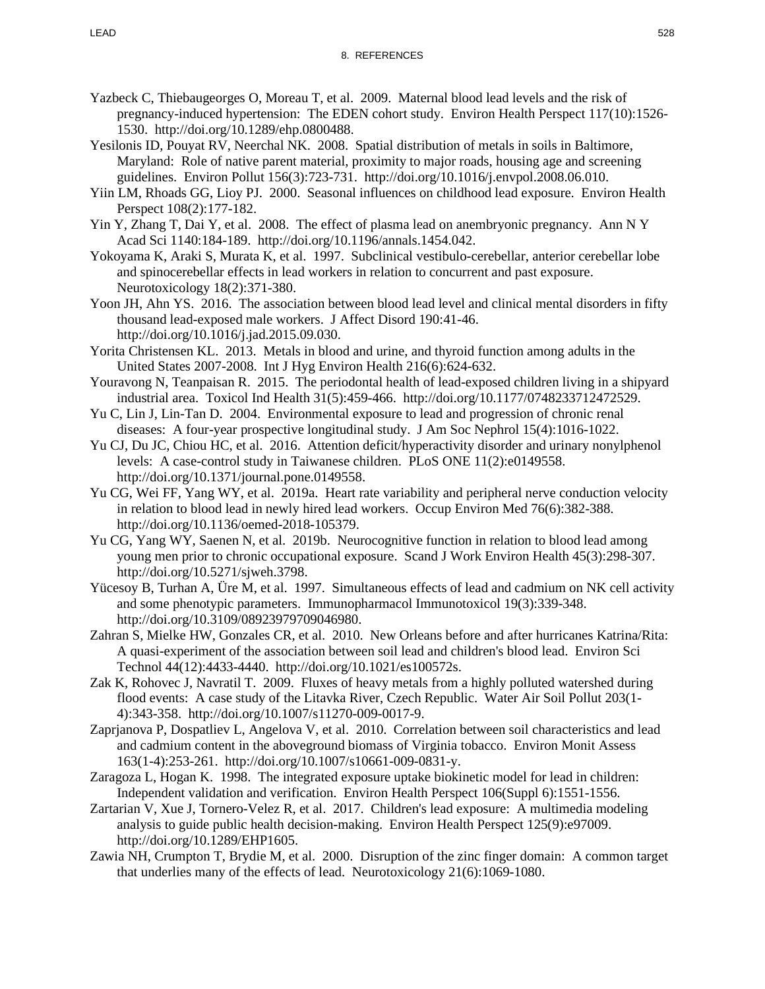- Yazbeck C, Thiebaugeorges O, Moreau T, et al. 2009. Maternal blood lead levels and the risk of pregnancy-induced hypertension: The EDEN cohort study. Environ Health Perspect 117(10):1526- 1530. http://doi.org/10.1289/ehp.0800488.
- Yesilonis ID, Pouyat RV, Neerchal NK. 2008. Spatial distribution of metals in soils in Baltimore, Maryland: Role of native parent material, proximity to major roads, housing age and screening guidelines. Environ Pollut 156(3):723-731. http://doi.org/10.1016/j.envpol.2008.06.010.
- Yiin LM, Rhoads GG, Lioy PJ. 2000. Seasonal influences on childhood lead exposure. Environ Health Perspect 108(2):177-182.
- Yin Y, Zhang T, Dai Y, et al. 2008. The effect of plasma lead on anembryonic pregnancy. Ann N Y Acad Sci 1140:184-189. http://doi.org/10.1196/annals.1454.042.
- Yokoyama K, Araki S, Murata K, et al. 1997. Subclinical vestibulo-cerebellar, anterior cerebellar lobe and spinocerebellar effects in lead workers in relation to concurrent and past exposure. Neurotoxicology 18(2):371-380.
- Yoon JH, Ahn YS. 2016. The association between blood lead level and clinical mental disorders in fifty thousand lead-exposed male workers. J Affect Disord 190:41-46. http://doi.org/10.1016/j.jad.2015.09.030.
- Yorita Christensen KL. 2013. Metals in blood and urine, and thyroid function among adults in the United States 2007-2008. Int J Hyg Environ Health 216(6):624-632.
- Youravong N, Teanpaisan R. 2015. The periodontal health of lead-exposed children living in a shipyard industrial area. Toxicol Ind Health 31(5):459-466. http://doi.org/10.1177/0748233712472529.
- Yu C, Lin J, Lin-Tan D. 2004. Environmental exposure to lead and progression of chronic renal diseases: A four-year prospective longitudinal study. J Am Soc Nephrol 15(4):1016-1022.
- Yu CJ, Du JC, Chiou HC, et al. 2016. Attention deficit/hyperactivity disorder and urinary nonylphenol levels: A case-control study in Taiwanese children. PLoS ONE 11(2):e0149558. http://doi.org/10.1371/journal.pone.0149558.
- Yu CG, Wei FF, Yang WY, et al. 2019a. Heart rate variability and peripheral nerve conduction velocity in relation to blood lead in newly hired lead workers. Occup Environ Med 76(6):382-388. http://doi.org/10.1136/oemed-2018-105379.
- Yu CG, Yang WY, Saenen N, et al. 2019b. Neurocognitive function in relation to blood lead among young men prior to chronic occupational exposure. Scand J Work Environ Health 45(3):298-307. http://doi.org/10.5271/sjweh.3798.
- Yücesoy B, Turhan A, Üre M, et al. 1997. Simultaneous effects of lead and cadmium on NK cell activity and some phenotypic parameters. Immunopharmacol Immunotoxicol 19(3):339-348. http://doi.org/10.3109/08923979709046980.
- Zahran S, Mielke HW, Gonzales CR, et al. 2010. New Orleans before and after hurricanes Katrina/Rita: A quasi-experiment of the association between soil lead and children's blood lead. Environ Sci Technol 44(12):4433-4440. http://doi.org/10.1021/es100572s.
- Zak K, Rohovec J, Navratil T. 2009. Fluxes of heavy metals from a highly polluted watershed during flood events: A case study of the Litavka River, Czech Republic. Water Air Soil Pollut 203(1- 4):343-358. http://doi.org/10.1007/s11270-009-0017-9.
- Zaprjanova P, Dospatliev L, Angelova V, et al. 2010. Correlation between soil characteristics and lead and cadmium content in the aboveground biomass of Virginia tobacco. Environ Monit Assess 163(1-4):253-261. http://doi.org/10.1007/s10661-009-0831-y.
- Zaragoza L, Hogan K. 1998. The integrated exposure uptake biokinetic model for lead in children: Independent validation and verification. Environ Health Perspect 106(Suppl 6):1551-1556.
- Zartarian V, Xue J, Tornero-Velez R, et al. 2017. Children's lead exposure: A multimedia modeling analysis to guide public health decision-making. Environ Health Perspect 125(9):e97009. http://doi.org/10.1289/EHP1605.
- Zawia NH, Crumpton T, Brydie M, et al. 2000. Disruption of the zinc finger domain: A common target that underlies many of the effects of lead. Neurotoxicology 21(6):1069-1080.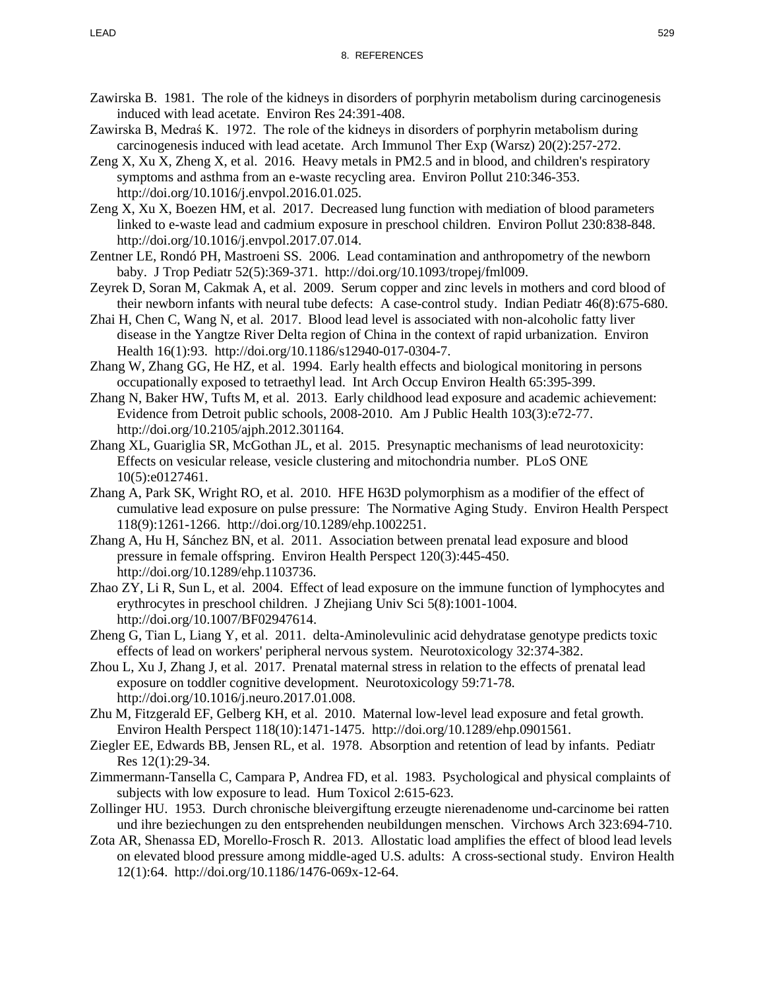- Zawirska B. 1981. The role of the kidneys in disorders of porphyrin metabolism during carcinogenesis induced with lead acetate. Environ Res 24:391-408.
- Zawirska B, Medraś K. 1972. The role of the kidneys in disorders of porphyrin metabolism during carcinogenesis induced with lead acetate. Arch Immunol Ther Exp (Warsz) 20(2):257-272.
- Zeng X, Xu X, Zheng X, et al. 2016. Heavy metals in PM2.5 and in blood, and children's respiratory symptoms and asthma from an e-waste recycling area. Environ Pollut 210:346-353. http://doi.org/10.1016/j.envpol.2016.01.025.
- Zeng X, Xu X, Boezen HM, et al. 2017. Decreased lung function with mediation of blood parameters linked to e-waste lead and cadmium exposure in preschool children. Environ Pollut 230:838-848. http://doi.org/10.1016/j.envpol.2017.07.014.
- Zentner LE, Rondó PH, Mastroeni SS. 2006. Lead contamination and anthropometry of the newborn baby. J Trop Pediatr 52(5):369-371. http://doi.org/10.1093/tropej/fml009.
- Zeyrek D, Soran M, Cakmak A, et al. 2009. Serum copper and zinc levels in mothers and cord blood of their newborn infants with neural tube defects: A case-control study. Indian Pediatr 46(8):675-680.
- Zhai H, Chen C, Wang N, et al. 2017. Blood lead level is associated with non-alcoholic fatty liver disease in the Yangtze River Delta region of China in the context of rapid urbanization. Environ Health 16(1):93. http://doi.org/10.1186/s12940-017-0304-7.
- Zhang W, Zhang GG, He HZ, et al. 1994. Early health effects and biological monitoring in persons occupationally exposed to tetraethyl lead. Int Arch Occup Environ Health 65:395-399.
- Zhang N, Baker HW, Tufts M, et al. 2013. Early childhood lead exposure and academic achievement: Evidence from Detroit public schools, 2008-2010. Am J Public Health 103(3):e72-77. http://doi.org/10.2105/ajph.2012.301164.
- Zhang XL, Guariglia SR, McGothan JL, et al. 2015. Presynaptic mechanisms of lead neurotoxicity: Effects on vesicular release, vesicle clustering and mitochondria number. PLoS ONE 10(5):e0127461.
- Zhang A, Park SK, Wright RO, et al. 2010. HFE H63D polymorphism as a modifier of the effect of cumulative lead exposure on pulse pressure: The Normative Aging Study. Environ Health Perspect 118(9):1261-1266. http://doi.org/10.1289/ehp.1002251.
- Zhang A, Hu H, Sánchez BN, et al. 2011. Association between prenatal lead exposure and blood pressure in female offspring. Environ Health Perspect 120(3):445-450. http://doi.org/10.1289/ehp.1103736.
- Zhao ZY, Li R, Sun L, et al. 2004. Effect of lead exposure on the immune function of lymphocytes and erythrocytes in preschool children. J Zhejiang Univ Sci 5(8):1001-1004. http://doi.org/10.1007/BF02947614.
- Zheng G, Tian L, Liang Y, et al. 2011. delta-Aminolevulinic acid dehydratase genotype predicts toxic effects of lead on workers' peripheral nervous system. Neurotoxicology 32:374-382.
- Zhou L, Xu J, Zhang J, et al. 2017. Prenatal maternal stress in relation to the effects of prenatal lead exposure on toddler cognitive development. Neurotoxicology 59:71-78. http://doi.org/10.1016/j.neuro.2017.01.008.
- Zhu M, Fitzgerald EF, Gelberg KH, et al. 2010. Maternal low-level lead exposure and fetal growth. Environ Health Perspect 118(10):1471-1475. http://doi.org/10.1289/ehp.0901561.
- Ziegler EE, Edwards BB, Jensen RL, et al. 1978. Absorption and retention of lead by infants. Pediatr Res 12(1):29-34.
- Zimmermann-Tansella C, Campara P, Andrea FD, et al. 1983. Psychological and physical complaints of subjects with low exposure to lead. Hum Toxicol 2:615-623.
- Zollinger HU. 1953. Durch chronische bleivergiftung erzeugte nierenadenome und-carcinome bei ratten und ihre beziechungen zu den entsprehenden neubildungen menschen. Virchows Arch 323:694-710.
- Zota AR, Shenassa ED, Morello-Frosch R. 2013. Allostatic load amplifies the effect of blood lead levels on elevated blood pressure among middle-aged U.S. adults: A cross-sectional study. Environ Health 12(1):64. http://doi.org/10.1186/1476-069x-12-64.